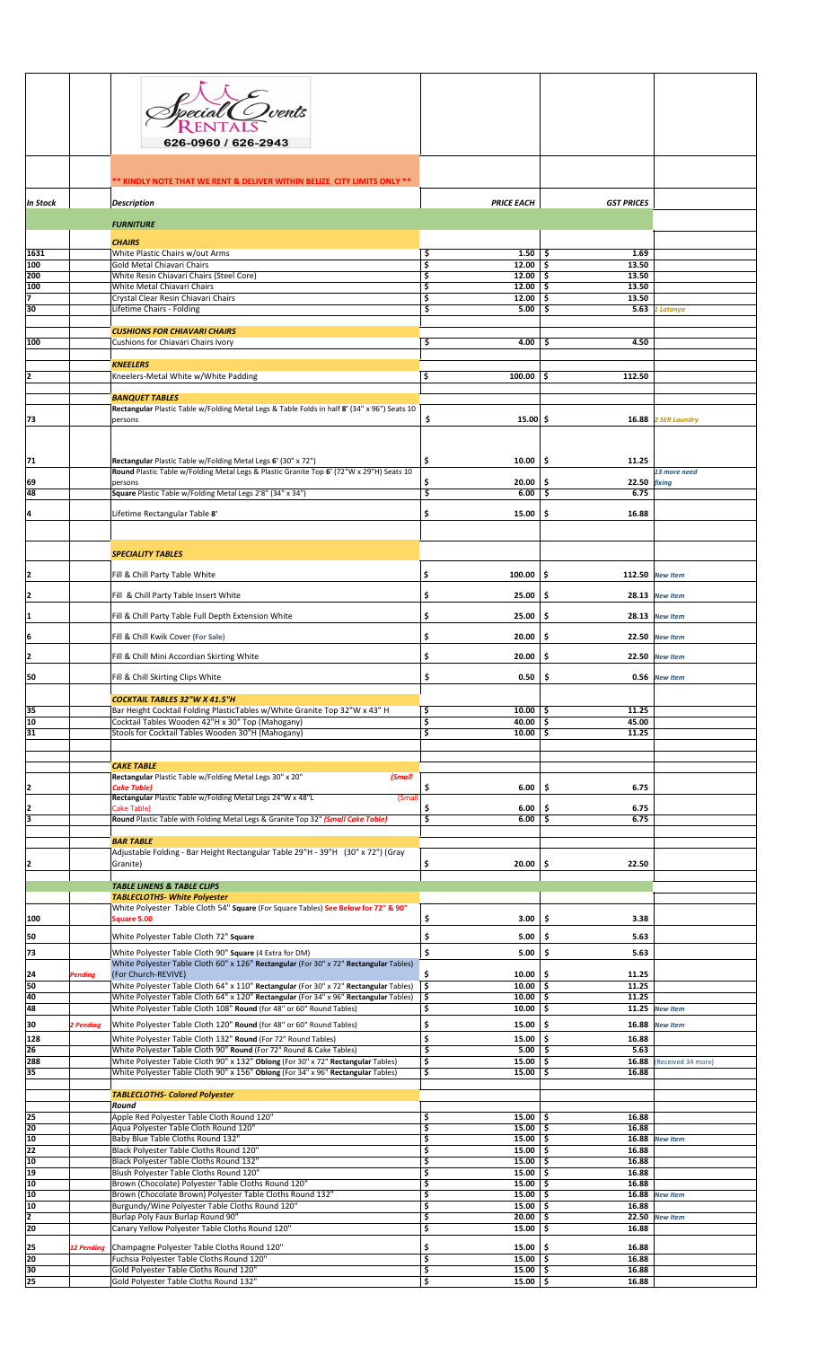|                       |                   | <sup>E</sup> Ovents<br>626-0960 / 626-2943                                                                                                                           |                                 |                              |                                     |  |
|-----------------------|-------------------|----------------------------------------------------------------------------------------------------------------------------------------------------------------------|---------------------------------|------------------------------|-------------------------------------|--|
|                       |                   | ** KINDLY NOTE THAT WE RENT & DELIVER WITHIN BELIZE CITY LIMITS ONLY **                                                                                              |                                 |                              |                                     |  |
| In Stock              |                   | <b>Description</b>                                                                                                                                                   | <b>PRICE EACH</b>               | <b>GST PRICES</b>            |                                     |  |
|                       |                   | <b>FURNITURE</b><br><b>CHAIRS</b>                                                                                                                                    |                                 |                              |                                     |  |
| 1631<br>100           |                   | White Plastic Chairs w/out Arms<br>Gold Metal Chiavari Chairs                                                                                                        | \$<br>1.50<br>\$<br>12.00       | 1.69<br>-\$<br>13.50<br>-\$  |                                     |  |
| 200                   |                   | White Resin Chiavari Chairs (Steel Core)                                                                                                                             | \$<br>12.00<br>12.00            | \$.<br>13.50<br>13.50        |                                     |  |
| 100<br>17             |                   | White Metal Chiavari Chairs<br>Crystal Clear Resin Chiavari Chairs                                                                                                   | \$<br>\$<br>12.00               | \$.<br>13.50<br>\$           |                                     |  |
| 30                    |                   | Lifetime Chairs - Folding                                                                                                                                            | \$<br>5.00                      | \$<br>5.63                   | 1 Latanya                           |  |
|                       |                   | <b>CUSHIONS FOR CHIAVARI CHAIRS</b>                                                                                                                                  |                                 |                              |                                     |  |
| 100                   |                   | Cushions for Chiavari Chairs Ivory                                                                                                                                   | \$<br>4.00                      | 4.50<br>\$                   |                                     |  |
|                       |                   | <b>KNEELERS</b>                                                                                                                                                      |                                 |                              |                                     |  |
| 12                    |                   | Kneelers-Metal White w/White Padding                                                                                                                                 | \$<br>$100.00$   \$             | 112.50                       |                                     |  |
|                       |                   | <b>BANQUET TABLES</b>                                                                                                                                                |                                 |                              |                                     |  |
| 73                    |                   | Rectangular Plastic Table w/Folding Metal Legs & Table Folds in half 8' (34" x 96") Seats 10<br>persons                                                              | \$<br>$15.00$ \$                | 16.88                        | <b>2 SER Laundry</b>                |  |
|                       |                   |                                                                                                                                                                      |                                 |                              |                                     |  |
| 71                    |                   | Rectangular Plastic Table w/Folding Metal Legs 6' (30" x 72")<br>Round Plastic Table w/Folding Metal Legs & Plastic Granite Top 6' (72"W x 29"H) Seats 10            | 10.00<br>\$                     | \$.<br>11.25                 | 13 more need                        |  |
| 69                    |                   | persons                                                                                                                                                              | \$<br>20.00                     | \$.<br>22.50 fixing          |                                     |  |
| 48                    |                   | Square Plastic Table w/Folding Metal Legs 2'8" (34" x 34")                                                                                                           | \$<br>6.00                      | \$<br>6.75                   |                                     |  |
| 4                     |                   | Lifetime Rectangular Table 8'                                                                                                                                        | \$<br>15.00                     | \$<br>16.88                  |                                     |  |
|                       |                   |                                                                                                                                                                      |                                 |                              |                                     |  |
|                       |                   | <b>SPECIALITY TABLES</b>                                                                                                                                             |                                 |                              |                                     |  |
|                       |                   | Fill & Chill Party Table White                                                                                                                                       | \$<br>100.00                    | \$                           | 112.50 New Item                     |  |
| 2                     |                   |                                                                                                                                                                      |                                 |                              |                                     |  |
| 12                    |                   | Fill & Chill Party Table Insert White                                                                                                                                | \$<br>25.00                     | \$                           | 28.13 New Item                      |  |
| 1                     |                   | Fill & Chill Party Table Full Depth Extension White                                                                                                                  | \$<br>25.00                     | \$                           | 28.13 New Item                      |  |
| 6                     |                   | Fill & Chill Kwik Cover (For Sale)                                                                                                                                   | \$<br>20.00                     | \$<br>22.50                  | <b>New Item</b>                     |  |
| 12                    |                   | Fill & Chill Mini Accordian Skirting White                                                                                                                           | \$<br>20.00                     | \$                           | 22.50 New Item                      |  |
| 50                    |                   | Fill & Chill Skirting Clips White                                                                                                                                    | \$<br>0.50                      | -\$                          | 0.56 New Item                       |  |
|                       |                   |                                                                                                                                                                      |                                 |                              |                                     |  |
| 35                    |                   | <b>COCKTAIL TABLES 32"W X 41.5"H</b><br>Bar Height Cocktail Folding PlasticTables w/White Granite Top 32"W x 43" H                                                   | \$<br>10.00                     | 11.25<br>-\$                 |                                     |  |
| 10                    |                   | Cocktail Tables Wooden 42"H x 30" Top (Mahogany)                                                                                                                     | \$<br>40.00                     | \$<br>45.00                  |                                     |  |
| $\overline{31}$       |                   | Stools for Cocktail Tables Wooden 30"H (Mahogany)                                                                                                                    | \$<br>10.00                     | -\$<br>11.25                 |                                     |  |
|                       |                   |                                                                                                                                                                      |                                 |                              |                                     |  |
|                       |                   | <b>CAKE TABLE</b><br>Rectangular Plastic Table w/Folding Metal Legs 30" x 20"<br>(Small                                                                              |                                 |                              |                                     |  |
| 2                     |                   | <b>Cake Table)</b><br>Rectangular Plastic Table w/Folding Metal Legs 24"W x 48"L<br>(Smal                                                                            | 6.00<br>\$                      | \$<br>6.75                   |                                     |  |
| 2                     |                   | Cake Table)                                                                                                                                                          | \$<br>6.00                      | \$<br>6.75                   |                                     |  |
| ē                     |                   | Round Plastic Table with Folding Metal Legs & Granite Top 32" (Small Cake Table)                                                                                     | \$<br>6.00                      | \$<br>6.75                   |                                     |  |
|                       |                   | <b>BAR TABLE</b>                                                                                                                                                     |                                 |                              |                                     |  |
|                       |                   | Adjustable Folding - Bar Height Rectangular Table 29"H - 39"H (30" x 72") (Gray<br>Granite)                                                                          | \$<br>20.00                     | \$.<br>22.50                 |                                     |  |
|                       |                   | <b>TABLE LINENS &amp; TABLE CLIPS</b>                                                                                                                                |                                 |                              |                                     |  |
|                       |                   | <b>TABLECLOTHS- White Polyester</b>                                                                                                                                  |                                 |                              |                                     |  |
| 100                   |                   | White Polyester Table Cloth 54" Square (For Square Tables) See Below for 72" & 90"<br>Square 5.00                                                                    | \$<br>3.00                      | \$<br>3.38                   |                                     |  |
| 50                    |                   | White Polyester Table Cloth 72" Square                                                                                                                               | \$<br>5.00                      | \$<br>5.63                   |                                     |  |
| 73                    |                   | White Polyester Table Cloth 90" Square (4 Extra for DM)                                                                                                              | \$<br>5.00                      | \$<br>5.63                   |                                     |  |
|                       |                   | White Polyester Table Cloth 60" x 126" Rectangular (For 30" x 72" Rectangular Tables)                                                                                |                                 |                              |                                     |  |
| 24<br>50              | Pending           | (For Church-REVIVE)<br>White Polyester Table Cloth 64" x 110" Rectangular (For 30" x 72" Rectangular Tables)                                                         | \$<br>10.00<br>\$<br>10.00      | -\$<br>11.25<br>11.25<br>-\$ |                                     |  |
| 40                    |                   | White Polyester Table Cloth 64" x 120" Rectangular (For 34" x 96" Rectangular Tables)                                                                                | \$<br>10.00                     | \$<br>11.25                  |                                     |  |
| 48<br>30              | 2 Pending         | White Polyester Table Cloth 108" Round (for 48" or 60" Round Tables)<br>White Polyester Table Cloth 120" Round (for 48" or 60" Round Tables)                         | \$<br>10.00<br>\$<br>15.00      | -\$<br>\$.<br>16.88          | $11.25$ New Item<br><b>New Item</b> |  |
| 128                   |                   | White Polyester Table Cloth 132" Round (For 72" Round Tables)                                                                                                        | \$<br>15.00                     | \$<br>16.88                  |                                     |  |
| 26                    |                   | White Polyester Table Cloth 90" Round (For 72" Round & Cake Tables)                                                                                                  | \$<br>5.00                      | \$.<br>5.63                  |                                     |  |
| 288<br>35             |                   | White Polyester Table Cloth 90" x 132" Oblong (For 30" x 72" Rectangular Tables)<br>White Polyester Table Cloth 90" x 156" Oblong (For 34" x 96" Rectangular Tables) | \$<br>15.00<br>\$<br>15.00      | \$.<br>16.88<br>16.88<br>\$  | (Received 34 more)                  |  |
|                       |                   | <b>TABLECLOTHS- Colored Polyester</b>                                                                                                                                |                                 |                              |                                     |  |
|                       |                   | Round                                                                                                                                                                |                                 |                              |                                     |  |
| 25<br>20              |                   | Apple Red Polyester Table Cloth Round 120"<br>Aqua Polyester Table Cloth Round 120"                                                                                  | \$<br>15.00<br>\$<br>15.00      | \$.<br>16.88<br>\$<br>16.88  |                                     |  |
| 10                    |                   | Baby Blue Table Cloths Round 132"                                                                                                                                    | \$<br>15.00                     | -\$<br>16.88                 | <b>New Item</b>                     |  |
| 22<br>10              |                   | Black Polyester Table Cloths Round 120"<br>Black Polyester Table Cloths Round 132"                                                                                   | \$<br>15.00<br>\$<br>15.00      | \$<br>16.88<br>\$<br>16.88   |                                     |  |
| 19                    |                   | Blush Polyester Table Cloths Round 120"                                                                                                                              | \$<br>15.00                     | \$<br>16.88                  |                                     |  |
| 10<br>10              |                   | Brown (Chocolate) Polyester Table Cloths Round 120"<br>Brown (Chocolate Brown) Polyester Table Cloths Round 132"                                                     | \$<br>15.00<br>\$<br>15.00      | 16.88<br>-\$<br>\$.<br>16.88 | <b>New Item</b>                     |  |
| 10                    |                   | Burgundy/Wine Polyester Table Cloths Round 120"                                                                                                                      | \$<br>15.00                     | \$<br>16.88                  |                                     |  |
| 2<br>20               |                   | Burlap Poly Faux Burlap Round 90"<br>Canary Yellow Polyester Table Cloths Round 120"                                                                                 | \$<br>20.00<br>\$<br>15.00      | \$<br>22.50<br>\$<br>16.88   | <b>New Item</b>                     |  |
| 25                    | <b>12 Pending</b> | Champagne Polyester Table Cloths Round 120"                                                                                                                          | \$<br>15.00                     | \$.<br>16.88                 |                                     |  |
| 20                    |                   | Fuchsia Polyester Table Cloths Round 120"                                                                                                                            | \$<br>15.00                     | -\$<br>16.88                 |                                     |  |
| 30<br>$\overline{25}$ |                   | Gold Polyester Table Cloths Round 120"<br>Gold Polyester Table Cloths Round 132"                                                                                     | \$<br>15.00<br>\$<br>$15.00$ \$ | 16.88<br>-\$<br>16.88        |                                     |  |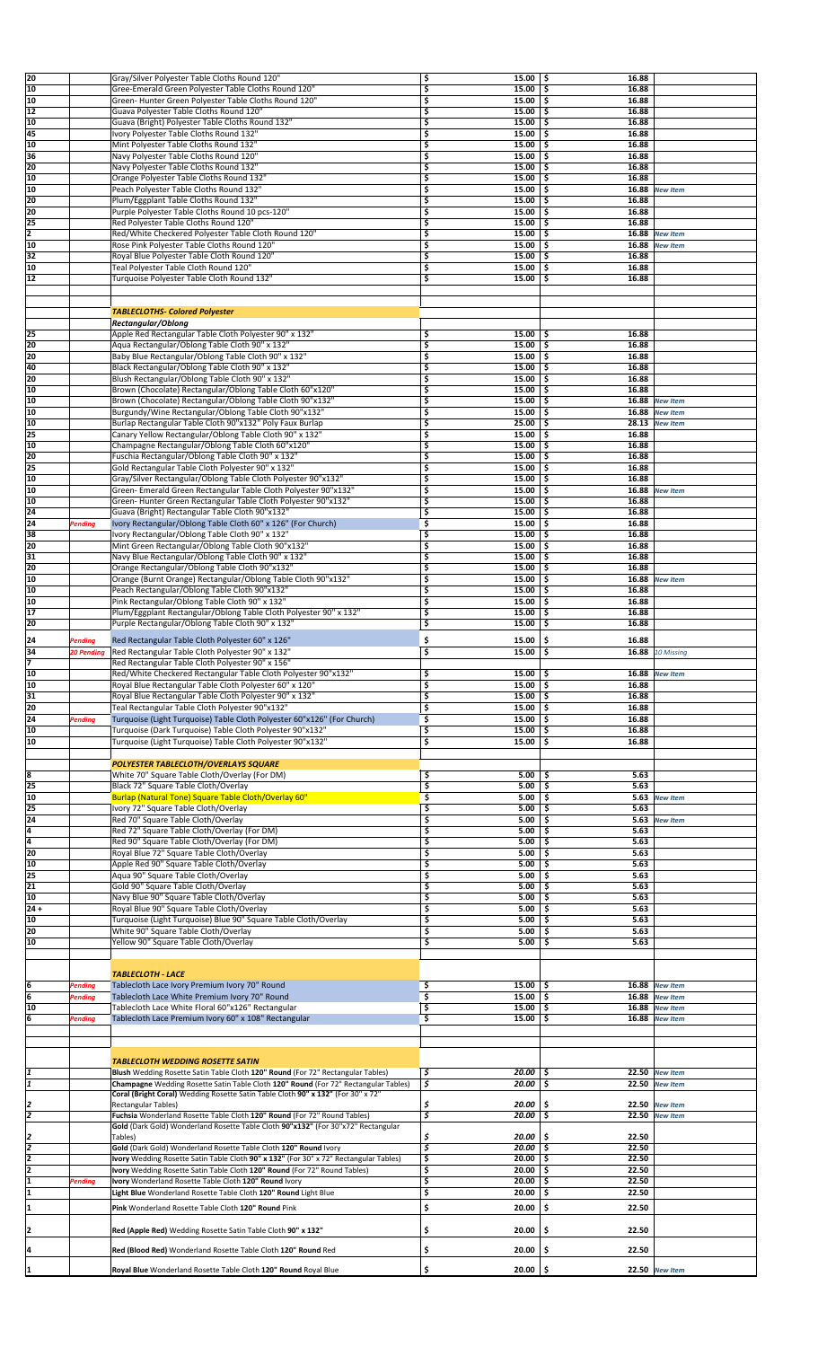| 20             |                | Gray/Silver Polyester Table Cloths Round 120"                                         | 15.00<br>\$                       | -\$<br>16.88 |                  |
|----------------|----------------|---------------------------------------------------------------------------------------|-----------------------------------|--------------|------------------|
|                |                |                                                                                       |                                   |              |                  |
| 10             |                | Gree-Emerald Green Polyester Table Cloths Round 120"                                  | \$<br>15.00                       | \$<br>16.88  |                  |
| 10             |                | Green- Hunter Green Polyester Table Cloths Round 120"                                 | \$<br>15.00                       | 16.88<br>\$. |                  |
| 12             |                | Guava Polyester Table Cloths Round 120"                                               | \$<br>15.00                       | 16.88<br>\$  |                  |
| 10             |                | Guava (Bright) Polyester Table Cloths Round 132"                                      | \$<br>15.00                       | \$<br>16.88  |                  |
| 45             |                |                                                                                       |                                   |              |                  |
|                |                | Ivory Polyester Table Cloths Round 132"                                               | \$<br>15.00                       | \$<br>16.88  |                  |
| 10             |                | Mint Polyester Table Cloths Round 132"                                                | \$<br>15.00                       | \$<br>16.88  |                  |
| 36             |                | Navy Polyester Table Cloths Round 120"                                                | \$<br>15.00                       | \$<br>16.88  |                  |
| 20             |                | Navy Polyester Table Cloths Round 132"                                                | \$<br>15.00                       | Ś<br>16.88   |                  |
| 10             |                | Orange Polyester Table Cloths Round 132"                                              | \$<br>15.00                       | 16.88<br>\$  |                  |
| 10             |                |                                                                                       | \$<br>15.00                       | \$<br>16.88  |                  |
|                |                | Peach Polyester Table Cloths Round 132"                                               |                                   |              | <b>New Item</b>  |
| 20             |                | Plum/Eggplant Table Cloths Round 132"                                                 | \$<br>15.00                       | 16.88<br>Ś   |                  |
| 20             |                | Purple Polyester Table Cloths Round 10 pcs-120"                                       | \$<br>15.00                       | \$<br>16.88  |                  |
| 25             |                | Red Polyester Table Cloths Round 120"                                                 | \$<br>15.00                       | \$<br>16.88  |                  |
| $\overline{2}$ |                | Red/White Checkered Polyester Table Cloth Round 120"                                  | \$<br>15.00                       | \$           | 16.88 New Item   |
| 10             |                | Rose Pink Polyester Table Cloths Round 120"                                           | 15.00<br>\$                       | \$           | 16.88 New Item   |
|                |                |                                                                                       |                                   | Ś            |                  |
| 32             |                | Royal Blue Polyester Table Cloth Round 120"                                           | \$<br>15.00                       | 16.88        |                  |
| 10             |                | Teal Polyester Table Cloth Round 120"                                                 | \$<br>15.00                       | 16.88<br>\$  |                  |
| 12             |                | Turquoise Polyester Table Cloth Round 132"                                            | \$<br>15.00                       | \$<br>16.88  |                  |
|                |                |                                                                                       |                                   |              |                  |
|                |                |                                                                                       |                                   |              |                  |
|                |                |                                                                                       |                                   |              |                  |
|                |                | <b>TABLECLOTHS- Colored Polyester</b>                                                 |                                   |              |                  |
|                |                | Rectangular/Oblong                                                                    |                                   |              |                  |
| 25             |                | Apple Red Rectangular Table Cloth Polyester 90" x 132"                                | 15.00<br>\$                       | 16.88<br>\$. |                  |
| 20             |                | Aqua Rectangular/Oblong Table Cloth 90" x 132"                                        | \$<br>15.00                       | \$<br>16.88  |                  |
| 20             |                | Baby Blue Rectangular/Oblong Table Cloth 90" x 132"                                   | \$<br>15.00                       | 16.88<br>\$  |                  |
| 40             |                | Black Rectangular/Oblong Table Cloth 90" x 132"                                       | \$<br>15.00                       | \$<br>16.88  |                  |
| 20             |                |                                                                                       |                                   |              |                  |
|                |                | Blush Rectangular/Oblong Table Cloth 90" x 132"                                       | \$<br>15.00                       | 16.88<br>\$  |                  |
| 10             |                | Brown (Chocolate) Rectangular/Oblong Table Cloth 60"x120"                             | \$<br>15.00                       | \$<br>16.88  |                  |
| 10             |                | Brown (Chocolate) Rectangular/Oblong Table Cloth 90"x132"                             | \$<br>15.00                       | 16.88<br>Ś   | <b>New Item</b>  |
| 10             |                | Burgundy/Wine Rectangular/Oblong Table Cloth 90"x132"                                 | \$<br>15.00                       | \$<br>16.88  | <b>New Item</b>  |
| 10             |                | Burlap Rectangular Table Cloth 90"x132" Poly Faux Burlap                              | \$<br>25.00                       | \$<br>28.13  | <b>New Item</b>  |
| 25             |                | Canary Yellow Rectangular/Oblong Table Cloth 90" x 132"                               | \$<br>15.00                       | \$<br>16.88  |                  |
|                |                |                                                                                       |                                   |              |                  |
| 10             |                | Champagne Rectangular/Oblong Table Cloth 60"x120"                                     | \$<br>15.00                       | \$<br>16.88  |                  |
| 20             |                | Fuschia Rectangular/Oblong Table Cloth 90" x 132"                                     | \$<br>15.00                       | \$<br>16.88  |                  |
| 25             |                | Gold Rectangular Table Cloth Polyester 90" x 132"                                     | \$<br>15.00                       | \$<br>16.88  |                  |
| 10             |                | Gray/Silver Rectangular/Oblong Table Cloth Polyester 90"x132"                         | \$<br>15.00                       | 16.88<br>\$  |                  |
| 10             |                | Green- Emerald Green Rectangular Table Cloth Polyester 90"x132"                       | \$<br>15.00                       | \$<br>16.88  | <b>New Item</b>  |
| 10             |                |                                                                                       |                                   |              |                  |
|                |                | Green-Hunter Green Rectangular Table Cloth Polyester 90"x132"                         | \$<br>15.00                       | \$<br>16.88  |                  |
| 24             |                | Guava (Bright) Rectangular Table Cloth 90"x132"                                       | \$<br>15.00                       | 16.88        |                  |
| 24             | <b>Pending</b> | Ivory Rectangular/Oblong Table Cloth 60" x 126" (For Church)                          | \$<br>15.00                       | 16.88<br>\$  |                  |
| 38             |                | Ivory Rectangular/Oblong Table Cloth 90" x 132"                                       | \$<br>15.00                       | \$<br>16.88  |                  |
| 20             |                | Mint Green Rectangular/Oblong Table Cloth 90"x132"                                    | \$<br>15.00                       | 16.88<br>\$  |                  |
| 31             |                | Navy Blue Rectangular/Oblong Table Cloth 90" x 132"                                   | \$<br>15.00                       | 16.88<br>\$  |                  |
|                |                |                                                                                       |                                   |              |                  |
| 20             |                | Orange Rectangular/Oblong Table Cloth 90"x132"                                        | \$<br>15.00                       | 16.88<br>Ś   |                  |
| 10             |                | Orange (Burnt Orange) Rectangular/Oblong Table Cloth 90"x132"                         | 3<br>15.00                        | \$<br>16.88  | <b>New Item</b>  |
| 10             |                | Peach Rectangular/Oblong Table Cloth 90"x132"                                         | \$<br>15.00                       | \$<br>16.88  |                  |
| 10             |                | Pink Rectangular/Oblong Table Cloth 90" x 132"                                        | \$<br>15.00                       | \$<br>16.88  |                  |
| 17             |                | Plum/Eggplant Rectangular/Oblong Table Cloth Polyester 90" x 132"                     | \$<br>15.00                       | \$<br>16.88  |                  |
| 20             |                | Purple Rectangular/Oblong Table Cloth 90" x 132"                                      | \$<br>15.00                       | \$<br>16.88  |                  |
|                |                |                                                                                       |                                   |              |                  |
| 24             | <b>Pending</b> | Red Rectangular Table Cloth Polyester 60" x 126"                                      | \$<br>15.00                       | Ś<br>16.88   |                  |
| 34             | 20 Pendina     | Red Rectangular Table Cloth Polyester 90" x 132"                                      | 3<br>15.00                        | \$           | 16.88 10 Missing |
| 7              |                | Red Rectangular Table Cloth Polyester 90" x 156"                                      |                                   |              |                  |
|                |                | Red/White Checkered Rectangular Table Cloth Polyester 90"x132"                        |                                   |              |                  |
| 10             |                |                                                                                       | 15.00<br>\$                       | ا \$         | 16.88 New Item   |
| 10             |                | Royal Blue Rectangular Table Cloth Polyester 60" x 120"                               | \$<br>15.00                       | -\$<br>16.88 |                  |
| 31             |                | Royal Blue Rectangular Table Cloth Polyester 90" x 132"                               | \$<br>15.00                       | \$<br>16.88  |                  |
| 20             |                | Teal Rectangular Table Cloth Polyester 90"x132"                                       | \$<br>15.00                       | 16.88<br>\$  |                  |
| 24             | <b>Pending</b> | Turquoise (Light Turquoise) Table Cloth Polyester 60"x126" (For Church)               | \$<br>15.00                       | \$<br>16.88  |                  |
| 10             |                | Turquoise (Dark Turquoise) Table Cloth Polyester 90"x132"                             | \$<br>15.00                       | \$<br>16.88  |                  |
|                |                |                                                                                       |                                   |              |                  |
| 10             |                | Turquoise (Light Turquoise) Table Cloth Polyester 90"x132"                            | \$<br>15.00                       | \$<br>16.88  |                  |
|                |                |                                                                                       |                                   |              |                  |
|                |                | <b>POLYESTER TABLECLOTH/OVERLAYS SQUARE</b>                                           |                                   |              |                  |
| 8              |                | White 70" Square Table Cloth/Overlay (For DM)                                         | \$<br>5.00                        | 5.63<br>Ŝ    |                  |
| 25             |                | Black 72" Square Table Cloth/Overlay                                                  | \$<br>5.00                        | 5.63<br>\$.  |                  |
| 10             |                | Burlap (Natural Tone) Square Table Cloth/Overlay 60"                                  | \$<br>5.00                        | \$<br>5.63   | <b>New Item</b>  |
|                |                |                                                                                       |                                   |              |                  |
| 25             |                | Ivory 72" Square Table Cloth/Overlay                                                  | \$<br>5.00                        | Ś<br>5.63    |                  |
| 24             |                | Red 70" Square Table Cloth/Overlay                                                    | \$<br>5.00                        | 5.63<br>\$.  | <b>New Item</b>  |
| $\overline{4}$ |                | Red 72" Square Table Cloth/Overlay (For DM)                                           | \$<br>5.00                        | 5.63<br>\$   |                  |
| 4              |                | Red 90" Square Table Cloth/Overlay (For DM)                                           | \$<br>5.00                        | 5.63<br>\$   |                  |
| 20             |                | Royal Blue 72" Square Table Cloth/Overlay                                             | \$<br>5.00                        | 5.63<br>\$   |                  |
| 10             |                |                                                                                       | \$                                | Ś            |                  |
|                |                | Apple Red 90" Square Table Cloth/Overlay                                              | 5.00                              | 5.63         |                  |
| 25             |                | Aqua 90" Square Table Cloth/Overlay                                                   | \$<br>5.00                        | 5.63<br>Ŝ    |                  |
| 21             |                | Gold 90" Square Table Cloth/Overlay                                                   | \$<br>5.00                        | 5.63<br>\$.  |                  |
| 10             |                | Navy Blue 90" Square Table Cloth/Overlay                                              | \$<br>5.00                        | 5.63<br>Ŝ    |                  |
| $24 +$         |                | Royal Blue 90" Square Table Cloth/Overlay                                             | \$<br>5.00                        | 5.63<br>Ś    |                  |
| 10             |                | Turquoise (Light Turquoise) Blue 90" Square Table Cloth/Overlay                       | \$<br>5.00                        | \$.<br>5.63  |                  |
| 20             |                | White 90" Square Table Cloth/Overlay                                                  | \$<br>5.00                        | 5.63<br>\$   |                  |
|                |                |                                                                                       |                                   |              |                  |
| 10             |                | Yellow 90" Square Table Cloth/Overlay                                                 | \$<br>5.00                        | \$<br>5.63   |                  |
|                |                |                                                                                       |                                   |              |                  |
|                |                |                                                                                       |                                   |              |                  |
|                |                | <b>TABLECLOTH - LACE</b>                                                              |                                   |              |                  |
| 6              | <b>Pending</b> | Tablecloth Lace Ivory Premium Ivory 70" Round                                         | \$<br>15.00                       | \$           | 16.88 New Item   |
| 6              | <b>Pending</b> | Tablecloth Lace White Premium Ivory 70" Round                                         | \$<br>15.00                       | \$           | 16.88 New Item   |
| 10             |                | Tablecloth Lace White Floral 60"x126" Rectangular                                     | \$<br>15.00                       | \$           | 16.88 New Item   |
| 6              | <b>Pending</b> | Tablecloth Lace Premium Ivory 60" x 108" Rectangular                                  | \$<br>15.00                       | \$           | 16.88 New Item   |
|                |                |                                                                                       |                                   |              |                  |
|                |                |                                                                                       |                                   |              |                  |
|                |                |                                                                                       |                                   |              |                  |
|                |                |                                                                                       |                                   |              |                  |
|                |                | <b>TABLECLOTH WEDDING ROSETTE SATIN</b>                                               |                                   |              |                  |
| 1              |                | Blush Wedding Rosette Satin Table Cloth 120" Round (For 72" Rectangular Tables)       | \$<br>20.00                       | \$           | 22.50 New Item   |
| 1              |                | Champagne Wedding Rosette Satin Table Cloth 120" Round (For 72" Rectangular Tables)   | $\overline{\mathcal{S}}$<br>20.00 | Ś.           | 22.50 New Item   |
|                |                | Coral (Bright Coral) Wedding Rosette Satin Table Cloth 90" x 132" (For 30" x 72"      |                                   |              |                  |
|                |                | <b>Rectangular Tables)</b>                                                            | \$<br>20.00                       | \$           | 22.50 New Item   |
| 2              |                | Fuchsia Wonderland Rosette Table Cloth 120" Round (For 72" Round Tables)              | \$<br>20.00                       | \$.          | 22.50 New Item   |
|                |                | Gold (Dark Gold) Wonderland Rosette Table Cloth 90"x132" (For 30"x72" Rectangular     |                                   |              |                  |
| 2              |                | Tables)                                                                               | \$<br>20.00                       | 22.50<br>\$  |                  |
| 2              |                |                                                                                       |                                   |              |                  |
|                |                | Gold (Dark Gold) Wonderland Rosette Table Cloth 120" Round Ivory                      | \$<br>20.00                       | \$<br>22.50  |                  |
| 2              |                | Ivory Wedding Rosette Satin Table Cloth 90" x 132" (For 30" x 72" Rectangular Tables) | \$<br>20.00                       | \$.<br>22.50 |                  |
| 2              |                | Ivory Wedding Rosette Satin Table Cloth 120" Round (For 72" Round Tables)             | \$<br>20.00                       | 22.50<br>\$  |                  |
| ł1             |                | Ivory Wonderland Rosette Table Cloth 120" Round Ivory                                 | \$<br>20.00                       | \$<br>22.50  |                  |
|                | <b>Pending</b> |                                                                                       |                                   |              |                  |
| 1              |                | Light Blue Wonderland Rosette Table Cloth 120" Round Light Blue                       | \$<br>20.00                       | \$<br>22.50  |                  |
|                |                |                                                                                       |                                   |              |                  |
|                |                | Pink Wonderland Rosette Table Cloth 120" Round Pink                                   | \$<br>20.00                       | \$<br>22.50  |                  |
|                |                |                                                                                       |                                   |              |                  |
|                |                | Red (Apple Red) Wedding Rosette Satin Table Cloth 90" x 132"                          | 20.00<br>\$                       | 22.50<br>-\$ |                  |
|                |                |                                                                                       |                                   |              |                  |
|                |                | Red (Blood Red) Wonderland Rosette Table Cloth 120" Round Red                         |                                   |              |                  |
|                |                |                                                                                       | \$<br>20.00<br>$20.00$ \$         | \$<br>22.50  | 22.50 New Item   |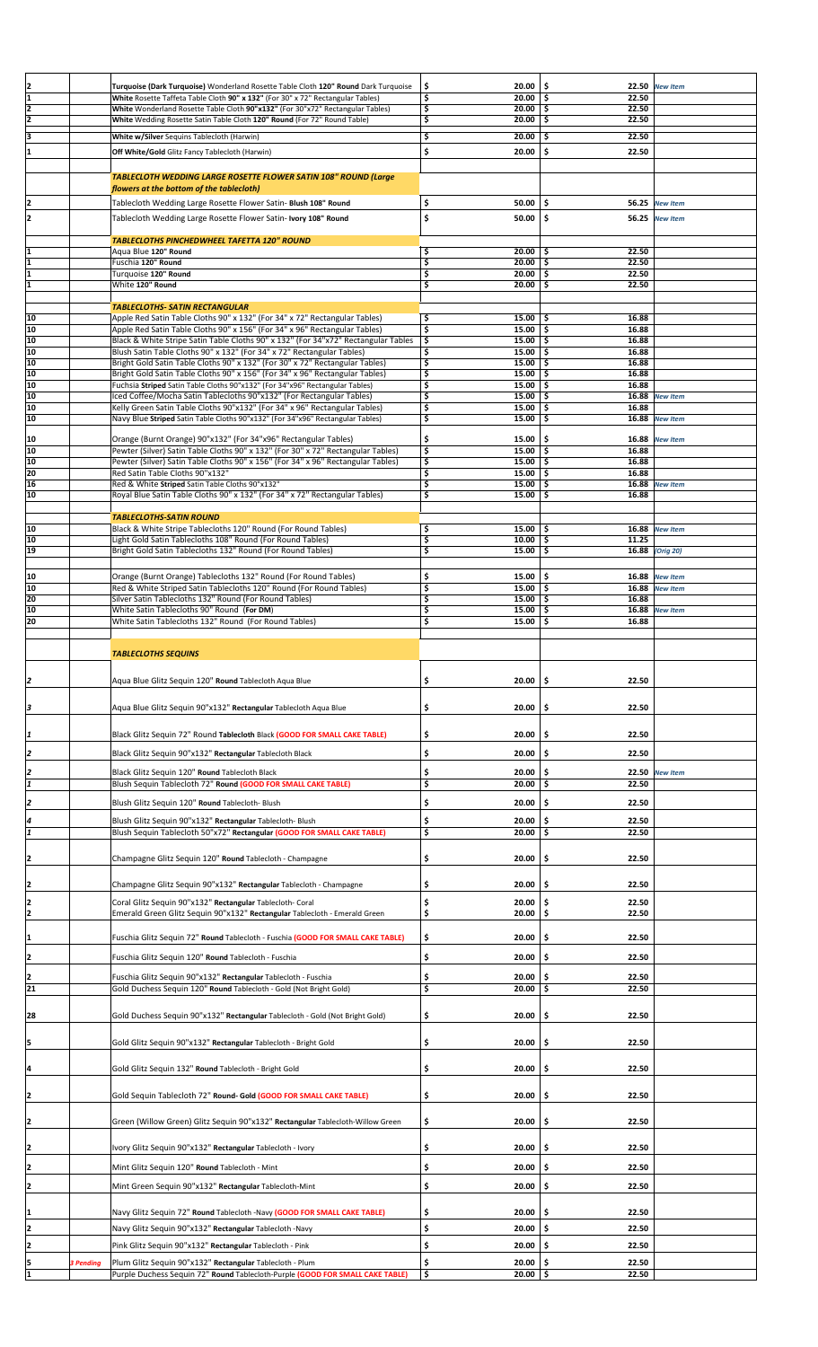| $\frac{2}{1}$   |           | Turquoise (Dark Turquoise) Wonderland Rosette Table Cloth 120" Round Dark Turquoise           | Ş  | 20.00        | -\$           | 22.50 New Item  |  |
|-----------------|-----------|-----------------------------------------------------------------------------------------------|----|--------------|---------------|-----------------|--|
|                 |           | White Rosette Taffeta Table Cloth 90" x 132" (For 30" x 72" Rectangular Tables)               | \$ | 20.00        | \$<br>22.50   |                 |  |
| $\overline{2}$  |           | White Wonderland Rosette Table Cloth 90"x132" (For 30"x72" Rectangular Tables)                | \$ | 20.00        | 22.50<br>-\$  |                 |  |
| 2               |           | White Wedding Rosette Satin Table Cloth 120" Round (For 72" Round Table)                      | \$ | 20.00        | \$<br>22.50   |                 |  |
|                 |           |                                                                                               |    |              |               |                 |  |
| lз              |           | White w/Silver Sequins Tablecloth (Harwin)                                                    | \$ | 20.00        | \$<br>22.50   |                 |  |
| I1              |           | Off White/Gold Glitz Fancy Tablecloth (Harwin)                                                | \$ | 20.00        | \$<br>22.50   |                 |  |
|                 |           |                                                                                               |    |              |               |                 |  |
|                 |           | <b>TABLECLOTH WEDDING LARGE ROSETTE FLOWER SATIN 108" ROUND (Large</b>                        |    |              |               |                 |  |
|                 |           | flowers at the bottom of the tablecloth)                                                      |    |              |               |                 |  |
|                 |           |                                                                                               |    |              |               |                 |  |
| 12              |           | Tablecloth Wedding Large Rosette Flower Satin- Blush 108" Round                               | \$ | 50.00        | \$            | 56.25 New Item  |  |
| 2               |           | Tablecloth Wedding Large Rosette Flower Satin- Ivory 108" Round                               | \$ | 50.00        | \$            | 56.25 New Item  |  |
|                 |           |                                                                                               |    |              |               |                 |  |
|                 |           | <b>TABLECLOTHS PINCHEDWHEEL TAFETTA 120" ROUND</b>                                            |    |              |               |                 |  |
|                 |           |                                                                                               |    |              |               |                 |  |
| I1              |           | Aqua Blue 120" Round                                                                          | \$ | 20.00        | 22.50<br>\$.  |                 |  |
| ī               |           | Fuschia 120" Round                                                                            | \$ | 20.00        | \$<br>22.50   |                 |  |
| 1               |           | Turquoise 120" Round                                                                          | \$ | 20.00        | \$<br>22.50   |                 |  |
| ī               |           | White 120" Round                                                                              | \$ | 20.00        | -\$<br>22.50  |                 |  |
|                 |           |                                                                                               |    |              |               |                 |  |
|                 |           | <b>TABLECLOTHS- SATIN RECTANGULAR</b>                                                         |    |              |               |                 |  |
| 10              |           | Apple Red Satin Table Cloths 90" x 132" (For 34" x 72" Rectangular Tables)                    | \$ | 15.00        | 5 ا<br>16.88  |                 |  |
| 10              |           |                                                                                               |    |              |               |                 |  |
|                 |           | Apple Red Satin Table Cloths 90" x 156" (For 34" x 96" Rectangular Tables)                    | \$ | 15.00        | \$<br>16.88   |                 |  |
| 10              |           | Black & White Stripe Satin Table Cloths 90" x 132" (For 34"x72" Rectangular Tables            | \$ | 15.00        | \$<br>16.88   |                 |  |
| 10              |           | Blush Satin Table Cloths 90" x 132" (For 34" x 72" Rectangular Tables)                        | \$ | 15.00        | \$<br>16.88   |                 |  |
| 10              |           | Bright Gold Satin Table Cloths 90" x 132" (For 30" x 72" Rectangular Tables)                  | \$ | 15.00        | \$<br>16.88   |                 |  |
| 10              |           | Bright Gold Satin Table Cloths 90" x 156" (For 34" x 96" Rectangular Tables)                  | \$ | 15.00        | -\$<br>16.88  |                 |  |
| 10              |           | Fuchsia Striped Satin Table Cloths 90"x132" (For 34"x96" Rectangular Tables)                  | \$ | 15.00        | \$<br>16.88   |                 |  |
| 10              |           | Iced Coffee/Mocha Satin Tablecloths 90"x132" (For Rectangular Tables)                         | \$ | 15.00        | \$<br>16.88   | <b>New Item</b> |  |
| 10              |           |                                                                                               | \$ | 15.00        | \$<br>16.88   |                 |  |
|                 |           | Kelly Green Satin Table Cloths 90"x132" (For 34" x 96" Rectangular Tables)                    |    |              |               |                 |  |
| 10              |           | Navy Blue Striped Satin Table Cloths 90"x132" (For 34"x96" Rectangular Tables)                | \$ | 15.00        | \$            | 16.88 New Item  |  |
|                 |           |                                                                                               |    |              |               |                 |  |
| 10              |           | Orange (Burnt Orange) 90"x132" (For 34"x96" Rectangular Tables)                               | \$ | 15.00        | -\$<br>16.88  | <b>New Item</b> |  |
| 10              |           | Pewter (Silver) Satin Table Cloths 90" x 132" (For 30" x 72" Rectangular Tables)              | \$ | 15.00        | \$<br>16.88   |                 |  |
| 10              |           | Pewter (Silver) Satin Table Cloths 90" x 156" (For 34" x 96" Rectangular Tables)              | \$ | 15.00        | -\$<br>16.88  |                 |  |
| 20              |           | Red Satin Table Cloths 90"x132"                                                               | \$ | 15.00        | \$<br>16.88   |                 |  |
|                 |           |                                                                                               |    |              |               |                 |  |
| 16              |           | Red & White Striped Satin Table Cloths 90"x132"                                               | \$ | 15.00        | \$            | 16.88 New Item  |  |
| 10              |           | Royal Blue Satin Table Cloths 90" x 132" (For 34" x 72" Rectangular Tables)                   | \$ | 15.00        | Ś<br>16.88    |                 |  |
|                 |           |                                                                                               |    |              |               |                 |  |
|                 |           | <b>TABLECLOTHS-SATIN ROUND</b>                                                                |    |              |               |                 |  |
| 10              |           | Black & White Stripe Tablecloths 120" Round (For Round Tables)                                | \$ | 15.00        | 16.88<br>\$   | <b>New Item</b> |  |
| 10              |           |                                                                                               | \$ | 10.00        | \$<br>11.25   |                 |  |
|                 |           | Light Gold Satin Tablecloths 108" Round (For Round Tables)                                    |    |              |               |                 |  |
| 19              |           | Bright Gold Satin Tablecloths 132" Round (For Round Tables)                                   | \$ | 15.00        | \$            | 16.88 (Orig 20) |  |
|                 |           |                                                                                               |    |              |               |                 |  |
| 10              |           | Orange (Burnt Orange) Tablecloths 132" Round (For Round Tables)                               | \$ | 15.00        | \$<br>16.88   | <b>New Item</b> |  |
|                 |           | Red & White Striped Satin Tablecloths 120" Round (For Round Tables)                           |    |              | 16.88         |                 |  |
| 10              |           |                                                                                               | \$ | 15.00        | \$            | <b>New Item</b> |  |
| 20              |           | Silver Satin Tablecloths 132" Round (For Round Tables)                                        | \$ | 15.00        | -\$<br>16.88  |                 |  |
| 10              |           | White Satin Tablecloths 90" Round (For DM)                                                    | \$ | 15.00        | \$            | 16.88 New Item  |  |
| 20              |           | White Satin Tablecloths 132" Round (For Round Tables)                                         | \$ | 15.00        | \$<br>16.88   |                 |  |
|                 |           |                                                                                               |    |              |               |                 |  |
|                 |           |                                                                                               |    |              |               |                 |  |
|                 |           | <b>TABLECLOTHS SEQUINS</b>                                                                    |    |              |               |                 |  |
|                 |           |                                                                                               |    |              |               |                 |  |
|                 |           |                                                                                               |    |              |               |                 |  |
| 2               |           | Aqua Blue Glitz Sequin 120" Round Tablecloth Aqua Blue                                        | \$ | 20.00        | \$<br>22.50   |                 |  |
|                 |           |                                                                                               |    |              |               |                 |  |
|                 |           |                                                                                               |    |              |               |                 |  |
| 3               |           | Aqua Blue Glitz Sequin 90"x132" Rectangular Tablecloth Aqua Blue                              | \$ | 20.00        | 22.50<br>\$.  |                 |  |
|                 |           |                                                                                               |    |              |               |                 |  |
|                 |           |                                                                                               |    |              |               |                 |  |
| 1               |           | Black Glitz Sequin 72" Round Tablecloth Black (GOOD FOR SMALL CAKE TABLE)                     | \$ | 20.00        | 22.50<br>\$.  |                 |  |
|                 |           |                                                                                               |    |              |               |                 |  |
|                 |           | Black Glitz Sequin 90"x132" Rectangular Tablecloth Black                                      | \$ | 20.00        | \$<br>22.50   |                 |  |
|                 |           |                                                                                               |    |              |               |                 |  |
| 2               |           | Black Glitz Sequin 120" Round Tablecloth Black                                                | \$ | 20.00        | \$            | 22.50 New Item  |  |
| $\overline{1}$  |           | Blush Sequin Tablecloth 72" Round (GOOD FOR SMALL CAKE TABLE)                                 | \$ | 20.00        | ا \$<br>22.50 |                 |  |
|                 |           |                                                                                               |    |              |               |                 |  |
| 2               |           | Blush Glitz Sequin 120" Round Tablecloth- Blush                                               | \$ | 20.00        | \$<br>22.50   |                 |  |
|                 |           |                                                                                               |    |              |               |                 |  |
| 4               |           | Blush Glitz Sequin 90"x132" Rectangular Tablecloth- Blush                                     | \$ | 20.00        | \$<br>22.50   |                 |  |
| ī               |           | Blush Sequin Tablecloth 50"x72" Rectangular (GOOD FOR SMALL CAKE TABLE)                       | \$ | 20.00        | \$<br>22.50   |                 |  |
|                 |           |                                                                                               |    |              |               |                 |  |
|                 |           |                                                                                               |    |              |               |                 |  |
| 2               |           | Champagne Glitz Sequin 120" Round Tablecloth - Champagne                                      | \$ | 20.00        | \$<br>22.50   |                 |  |
|                 |           |                                                                                               |    |              |               |                 |  |
|                 |           |                                                                                               |    | 20.00        | \$<br>22.50   |                 |  |
| 2               |           | Champagne Glitz Sequin 90"x132" Rectangular Tablecloth - Champagne                            | \$ |              |               |                 |  |
|                 |           | Coral Glitz Sequin 90"x132" Rectangular Tablecloth- Coral                                     | \$ | 20.00        | \$.<br>22.50  |                 |  |
| $\frac{2}{2}$   |           | Emerald Green Glitz Sequin 90"x132" Rectangular Tablecloth - Emerald Green                    | \$ | 20.00        | \$<br>22.50   |                 |  |
|                 |           |                                                                                               |    |              |               |                 |  |
|                 |           |                                                                                               |    |              |               |                 |  |
| $\mathbf{1}$    |           | Fuschia Glitz Sequin 72" <b>Round</b> Tablecloth - Fuschia <b>(GOOD FOR SMALL CAKE TABLE)</b> | \$ | 20.00        | 22.50<br>\$   |                 |  |
|                 |           |                                                                                               |    |              |               |                 |  |
| 2               |           | Fuschia Glitz Sequin 120" Round Tablecloth - Fuschia                                          | \$ | 20.00        | 22.50<br>-\$  |                 |  |
|                 |           |                                                                                               |    |              |               |                 |  |
| 2               |           | Fuschia Glitz Sequin 90"x132" Rectangular Tablecloth - Fuschia                                | \$ | 20.00        | 22.50<br>S    |                 |  |
| $\overline{21}$ |           | Gold Duchess Sequin 120" Round Tablecloth - Gold (Not Bright Gold)                            | \$ | 20.00        | 22.50<br>\$   |                 |  |
|                 |           |                                                                                               |    |              |               |                 |  |
|                 |           |                                                                                               |    |              |               |                 |  |
| 28              |           | Gold Duchess Sequin 90"x132" Rectangular Tablecloth - Gold (Not Bright Gold)                  | \$ | 20.00        | 22.50<br>\$.  |                 |  |
|                 |           |                                                                                               |    |              |               |                 |  |
|                 |           |                                                                                               |    |              |               |                 |  |
| 5               |           | Gold Glitz Sequin 90"x132" Rectangular Tablecloth - Bright Gold                               | \$ | 20.00        | \$<br>22.50   |                 |  |
|                 |           |                                                                                               |    |              |               |                 |  |
|                 |           | Gold Glitz Sequin 132" Round Tablecloth - Bright Gold                                         | \$ | 20.00        | 22.50<br>S    |                 |  |
| 4               |           |                                                                                               |    |              |               |                 |  |
|                 |           |                                                                                               |    |              |               |                 |  |
| 2               |           | Gold Sequin Tablecloth 72" Round- Gold (GOOD FOR SMALL CAKE TABLE)                            | \$ | 20.00        | 22.50<br>\$.  |                 |  |
|                 |           |                                                                                               |    |              |               |                 |  |
|                 |           |                                                                                               |    |              |               |                 |  |
| 2               |           | Green (Willow Green) Glitz Sequin 90"x132" Rectangular Tablecloth-Willow Green                | \$ | 20.00        | 22.50<br>\$   |                 |  |
|                 |           |                                                                                               |    |              |               |                 |  |
|                 |           |                                                                                               |    |              |               |                 |  |
| 2               |           | Ivory Glitz Sequin 90"x132" Rectangular Tablecloth - Ivory                                    | \$ | 20.00        | 22.50<br>\$   |                 |  |
|                 |           |                                                                                               |    |              |               |                 |  |
| 12              |           | Mint Glitz Sequin 120" Round Tablecloth - Mint                                                | \$ | 20.00        | -\$<br>22.50  |                 |  |
|                 |           |                                                                                               |    |              |               |                 |  |
| 2               |           | Mint Green Sequin 90"x132" Rectangular Tablecloth-Mint                                        | \$ | 20.00        | \$<br>22.50   |                 |  |
|                 |           |                                                                                               |    |              |               |                 |  |
| 1               |           | Navy Glitz Sequin 72" Round Tablecloth - Navy (GOOD FOR SMALL CAKE TABLE)                     | Ş  | 20.00        | -\$<br>22.50  |                 |  |
|                 |           |                                                                                               |    |              |               |                 |  |
| 2               |           | Navy Glitz Sequin 90"x132" Rectangular Tablecloth -Navy                                       | \$ | $20.00$   \$ | 22.50         |                 |  |
|                 |           |                                                                                               |    |              |               |                 |  |
| 12              |           | Pink Glitz Sequin 90"x132" Rectangular Tablecloth - Pink                                      | \$ | 20.00        | 22.50<br>\$.  |                 |  |
| 5               | 3 Pending | Plum Glitz Sequin 90"x132" Rectangular Tablecloth - Plum                                      | \$ | 20.00        | -\$<br>22.50  |                 |  |
|                 |           |                                                                                               |    |              |               |                 |  |
| լո              |           | Purple Duchess Sequin 72" Round Tablecloth-Purple (GOOD FOR SMALL CAKE TABLE)                 | \$ | $20.00$   \$ | 22.50         |                 |  |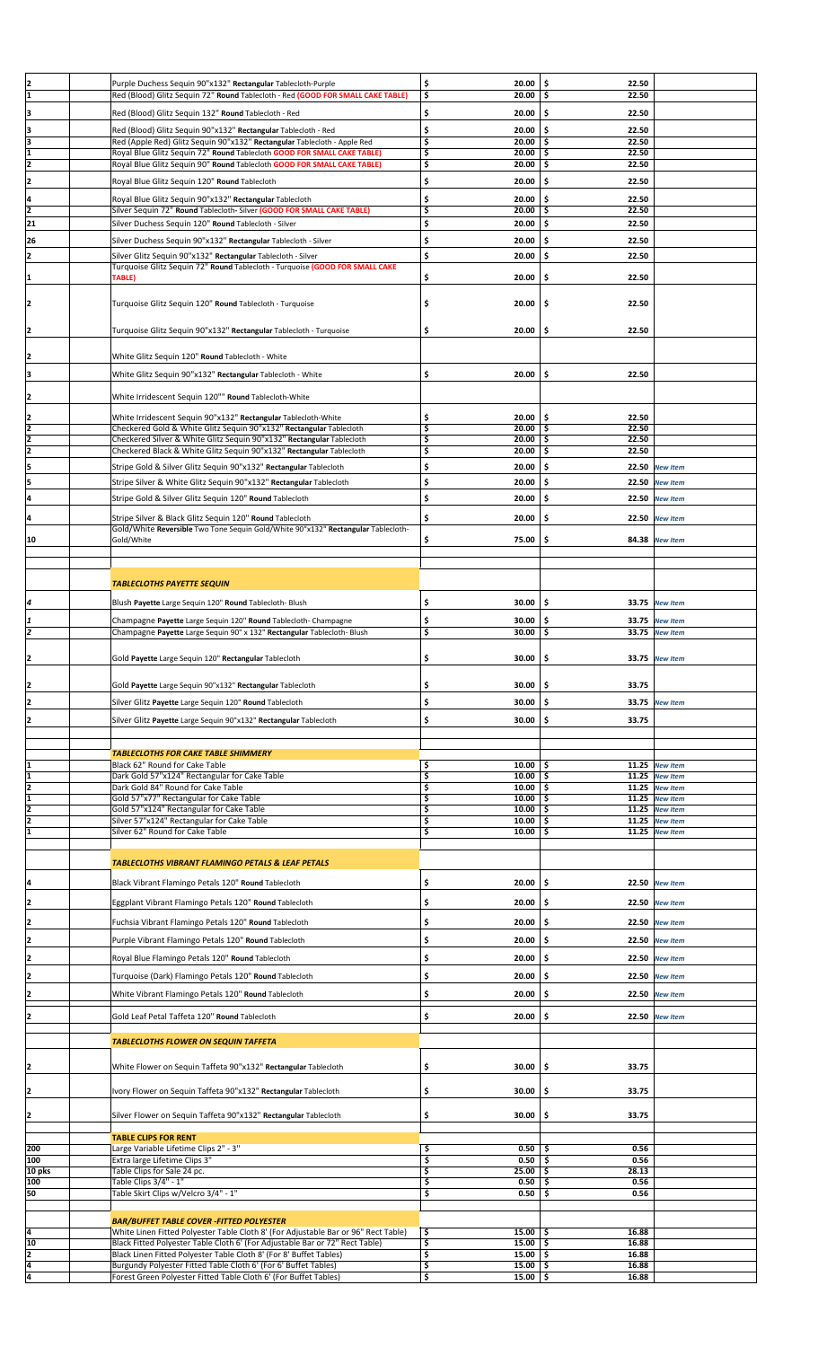|                                                         | Purple Duchess Sequin 90"x132" Rectangular Tablecloth-Purple                                                                        | \$<br>20.00                     | \$<br>22.50           |                  |  |
|---------------------------------------------------------|-------------------------------------------------------------------------------------------------------------------------------------|---------------------------------|-----------------------|------------------|--|
| $\frac{2}{1}$                                           | Red (Blood) Glitz Sequin 72" Round Tablecloth - Red (GOOD FOR SMALL CAKE TABLE)                                                     | \$<br>20.00                     | \$.<br>22.50          |                  |  |
|                                                         |                                                                                                                                     |                                 |                       |                  |  |
| ₿                                                       | Red (Blood) Glitz Sequin 132" Round Tablecloth - Red                                                                                | \$<br>20.00                     | \$<br>22.50           |                  |  |
|                                                         | Red (Blood) Glitz Sequin 90"x132" Rectangular Tablecloth - Red                                                                      | \$<br>20.00                     | \$.<br>22.50          |                  |  |
| $\begin{array}{c}\n3 \\ \hline\n3 \\ 1\n\end{array}$    | Red (Apple Red) Glitz Sequin 90"x132" Rectangular Tablecloth - Apple Red                                                            | \$<br>20.00                     | \$.<br>22.50          |                  |  |
|                                                         | Royal Blue Glitz Sequin 72" Round Tablecloth GOOD FOR SMALL CAKE TABLE)                                                             | \$<br>20.00                     | \$<br>22.50           |                  |  |
| $\overline{2}$                                          | Royal Blue Glitz Sequin 90" Round Tablecloth GOOD FOR SMALL CAKE TABLE)                                                             | \$<br>20.00                     | \$<br>22.50           |                  |  |
|                                                         |                                                                                                                                     |                                 |                       |                  |  |
| $\overline{2}$                                          | Royal Blue Glitz Sequin 120" Round Tablecloth                                                                                       | \$<br>20.00                     | \$.<br>22.50          |                  |  |
|                                                         | Royal Blue Glitz Sequin 90"x132" Rectangular Tablecloth                                                                             | \$<br>20.00                     | \$<br>22.50           |                  |  |
| $\frac{4}{2}$                                           | Silver Sequin 72" Round Tablecloth- Silver (GOOD FOR SMALL CAKE TABLE)                                                              | \$<br>20.00                     | \$<br>22.50           |                  |  |
| 21                                                      | Silver Duchess Sequin 120" Round Tablecloth - Silver                                                                                | \$<br>20.00                     | \$<br>22.50           |                  |  |
|                                                         |                                                                                                                                     |                                 |                       |                  |  |
| 26                                                      | Silver Duchess Sequin 90"x132" Rectangular Tablecloth - Silver                                                                      | \$<br>20.00                     | \$.<br>22.50          |                  |  |
| 12                                                      | Silver Glitz Sequin 90"x132" Rectangular Tablecloth - Silver                                                                        | \$<br>20.00                     | \$<br>22.50           |                  |  |
|                                                         | Turquoise Glitz Sequin 72" Round Tablecloth - Turquoise (GOOD FOR SMALL CAKE                                                        |                                 |                       |                  |  |
| 1                                                       | TABLE)                                                                                                                              | \$<br>20.00                     | \$<br>22.50           |                  |  |
|                                                         |                                                                                                                                     |                                 |                       |                  |  |
| 2                                                       | Turquoise Glitz Sequin 120" Round Tablecloth - Turquoise                                                                            | \$<br>20.00                     | \$<br>22.50           |                  |  |
|                                                         |                                                                                                                                     |                                 |                       |                  |  |
|                                                         | Turquoise Glitz Sequin 90"x132" Rectangular Tablecloth - Turquoise                                                                  | \$<br>20.00                     | \$.<br>22.50          |                  |  |
| 2                                                       |                                                                                                                                     |                                 |                       |                  |  |
|                                                         |                                                                                                                                     |                                 |                       |                  |  |
| 2                                                       | White Glitz Sequin 120" Round Tablecloth - White                                                                                    |                                 |                       |                  |  |
| 3                                                       | White Glitz Sequin 90"x132" Rectangular Tablecloth - White                                                                          | \$<br>20.00                     | \$<br>22.50           |                  |  |
|                                                         |                                                                                                                                     |                                 |                       |                  |  |
| 2                                                       | White Irridescent Sequin 120"" Round Tablecloth-White                                                                               |                                 |                       |                  |  |
|                                                         |                                                                                                                                     |                                 |                       |                  |  |
|                                                         | White Irridescent Sequin 90"x132" Rectangular Tablecloth-White                                                                      | 20.00<br>\$                     | -\$<br>22.50          |                  |  |
| $\frac{2}{2}$                                           | Checkered Gold & White Glitz Sequin 90"x132" Rectangular Tablecloth                                                                 | \$<br>20.00                     | 22.50<br>-\$          |                  |  |
|                                                         | Checkered Silver & White Glitz Sequin 90"x132" Rectangular Tablecloth                                                               | \$<br>20.00                     | 22.50<br>-\$          |                  |  |
|                                                         | Checkered Black & White Glitz Sequin 90"x132" Rectangular Tablecloth                                                                | \$<br>20.00                     | \$<br>22.50           |                  |  |
| 5                                                       | Stripe Gold & Silver Glitz Sequin 90"x132" Rectangular Tablecloth                                                                   | \$<br>20.00                     | \$.<br>22.50          | <b>New Item</b>  |  |
|                                                         |                                                                                                                                     |                                 |                       |                  |  |
| 5                                                       | Stripe Silver & White Glitz Sequin 90"x132" Rectangular Tablecloth                                                                  | \$<br>20.00                     | \$.<br>22.50          | <b>New Item</b>  |  |
| 4                                                       | Stripe Gold & Silver Glitz Sequin 120" Round Tablecloth                                                                             | \$<br>20.00                     | \$.<br>22.50          | <b>New Item</b>  |  |
|                                                         |                                                                                                                                     |                                 |                       |                  |  |
| 14                                                      | Stripe Silver & Black Glitz Sequin 120" Round Tablecloth                                                                            | \$<br>20.00                     | \$.                   | 22.50 New Item   |  |
|                                                         | Gold/White Reversible Two Tone Sequin Gold/White 90"x132" Rectangular Tablecloth-                                                   | \$                              | \$                    |                  |  |
| 10                                                      | Gold/White                                                                                                                          | 75.00                           |                       | 84.38 New Item   |  |
|                                                         |                                                                                                                                     |                                 |                       |                  |  |
|                                                         |                                                                                                                                     |                                 |                       |                  |  |
|                                                         | <b>TABLECLOTHS PAYETTE SEQUIN</b>                                                                                                   |                                 |                       |                  |  |
|                                                         |                                                                                                                                     |                                 |                       |                  |  |
| 4                                                       | Blush Payette Large Sequin 120" Round Tablecloth- Blush                                                                             | \$<br>30.00                     | -\$                   | 33.75 New Item   |  |
|                                                         |                                                                                                                                     | \$                              |                       |                  |  |
| 1                                                       | Champagne Payette Large Sequin 120" Round Tablecloth- Champagne                                                                     | 30.00                           | \$<br>33.75           | <b>New Item</b>  |  |
| $\overline{2}$                                          | Champagne Payette Large Sequin 90" x 132" Rectangular Tablecloth- Blush                                                             | \$<br>30.00                     | \$                    | 33.75 New Item   |  |
|                                                         |                                                                                                                                     |                                 |                       |                  |  |
| 12                                                      | Gold Payette Large Sequin 120" Rectangular Tablecloth                                                                               | \$<br>30.00                     | \$                    | 33.75 New Item   |  |
|                                                         |                                                                                                                                     |                                 |                       |                  |  |
| 2                                                       | Gold Payette Large Sequin 90"x132" Rectangular Tablecloth                                                                           | \$<br>30.00                     | \$<br>33.75           |                  |  |
|                                                         |                                                                                                                                     |                                 |                       |                  |  |
| 2                                                       | Silver Glitz Payette Large Sequin 120" Round Tablecloth                                                                             | \$<br>30.00                     | -\$                   | 33.75 New Item   |  |
| 2                                                       | Silver Glitz Payette Large Sequin 90"x132" Rectangular Tablecloth                                                                   |                                 |                       |                  |  |
|                                                         |                                                                                                                                     | \$<br>30.00                     | \$                    |                  |  |
|                                                         |                                                                                                                                     |                                 | 33.75                 |                  |  |
|                                                         |                                                                                                                                     |                                 |                       |                  |  |
|                                                         | <b>TABLECLOTHS FOR CAKE TABLE SHIMMERY</b>                                                                                          |                                 |                       |                  |  |
| 1                                                       | Black 62" Round for Cake Table                                                                                                      | \$<br>10.00                     | \$                    | 11.25 New Item   |  |
|                                                         | Dark Gold 57"x124" Rectangular for Cake Table                                                                                       | \$<br>10.00                     | -\$                   | 11.25 New Item   |  |
|                                                         | Dark Gold 84" Round for Cake Table                                                                                                  | \$<br>$10.00$   \$              |                       | 11.25 New Item   |  |
|                                                         | Gold 57"x77" Rectangular for Cake Table                                                                                             | \$<br>$10.00$   \$              |                       | $11.25$ New Item |  |
|                                                         | Gold 57"x124" Rectangular for Cake Table                                                                                            | \$<br>10.00                     | -\$                   | $11.25$ New Item |  |
|                                                         | Silver 57"x124" Rectangular for Cake Table                                                                                          | \$<br>10.00                     | \$                    | 11.25 New Item   |  |
| $\frac{1}{2}$ $\frac{1}{2}$ $\frac{2}{2}$ $\frac{1}{1}$ | Silver 62" Round for Cake Table                                                                                                     | \$<br>10.00                     | \$.                   | $11.25$ New Item |  |
|                                                         |                                                                                                                                     |                                 |                       |                  |  |
|                                                         |                                                                                                                                     |                                 |                       |                  |  |
|                                                         | <b>TABLECLOTHS VIBRANT FLAMINGO PETALS &amp; LEAF PETALS</b>                                                                        |                                 |                       |                  |  |
|                                                         |                                                                                                                                     | \$<br>20.00                     | \$                    | 22.50 New Item   |  |
| Ŀ                                                       | Black Vibrant Flamingo Petals 120" Round Tablecloth                                                                                 |                                 |                       |                  |  |
| 2                                                       | Eggplant Vibrant Flamingo Petals 120" Round Tablecloth                                                                              | \$<br>20.00                     | -\$                   | 22.50 New Item   |  |
|                                                         |                                                                                                                                     |                                 |                       |                  |  |
| 2                                                       | Fuchsia Vibrant Flamingo Petals 120" Round Tablecloth                                                                               | \$<br>20.00                     | -\$                   | 22.50 New Item   |  |
|                                                         | Purple Vibrant Flamingo Petals 120" Round Tablecloth                                                                                | \$<br>20.00                     | \$                    | 22.50 New Item   |  |
| 2                                                       |                                                                                                                                     |                                 |                       |                  |  |
| 2                                                       | Royal Blue Flamingo Petals 120" Round Tablecloth                                                                                    | \$<br>20.00                     | \$                    | 22.50 New Item   |  |
|                                                         | Turquoise (Dark) Flamingo Petals 120" Round Tablecloth                                                                              | \$<br>20.00                     | \$                    | 22.50 New Item   |  |
| 2                                                       |                                                                                                                                     |                                 |                       |                  |  |
| 12                                                      | White Vibrant Flamingo Petals 120" Round Tablecloth                                                                                 | \$<br>20.00                     | \$                    | 22.50 New Item   |  |
|                                                         |                                                                                                                                     |                                 |                       |                  |  |
| 2                                                       | Gold Leaf Petal Taffeta 120" Round Tablecloth                                                                                       | \$<br>20.00                     | \$                    | 22.50 New Item   |  |
|                                                         |                                                                                                                                     |                                 |                       |                  |  |
|                                                         | <b>TABLECLOTHS FLOWER ON SEQUIN TAFFETA</b>                                                                                         |                                 |                       |                  |  |
|                                                         |                                                                                                                                     |                                 |                       |                  |  |
| 2                                                       | White Flower on Sequin Taffeta 90"x132" Rectangular Tablecloth                                                                      | 30.00<br>\$                     | 33.75<br>-\$          |                  |  |
|                                                         |                                                                                                                                     |                                 |                       |                  |  |
| 2                                                       | Ivory Flower on Sequin Taffeta 90"x132" Rectangular Tablecloth                                                                      | \$<br>30.00                     | \$<br>33.75           |                  |  |
|                                                         |                                                                                                                                     |                                 |                       |                  |  |
| 2                                                       | Silver Flower on Sequin Taffeta 90"x132" Rectangular Tablecloth                                                                     | \$<br>30.00                     | \$<br>33.75           |                  |  |
|                                                         |                                                                                                                                     |                                 |                       |                  |  |
|                                                         | <b>TABLE CLIPS FOR RENT</b>                                                                                                         |                                 |                       |                  |  |
| 200                                                     | Large Variable Lifetime Clips 2" - 3"                                                                                               | \$<br>0.50                      | 0.56<br>-\$           |                  |  |
| 100                                                     | Extra large Lifetime Clips 3"                                                                                                       | \$<br>0.50                      | 0.56<br>-\$           |                  |  |
| 10 pks                                                  | Table Clips for Sale 24 pc.                                                                                                         | \$<br>25.00                     | -\$<br>28.13          |                  |  |
| 100                                                     | Table Clips 3/4" - 1"                                                                                                               | \$<br>0.50                      | \$<br>0.56            |                  |  |
| 50                                                      | Table Skirt Clips w/Velcro 3/4" - 1"                                                                                                | \$<br>0.50                      | \$<br>0.56            |                  |  |
|                                                         |                                                                                                                                     |                                 |                       |                  |  |
|                                                         | <b>BAR/BUFFET TABLE COVER -FITTED POLYESTER</b>                                                                                     |                                 |                       |                  |  |
| ļ4                                                      | White Linen Fitted Polyester Table Cloth 8' (For Adjustable Bar or 96" Rect Table)                                                  | \$<br>$15.00$   \$              | 16.88                 |                  |  |
| 10                                                      | Black Fitted Polyester Table Cloth 6' (For Adjustable Bar or 72" Rect Table)                                                        | \$<br>15.00                     | -\$<br>16.88          |                  |  |
|                                                         | Black Linen Fitted Polyester Table Cloth 8' (For 8' Buffet Tables)                                                                  | \$<br>15.00                     | \$<br>16.88           |                  |  |
| $\frac{2}{4}$<br>4                                      | Burgundy Polyester Fitted Table Cloth 6' (For 6' Buffet Tables)<br>Forest Green Polyester Fitted Table Cloth 6' (For Buffet Tables) | \$<br>15.00<br>\$<br>$15.00$ \$ | -\$<br>16.88<br>16.88 |                  |  |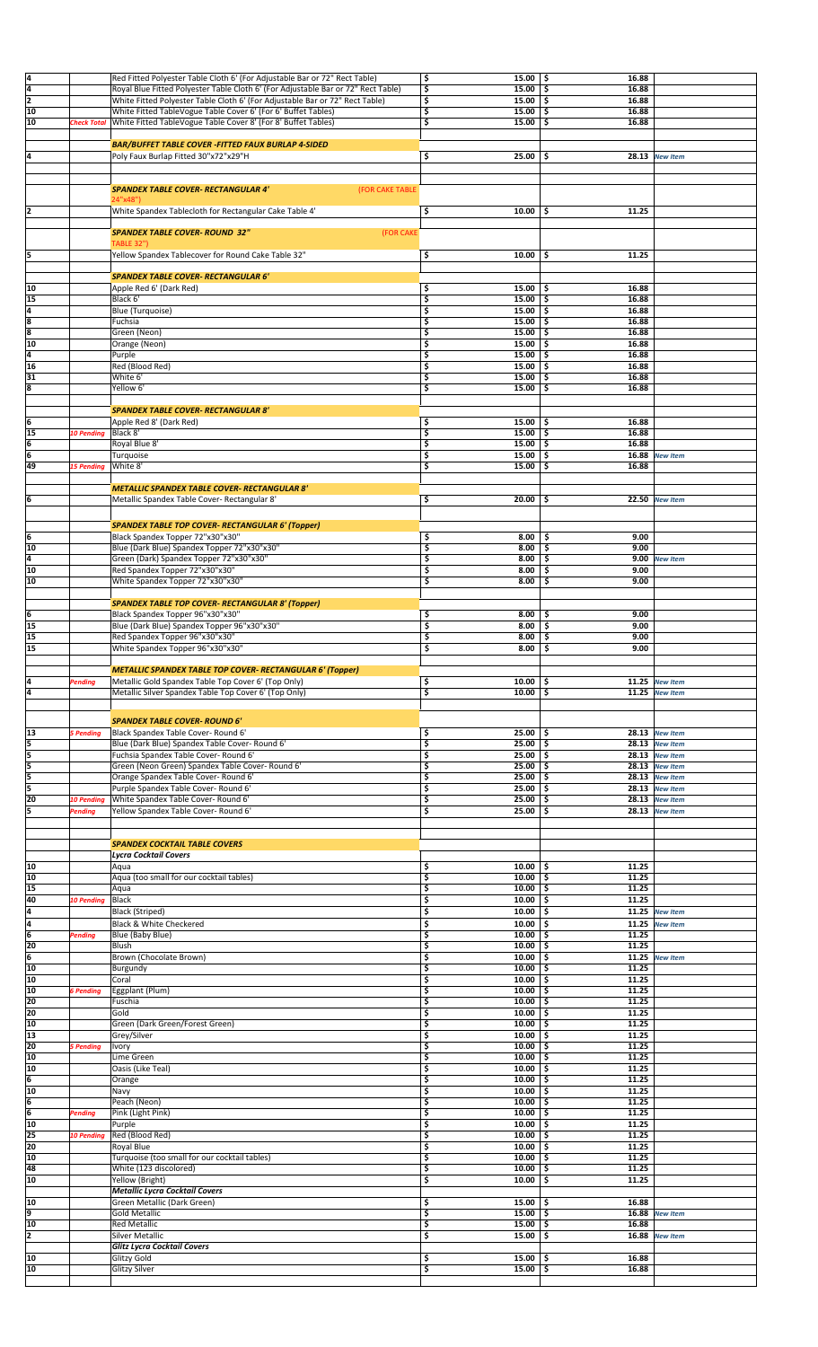| 4               |                   | Red Fitted Polyester Table Cloth 6' (For Adjustable Bar or 72" Rect Table)        | \$<br>15.00      | \$<br>16.88  |                  |  |
|-----------------|-------------------|-----------------------------------------------------------------------------------|------------------|--------------|------------------|--|
| ā               |                   | Royal Blue Fitted Polyester Table Cloth 6' (For Adjustable Bar or 72" Rect Table) | \$<br>15.00      | \$<br>16.88  |                  |  |
| $\overline{2}$  |                   | White Fitted Polyester Table Cloth 6' (For Adjustable Bar or 72" Rect Table)      | \$<br>15.00      | -\$<br>16.88 |                  |  |
|                 |                   |                                                                                   |                  |              |                  |  |
| 10              |                   | White Fitted TableVogue Table Cover 6' (For 6' Buffet Tables)                     | \$<br>15.00      | 16.88<br>\$  |                  |  |
| 10              | Check Total       | White Fitted TableVogue Table Cover 8' (For 8' Buffet Tables)                     | \$<br>15.00      | \$<br>16.88  |                  |  |
|                 |                   |                                                                                   |                  |              |                  |  |
|                 |                   | <b>BAR/BUFFET TABLE COVER -FITTED FAUX BURLAP 4-SIDED</b>                         |                  |              |                  |  |
| 4               |                   | Poly Faux Burlap Fitted 30"x72"x29"H                                              | \$<br>25.00      | \$           | 28.13 New Item   |  |
|                 |                   |                                                                                   |                  |              |                  |  |
|                 |                   |                                                                                   |                  |              |                  |  |
|                 |                   |                                                                                   |                  |              |                  |  |
|                 |                   | <b>SPANDEX TABLE COVER- RECTANGULAR 4'</b><br>(FOR CAKE TABLE                     |                  |              |                  |  |
|                 |                   | 24"x48")                                                                          |                  |              |                  |  |
| 2               |                   | White Spandex Tablecloth for Rectangular Cake Table 4'                            | \$<br>10.00      | \$<br>11.25  |                  |  |
|                 |                   |                                                                                   |                  |              |                  |  |
|                 |                   | <b>SPANDEX TABLE COVER- ROUND 32"</b><br>(FOR CAKE                                |                  |              |                  |  |
|                 |                   | <b>TABLE 32")</b>                                                                 |                  |              |                  |  |
| 5               |                   | Yellow Spandex Tablecover for Round Cake Table 32"                                | \$<br>10.00      | \$<br>11.25  |                  |  |
|                 |                   |                                                                                   |                  |              |                  |  |
|                 |                   | <b>SPANDEX TABLE COVER- RECTANGULAR 6'</b>                                        |                  |              |                  |  |
|                 |                   |                                                                                   |                  |              |                  |  |
| 10              |                   | Apple Red 6' (Dark Red)                                                           | \$<br>15.00      | 16.88<br>-\$ |                  |  |
| 15              |                   | Black 6'                                                                          | \$<br>15.00      | 16.88<br>\$  |                  |  |
| $\frac{4}{8}$   |                   | Blue (Turquoise)                                                                  | \$<br>15.00      | \$<br>16.88  |                  |  |
|                 |                   | Fuchsia                                                                           | \$<br>15.00      | \$.<br>16.88 |                  |  |
| डि              |                   | Green (Neon)                                                                      | \$<br>15.00      | \$.<br>16.88 |                  |  |
| 10              |                   | Orange (Neon)                                                                     | \$<br>15.00      | 16.88<br>\$  |                  |  |
| 4               |                   | Purple                                                                            | \$<br>15.00      | 16.88<br>\$  |                  |  |
| 16              |                   | Red (Blood Red)                                                                   | \$<br>15.00      | \$<br>16.88  |                  |  |
|                 |                   |                                                                                   |                  |              |                  |  |
| 31              |                   | White 6'                                                                          | \$<br>15.00      | 16.88<br>\$  |                  |  |
| 8               |                   | Yellow 6'                                                                         | \$<br>15.00      | 16.88<br>\$  |                  |  |
|                 |                   |                                                                                   |                  |              |                  |  |
|                 |                   | <b>SPANDEX TABLE COVER- RECTANGULAR 8'</b>                                        |                  |              |                  |  |
| 6               |                   | Apple Red 8' (Dark Red)                                                           | \$<br>15.00      | 16.88<br>۱s  |                  |  |
| 15              | <b>10 Pending</b> | Black 8'                                                                          | \$<br>15.00      | \$<br>16.88  |                  |  |
| 6               |                   | Royal Blue 8'                                                                     | \$<br>15.00      | 16.88<br>\$. |                  |  |
|                 |                   |                                                                                   |                  |              |                  |  |
| $\overline{6}$  |                   | Turquoise                                                                         | \$<br>15.00      | \$<br>16.88  | <b>New Item</b>  |  |
| 49              | <b>15 Pending</b> | White 8'                                                                          | \$<br>15.00      | \$<br>16.88  |                  |  |
|                 |                   |                                                                                   |                  |              |                  |  |
|                 |                   | <b>METALLIC SPANDEX TABLE COVER- RECTANGULAR 8'</b>                               |                  |              |                  |  |
| 6               |                   | Metallic Spandex Table Cover- Rectangular 8'                                      | \$<br>20.00      | \$           | 22.50 New Item   |  |
|                 |                   |                                                                                   |                  |              |                  |  |
|                 |                   |                                                                                   |                  |              |                  |  |
|                 |                   | <b>SPANDEX TABLE TOP COVER- RECTANGULAR 6' (Topper)</b>                           |                  |              |                  |  |
| 6               |                   | Black Spandex Topper 72"x30"x30"                                                  | \$<br>8.00       | 9.00<br>\$.  |                  |  |
| 10              |                   | Blue (Dark Blue) Spandex Topper 72"x30"x30"                                       | \$<br>8.00       | 9.00<br>\$   |                  |  |
| 4               |                   | Green (Dark) Spandex Topper 72"x30"x30"                                           | \$<br>8.00       | \$.<br>9.00  |                  |  |
|                 |                   |                                                                                   |                  |              | <b>New Item</b>  |  |
| 10              |                   | Red Spandex Topper 72"x30"x30"                                                    | \$<br>8.00       | 9.00<br>\$   |                  |  |
| 10              |                   | White Spandex Topper 72"x30"x30"                                                  | \$<br>8.00       | 9.00<br>\$   |                  |  |
|                 |                   |                                                                                   |                  |              |                  |  |
|                 |                   | <b>SPANDEX TABLE TOP COVER- RECTANGULAR 8' (Topper)</b>                           |                  |              |                  |  |
| 6               |                   | Black Spandex Topper 96"x30"x30"                                                  | \$<br>8.00       | 9.00<br>\$.  |                  |  |
| 15              |                   | Blue (Dark Blue) Spandex Topper 96"x30"x30"                                       | \$<br>8.00       | 9.00<br>\$.  |                  |  |
| 15              |                   |                                                                                   |                  | 9.00         |                  |  |
|                 |                   | Red Spandex Topper 96"x30"x30"                                                    | \$<br>8.00       | \$           |                  |  |
| 15              |                   | White Spandex Topper 96"x30"x30"                                                  | \$<br>8.00       | \$<br>9.00   |                  |  |
|                 |                   |                                                                                   |                  |              |                  |  |
|                 |                   | <b>METALLIC SPANDEX TABLE TOP COVER- RECTANGULAR 6' (Topper)</b>                  |                  |              |                  |  |
| 4               | Pending           | Metallic Gold Spandex Table Top Cover 6' (Top Only)                               | \$<br>10.00      | \$           | 11.25 New Item   |  |
| 4               |                   | Metallic Silver Spandex Table Top Cover 6' (Top Only)                             | \$<br>10.00      | \$           | 11.25 New Item   |  |
|                 |                   |                                                                                   |                  |              |                  |  |
|                 |                   |                                                                                   |                  |              |                  |  |
|                 |                   | <b>SPANDEX TABLE COVER- ROUND 6'</b>                                              |                  |              |                  |  |
| 13              | 5 Pending         | Black Spandex Table Cover- Round 6'                                               | \$<br>25.00      | \$           | $28.13$ New Item |  |
| 5               |                   | Blue (Dark Blue) Spandex Table Cover- Round 6'                                    | \$<br>25.00      | \$           | $28.13$ New Item |  |
| 5               |                   |                                                                                   | \$               |              |                  |  |
|                 |                   | Fuchsia Spandex Table Cover- Round 6'                                             | 25.00            | \$.          | 28.13 New Item   |  |
| 5               |                   | Green (Neon Green) Spandex Table Cover- Round 6'                                  | \$<br>25.00      | \$           | $28.13$ New Item |  |
| 5               |                   | Orange Spandex Table Cover-Round 6'                                               | \$<br>25.00      | \$           | 28.13 New Item   |  |
| l5              |                   | Purple Spandex Table Cover- Round 6'                                              | \$<br>25.00      | \$           | 28.13 New Item   |  |
| 20              | 10 Pending        | White Spandex Table Cover- Round 6'                                               | \$<br>25.00      | \$           | $28.13$ New Item |  |
| 5               | Pending           | Yellow Spandex Table Cover- Round 6'                                              | \$<br>25.00      | \$           | 28.13 New Item   |  |
|                 |                   |                                                                                   |                  |              |                  |  |
|                 |                   |                                                                                   |                  |              |                  |  |
|                 |                   |                                                                                   |                  |              |                  |  |
|                 |                   | <b>SPANDEX COCKTAIL TABLE COVERS</b>                                              |                  |              |                  |  |
|                 |                   | Lycra Cocktail Covers                                                             |                  |              |                  |  |
| 10              |                   | Aqua                                                                              | \$<br>10.00      | 11.25<br>\$. |                  |  |
| 10              |                   | Aqua (too small for our cocktail tables)                                          | \$<br>10.00      | 11.25<br>\$  |                  |  |
| 15              |                   | Aqua                                                                              | \$<br>10.00      | 11.25<br>\$  |                  |  |
| 40              | <b>10 Pending</b> | Black                                                                             | \$<br>10.00      | 11.25<br>\$  |                  |  |
|                 |                   | Black (Striped)                                                                   | \$<br>10.00      | \$<br>11.25  | <b>New Item</b>  |  |
| $\frac{4}{4}$   |                   | Black & White Checkered                                                           | \$<br>10.00      | \$<br>11.25  |                  |  |
|                 |                   |                                                                                   |                  |              | <b>New Item</b>  |  |
|                 | Pending           | Blue (Baby Blue)                                                                  | \$<br>10.00      | \$<br>11.25  |                  |  |
| 20              |                   | Blush                                                                             | \$<br>10.00      | 11.25<br>Ś   |                  |  |
| $6\overline{6}$ |                   | Brown (Chocolate Brown)                                                           | \$<br>10.00      | 11.25<br>\$  | <b>New Item</b>  |  |
| 10              |                   | Burgundy                                                                          | \$<br>10.00      | Ś<br>11.25   |                  |  |
| 10              |                   | Coral                                                                             | \$<br>10.00      | 11.25<br>\$  |                  |  |
| 10              | <b>S</b> Pending  | Eggplant (Plum)                                                                   | \$<br>10.00      | \$<br>11.25  |                  |  |
| 20              |                   | Fuschia                                                                           | \$<br>10.00      | 11.25<br>\$  |                  |  |
| 20              |                   | Gold                                                                              | \$<br>10.00      | 11.25<br>\$  |                  |  |
| 10              |                   |                                                                                   |                  | 11.25        |                  |  |
|                 |                   | Green (Dark Green/Forest Green)                                                   | \$<br>10.00      | \$           |                  |  |
| 13              |                   | Grey/Silver                                                                       | \$<br>10.00      | \$<br>11.25  |                  |  |
| 20              | 5 Pending         | Ivory                                                                             | \$<br>10.00      | \$<br>11.25  |                  |  |
| 10              |                   | Lime Green                                                                        | \$<br>10.00      | 11.25<br>Ś   |                  |  |
| 10              |                   | Oasis (Like Teal)                                                                 | \$<br>10.00      | 11.25<br>\$  |                  |  |
| $6\overline{6}$ |                   | Orange                                                                            | \$<br>10.00      | 11.25<br>\$  |                  |  |
| 10              |                   | Navy                                                                              | \$<br>10.00      | 11.25        |                  |  |
| 6               |                   | Peach (Neon)                                                                      | \$<br>10.00      | 11.25<br>\$  |                  |  |
| 6               | Pending           | Pink (Light Pink)                                                                 | \$<br>10.00      | 11.25<br>Ś   |                  |  |
| 10              |                   |                                                                                   | \$<br>10.00      | 11.25        |                  |  |
|                 |                   | Purple                                                                            |                  | \$           |                  |  |
| 25              | <b>10 Pendina</b> | Red (Blood Red)                                                                   | \$<br>10.00      | \$<br>11.25  |                  |  |
| 20              |                   | Royal Blue                                                                        | \$<br>10.00      | 11.25        |                  |  |
| 10              |                   | Turquoise (too small for our cocktail tables)                                     | \$<br>10.00      | 11.25<br>\$  |                  |  |
| 48              |                   | White (123 discolored)                                                            | \$<br>10.00      | 11.25<br>\$  |                  |  |
| 10              |                   | Yellow (Bright)                                                                   | \$<br>10.00      | \$<br>11.25  |                  |  |
|                 |                   | <b>Metallic Lycra Cocktail Covers</b>                                             |                  |              |                  |  |
| 10              |                   | Green Metallic (Dark Green)                                                       | \$<br>15.00      | 16.88        |                  |  |
|                 |                   |                                                                                   |                  | \$.          |                  |  |
| 9               |                   | <b>Gold Metallic</b>                                                              | \$<br>15.00      | \$<br>16.88  | <b>New Item</b>  |  |
| 10              |                   | <b>Red Metallic</b>                                                               | \$<br>15.00      | 16.88<br>\$  |                  |  |
| 2               |                   | <b>Silver Metallic</b>                                                            | \$<br>15.00      | \$<br>16.88  | <b>New Item</b>  |  |
|                 |                   | Glitz Lycra Cocktail Covers                                                       |                  |              |                  |  |
| 10              |                   | Glitzy Gold                                                                       | \$<br>15.00      | 16.88<br>Ś   |                  |  |
| 10              |                   | Glitzy Silver                                                                     | \$<br>$15.00$ \$ | 16.88        |                  |  |
|                 |                   |                                                                                   |                  |              |                  |  |
|                 |                   |                                                                                   |                  |              |                  |  |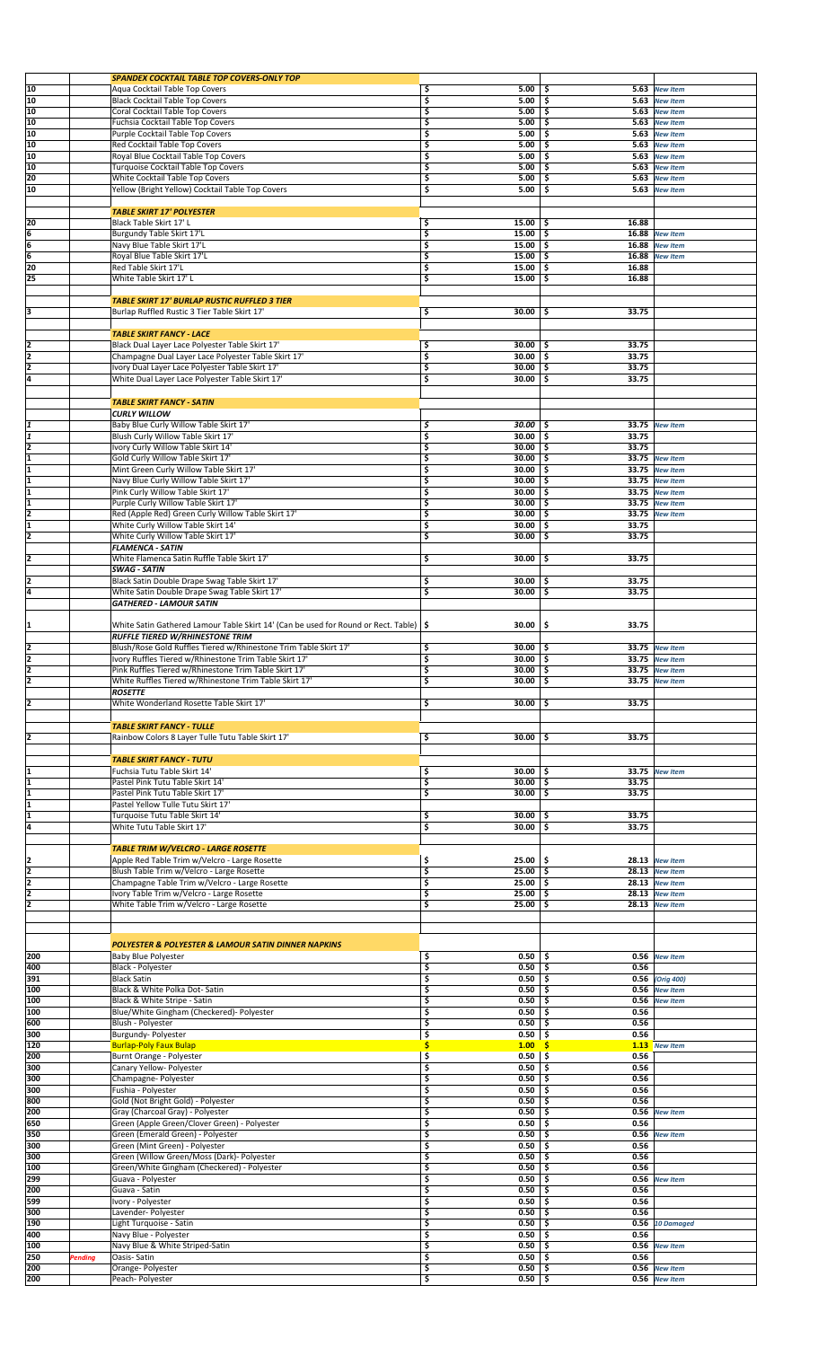|                                                                                     |                | <b>SPANDEX COCKTAIL TABLE TOP COVERS-ONLY TOP</b>                                       |    |              |              |                   |  |
|-------------------------------------------------------------------------------------|----------------|-----------------------------------------------------------------------------------------|----|--------------|--------------|-------------------|--|
| 10                                                                                  |                | Aqua Cocktail Table Top Covers                                                          | \$ | 5.00         | \$.          | 5.63 New Item     |  |
| 10                                                                                  |                | <b>Black Cocktail Table Top Covers</b>                                                  | \$ | 5.00         | 5.63<br>-\$  | <b>New Item</b>   |  |
| 10                                                                                  |                | Coral Cocktail Table Top Covers                                                         | \$ | 5.00         | -\$          | 5.63 New Item     |  |
| 10                                                                                  |                | Fuchsia Cocktail Table Top Covers                                                       | \$ | 5.00         | \$           | 5.63 New Item     |  |
| 10                                                                                  |                | Purple Cocktail Table Top Covers                                                        | \$ | 5.00         | \$           | 5.63 New Item     |  |
| 10                                                                                  |                | Red Cocktail Table Top Covers                                                           | \$ | 5.00         | \$           | 5.63 New Item     |  |
| 10                                                                                  |                | Royal Blue Cocktail Table Top Covers                                                    | \$ | 5.00         | 5.63<br>Ŝ    | <b>New Item</b>   |  |
| 10                                                                                  |                | Turquoise Cocktail Table Top Covers                                                     | \$ | 5.00         | \$<br>5.63   | <b>New Item</b>   |  |
| 20                                                                                  |                | White Cocktail Table Top Covers                                                         | \$ | 5.00         | 5.63<br>\$   | <b>New Item</b>   |  |
| 10                                                                                  |                | Yellow (Bright Yellow) Cocktail Table Top Covers                                        | \$ | 5.00         | \$<br>5.63   | <b>New Item</b>   |  |
|                                                                                     |                |                                                                                         |    |              |              |                   |  |
|                                                                                     |                | <b>TABLE SKIRT 17' POLYESTER</b>                                                        |    |              |              |                   |  |
|                                                                                     |                | Black Table Skirt 17' L                                                                 | \$ | 15.00        | 16.88<br>-\$ |                   |  |
| $\frac{20}{6}$<br>$\frac{6}{6}$<br>$\frac{6}{20}$                                   |                |                                                                                         | \$ | 15.00        | Š.           | 16.88 New Item    |  |
|                                                                                     |                | Burgundy Table Skirt 17'L                                                               |    |              |              |                   |  |
|                                                                                     |                | Navy Blue Table Skirt 17'L                                                              | \$ | 15.00        | -\$<br>16.88 | <b>New Item</b>   |  |
|                                                                                     |                | Royal Blue Table Skirt 17'L                                                             | \$ | 15.00        | Ś.<br>16.88  | <b>New Item</b>   |  |
|                                                                                     |                | Red Table Skirt 17'L                                                                    | \$ | 15.00        | -\$<br>16.88 |                   |  |
| $\overline{25}$                                                                     |                | White Table Skirt 17' L                                                                 | \$ | 15.00        | 16.88<br>\$  |                   |  |
|                                                                                     |                |                                                                                         |    |              |              |                   |  |
|                                                                                     |                | <b>TABLE SKIRT 17' BURLAP RUSTIC RUFFLED 3 TIER</b>                                     |    |              |              |                   |  |
| 3                                                                                   |                | Burlap Ruffled Rustic 3 Tier Table Skirt 17'                                            | \$ | 30.00        | -\$<br>33.75 |                   |  |
|                                                                                     |                |                                                                                         |    |              |              |                   |  |
|                                                                                     |                | <b>TABLE SKIRT FANCY - LACE</b>                                                         |    |              |              |                   |  |
| 2                                                                                   |                | Black Dual Layer Lace Polyester Table Skirt 17'                                         | \$ | $30.00$   \$ | 33.75        |                   |  |
| 2                                                                                   |                | Champagne Dual Layer Lace Polyester Table Skirt 17'                                     | \$ | 30.00        | -\$<br>33.75 |                   |  |
| $\frac{2}{4}$                                                                       |                | Ivory Dual Layer Lace Polyester Table Skirt 17'                                         | \$ | 30.00        | -\$<br>33.75 |                   |  |
|                                                                                     |                | White Dual Layer Lace Polyester Table Skirt 17'                                         | \$ | 30.00        | -\$<br>33.75 |                   |  |
|                                                                                     |                |                                                                                         |    |              |              |                   |  |
|                                                                                     |                |                                                                                         |    |              |              |                   |  |
|                                                                                     |                | <b>TABLE SKIRT FANCY - SATIN</b>                                                        |    |              |              |                   |  |
|                                                                                     |                | <b>CURLY WILLOW</b>                                                                     |    |              |              |                   |  |
| 1                                                                                   |                | Baby Blue Curly Willow Table Skirt 17'                                                  | \$ | $30.00$ \ \$ |              | 33.75 New Item    |  |
|                                                                                     |                | Blush Curly Willow Table Skirt 17'                                                      | \$ | 30.00        | -\$<br>33.75 |                   |  |
|                                                                                     |                | Ivory Curly Willow Table Skirt 14'                                                      | \$ | 30.00        | -\$<br>33.75 |                   |  |
|                                                                                     |                | Gold Curly Willow Table Skirt 17'                                                       | \$ | 30.00        | -\$          | 33.75 New Item    |  |
|                                                                                     |                | Mint Green Curly Willow Table Skirt 17'                                                 | \$ | 30.00        | -\$          | 33.75 New Item    |  |
|                                                                                     |                | Navy Blue Curly Willow Table Skirt 17'                                                  | \$ | 30.00        | Ś.           | 33.75 New Item    |  |
|                                                                                     |                | Pink Curly Willow Table Skirt 17'                                                       | \$ | 30.00        | -\$          | 33.75 New Item    |  |
|                                                                                     |                | Purple Curly Willow Table Skirt 17'                                                     | \$ | 30.00        | -\$          | 33.75 New Item    |  |
|                                                                                     |                |                                                                                         | \$ |              | -\$          |                   |  |
| $\frac{2}{1}$ $\frac{1}{1}$ $\frac{1}{1}$ $\frac{1}{1}$ $\frac{1}{2}$ $\frac{1}{1}$ |                | Red (Apple Red) Green Curly Willow Table Skirt 17'                                      |    | 30.00        |              | 33.75 New Item    |  |
|                                                                                     |                | White Curly Willow Table Skirt 14'                                                      | \$ | 30.00        | \$<br>33.75  |                   |  |
| 2                                                                                   |                | White Curly Willow Table Skirt 17'                                                      | \$ | 30.00        | -\$<br>33.75 |                   |  |
|                                                                                     |                | <b>FLAMENCA - SATIN</b>                                                                 |    |              |              |                   |  |
| $\overline{2}$                                                                      |                | White Flamenca Satin Ruffle Table Skirt 17'                                             | \$ | 30.00        | 33.75<br>-\$ |                   |  |
|                                                                                     |                | <b>SWAG - SATIN</b>                                                                     |    |              |              |                   |  |
| 2                                                                                   |                | Black Satin Double Drape Swag Table Skirt 17'                                           | \$ | $30.00$   \$ | 33.75        |                   |  |
| $\overline{4}$                                                                      |                | White Satin Double Drape Swag Table Skirt 17'                                           | \$ | 30.00        | -\$<br>33.75 |                   |  |
|                                                                                     |                | <b>GATHERED - LAMOUR SATIN</b>                                                          |    |              |              |                   |  |
|                                                                                     |                |                                                                                         |    |              |              |                   |  |
|                                                                                     |                |                                                                                         |    | 30.00        | -\$<br>33.75 |                   |  |
| 1                                                                                   |                | White Satin Gathered Lamour Table Skirt 14' (Can be used for Round or Rect. Table)   \$ |    |              |              |                   |  |
|                                                                                     |                | <b>RUFFLE TIERED W/RHINESTONE TRIM</b>                                                  |    |              |              |                   |  |
| 2                                                                                   |                | Blush/Rose Gold Ruffles Tiered w/Rhinestone Trim Table Skirt 17'                        | \$ | 30.00        | -\$          | 33.75 New Item    |  |
| $\frac{2}{2}$                                                                       |                | Ivory Ruffles Tiered w/Rhinestone Trim Table Skirt 17'                                  | \$ | 30.00        | -\$          | 33.75 New Item    |  |
|                                                                                     |                | Pink Ruffles Tiered w/Rhinestone Trim Table Skirt 17'                                   | \$ | $30.00$ \$   |              | 33.75 New Item    |  |
| 2                                                                                   |                | White Ruffles Tiered w/Rhinestone Trim Table Skirt 17'                                  | \$ | $30.00$   \$ |              | 33.75 New Item    |  |
|                                                                                     |                | <b>ROSETTE</b>                                                                          |    |              |              |                   |  |
| $\overline{2}$                                                                      |                | White Wonderland Rosette Table Skirt 17'                                                | \$ | $30.00$   \$ | 33.75        |                   |  |
|                                                                                     |                |                                                                                         |    |              |              |                   |  |
|                                                                                     |                | <b>TABLE SKIRT FANCY - TULLE</b>                                                        |    |              |              |                   |  |
| 2                                                                                   |                | Rainbow Colors 8 Layer Tulle Tutu Table Skirt 17'                                       | \$ | 30.00        | 33.75<br>-\$ |                   |  |
|                                                                                     |                |                                                                                         |    |              |              |                   |  |
|                                                                                     |                |                                                                                         |    |              |              |                   |  |
|                                                                                     |                | <b>TABLE SKIRT FANCY - TUTU</b>                                                         |    |              |              |                   |  |
|                                                                                     |                | Fuchsia Tutu Table Skirt 14'                                                            | \$ | 30.00        | -\$          | 33.75 New Item    |  |
| $\overline{\mathbf{1}}$                                                             |                | Pastel Pink Tutu Table Skirt 14'                                                        | 3  | 30.00        | -\$<br>33.75 |                   |  |
| $\overline{\mathbf{1}}$                                                             |                | Pastel Pink Tutu Table Skirt 17'                                                        | \$ | 30.00        | -\$<br>33.75 |                   |  |
| $\overline{\mathbf{1}}$                                                             |                | Pastel Yellow Tulle Tutu Skirt 17'                                                      |    |              |              |                   |  |
|                                                                                     |                | Turquoise Tutu Table Skirt 14'                                                          | \$ | 30.00        | 33.75<br>-\$ |                   |  |
| $\frac{1}{4}$                                                                       |                | White Tutu Table Skirt 17'                                                              | \$ | 30.00        | -\$<br>33.75 |                   |  |
|                                                                                     |                |                                                                                         |    |              |              |                   |  |
|                                                                                     |                | <b>TABLE TRIM W/VELCRO - LARGE ROSETTE</b>                                              |    |              |              |                   |  |
|                                                                                     |                | Apple Red Table Trim w/Velcro - Large Rosette                                           | \$ | 25.00        | -\$          | 28.13 New Item    |  |
|                                                                                     |                | Blush Table Trim w/Velcro - Large Rosette                                               | \$ | 25.00        | -\$          | $28.13$ New Item  |  |
|                                                                                     |                |                                                                                         |    |              |              |                   |  |
| $\frac{2}{2}$ $\frac{2}{2}$                                                         |                | Champagne Table Trim w/Velcro - Large Rosette                                           | \$ | 25.00        | -\$          | $28.13$ New Item  |  |
|                                                                                     |                | Ivory Table Trim w/Velcro - Large Rosette                                               | \$ | 25.00        | \$           | $28.13$ New Item  |  |
| $\overline{2}$                                                                      |                | White Table Trim w/Velcro - Large Rosette                                               | \$ | 25.00        | -\$          | 28.13 New Item    |  |
|                                                                                     |                |                                                                                         |    |              |              |                   |  |
|                                                                                     |                |                                                                                         |    |              |              |                   |  |
|                                                                                     |                | POLYESTER & POLYESTER & LAMOUR SATIN DINNER NAPKINS                                     |    |              |              |                   |  |
|                                                                                     |                |                                                                                         |    |              |              |                   |  |
| 200                                                                                 |                | <b>Baby Blue Polyester</b>                                                              | \$ | 0.50         | -\$          | 0.56 New Item     |  |
| 400                                                                                 |                | Black - Polyester                                                                       | \$ | 0.50         | 0.56<br>-\$  |                   |  |
| 391                                                                                 |                | <b>Black Satin</b>                                                                      | \$ | 0.50         | -\$          | 0.56 (Orig 400)   |  |
| 100                                                                                 |                | Black & White Polka Dot- Satin                                                          | \$ | 0.50         | -\$<br>0.56  | <b>New Item</b>   |  |
| 100                                                                                 |                | Black & White Stripe - Satin                                                            | \$ | 0.50         | -\$          | 0.56 New Item     |  |
| 100                                                                                 |                | Blue/White Gingham (Checkered)- Polyester                                               | \$ | 0.50         | -\$<br>0.56  |                   |  |
| 600                                                                                 |                | Blush - Polyester                                                                       | \$ | 0.50         | -\$<br>0.56  |                   |  |
| 300                                                                                 |                | Burgundy- Polyester                                                                     | \$ | 0.50         | -\$<br>0.56  |                   |  |
| 120                                                                                 |                | <b>Burlap-Poly Faux Bulap</b>                                                           | \$ | 1.00         |              | 1.13 New Item     |  |
| 200                                                                                 |                | Burnt Orange - Polyester                                                                | \$ | 0.50         | \$ ا<br>0.56 |                   |  |
| 300                                                                                 |                | Canary Yellow- Polyester                                                                | \$ | 0.50         | -\$<br>0.56  |                   |  |
| 300                                                                                 |                | Champagne- Polyester                                                                    | 3  | 0.50         | 0.56<br>-\$  |                   |  |
| 300                                                                                 |                |                                                                                         | \$ | 0.50         | -\$<br>0.56  |                   |  |
|                                                                                     |                | Fushia - Polyester                                                                      |    |              | 0.56         |                   |  |
| 800                                                                                 |                | Gold (Not Bright Gold) - Polyester                                                      | \$ | 0.50         | \$           |                   |  |
| 200                                                                                 |                | Gray (Charcoal Gray) - Polyester                                                        | \$ | 0.50         | \$<br>0.56   | <b>New Item</b>   |  |
| 650                                                                                 |                | Green (Apple Green/Clover Green) - Polyester                                            | \$ | 0.50         | \$<br>0.56   |                   |  |
| 350                                                                                 |                | Green (Emerald Green) - Polyester                                                       | \$ | 0.50         | 0.56<br>-\$  | <b>New Item</b>   |  |
| 300                                                                                 |                | Green (Mint Green) - Polyester                                                          | \$ | 0.50         | 0.56<br>-\$  |                   |  |
| 300                                                                                 |                | Green (Willow Green/Moss (Dark)- Polyester                                              | \$ | 0.50         | 0.56<br>\$   |                   |  |
| 100                                                                                 |                | Green/White Gingham (Checkered) - Polyester                                             | \$ | 0.50         | 0.56<br>\$   |                   |  |
| 299                                                                                 |                | Guava - Polyester                                                                       | \$ | 0.50         | -\$          | 0.56 New Item     |  |
| 200                                                                                 |                | Guava - Satin                                                                           | \$ | 0.50         | 0.56<br>-\$  |                   |  |
| 599                                                                                 |                | Ivory - Polyester                                                                       | \$ | 0.50         | -\$<br>0.56  |                   |  |
| 300                                                                                 |                | Lavender- Polyester                                                                     | \$ | 0.50         | 0.56<br>\$   |                   |  |
| 190                                                                                 |                | Light Turquoise - Satin                                                                 | \$ | 0.50         | \$           | $0.56$ 10 Damaged |  |
| 400                                                                                 |                |                                                                                         |    |              |              |                   |  |
|                                                                                     |                | Navy Blue - Polyester                                                                   | \$ | 0.50         | 0.56<br>\$.  |                   |  |
| 100                                                                                 |                | Navy Blue & White Striped-Satin                                                         | \$ | 0.50         |              | 0.56 New Item     |  |
| 250                                                                                 | <b>Pending</b> | Oasis-Satin                                                                             | \$ | 0.50         | \$<br>0.56   |                   |  |
| 200                                                                                 |                | Orange- Polyester                                                                       | \$ | 0.50         | \$           | 0.56 New Item     |  |
| 200                                                                                 |                | Peach-Polyester                                                                         | \$ | $0.50$   \$  |              | 0.56 New Item     |  |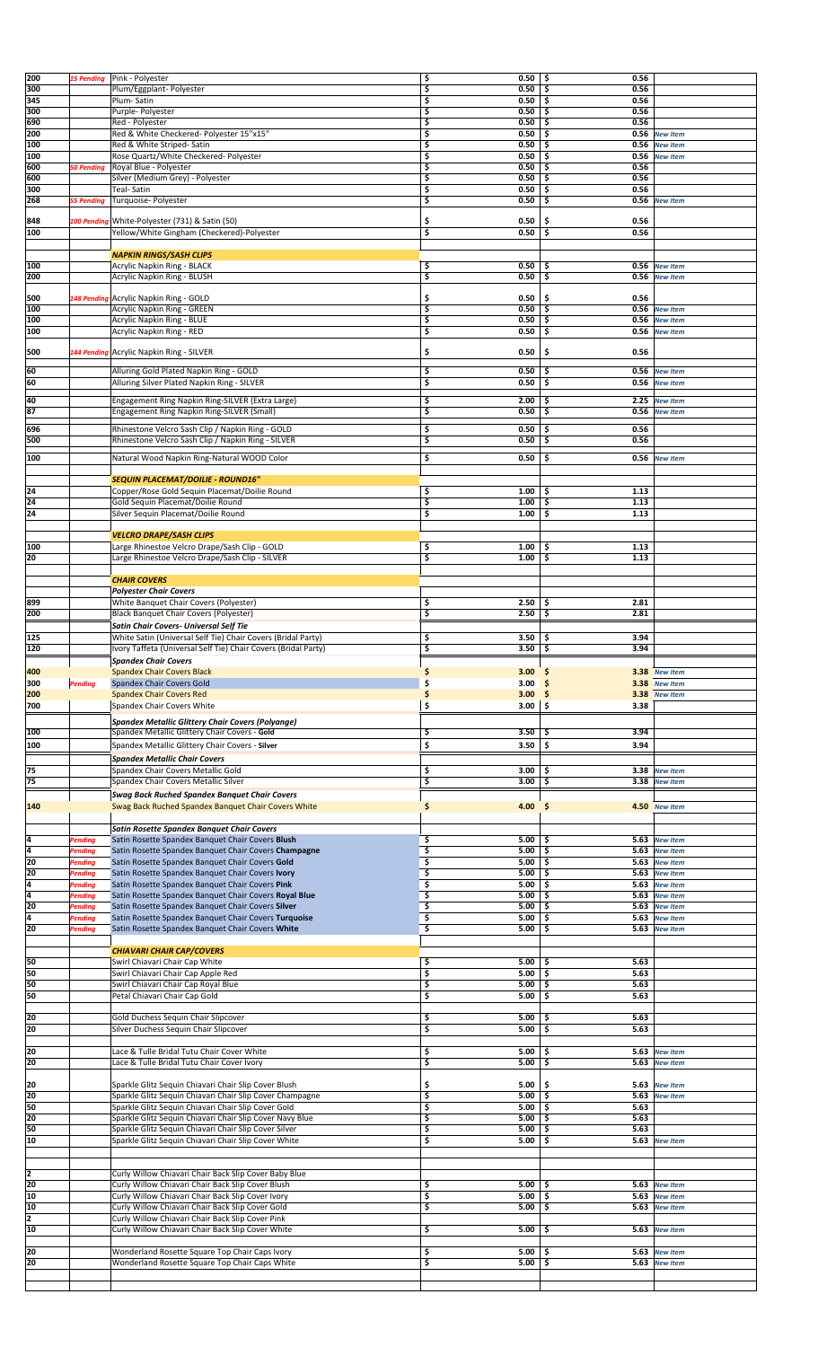| 200 | <b>15 Pending</b> | Pink - Polyester                                               | 0.50                       | \$ ا<br>0.56 |                 |  |
|-----|-------------------|----------------------------------------------------------------|----------------------------|--------------|-----------------|--|
|     |                   |                                                                | \$                         |              |                 |  |
| 300 |                   | Plum/Eggplant- Polyester                                       | \$<br>0.50                 | 0.56<br>\$ ا |                 |  |
| 345 |                   | Plum-Satin                                                     | \$<br>0.50                 | \$ ا<br>0.56 |                 |  |
| 300 |                   | Purple- Polyester                                              | \$<br>0.50                 | Ŝ.<br>0.56   |                 |  |
| 690 |                   | Red - Polyester                                                | 0.50<br>\$                 | 0.56<br>-\$  |                 |  |
|     |                   |                                                                |                            |              |                 |  |
| 200 |                   | Red & White Checkered- Polyester 15"x15"                       | \$<br>0.50                 | Ŝ.<br>0.56   | <b>New Item</b> |  |
| 100 |                   | Red & White Striped-Satin                                      | \$<br>0.50                 | \$<br>0.56   | <b>New Item</b> |  |
| 100 |                   | Rose Quartz/White Checkered- Polyester                         | \$<br>0.50                 | \$           | 0.56 New Item   |  |
| 600 | <b>50 Pending</b> | Royal Blue - Polyester                                         | \$<br>0.50                 | \$<br>0.56   |                 |  |
|     |                   |                                                                |                            |              |                 |  |
| 600 |                   | Silver (Medium Grey) - Polyester                               | \$<br>0.50                 | 0.56<br>\$   |                 |  |
| 300 |                   | Teal- Satin                                                    | \$<br>0.50                 | 0.56<br>-\$  |                 |  |
| 268 | <b>55 Pending</b> | Turquoise- Polyester                                           | \$<br>0.50                 | \$           | 0.56 New Item   |  |
|     |                   |                                                                |                            |              |                 |  |
| 848 |                   | 100 Pending White-Polyester (731) & Satin (50)                 | \$<br>0.50                 | \$.<br>0.56  |                 |  |
|     |                   |                                                                |                            |              |                 |  |
| 100 |                   | Yellow/White Gingham (Checkered)-Polyester                     | 3<br>0.50                  | \$.<br>0.56  |                 |  |
|     |                   |                                                                |                            |              |                 |  |
|     |                   | <b>NAPKIN RINGS/SASH CLIPS</b>                                 |                            |              |                 |  |
| 100 |                   | Acrylic Napkin Ring - BLACK                                    | \$<br>0.50                 | 0.56<br>-\$  | <b>New Item</b> |  |
|     |                   |                                                                |                            |              |                 |  |
| 200 |                   | Acrylic Napkin Ring - BLUSH                                    | \$<br>0.50                 | -\$          | 0.56 New Item   |  |
|     |                   |                                                                |                            |              |                 |  |
| 500 |                   | 148 Pending Acrylic Napkin Ring - GOLD                         | \$<br>0.50                 | \$<br>0.56   |                 |  |
| 100 |                   | <b>Acrylic Napkin Ring - GREEN</b>                             | \$<br>0.50                 | 5 ا          | 0.56 New Item   |  |
| 100 |                   |                                                                | \$                         | 0.56         |                 |  |
|     |                   | Acrylic Napkin Ring - BLUE                                     | 0.50                       | \$           | <b>New Item</b> |  |
| 100 |                   | Acrylic Napkin Ring - RED                                      | \$<br>0.50                 | -\$<br>0.56  | <b>New Item</b> |  |
|     |                   |                                                                |                            |              |                 |  |
| 500 |                   | 144 Pending Acrylic Napkin Ring - SILVER                       | \$<br>0.50                 | \$<br>0.56   |                 |  |
|     |                   |                                                                |                            |              |                 |  |
| 60  |                   | Alluring Gold Plated Napkin Ring - GOLD                        | 0.50<br>\$                 | \$.<br>0.56  | <b>New Item</b> |  |
|     |                   | Alluring Silver Plated Napkin Ring - SILVER                    | 0.50                       | \$           | <b>New Item</b> |  |
| 60  |                   |                                                                | \$                         | 0.56         |                 |  |
|     |                   |                                                                |                            |              |                 |  |
| 40  |                   | Engagement Ring Napkin Ring-SILVER (Extra Large)               | \$<br>2.00                 | \$           | 2.25 New Item   |  |
| 87  |                   | Engagement Ring Napkin Ring-SILVER (Small)                     | \$<br>0.50                 | \$           | 0.56 New Item   |  |
|     |                   |                                                                |                            |              |                 |  |
| 696 |                   | Rhinestone Velcro Sash Clip / Napkin Ring - GOLD               | \$<br>0.50                 | 0.56<br>\$   |                 |  |
| 500 |                   | Rhinestone Velcro Sash Clip / Napkin Ring - SILVER             | \$<br>0.50                 | \$<br>0.56   |                 |  |
|     |                   |                                                                |                            |              |                 |  |
| 100 |                   | Natural Wood Napkin Ring-Natural WOOD Color                    | \$<br>0.50                 | -\$          | 0.56 New Item   |  |
|     |                   |                                                                |                            |              |                 |  |
|     |                   |                                                                |                            |              |                 |  |
|     |                   | SEQUIN PLACEMAT/DOILIE - ROUND16"                              |                            |              |                 |  |
| 24  |                   | Copper/Rose Gold Sequin Placemat/Doilie Round                  | \$<br>1.00                 | \$.<br>1.13  |                 |  |
| 24  |                   | Gold Sequin Placemat/Doilie Round                              | \$<br>1.00                 | -\$<br>1.13  |                 |  |
| 24  |                   | Silver Sequin Placemat/Doilie Round                            | \$<br>1.00                 | \$<br>1.13   |                 |  |
|     |                   |                                                                |                            |              |                 |  |
|     |                   |                                                                |                            |              |                 |  |
|     |                   | <b>VELCRO DRAPE/SASH CLIPS</b>                                 |                            |              |                 |  |
| 100 |                   | Large Rhinestoe Velcro Drape/Sash Clip - GOLD                  | \$<br>1.00                 | \$<br>1.13   |                 |  |
| 20  |                   | Large Rhinestoe Velcro Drape/Sash Clip - SILVER                | \$<br>1.00                 | \$<br>1.13   |                 |  |
|     |                   |                                                                |                            |              |                 |  |
|     |                   |                                                                |                            |              |                 |  |
|     |                   | <b>CHAIR COVERS</b>                                            |                            |              |                 |  |
|     |                   | <b>Polyester Chair Covers</b>                                  |                            |              |                 |  |
| 899 |                   | White Banquet Chair Covers (Polyester)                         | \$<br>2.50                 | \$<br>2.81   |                 |  |
|     |                   |                                                                |                            |              |                 |  |
| 200 |                   | <b>Black Banquet Chair Covers (Polyester)</b>                  | \$<br>2.50                 | \$<br>2.81   |                 |  |
|     |                   | Satin Chair Covers- Universal Self Tie                         |                            |              |                 |  |
| 125 |                   | White Satin (Universal Self Tie) Chair Covers (Bridal Party)   | \$<br>3.50                 | 3.94<br>-\$  |                 |  |
|     |                   |                                                                |                            |              |                 |  |
| 120 |                   | Ivory Taffeta (Universal Self Tie) Chair Covers (Bridal Party) | \$<br>3.50                 | \$<br>3.94   |                 |  |
|     |                   | <b>Spandex Chair Covers</b>                                    |                            |              |                 |  |
| 400 |                   | <b>Spandex Chair Covers Black</b>                              | \$<br>3.00                 | \$           | 3.38 New Item   |  |
| 300 |                   | Spandex Chair Covers Gold                                      | \$<br>3.00                 |              |                 |  |
|     | Pending           |                                                                |                            | \$           | 3.38 New Item   |  |
| 200 |                   | <b>Spandex Chair Covers Red</b>                                | \$<br>3.00                 | -\$          | 3.38 New Item   |  |
| 700 |                   | Spandex Chair Covers White                                     | \$<br>$3.00$   \$          | 3.38         |                 |  |
|     |                   |                                                                |                            |              |                 |  |
|     |                   | <b>Spandex Metallic Glittery Chair Covers (Polyange)</b>       |                            |              |                 |  |
| 100 |                   | Spandex Metallic Glittery Chair Covers - Gold                  | 3.50<br>\$                 | 3.94<br>.s   |                 |  |
|     |                   |                                                                |                            |              |                 |  |
| 100 |                   | Spandex Metallic Glittery Chair Covers - Silver                | \$<br>3.50                 | \$<br>3.94   |                 |  |
|     |                   | <b>Spandex Metallic Chair Covers</b>                           |                            |              |                 |  |
| 75  |                   | Spandex Chair Covers Metallic Gold                             | \$<br>3.00                 | \$ ا         | 3.38 New Item   |  |
|     |                   |                                                                |                            |              |                 |  |
| 75  |                   | Spandex Chair Covers Metallic Silver                           | \$<br>3.00                 | ١s           | 3.38 New Item   |  |
|     |                   | <b>Swag Back Ruched Spandex Banquet Chair Covers</b>           |                            |              |                 |  |
| 140 |                   | Swag Back Ruched Spandex Banquet Chair Covers White            | \$<br>4.00 \$              |              | 4.50 New Item   |  |
|     |                   |                                                                |                            |              |                 |  |
|     |                   |                                                                |                            |              |                 |  |
|     |                   | <b>Satin Rosette Spandex Banquet Chair Covers</b>              |                            |              |                 |  |
| ļ4  | <b>Pending</b>    | Satin Rosette Spandex Banquet Chair Covers Blush               |                            | -\$          |                 |  |
| 14  | <b>Pending</b>    |                                                                | 5.00<br>\$                 |              | 5.63 New Item   |  |
|     |                   |                                                                |                            |              |                 |  |
| 20  | <b>Pending</b>    | Satin Rosette Spandex Banquet Chair Covers Champagne           | \$<br>$5.00$   \$          |              | 5.63 New Item   |  |
|     |                   | Satin Rosette Spandex Banquet Chair Covers Gold                | \$<br>$5.00$   \$          |              | 5.63 New Item   |  |
| 20  | <b>Pending</b>    | Satin Rosette Spandex Banquet Chair Covers Ivory               | Ś<br>5.00                  | \$           | 5.63 New Item   |  |
| 4   | Pending           | Satin Rosette Spandex Banquet Chair Covers Pink                | \$<br>5.00                 | \$.<br>5.63  | <b>New Item</b> |  |
|     |                   |                                                                |                            |              |                 |  |
| 4   | <b>Pending</b>    | Satin Rosette Spandex Banquet Chair Covers Royal Blue          | \$<br>5.00                 | -\$<br>5.63  | <b>New Item</b> |  |
| 20  | <b>Pending</b>    | Satin Rosette Spandex Banquet Chair Covers Silver              | \$<br>5.00                 | \$<br>5.63   | <b>New Item</b> |  |
| 4   | <b>Pending</b>    | Satin Rosette Spandex Banquet Chair Covers Turquoise           | \$<br>5.00                 | \$<br>5.63   | <b>New Item</b> |  |
| 20  | <b>Pending</b>    | Satin Rosette Spandex Banquet Chair Covers White               | \$<br>5.00                 | \$<br>5.63   | <b>New Item</b> |  |
|     |                   |                                                                |                            |              |                 |  |
|     |                   |                                                                |                            |              |                 |  |
|     |                   | <b>CHIAVARI CHAIR CAP/COVERS</b>                               |                            |              |                 |  |
| 50  |                   | Swirl Chiavari Chair Cap White                                 | \$<br>5.00                 | 5.63<br>\$.  |                 |  |
| 50  |                   | Swirl Chiavari Chair Cap Apple Red                             | \$<br>5.00                 | \$<br>5.63   |                 |  |
| 50  |                   | Swirl Chiavari Chair Cap Royal Blue                            | \$<br>5.00                 | \$.<br>5.63  |                 |  |
|     |                   |                                                                |                            |              |                 |  |
| 50  |                   | Petal Chiavari Chair Cap Gold                                  | \$<br>5.00                 | 5.63<br>\$.  |                 |  |
|     |                   |                                                                |                            |              |                 |  |
| 20  |                   | Gold Duchess Sequin Chair Slipcover                            | \$<br>5.00                 | 5.63<br>\$   |                 |  |
| 20  |                   | Silver Duchess Sequin Chair Slipcover                          | \$<br>5.00                 | \$<br>5.63   |                 |  |
|     |                   |                                                                |                            |              |                 |  |
|     |                   |                                                                |                            |              |                 |  |
| 20  |                   | Lace & Tulle Bridal Tutu Chair Cover White                     | \$<br>5.00                 | \$           | 5.63 New Item   |  |
| 20  |                   | Lace & Tulle Bridal Tutu Chair Cover Ivory                     | \$<br>5.00                 | \$ ا         | 5.63 New Item   |  |
|     |                   |                                                                |                            |              |                 |  |
|     |                   |                                                                |                            |              |                 |  |
| 20  |                   | Sparkle Glitz Sequin Chiavari Chair Slip Cover Blush           | \$<br>5.00                 | \$.<br>5.63  | <b>New Item</b> |  |
| 20  |                   | Sparkle Glitz Sequin Chiavari Chair Slip Cover Champagne       | \$<br>5.00                 | \$.<br>5.63  | <b>New Item</b> |  |
| 50  |                   | Sparkle Glitz Sequin Chiavari Chair Slip Cover Gold            | \$<br>5.00                 | \$<br>5.63   |                 |  |
| 20  |                   | Sparkle Glitz Sequin Chiavari Chair Slip Cover Navy Blue       | \$<br>5.00                 | 5.63<br>\$   |                 |  |
|     |                   |                                                                |                            |              |                 |  |
| 50  |                   | Sparkle Glitz Sequin Chiavari Chair Slip Cover Silver          | \$<br>5.00                 | \$<br>5.63   |                 |  |
| 10  |                   | Sparkle Glitz Sequin Chiavari Chair Slip Cover White           | \$<br>5.00                 | \$           | 5.63 New Item   |  |
|     |                   |                                                                |                            |              |                 |  |
|     |                   |                                                                |                            |              |                 |  |
|     |                   |                                                                |                            |              |                 |  |
| 2   |                   | Curly Willow Chiavari Chair Back Slip Cover Baby Blue          |                            |              |                 |  |
| 20  |                   | Curly Willow Chiavari Chair Back Slip Cover Blush              | \$<br>5.00                 | Ś.<br>5.63   | <b>New Item</b> |  |
| 10  |                   | Curly Willow Chiavari Chair Back Slip Cover Ivory              | \$<br>5.00                 | \$<br>5.63   | <b>New Item</b> |  |
| 10  |                   | Curly Willow Chiavari Chair Back Slip Cover Gold               | \$<br>5.00                 | ا \$         | 5.63 New Item   |  |
|     |                   |                                                                |                            |              |                 |  |
| 2   |                   | Curly Willow Chiavari Chair Back Slip Cover Pink               |                            |              |                 |  |
| 10  |                   | Curly Willow Chiavari Chair Back Slip Cover White              | \$<br>5.00                 | \$           | 5.63 New Item   |  |
|     |                   |                                                                |                            |              |                 |  |
| 20  |                   | Wonderland Rosette Square Top Chair Caps Ivory                 | \$<br>5.00                 | -\$          | 5.63 New Item   |  |
| 20  |                   | Wonderland Rosette Square Top Chair Caps White                 | \$<br>$5.00$ $\frac{2}{5}$ |              | 5.63 New Item   |  |
|     |                   |                                                                |                            |              |                 |  |
|     |                   |                                                                |                            |              |                 |  |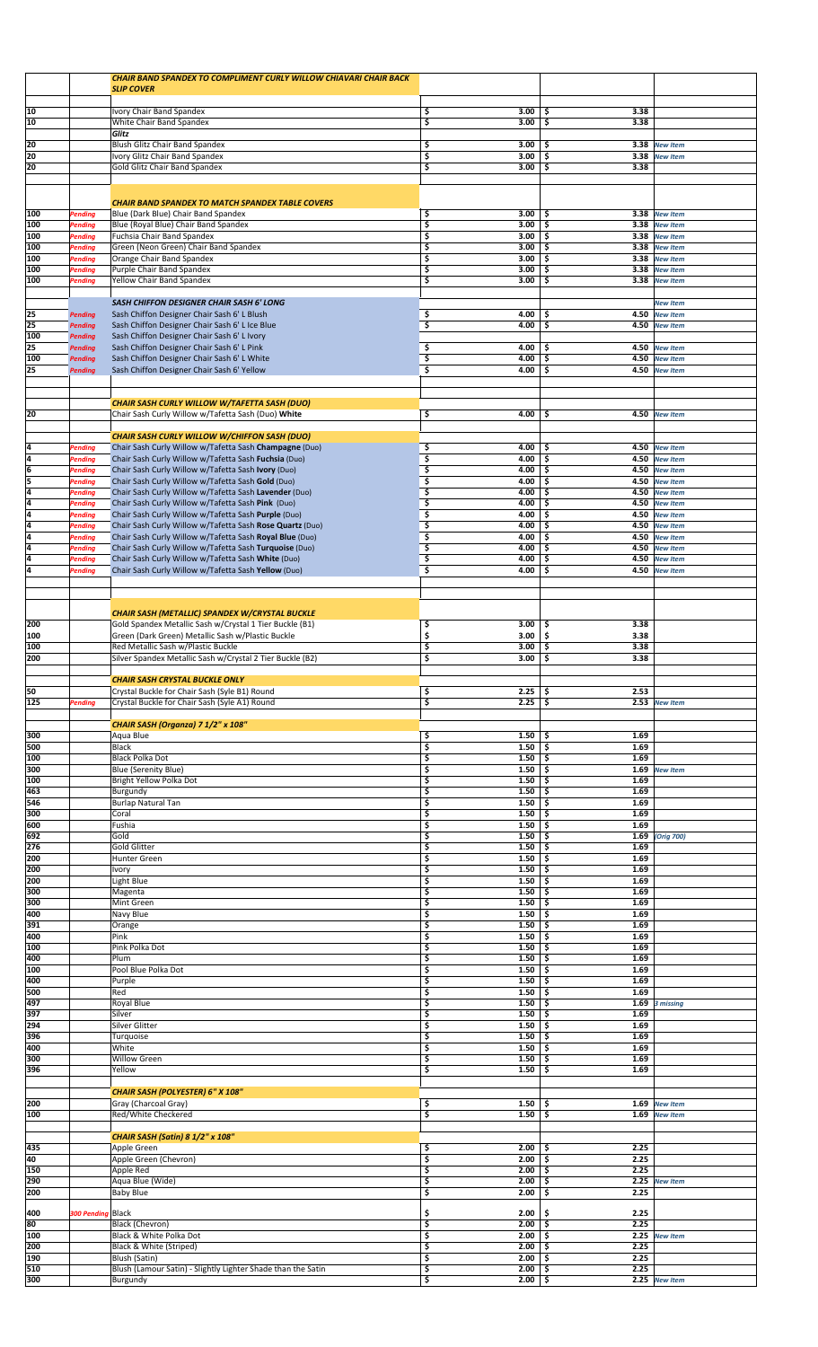|                 |                                  | <b>CHAIR BAND SPANDEX TO COMPLIMENT CURLY WILLOW CHIAVARI CHAIR BACK</b>                                        |                          |                           |                                    |  |
|-----------------|----------------------------------|-----------------------------------------------------------------------------------------------------------------|--------------------------|---------------------------|------------------------------------|--|
|                 |                                  | <b>SLIP COVER</b>                                                                                               |                          |                           |                                    |  |
|                 |                                  |                                                                                                                 |                          |                           |                                    |  |
| 10              |                                  |                                                                                                                 | \$<br>3.00               | 3.38                      |                                    |  |
| 10              |                                  | Ivory Chair Band Spandex<br>White Chair Band Spandex                                                            | \$<br>3.00               | \$<br>\$<br>3.38          |                                    |  |
|                 |                                  | Glitz                                                                                                           |                          |                           |                                    |  |
| 20              |                                  | Blush Glitz Chair Band Spandex                                                                                  | \$<br>3.00               | 3.38<br>\$                | <b>New Item</b>                    |  |
| 20              |                                  | Ivory Glitz Chair Band Spandex                                                                                  | \$<br>3.00               | \$<br>3.38                | <b>New Item</b>                    |  |
| 20              |                                  | Gold Glitz Chair Band Spandex                                                                                   | \$<br>3.00               | 3.38<br>\$                |                                    |  |
|                 |                                  |                                                                                                                 |                          |                           |                                    |  |
|                 |                                  |                                                                                                                 |                          |                           |                                    |  |
|                 |                                  | <b>CHAIR BAND SPANDEX TO MATCH SPANDEX TABLE COVERS</b>                                                         |                          |                           |                                    |  |
| 100             | Pending                          | Blue (Dark Blue) Chair Band Spandex                                                                             | \$<br>3.00               | \$<br>3.38                | <b>New Item</b>                    |  |
| 100             | Pending                          | Blue (Royal Blue) Chair Band Spandex                                                                            | \$<br>3.00               | \$<br>3.38                | <b>New Item</b>                    |  |
| 100             | <b>Pending</b>                   | Fuchsia Chair Band Spandex                                                                                      | \$<br>3.00               | \$                        | 3.38 New Item                      |  |
| 100             | <b>Pending</b>                   | Green (Neon Green) Chair Band Spandex                                                                           | \$<br>3.00               | \$<br>3.38                | <b>New Item</b>                    |  |
| 100             | <b>Pending</b>                   | Orange Chair Band Spandex                                                                                       | \$<br>3.00               | \$<br>3.38                | <b>New Item</b>                    |  |
| 100             | Pending                          | Purple Chair Band Spandex                                                                                       | \$<br>3.00               | Ś<br>3.38                 | <b>New Item</b>                    |  |
| 100             | Pending                          | Yellow Chair Band Spandex                                                                                       | \$<br>3.00               | 3.38<br>\$                | <b>New Item</b>                    |  |
|                 |                                  |                                                                                                                 |                          |                           |                                    |  |
|                 |                                  | SASH CHIFFON DESIGNER CHAIR SASH 6' LONG                                                                        |                          |                           | <b>New Item</b>                    |  |
| $\overline{25}$ | <b>Pending</b>                   | Sash Chiffon Designer Chair Sash 6' L Blush                                                                     | \$<br>4.00               | \$<br>4.50                | <b>New Item</b>                    |  |
| 25<br>100       | <b>Pending</b>                   | Sash Chiffon Designer Chair Sash 6' L Ice Blue                                                                  | \$<br>4.00               | \$<br>4.50                | <b>New Item</b>                    |  |
| 25              | <b>Pending</b>                   | Sash Chiffon Designer Chair Sash 6' L Ivory<br>Sash Chiffon Designer Chair Sash 6' L Pink                       | 4.00                     | 4.50<br>\$                |                                    |  |
| 100             | <b>Pending</b><br><b>Pending</b> | Sash Chiffon Designer Chair Sash 6' L White                                                                     | \$<br>\$<br>4.00         | \$<br>4.50                | <b>New Item</b><br><b>New Item</b> |  |
| 25              | <b>Pending</b>                   | Sash Chiffon Designer Chair Sash 6' Yellow                                                                      | \$<br>4.00               | \$<br>4.50                | <b>New Item</b>                    |  |
|                 |                                  |                                                                                                                 |                          |                           |                                    |  |
|                 |                                  |                                                                                                                 |                          |                           |                                    |  |
|                 |                                  | <b>CHAIR SASH CURLY WILLOW W/TAFETTA SASH (DUO)</b>                                                             |                          |                           |                                    |  |
| 20              |                                  | Chair Sash Curly Willow w/Tafetta Sash (Duo) White                                                              | \$<br>4.00               | 4.50<br>\$                | <b>New Item</b>                    |  |
|                 |                                  |                                                                                                                 |                          |                           |                                    |  |
|                 |                                  | <b>CHAIR SASH CURLY WILLOW W/CHIFFON SASH (DUO)</b>                                                             |                          |                           |                                    |  |
| 4               | <b>Pending</b>                   | Chair Sash Curly Willow w/Tafetta Sash Champagne (Duo)                                                          | \$<br>4.00               | \$                        | 4.50 New Item                      |  |
| 4               | <b>Pending</b>                   | Chair Sash Curly Willow w/Tafetta Sash Fuchsia (Duo)                                                            | 3<br>4.00                | \$                        | 4.50 New Item                      |  |
| $\overline{6}$  | Pending                          | Chair Sash Curly Willow w/Tafetta Sash Ivory (Duo)                                                              | \$<br>4.00               | \$<br>4.50                | <b>New Item</b>                    |  |
| 5               | Pending                          | Chair Sash Curly Willow w/Tafetta Sash Gold (Duo)                                                               | \$<br>4.00               | \$<br>4.50                | <b>New Item</b>                    |  |
| 4               | <b>Pending</b>                   | Chair Sash Curly Willow w/Tafetta Sash Lavender (Duo)                                                           | \$<br>4.00               | \$<br>4.50                | <b>New Item</b>                    |  |
| $\frac{4}{4}$   | Pending                          | Chair Sash Curly Willow w/Tafetta Sash Pink (Duo)                                                               | \$<br>4.00<br>\$<br>4.00 | \$<br>4.50<br>4.50        | <b>New Item</b>                    |  |
| 4               | Pending<br>Pending               | Chair Sash Curly Willow w/Tafetta Sash Purple (Duo)<br>Chair Sash Curly Willow w/Tafetta Sash Rose Quartz (Duo) | \$<br>4.00               | \$<br>\$<br>4.50          | <b>New Item</b><br><b>New Item</b> |  |
| 4               | Pending                          | Chair Sash Curly Willow w/Tafetta Sash Royal Blue (Duo)                                                         | \$<br>4.00               | 4.50<br>\$                | <b>New Item</b>                    |  |
| 4               | <b>Pending</b>                   | Chair Sash Curly Willow w/Tafetta Sash Turquoise (Duo)                                                          | \$<br>4.00               | \$<br>4.50                | <b>New Item</b>                    |  |
| 4               | <b>Pending</b>                   | Chair Sash Curly Willow w/Tafetta Sash White (Duo)                                                              | \$<br>4.00               | 4.50<br>\$                | <b>New Item</b>                    |  |
| $\overline{4}$  | Pending                          | Chair Sash Curly Willow w/Tafetta Sash Yellow (Duo)                                                             | \$<br>4.00               | Ś<br>4.50                 | <b>New Item</b>                    |  |
|                 |                                  |                                                                                                                 |                          |                           |                                    |  |
|                 |                                  |                                                                                                                 |                          |                           |                                    |  |
|                 |                                  |                                                                                                                 |                          |                           |                                    |  |
|                 |                                  | CHAIR SASH (METALLIC) SPANDEX W/CRYSTAL BUCKLE                                                                  |                          |                           |                                    |  |
| 200             |                                  | Gold Spandex Metallic Sash w/Crystal 1 Tier Buckle (B1)                                                         | \$<br>3.00               | 3.38<br>\$                |                                    |  |
| 100             |                                  | Green (Dark Green) Metallic Sash w/Plastic Buckle                                                               | \$<br>3.00               | \$<br>3.38                |                                    |  |
| 100<br>200      |                                  | Red Metallic Sash w/Plastic Buckle<br>Silver Spandex Metallic Sash w/Crystal 2 Tier Buckle (B2)                 | \$<br>3.00<br>\$<br>3.00 | \$<br>3.38<br>\$<br>3.38  |                                    |  |
|                 |                                  |                                                                                                                 |                          |                           |                                    |  |
|                 |                                  | <b>CHAIR SASH CRYSTAL BUCKLE ONLY</b>                                                                           |                          |                           |                                    |  |
| 50              |                                  | Crystal Buckle for Chair Sash (Syle B1) Round                                                                   | \$<br>2.25               | 2.53<br>\$                |                                    |  |
| 125             | Pending                          | Crystal Buckle for Chair Sash (Syle A1) Round                                                                   | \$<br>2.25               | \$                        | 2.53 New Item                      |  |
|                 |                                  |                                                                                                                 |                          |                           |                                    |  |
|                 |                                  | CHAIR SASH (Organza) 7 1/2" x 108"                                                                              |                          |                           |                                    |  |
| 300             |                                  | Aqua Blue                                                                                                       | \$<br>1.50               | 1.69<br>\$                |                                    |  |
|                 |                                  | <b>Black</b>                                                                                                    | \$<br>1.50               | 1.69<br>\$                |                                    |  |
| 500             |                                  |                                                                                                                 |                          |                           |                                    |  |
| 100             |                                  | <b>Black Polka Dot</b>                                                                                          | \$<br>1.50               | \$<br>1.69                |                                    |  |
| 300             |                                  | <b>Blue (Serenity Blue)</b>                                                                                     | \$<br>1.50               | 1.69<br>\$                | <b>New Item</b>                    |  |
| 100             |                                  | Bright Yellow Polka Dot                                                                                         | \$<br>1.50               | \$<br>1.69                |                                    |  |
| 463             |                                  | Burgundy                                                                                                        | \$<br>1.50               | 1.69<br>\$                |                                    |  |
| 546             |                                  | <b>Burlap Natural Tan</b>                                                                                       | \$<br>1.50               | 1.69<br>\$                |                                    |  |
| 300             |                                  | Coral                                                                                                           | \$<br>1.50               | 1.69<br>\$                |                                    |  |
| 600             |                                  | Fushia<br>Gold                                                                                                  | \$<br>1.50               | 1.69<br>\$<br>\$          |                                    |  |
| 692<br>276      |                                  | <b>Gold Glitter</b>                                                                                             | \$<br>1.50<br>\$<br>1.50 | 1.69<br>1.69<br>\$        | (Orig 700)                         |  |
| 200             |                                  | Hunter Green                                                                                                    | \$<br>1.50               | 1.69<br>\$                |                                    |  |
| 200             |                                  | Ivory                                                                                                           | \$<br>1.50               | 1.69<br>\$.               |                                    |  |
| 200             |                                  | Light Blue                                                                                                      | \$<br>1.50               | 1.69<br>\$                |                                    |  |
| 300             |                                  | Magenta                                                                                                         | \$<br>1.50               | \$<br>1.69                |                                    |  |
| 300             |                                  | Mint Green                                                                                                      | \$<br>1.50               | 1.69<br>\$                |                                    |  |
| 400             |                                  | Navy Blue                                                                                                       | \$<br>1.50               | 1.69<br>\$                |                                    |  |
| 391             |                                  | Orange                                                                                                          | \$<br>1.50               | 1.69<br>\$.               |                                    |  |
| 400             |                                  | Pink                                                                                                            | \$<br>1.50               | 1.69<br>\$                |                                    |  |
| 100             |                                  | Pink Polka Dot                                                                                                  | \$<br>1.50               | 1.69<br>\$                |                                    |  |
| 400             |                                  | Plum                                                                                                            | \$<br>1.50               | \$<br>1.69                |                                    |  |
| 100             |                                  | Pool Blue Polka Dot                                                                                             | \$<br>1.50               | 1.69<br>\$                |                                    |  |
| 400<br>500      |                                  | Purple<br>Red                                                                                                   | \$<br>1.50<br>\$<br>1.50 | 1.69<br>\$.<br>1.69<br>\$ |                                    |  |
| 497             |                                  | Royal Blue                                                                                                      | \$<br>1.50               | 1.69<br>\$                | 3 missing                          |  |
| 397             |                                  | Silver                                                                                                          | \$<br>1.50               | 1.69<br>\$                |                                    |  |
| 294             |                                  | Silver Glitter                                                                                                  | \$<br>1.50               | 1.69<br>\$                |                                    |  |
| 396             |                                  | Turquoise                                                                                                       | \$<br>1.50               | \$<br>1.69                |                                    |  |
| 400             |                                  | White                                                                                                           | \$<br>1.50               | 1.69<br>\$                |                                    |  |
| 300             |                                  | Willow Green                                                                                                    | \$<br>1.50               | 1.69<br>\$                |                                    |  |
| 396             |                                  | Yellow                                                                                                          | \$<br>1.50               | 1.69<br>\$                |                                    |  |
|                 |                                  |                                                                                                                 |                          |                           |                                    |  |
|                 |                                  | CHAIR SASH (POLYESTER) 6" X 108"                                                                                |                          |                           |                                    |  |
| 200             |                                  | Gray (Charcoal Gray)                                                                                            | \$<br>1.50               | 1.69<br>Ś<br>Ś            | <b>New Item</b>                    |  |
| 100             |                                  | Red/White Checkered                                                                                             | \$<br>1.50               | 1.69                      | <b>New Item</b>                    |  |
|                 |                                  | CHAIR SASH (Satin) 8 1/2" x 108"                                                                                |                          |                           |                                    |  |
| 435             |                                  | Apple Green                                                                                                     | \$<br>2.00               | 2.25<br>\$                |                                    |  |
| 40              |                                  | Apple Green (Chevron)                                                                                           | \$<br>2.00               | \$<br>2.25                |                                    |  |
| 150             |                                  | Apple Red                                                                                                       | \$<br>2.00               | 2.25<br>\$                |                                    |  |
| 290             |                                  | Aqua Blue (Wide)                                                                                                | \$<br>2.00               | 2.25<br>\$                | <b>New Item</b>                    |  |
| 200             |                                  | <b>Baby Blue</b>                                                                                                | \$<br>2.00               | 2.25<br>\$                |                                    |  |
|                 |                                  |                                                                                                                 |                          |                           |                                    |  |
| 400             | 300 Pending Black                |                                                                                                                 | 2.00<br>\$               | 2.25<br>\$.               |                                    |  |
| 80              |                                  | Black (Chevron)                                                                                                 | \$<br>2.00               | 2.25<br>\$                |                                    |  |
| 100             |                                  | Black & White Polka Dot                                                                                         | \$<br>2.00               | 2.25<br>\$<br>2.25<br>\$  | <b>New Item</b>                    |  |
| 200<br>190      |                                  | Black & White (Striped)<br>Blush (Satin)                                                                        | \$<br>2.00<br>2.00       | 2.25                      |                                    |  |
| 510<br>300      |                                  | Blush (Lamour Satin) - Slightly Lighter Shade than the Satin                                                    | \$<br>$2.00$   \$<br>Ş   | \$<br>2.25                |                                    |  |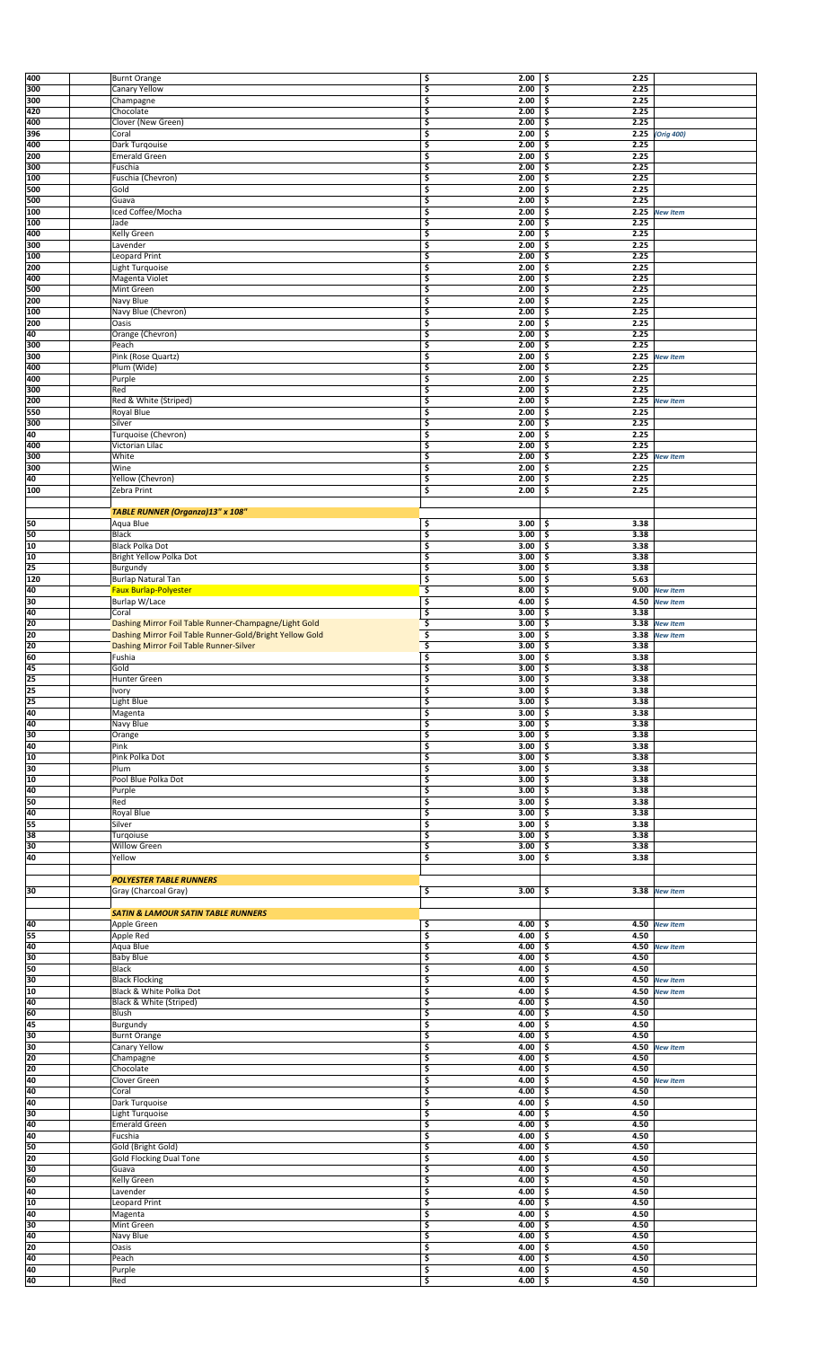| 400             | <b>Burnt Orange</b>                                      | \$<br>2.00                                                                                                 | \$ ا<br>2.25 |                 |  |
|-----------------|----------------------------------------------------------|------------------------------------------------------------------------------------------------------------|--------------|-----------------|--|
| 300             | Canary Yellow                                            | \$<br>2.00                                                                                                 | 2.25<br>\$   |                 |  |
| 300             | Champagne                                                | \$<br>2.00                                                                                                 | 2.25<br>\$   |                 |  |
| 420             | Chocolate                                                | \$<br>2.00                                                                                                 | \$<br>2.25   |                 |  |
| 400             | Clover (New Green)                                       | 3<br>2.00                                                                                                  | 2.25<br>\$   |                 |  |
| 396             | Coral                                                    | \$<br>2.00                                                                                                 | -\$          | 2.25 (Orig 400) |  |
| 400             | Dark Turqouise                                           | \$<br>2.00                                                                                                 | \$<br>2.25   |                 |  |
| 200             | <b>Emerald Green</b>                                     | \$<br>2.00                                                                                                 | 2.25<br>\$   |                 |  |
| 300             |                                                          | \$<br>2.00                                                                                                 | 2.25<br>\$   |                 |  |
|                 | Fuschia                                                  |                                                                                                            |              |                 |  |
| 100             | Fuschia (Chevron)                                        | \$<br>2.00                                                                                                 | \$<br>2.25   |                 |  |
| 500             | Gold                                                     | \$<br>2.00                                                                                                 | 2.25<br>\$   |                 |  |
| 500             | Guava                                                    | \$<br>2.00                                                                                                 | 2.25<br>\$   |                 |  |
| 100             | Iced Coffee/Mocha                                        | \$<br>2.00                                                                                                 | \$<br>2.25   | <b>New Item</b> |  |
| 100             | Jade                                                     | \$<br>2.00                                                                                                 | \$<br>2.25   |                 |  |
| 400             | Kelly Green                                              | \$<br>2.00                                                                                                 | 2.25<br>\$   |                 |  |
| 300             | Lavender                                                 | \$<br>2.00                                                                                                 | \$<br>2.25   |                 |  |
| 100             | Leopard Print                                            | \$<br>2.00                                                                                                 | \$<br>2.25   |                 |  |
| 200             | Light Turquoise                                          | \$<br>2.00                                                                                                 | 2.25<br>\$   |                 |  |
| 400             | Magenta Violet                                           | \$<br>2.00                                                                                                 | 2.25<br>\$   |                 |  |
| 500             | Mint Green                                               | \$<br>2.00                                                                                                 | 2.25<br>\$   |                 |  |
| 200             | Navy Blue                                                | \$<br>2.00                                                                                                 | 2.25<br>\$   |                 |  |
| 100             | Navy Blue (Chevron)                                      | \$<br>2.00                                                                                                 | \$<br>2.25   |                 |  |
| 200             | Oasis                                                    | 3<br>2.00                                                                                                  | 2.25<br>\$   |                 |  |
| 40              | Orange (Chevron)                                         | \$<br>2.00                                                                                                 | 2.25<br>-\$  |                 |  |
| 300             | Peach                                                    | \$<br>2.00                                                                                                 | 2.25<br>\$   |                 |  |
| 300             | Pink (Rose Quartz)                                       | \$<br>2.00                                                                                                 | \$<br>2.25   | <b>New Item</b> |  |
|                 |                                                          |                                                                                                            |              |                 |  |
| 400             | Plum (Wide)                                              | \$<br>2.00                                                                                                 | \$<br>2.25   |                 |  |
| 400             | Purple                                                   | \$<br>2.00                                                                                                 | 2.25<br>\$   |                 |  |
| 300             | Red                                                      | \$<br>2.00                                                                                                 | 2.25<br>\$   |                 |  |
| 200             | Red & White (Striped)                                    | \$<br>2.00                                                                                                 | \$<br>2.25   | <b>New Item</b> |  |
| 550             | <b>Royal Blue</b>                                        | \$<br>2.00                                                                                                 | 2.25<br>\$   |                 |  |
| 300             | Silver                                                   | \$<br>2.00                                                                                                 | \$<br>2.25   |                 |  |
| 40              | Turquoise (Chevron)                                      | \$<br>2.00                                                                                                 | 2.25<br>\$   |                 |  |
| 400             | Victorian Lilac                                          | \$<br>2.00                                                                                                 | 2.25<br>\$   |                 |  |
| 300             | White                                                    | \$<br>2.00                                                                                                 | \$<br>2.25   | <b>New Item</b> |  |
| 300             | Wine                                                     | \$<br>2.00                                                                                                 | 2.25<br>\$   |                 |  |
| 40              | Yellow (Chevron)                                         | \$<br>2.00                                                                                                 | \$<br>2.25   |                 |  |
| 100             | Zebra Print                                              | \$<br>2.00                                                                                                 | 2.25<br>\$   |                 |  |
|                 |                                                          |                                                                                                            |              |                 |  |
|                 | TABLE RUNNER (Organza)13" x 108"                         |                                                                                                            |              |                 |  |
| 50              | Aqua Blue                                                | \$<br>3.00                                                                                                 | \$<br>3.38   |                 |  |
| 50              | <b>Black</b>                                             | \$<br>3.00                                                                                                 | 3.38<br>\$.  |                 |  |
| 10              |                                                          | 3                                                                                                          | 3.38         |                 |  |
|                 | Black Polka Dot                                          | 3.00                                                                                                       | \$           |                 |  |
| 10              | Bright Yellow Polka Dot                                  | \$<br>3.00                                                                                                 | 3.38<br>\$   |                 |  |
| 25              | Burgundy                                                 | \$<br>3.00                                                                                                 | 3.38<br>\$   |                 |  |
| 120             | Burlap Natural Tan                                       | \$<br>5.00                                                                                                 | 5.63<br>\$   |                 |  |
| 40              | <b>Faux Burlap-Polyester</b>                             | \$<br>8.00                                                                                                 | \$           | 9.00 New Item   |  |
| 30              | Burlap W/Lace                                            | \$<br>4.00                                                                                                 | \$<br>4.50   | <b>New Item</b> |  |
| 40              | Coral                                                    | \$<br>3.00                                                                                                 | \$<br>3.38   |                 |  |
| 20              | Dashing Mirror Foil Table Runner-Champagne/Light Gold    | \$<br>3.00                                                                                                 | \$           | 3.38 New Item   |  |
| 20              | Dashing Mirror Foil Table Runner-Gold/Bright Yellow Gold | \$<br>3.00                                                                                                 | \$<br>3.38   | <b>New Item</b> |  |
| 20              | Dashing Mirror Foil Table Runner-Silver                  | \$<br>3.00                                                                                                 | \$<br>3.38   |                 |  |
| 60              | Fushia                                                   | \$<br>3.00                                                                                                 | \$<br>3.38   |                 |  |
|                 |                                                          |                                                                                                            |              |                 |  |
|                 |                                                          |                                                                                                            |              |                 |  |
|                 | Gold                                                     | Ś<br>3.00                                                                                                  | 3.38<br>\$   |                 |  |
| $\frac{45}{25}$ | Hunter Green                                             | \$<br>3.00                                                                                                 | \$ ا<br>3.38 |                 |  |
| 25              | Ivory                                                    | \$<br>3.00                                                                                                 | 3.38<br>ا \$ |                 |  |
| 25              | Light Blue                                               | \$<br>3.00                                                                                                 | 3.38<br>-\$  |                 |  |
| 40              | Magenta                                                  | \$<br>3.00                                                                                                 | \$<br>3.38   |                 |  |
| 40              | Navy Blue                                                | \$<br>3.00                                                                                                 | 3.38<br>\$   |                 |  |
| 30              | Orange                                                   | \$<br>3.00                                                                                                 | 3.38<br>-\$  |                 |  |
| 40              | Pink                                                     | \$<br>3.00                                                                                                 | 3.38<br>\$   |                 |  |
| 10              | Pink Polka Dot                                           | \$<br>3.00                                                                                                 | 3.38<br>-\$  |                 |  |
| 30              | Plum                                                     | \$<br>3.00                                                                                                 | 3.38<br>\$   |                 |  |
| 10              | Pool Blue Polka Dot                                      | \$<br>3.00                                                                                                 | 3.38<br>\$   |                 |  |
| 40              | Purple                                                   | \$<br>3.00                                                                                                 | 3.38<br>-\$  |                 |  |
| 50              | Red                                                      | \$<br>3.00                                                                                                 | 3.38<br>\$   |                 |  |
|                 |                                                          |                                                                                                            |              |                 |  |
| 40              | Royal Blue                                               | \$<br>3.00                                                                                                 | 3.38<br>\$   |                 |  |
| 55              | Silver                                                   | \$<br>3.00                                                                                                 | 3.38<br>\$   |                 |  |
| 38              | Turgoiuse                                                | \$<br>3.00                                                                                                 | 3.38<br>\$   |                 |  |
| 30              | Willow Green                                             | \$<br>3.00                                                                                                 | \$<br>3.38   |                 |  |
| 40              | Yellow                                                   | \$<br>3.00                                                                                                 | \$<br>3.38   |                 |  |
|                 |                                                          |                                                                                                            |              |                 |  |
|                 | <b>POLYESTER TABLE RUNNERS</b>                           |                                                                                                            |              |                 |  |
| 30              | Gray (Charcoal Gray)                                     | \$<br>3.00                                                                                                 | -\$          | 3.38 New Item   |  |
|                 |                                                          |                                                                                                            |              |                 |  |
|                 | <b>SATIN &amp; LAMOUR SATIN TABLE RUNNERS</b>            |                                                                                                            |              |                 |  |
| 40              | Apple Green                                              | \$<br>4.00                                                                                                 | \$           | 4.50 New Item   |  |
| 55              | Apple Red                                                | \$<br>4.00                                                                                                 | \$ ا<br>4.50 |                 |  |
| 40              | Aqua Blue                                                | 3<br>4.00                                                                                                  | \$           | 4.50 New Item   |  |
| 30              | <b>Baby Blue</b>                                         | \$<br>4.00                                                                                                 | 4.50<br>\$   |                 |  |
| 50              | Black                                                    | \$<br>4.00                                                                                                 | 4.50<br>\$   |                 |  |
| 30              | <b>Black Flocking</b>                                    | \$<br>4.00                                                                                                 | \$           | 4.50 New Item   |  |
| 10              | Black & White Polka Dot                                  | \$<br>4.00                                                                                                 | -\$          | 4.50 New Item   |  |
| 40              | Black & White (Striped)                                  | \$<br>4.00                                                                                                 | 4.50<br>\$   |                 |  |
| 60              | Blush                                                    | \$<br>4.00                                                                                                 | 4.50<br>\$   |                 |  |
| 45              | Burgundy                                                 | \$<br>4.00                                                                                                 | \$<br>4.50   |                 |  |
| 30              | <b>Burnt Orange</b>                                      | \$<br>4.00                                                                                                 | 4.50<br>\$   |                 |  |
| 30              | Canary Yellow                                            | \$<br>4.00                                                                                                 | \$           | 4.50 New Item   |  |
| 20              |                                                          | \$<br>4.00                                                                                                 | 4.50<br>\$   |                 |  |
| 20              | Champagne<br>Chocolate                                   | \$<br>4.00                                                                                                 | 4.50<br>\$   |                 |  |
| 40              | Clover Green                                             | \$<br>4.00                                                                                                 | -\$          | 4.50 New Item   |  |
|                 |                                                          |                                                                                                            | \$           |                 |  |
| 40              | Coral                                                    | \$<br>4.00                                                                                                 | 4.50         |                 |  |
| 40              | Dark Turquoise                                           | \$<br>4.00                                                                                                 | 4.50<br>\$   |                 |  |
| 30              | Light Turquoise                                          | \$<br>4.00                                                                                                 | 4.50<br>\$   |                 |  |
| 40              | Emerald Green                                            | \$<br>4.00                                                                                                 | 4.50<br>\$   |                 |  |
| 40              | Fucshia                                                  | \$<br>4.00                                                                                                 | 4.50<br>-\$  |                 |  |
| 50              | Gold (Bright Gold)                                       | 3<br>4.00                                                                                                  | 4.50<br>\$   |                 |  |
| 20              | <b>Gold Flocking Dual Tone</b>                           | \$<br>4.00                                                                                                 | 4.50<br>\$   |                 |  |
| 30              | Guava                                                    | \$<br>4.00                                                                                                 | 4.50<br>\$   |                 |  |
| 60              | Kelly Green                                              | \$<br>4.00                                                                                                 | 4.50<br>\$   |                 |  |
| 40              | Lavender                                                 | \$<br>4.00                                                                                                 | 4.50<br>\$   |                 |  |
| 10              | Leopard Print                                            | \$<br>4.00                                                                                                 | 4.50<br>\$   |                 |  |
| 40              | Magenta                                                  | \$<br>4.00                                                                                                 | 4.50<br>\$   |                 |  |
| 30              | Mint Green                                               | \$<br>4.00                                                                                                 | 4.50<br>\$   |                 |  |
| 40              | Navy Blue                                                | \$<br>4.00                                                                                                 | 4.50<br>\$   |                 |  |
| 20              | Oasis                                                    | \$<br>4.00                                                                                                 | 4.50<br>\$   |                 |  |
| 40              | Peach                                                    | \$<br>4.00                                                                                                 | \$<br>4.50   |                 |  |
| $\frac{40}{40}$ | Purple<br>Red                                            | $\begin{array}{c cc}\n\text{S} & \text{4.00} & \text{S} \\ \text{S} & \text{4.00} & \text{S}\n\end{array}$ | 4.50<br>4.50 |                 |  |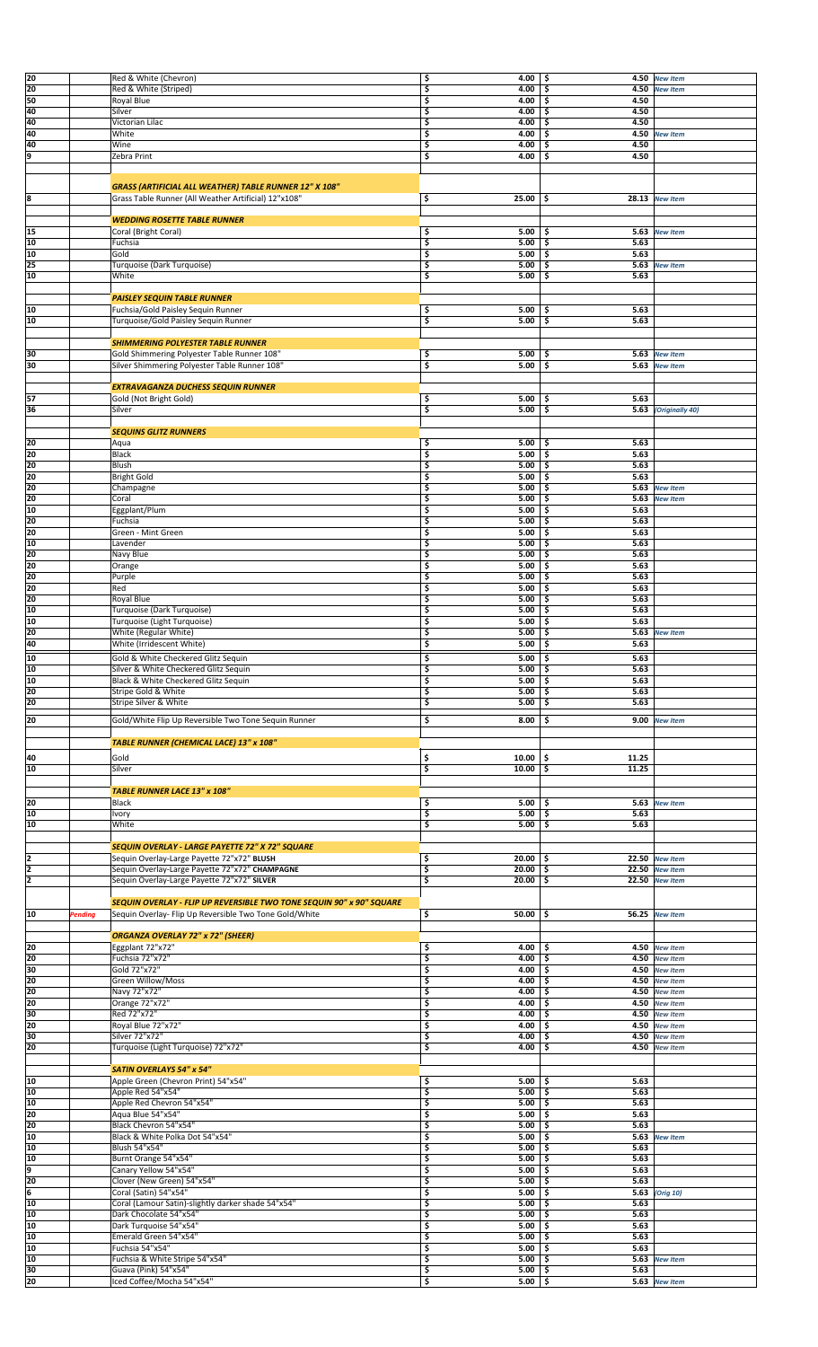| 20              |         | Red & White (Chevron)                                                | \$ | 4.00                                                                                    | \$<br>4.50   | <b>New Item</b>             |  |
|-----------------|---------|----------------------------------------------------------------------|----|-----------------------------------------------------------------------------------------|--------------|-----------------------------|--|
| 20              |         | Red & White (Striped)                                                | 3  | 4.00                                                                                    | \$<br>4.50   | <b>New Item</b>             |  |
| 50              |         | Royal Blue                                                           | \$ | 4.00                                                                                    | 4.50<br>\$.  |                             |  |
| 40              |         | Silver                                                               | \$ | 4.00                                                                                    | 4.50<br>Ś    |                             |  |
| 40              |         | Victorian Lilac                                                      | \$ | 4.00                                                                                    | 4.50<br>Ś    |                             |  |
| 40              |         |                                                                      |    |                                                                                         | 4.50         |                             |  |
|                 |         | White                                                                | \$ | 4.00                                                                                    | \$           | <b>New Item</b>             |  |
| 40              |         | Wine                                                                 | \$ | 4.00                                                                                    | 4.50<br>\$   |                             |  |
| 9               |         | Zebra Print                                                          | \$ | 4.00                                                                                    | 4.50<br>\$   |                             |  |
|                 |         |                                                                      |    |                                                                                         |              |                             |  |
|                 |         |                                                                      |    |                                                                                         |              |                             |  |
|                 |         | GRASS (ARTIFICIAL ALL WEATHER) TABLE RUNNER 12" X 108"               |    |                                                                                         |              |                             |  |
| 8               |         | Grass Table Runner (All Weather Artificial) 12"x108"                 | \$ | 25.00                                                                                   | \$           | $28.13$ New Item            |  |
|                 |         |                                                                      |    |                                                                                         |              |                             |  |
|                 |         | <b>WEDDING ROSETTE TABLE RUNNER</b>                                  |    |                                                                                         |              |                             |  |
| 15              |         | Coral (Bright Coral)                                                 | \$ | 5.00                                                                                    | 5.63<br>\$   | <b>New Item</b>             |  |
| 10              |         | Fuchsia                                                              | \$ | 5.00                                                                                    | 5.63<br>\$   |                             |  |
| 10              |         | Gold                                                                 | \$ | 5.00                                                                                    | \$<br>5.63   |                             |  |
| 25              |         | Turquoise (Dark Turquoise)                                           | \$ | 5.00                                                                                    | S            | 5.63 New Item               |  |
| 10              |         | White                                                                | \$ | 5.00                                                                                    | 5.63<br>\$   |                             |  |
|                 |         |                                                                      |    |                                                                                         |              |                             |  |
|                 |         | <b>PAISLEY SEQUIN TABLE RUNNER</b>                                   |    |                                                                                         |              |                             |  |
| 10              |         | Fuchsia/Gold Paisley Sequin Runner                                   | \$ | 5.00                                                                                    | -\$<br>5.63  |                             |  |
| 10              |         | Turquoise/Gold Paisley Sequin Runner                                 | \$ | 5.00                                                                                    | \$<br>5.63   |                             |  |
|                 |         |                                                                      |    |                                                                                         |              |                             |  |
|                 |         | <b>SHIMMERING POLYESTER TABLE RUNNER</b>                             |    |                                                                                         |              |                             |  |
|                 |         |                                                                      |    |                                                                                         |              |                             |  |
| 30              |         | Gold Shimmering Polyester Table Runner 108"                          | \$ | 5.00                                                                                    | \$           | 5.63 New Item               |  |
| 30              |         | Silver Shimmering Polyester Table Runner 108"                        | \$ | 5.00                                                                                    | \$           | 5.63 New Item               |  |
|                 |         |                                                                      |    |                                                                                         |              |                             |  |
|                 |         | <b>EXTRAVAGANZA DUCHESS SEQUIN RUNNER</b>                            |    |                                                                                         |              |                             |  |
| 57              |         | Gold (Not Bright Gold)                                               | \$ | 5.00                                                                                    | 5.63<br>\$   |                             |  |
| 36              |         | Silver                                                               | \$ | 5.00                                                                                    | \$           | <b>5.63</b> (Originally 40) |  |
|                 |         |                                                                      |    |                                                                                         |              |                             |  |
|                 |         | <b>SEQUINS GLITZ RUNNERS</b>                                         |    |                                                                                         |              |                             |  |
| 20              |         | Aqua                                                                 | \$ | 5.00                                                                                    | \$<br>5.63   |                             |  |
| 20              |         | Black                                                                | \$ | 5.00                                                                                    | \$<br>5.63   |                             |  |
| 20              |         | Blush                                                                | \$ | 5.00                                                                                    | 5.63<br>Ś    |                             |  |
| 20              |         | <b>Bright Gold</b>                                                   |    | 5.00                                                                                    | 5.63         |                             |  |
|                 |         |                                                                      | \$ |                                                                                         | \$           |                             |  |
| 20              |         | Champagne                                                            | \$ | 5.00                                                                                    | \$<br>5.63   | <b>New Item</b>             |  |
| 20              |         | Coral                                                                | \$ | 5.00                                                                                    | \$<br>5.63   | <b>New Item</b>             |  |
| 10              |         | Eggplant/Plum                                                        | \$ | 5.00                                                                                    | \$<br>5.63   |                             |  |
| 20              |         | Fuchsia                                                              | \$ | 5.00                                                                                    | 5.63<br>Ś    |                             |  |
| 20              |         | Green - Mint Green                                                   | \$ | 5.00                                                                                    | 5.63<br>\$   |                             |  |
| 10              |         | Lavender                                                             | \$ | 5.00                                                                                    | \$<br>5.63   |                             |  |
| 20              |         | Navy Blue                                                            | \$ | 5.00                                                                                    | 5.63<br>\$.  |                             |  |
| 20              |         | Orange                                                               | \$ | 5.00                                                                                    | 5.63<br>\$.  |                             |  |
| 20              |         | Purple                                                               | \$ | 5.00                                                                                    | 5.63<br>Ś    |                             |  |
| 20              |         | Red                                                                  | \$ | 5.00                                                                                    | 5.63<br>Ś    |                             |  |
|                 |         |                                                                      |    |                                                                                         |              |                             |  |
| 20              |         | Royal Blue                                                           | \$ | 5.00                                                                                    | \$<br>5.63   |                             |  |
| 10              |         | Turquoise (Dark Turquoise)                                           | \$ | 5.00                                                                                    | 5.63<br>\$   |                             |  |
| 10              |         | Turquoise (Light Turquoise)                                          | \$ | 5.00                                                                                    | \$<br>5.63   |                             |  |
| 20              |         | White (Regular White)                                                | \$ | 5.00                                                                                    | \$<br>5.63   | <b>New Item</b>             |  |
| 40              |         | White (Irridescent White)                                            | \$ | 5.00                                                                                    | Ś<br>5.63    |                             |  |
| 10              |         | Gold & White Checkered Glitz Sequin                                  | \$ | 5.00                                                                                    | 5.63<br>\$   |                             |  |
|                 |         |                                                                      |    |                                                                                         |              |                             |  |
| 10              |         | Silver & White Checkered Glitz Sequin                                | \$ | $5.00$   \$                                                                             | 5.63         |                             |  |
| 10              |         | Black & White Checkered Glitz Sequin                                 | \$ | 5.00                                                                                    | \$.<br>5.63  |                             |  |
| 20              |         | Stripe Gold & White                                                  | \$ | 5.00                                                                                    | 5.63<br>\$.  |                             |  |
| 20              |         | Stripe Silver & White                                                | \$ | 5.00                                                                                    | 5.63<br>\$.  |                             |  |
| 20              |         | Gold/White Flip Up Reversible Two Tone Sequin Runner                 | \$ | 8.00                                                                                    | \$           | 9.00 New Item               |  |
|                 |         |                                                                      |    |                                                                                         |              |                             |  |
|                 |         |                                                                      |    |                                                                                         |              |                             |  |
|                 |         | TABLE RUNNER (CHEMICAL LACE) 13" x 108"                              |    |                                                                                         |              |                             |  |
| 40              |         | Gold                                                                 | \$ | 10.00                                                                                   | \$<br>11.25  |                             |  |
| 10              |         | Silver                                                               | \$ | 10.00                                                                                   | 11.25<br>\$. |                             |  |
|                 |         |                                                                      |    |                                                                                         |              |                             |  |
|                 |         |                                                                      |    |                                                                                         |              |                             |  |
|                 |         | <b>TABLE RUNNER LACE 13" x 108"</b>                                  |    |                                                                                         |              |                             |  |
| 20              |         | Black                                                                | \$ | 5.00                                                                                    | -\$          | 5.63 New Item               |  |
| 10              |         | Ivory                                                                | \$ | 5.00                                                                                    | \$<br>5.63   |                             |  |
| 10              |         | White                                                                | \$ | 5.00                                                                                    | \$<br>5.63   |                             |  |
|                 |         |                                                                      |    |                                                                                         |              |                             |  |
|                 |         | SEQUIN OVERLAY - LARGE PAYETTE 72" X 72" SQUARE                      |    |                                                                                         |              |                             |  |
| 2               |         | Sequin Overlay-Large Payette 72"x72" BLUSH                           | \$ | 20.00                                                                                   | \$.          | 22.50 New Item              |  |
| $\overline{2}$  |         | Sequin Overlay-Large Payette 72"x72" CHAMPAGNE                       | \$ | 20.00                                                                                   | \$           | $22.50$ New Item            |  |
| 2               |         | Sequin Overlay-Large Payette 72"x72" SILVER                          | \$ | 20.00                                                                                   | \$           | 22.50 New Item              |  |
|                 |         |                                                                      |    |                                                                                         |              |                             |  |
|                 |         | SEQUIN OVERLAY - FLIP UP REVERSIBLE TWO TONE SEQUIN 90" x 90" SQUARE |    |                                                                                         |              |                             |  |
| 10              | Pending | Sequin Overlay- Flip Up Reversible Two Tone Gold/White               | \$ | 50.00                                                                                   | -\$          | 56.25 New Item              |  |
|                 |         |                                                                      |    |                                                                                         |              |                             |  |
|                 |         | <b>ORGANZA OVERLAY 72" x 72" (SHEER)</b>                             |    |                                                                                         |              |                             |  |
| 20              |         |                                                                      | \$ | 4.00                                                                                    | -\$          |                             |  |
| 20              |         | Eggplant 72"x72"                                                     |    |                                                                                         |              | 4.50 New Item               |  |
|                 |         | Fuchsia 72"x72"                                                      | \$ | 4.00                                                                                    | -\$          | 4.50 New Item               |  |
| 30              |         | Gold 72"x72"                                                         | \$ | 4.00                                                                                    | \$.          | 4.50 New Item               |  |
| 20              |         | Green Willow/Moss                                                    | \$ | 4.00                                                                                    | \$.          | 4.50 New Item               |  |
| 20              |         | Navy 72"x72"                                                         | \$ | 4.00                                                                                    | \$.          | 4.50 New Item               |  |
| 20              |         | Orange 72"x72"                                                       | \$ | 4.00                                                                                    | \$.          | 4.50 New Item               |  |
| 30              |         | Red 72"x72"                                                          | \$ | 4.00                                                                                    | .\$          | 4.50 New Item               |  |
| 20              |         | Royal Blue 72"x72"                                                   | \$ | 4.00                                                                                    | 4.50<br>Ś    | <b>New Item</b>             |  |
| 30              |         | Silver 72"x72"                                                       | \$ | 4.00                                                                                    | 4.50<br>\$.  | <b>New Item</b>             |  |
| 20              |         | Turquoise (Light Turquoise) 72"x72"                                  | \$ | 4.00                                                                                    | Ś<br>4.50    | <b>New Item</b>             |  |
|                 |         |                                                                      |    |                                                                                         |              |                             |  |
|                 |         | <b>SATIN OVERLAYS 54" x 54"</b>                                      |    |                                                                                         |              |                             |  |
| 10              |         | Apple Green (Chevron Print) 54"x54"                                  | \$ | 5.00                                                                                    | 5.63<br>\$   |                             |  |
| 10              |         | Apple Red 54"x54"                                                    | \$ | 5.00                                                                                    | 5.63<br>\$.  |                             |  |
|                 |         |                                                                      |    |                                                                                         |              |                             |  |
| 10              |         | Apple Red Chevron 54"x54"                                            | \$ | 5.00                                                                                    | 5.63<br>-\$  |                             |  |
| 20              |         | Agua Blue 54"x54"                                                    | 3  | 5.00                                                                                    | 5.63<br>\$   |                             |  |
| 20              |         | Black Chevron 54"x54"                                                | \$ | 5.00                                                                                    | 5.63<br>\$   |                             |  |
| 10              |         | Black & White Polka Dot 54"x54"                                      | \$ | 5.00                                                                                    | \$.          | 5.63 New Item               |  |
| 10              |         | Blush 54"x54"                                                        | \$ | 5.00                                                                                    | \$<br>5.63   |                             |  |
| 10              |         | Burnt Orange 54"x54"                                                 | \$ | 5.00                                                                                    | 5.63<br>\$.  |                             |  |
| 9               |         | Canary Yellow 54"x54"                                                | \$ | 5.00                                                                                    | 5.63<br>\$.  |                             |  |
| 20              |         | Clover (New Green) 54"x54"                                           | \$ | 5.00                                                                                    | \$<br>5.63   |                             |  |
| 6               |         | Coral (Satin) 54"x54"                                                | \$ | 5.00                                                                                    | \$.          | 5.63 (Orig 10)              |  |
| 10              |         | Coral (Lamour Satin)-slightly darker shade 54"x54"                   | \$ | 5.00                                                                                    | 5.63<br>\$.  |                             |  |
| 10              |         | Dark Chocolate 54"x54"                                               | \$ |                                                                                         | \$.<br>5.63  |                             |  |
|                 |         |                                                                      |    | 5.00                                                                                    |              |                             |  |
| 10              |         | Dark Turquoise 54"x54"                                               | \$ | 5.00                                                                                    | 5.63<br>Ś    |                             |  |
| 10              |         | Emerald Green 54"x54"                                                | \$ | 5.00                                                                                    | 5.63<br>\$.  |                             |  |
| 10              |         | Fuchsia 54"x54"                                                      | \$ | 5.00                                                                                    | 5.63<br>\$.  |                             |  |
| 10              |         | Fuchsia & White Stripe 54"x54"                                       | \$ | 5.00                                                                                    | Ś            | 5.63 New Item               |  |
| $\frac{30}{20}$ |         | Guava (Pink) 54"x54"                                                 |    | $\begin{array}{ c c c c c } \hline 5.00 & \text{$\frac{\xi}{2}$} \\ \hline \end{array}$ | 5.63         |                             |  |
|                 |         | Iced Coffee/Mocha 54"x54"                                            | \$ |                                                                                         |              | 5.63 New Item               |  |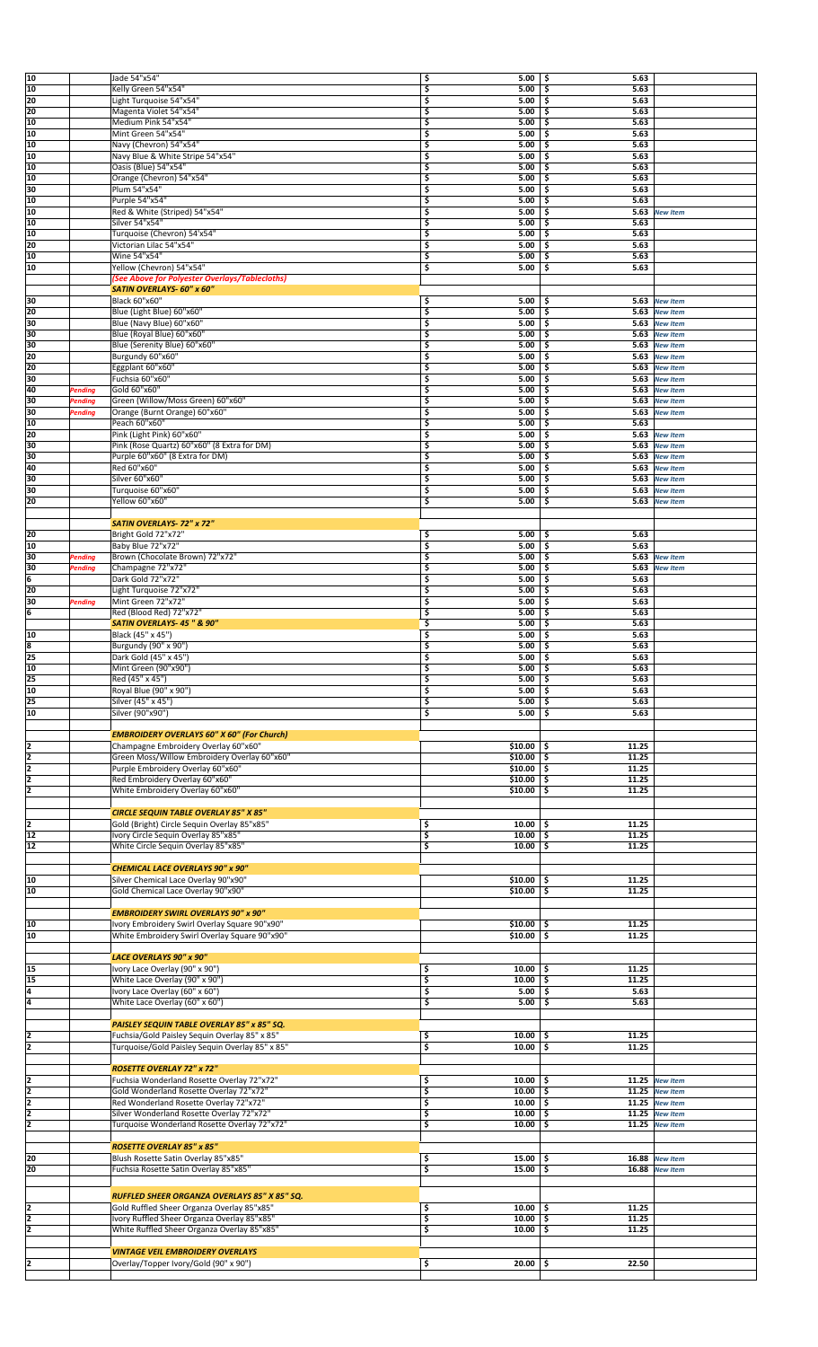| 10              |                | Jade 54"x54"                                                                                     | \$<br>5.00                             | ا \$<br>5.63             |                                  |  |
|-----------------|----------------|--------------------------------------------------------------------------------------------------|----------------------------------------|--------------------------|----------------------------------|--|
| 10<br>20        |                | Kelly Green 54"x54"                                                                              | \$<br>5.00                             | \$<br>5.63               |                                  |  |
| 20              |                | "Light Turquoise 54"x54<br>Magenta Violet 54"x54"                                                | \$<br>5.00<br>\$<br>5.00               | 5.63<br>\$<br>5.63<br>\$ |                                  |  |
| 10              |                | Medium Pink 54"x54"                                                                              | \$<br>5.00                             | \$<br>5.63               |                                  |  |
| 10              |                | Mint Green 54"x54"                                                                               | \$<br>5.00                             | 5.63<br>\$               |                                  |  |
| 10              |                | Navy (Chevron) 54"x54"                                                                           | \$<br>5.00                             | -\$<br>5.63              |                                  |  |
| 10              |                | Navy Blue & White Stripe 54"x54"                                                                 | \$<br>5.00                             | \$<br>5.63               |                                  |  |
| 10<br>10        |                | Oasis (Blue) 54"x54"<br>Orange (Chevron) 54"x54"                                                 | \$<br>5.00<br>\$<br>5.00               | \$<br>5.63<br>\$<br>5.63 |                                  |  |
| 30              |                | Plum 54"x54"                                                                                     | \$<br>5.00                             | 5.63<br>\$               |                                  |  |
| 10              |                | Purple 54"x54"                                                                                   | \$<br>5.00                             | \$<br>5.63               |                                  |  |
| 10              |                | Red & White (Striped) 54"x54"                                                                    | \$<br>5.00                             | \$<br>5.63               | <b>New Item</b>                  |  |
| 10              |                | Silver 54"x54'                                                                                   | \$<br>5.00                             | \$<br>5.63               |                                  |  |
| 10              |                | Turquoise (Chevron) 54'x54"                                                                      | \$<br>5.00                             | 5.63<br>\$.              |                                  |  |
| 20<br>10        |                | Victorian Lilac 54"x54"<br>Wine 54"x54"                                                          | \$<br>5.00<br>\$<br>5.00               | 5.63<br>\$<br>5.63       |                                  |  |
| 10              |                | Yellow (Chevron) 54"x54"                                                                         | \$<br>5.00                             | \$<br>\$<br>5.63         |                                  |  |
|                 |                | (See Above for Polyester Overlays/Tablecloths)                                                   |                                        |                          |                                  |  |
|                 |                | SATIN OVERLAYS- 60" x 60"                                                                        |                                        |                          |                                  |  |
| 30              |                | Black 60"x60"                                                                                    | \$<br>5.00                             | -\$                      | 5.63 New Item                    |  |
| 20              |                | Blue (Light Blue) 60"x60"                                                                        | \$<br>5.00                             | \$                       | 5.63 New Item                    |  |
| 30              |                | Blue (Navy Blue) 60"x60'                                                                         | \$<br>5.00                             | \$                       | 5.63 New Item                    |  |
| 30<br>30        |                | Blue (Royal Blue) 60"x60"<br>Blue (Serenity Blue) 60"x60'                                        | \$<br>5.00<br>\$<br>5.00               | 5.63<br>-\$<br>-\$       | <b>New Item</b><br>5.63 New Item |  |
| 20              |                | Burgundy 60"x60'                                                                                 | \$<br>5.00                             | \$                       | 5.63 New Item                    |  |
| 20              |                | Eggplant 60"x60"                                                                                 | \$<br>5.00                             | \$<br>5.63               | <b>New Item</b>                  |  |
| 30              |                | Fuchsia 60"x60"                                                                                  | \$<br>5.00                             | \$<br>5.63               | <b>New Item</b>                  |  |
| 40              | Pending        | Gold 60"x60"                                                                                     | \$<br>5.00                             | \$<br>5.63               | <b>New Item</b>                  |  |
| 30              | Pending        | Green (Willow/Moss Green) 60"x60"                                                                | \$<br>5.00                             | \$                       | 5.63 New Item                    |  |
| 30              | <b>Pending</b> | Orange (Burnt Orange) 60"x60"                                                                    | \$<br>5.00                             | \$                       | 5.63 New Item                    |  |
| 10              |                | Peach 60"x60'                                                                                    | \$<br>5.00                             | \$<br>5.63               |                                  |  |
| 20              |                | Pink (Light Pink) 60"x60"                                                                        | \$<br>5.00                             | \$                       | 5.63 New Item                    |  |
| 30<br>30        |                | Pink (Rose Quartz) 60"x60" (8 Extra for DM)                                                      | \$<br>5.00                             | \$                       | 5.63 New Item                    |  |
| 40              |                | Purple 60"x60" (8 Extra for DM)<br>Red 60"x60"                                                   | \$<br>5.00<br>\$<br>5.00               | \$<br>\$<br>5.63         | 5.63 New Item<br><b>New Item</b> |  |
| 30              |                | Silver 60"x60"                                                                                   | \$<br>5.00                             | 5.63<br>\$               | <b>New Item</b>                  |  |
| 30              |                | Turquoise 60"x60"                                                                                | \$<br>5.00                             | \$<br>5.63               | <b>New Item</b>                  |  |
| 20              |                | Yellow 60"x60'                                                                                   | \$<br>5.00                             | \$                       | 5.63 New Item                    |  |
|                 |                |                                                                                                  |                                        |                          |                                  |  |
|                 |                | SATIN OVERLAYS-72" x 72"                                                                         |                                        |                          |                                  |  |
| 20              |                | Bright Gold 72"x72"                                                                              | 5.00<br>\$                             | 5.63<br>-\$              |                                  |  |
| 10              |                | Baby Blue 72"x72"                                                                                | \$<br>5.00                             | \$ ا<br>5.63             |                                  |  |
| 30              | Pending        | Brown (Chocolate Brown) 72"x72"                                                                  | \$<br>5.00                             | \$                       | 5.63 New Item                    |  |
| 30<br>6         | Pending        | Champagne 72"x72"                                                                                | \$<br>5.00                             | \$<br>5.63               | <b>New Item</b>                  |  |
| 20              |                | Dark Gold 72"x72"<br>Light Turquoise 72"x72"                                                     | \$<br>5.00<br>\$<br>5.00               | \$<br>5.63<br>5.63<br>\$ |                                  |  |
| 30              | Pending        | Mint Green 72"x72"                                                                               | \$<br>5.00                             | \$<br>5.63               |                                  |  |
| 6               |                | Red (Blood Red) 72"x72"                                                                          | \$<br>5.00                             | \$<br>5.63               |                                  |  |
|                 |                | SATIN OVERLAYS-45" & 90"                                                                         | \$<br>5.00                             | \$<br>5.63               |                                  |  |
| 10              |                | Black (45" x 45")                                                                                | \$<br>5.00                             | 5.63<br>\$.              |                                  |  |
| 8               |                | Burgundy (90" x 90")                                                                             | \$<br>5.00                             | 5.63<br>\$               |                                  |  |
| 25              |                | Dark Gold (45" x 45")                                                                            | \$<br>5.00                             | \$<br>5.63               |                                  |  |
| 10              |                | Mint Green (90"x90")                                                                             | \$<br>5.00                             | \$<br>5.63               |                                  |  |
|                 |                | Red (45" x 45")                                                                                  |                                        |                          |                                  |  |
| $\sqrt{25}$     |                |                                                                                                  | \$<br>$5.00$   \$                      | 5.63                     |                                  |  |
| $\overline{10}$ |                | Royal Blue (90" x 90")                                                                           | \$<br>$5.00$   \$                      | 5.63                     |                                  |  |
| 25              |                | Silver (45" x 45")                                                                               | \$<br>$5.00$   \$                      | 5.63                     |                                  |  |
| 10              |                | Silver (90"x90")                                                                                 | \$<br>$5.00$   \$                      | 5.63                     |                                  |  |
|                 |                |                                                                                                  |                                        |                          |                                  |  |
| 12              |                | <b>EMBROIDERY OVERLAYS 60" X 60" (For Church)</b><br>Champagne Embroidery Overlay 60"x60"        | $$10.00$ \\$                           | 11.25                    |                                  |  |
|                 |                | Green Moss/Willow Embroidery Overlay 60"x60"                                                     | $$10.00$ \$                            | 11.25                    |                                  |  |
| $\frac{2}{2}$   |                | Purple Embroidery Overlay 60"x60"                                                                | $$10.00$ $$$                           | 11.25                    |                                  |  |
| $\overline{2}$  |                | Red Embroidery Overlay 60"x60"                                                                   | $$10.00$ \$                            | 11.25                    |                                  |  |
| ī               |                | White Embroidery Overlay 60"x60"                                                                 | $$10.00$ \\$                           | 11.25                    |                                  |  |
|                 |                |                                                                                                  |                                        |                          |                                  |  |
|                 |                | <b>CIRCLE SEQUIN TABLE OVERLAY 85" X 85"</b>                                                     |                                        |                          |                                  |  |
| $\frac{2}{12}$  |                | Gold (Bright) Circle Sequin Overlay 85"x85"                                                      | $10.00$ \$<br>\$<br>\$<br>$10.00$ \$   | 11.25<br>11.25           |                                  |  |
| 12              |                | Ivory Circle Sequin Overlay 85"x85"<br>White Circle Sequin Overlay 85"x85"                       | \$<br>$10.00$ \$                       | 11.25                    |                                  |  |
|                 |                |                                                                                                  |                                        |                          |                                  |  |
|                 |                | <b>CHEMICAL LACE OVERLAYS 90" x 90"</b>                                                          |                                        |                          |                                  |  |
| 10              |                | Silver Chemical Lace Overlay 90"x90"                                                             | $$10.00$   \$                          | 11.25                    |                                  |  |
| 10              |                | Gold Chemical Lace Overlay 90"x90"                                                               | $$10.00$ \$                            | 11.25                    |                                  |  |
|                 |                |                                                                                                  |                                        |                          |                                  |  |
|                 |                | <b>EMBROIDERY SWIRL OVERLAYS 90" x 90"</b>                                                       |                                        |                          |                                  |  |
| 10              |                | Ivory Embroidery Swirl Overlay Square 90"x90"                                                    | $$10.00$ $$$                           | 11.25<br>11.25           |                                  |  |
| 10              |                | White Embroidery Swirl Overlay Square 90"x90"                                                    | $$10.00$ $$$                           |                          |                                  |  |
|                 |                | LACE OVERLAYS 90" x 90"                                                                          |                                        |                          |                                  |  |
| 15              |                | Ivory Lace Overlay (90" x 90")                                                                   | \$<br>$10.00$   \$                     | 11.25                    |                                  |  |
| 15              |                | White Lace Overlay (90" x 90")                                                                   | \$<br>$10.00$   \$                     | 11.25                    |                                  |  |
| 4               |                | Ivory Lace Overlay (60" x 60")                                                                   | \$<br>$5.00$   \$                      | 5.63                     |                                  |  |
| 4               |                | White Lace Overlay (60" x 60")                                                                   | \$<br>$5.00$   \$                      | 5.63                     |                                  |  |
|                 |                |                                                                                                  |                                        |                          |                                  |  |
|                 |                | PAISLEY SEQUIN TABLE OVERLAY 85" x 85" SQ.                                                       |                                        |                          |                                  |  |
| 2               |                | Fuchsia/Gold Paisley Sequin Overlay 85" x 85"<br>Turquoise/Gold Paisley Sequin Overlay 85" x 85" | \$<br>$10.00$   \$<br>\$<br>$10.00$ \$ | 11.25<br>11.25           |                                  |  |
| 2               |                |                                                                                                  |                                        |                          |                                  |  |
|                 |                | <b>ROSETTE OVERLAY 72" x 72"</b>                                                                 |                                        |                          |                                  |  |
| 2               |                | Fuchsia Wonderland Rosette Overlay 72"x72"                                                       | \$<br>$10.00$ \$                       |                          | 11.25 New Item                   |  |
| ī               |                | Gold Wonderland Rosette Overlay 72"x72"                                                          | \$<br>$10.00$ \$                       |                          | 11.25 New Item                   |  |
| ī               |                | Red Wonderland Rosette Overlay 72"x72"                                                           | \$<br>$10.00$ \$                       |                          | 11.25 New Item                   |  |
| 2               |                | Silver Wonderland Rosette Overlay 72"x72"                                                        | \$<br>$10.00$ \$                       |                          | $11.25$ New Item                 |  |
| 2               |                | Turquoise Wonderland Rosette Overlay 72"x72"                                                     | \$<br>10.00                            | \$<br>11.25              | <b>New Item</b>                  |  |
|                 |                |                                                                                                  |                                        |                          |                                  |  |
|                 |                | <b>ROSETTE OVERLAY 85" x 85"</b>                                                                 |                                        |                          |                                  |  |
| 20<br>20        |                | Blush Rosette Satin Overlay 85"x85"<br>Fuchsia Rosette Satin Overlay 85"x85"                     | \$<br>$15.00$   \$<br>\$<br>15.00      | \$                       | 16.88 New Item<br>16.88 New Item |  |
|                 |                |                                                                                                  |                                        |                          |                                  |  |
|                 |                |                                                                                                  |                                        |                          |                                  |  |
|                 |                | RUFFLED SHEER ORGANZA OVERLAYS 85" X 85" SQ.                                                     | $10.00$   \$                           | 11.25                    |                                  |  |
| 2<br>īz         |                | Gold Ruffled Sheer Organza Overlay 85"x85"<br>Ivory Ruffled Sheer Organza Overlay 85"x85"        | \$<br>3<br>$10.00$ \$                  | 11.25                    |                                  |  |
| 2               |                | White Ruffled Sheer Organza Overlay 85"x85"                                                      | \$<br>10.00                            | \$<br>11.25              |                                  |  |
|                 |                |                                                                                                  |                                        |                          |                                  |  |
|                 |                | <b>VINTAGE VEIL EMBROIDERY OVERLAYS</b>                                                          |                                        |                          |                                  |  |
|                 |                | Overlay/Topper Ivory/Gold (90" x 90")                                                            | $20.00$ \$<br>\$                       | 22.50                    |                                  |  |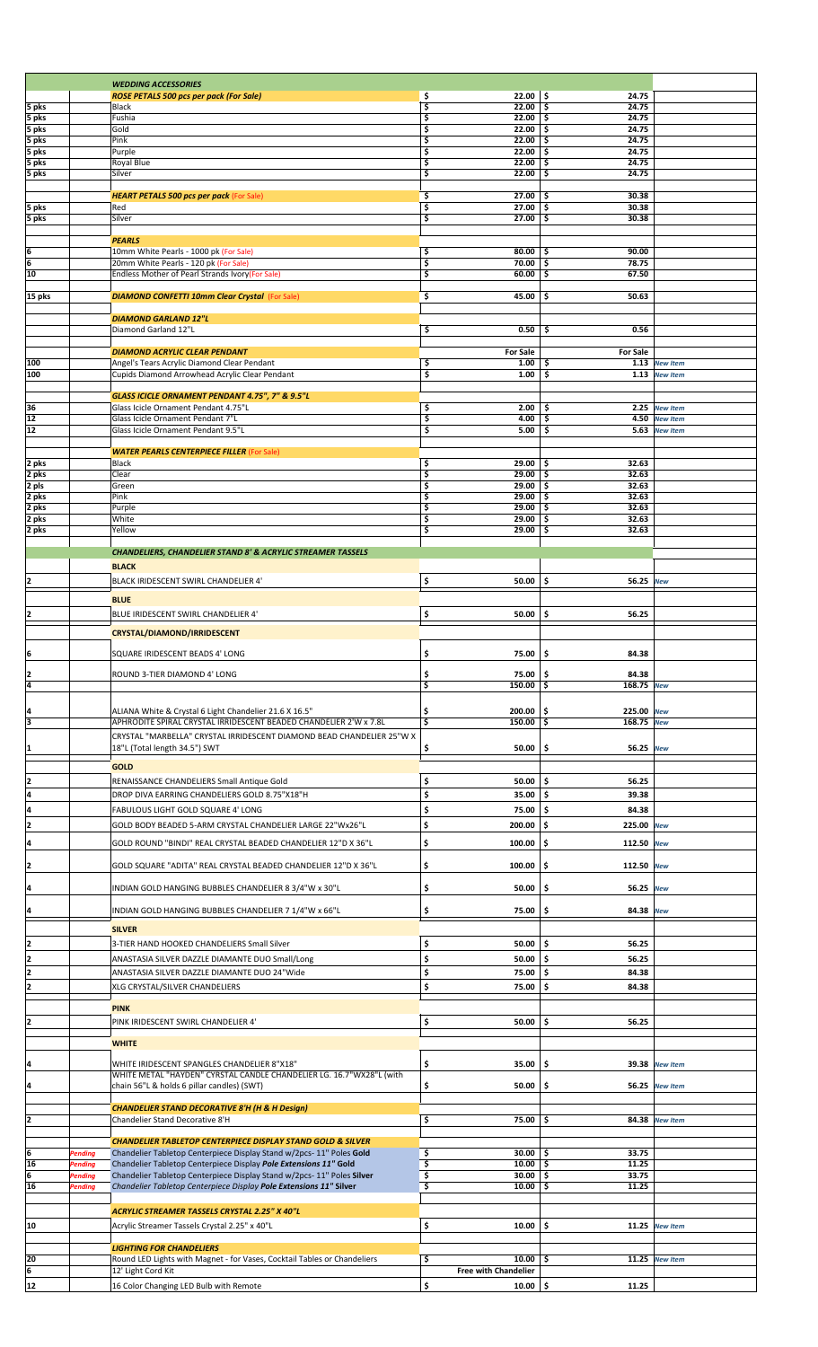|                |                | <b>WEDDING ACCESSORIES</b>                                                                     |          |                             |                             |                  |  |
|----------------|----------------|------------------------------------------------------------------------------------------------|----------|-----------------------------|-----------------------------|------------------|--|
|                |                | <b>ROSE PETALS 500 pcs per pack (For Sale)</b>                                                 | \$       | 22.00                       | \$<br>24.75                 |                  |  |
| 5 pks          |                | Black                                                                                          | \$       | 22.00                       | 24.75<br>\$                 |                  |  |
| 5 pks          |                | Fushia                                                                                         | \$<br>\$ | 22.00<br>22.00              | -\$<br>24.75<br>\$<br>24.75 |                  |  |
| 5 pks          |                | Gold<br>Pink                                                                                   | \$       | 22.00                       | 24.75<br>\$                 |                  |  |
| 5 pks<br>5 pks |                | Purple                                                                                         | \$       | 22.00                       | \$<br>24.75                 |                  |  |
| 5 pks          |                | Royal Blue                                                                                     | \$       | 22.00                       | 24.75<br>\$                 |                  |  |
| 5 pks          |                | Silver                                                                                         | \$       | 22.00                       | \$<br>24.75                 |                  |  |
|                |                |                                                                                                |          |                             |                             |                  |  |
|                |                | <b>HEART PETALS 500 pcs per pack (For Sale)</b>                                                | \$       | 27.00                       | \$<br>30.38                 |                  |  |
| 5 pks          |                | Red                                                                                            | \$       | 27.00                       | 30.38<br>\$                 |                  |  |
| 5 pks          |                | Silver                                                                                         | \$       | 27.00                       | 30.38<br>\$                 |                  |  |
|                |                |                                                                                                |          |                             |                             |                  |  |
|                |                | <b>PEARLS</b>                                                                                  |          |                             |                             |                  |  |
| 6              |                | 10mm White Pearls - 1000 pk (For Sale)                                                         | \$       | 80.00                       | \$<br>90.00                 |                  |  |
| 6              |                | 20mm White Pearls - 120 pk (For Sale)                                                          | \$       | 70.00                       | \$<br>78.75                 |                  |  |
| 10             |                | Endless Mother of Pearl Strands Ivory(For Sale)                                                | \$       | 60.00                       | \$<br>67.50                 |                  |  |
|                |                |                                                                                                |          |                             |                             |                  |  |
| 15 pks         |                | <b>DIAMOND CONFETTI 10mm Clear Crystal (For Sale)</b>                                          | \$       | 45.00                       | \$<br>50.63                 |                  |  |
|                |                |                                                                                                |          |                             |                             |                  |  |
|                |                | <b>DIAMOND GARLAND 12"L</b>                                                                    |          |                             |                             |                  |  |
|                |                | Diamond Garland 12"L                                                                           | \$       | 0.50                        | 0.56<br>\$                  |                  |  |
|                |                |                                                                                                |          |                             |                             |                  |  |
|                |                | <b>DIAMOND ACRYLIC CLEAR PENDANT</b>                                                           |          | <b>For Sale</b>             | <b>For Sale</b>             |                  |  |
| 100            |                | Angel's Tears Acrylic Diamond Clear Pendant                                                    | \$       | 1.00                        | \$                          | 1.13 New Item    |  |
| 100            |                | Cupids Diamond Arrowhead Acrylic Clear Pendant                                                 | \$       | 1.00                        | \$                          | 1.13 New Item    |  |
|                |                |                                                                                                |          |                             |                             |                  |  |
|                |                | GLASS ICICLE ORNAMENT PENDANT 4.75", 7" & 9.5"L                                                |          |                             |                             |                  |  |
| 36             |                | Glass Icicle Ornament Pendant 4.75"L                                                           | \$       | 2.00                        | Ś.<br>2.25                  | <b>New Item</b>  |  |
| 12             |                | Glass Icicle Ornament Pendant 7"L                                                              | \$       | 4.00                        | \$<br>4.50                  | <b>New Item</b>  |  |
| 12             |                | Glass Icicle Ornament Pendant 9.5"L                                                            | \$       | 5.00                        | \$                          | 5.63 New Item    |  |
|                |                |                                                                                                |          |                             |                             |                  |  |
|                |                | <b>WATER PEARLS CENTERPIECE FILLER (For Sale)</b>                                              |          |                             |                             |                  |  |
| 2 pks          |                | Black                                                                                          | \$       | 29.00                       | 32.63<br>ا \$               |                  |  |
| 2 pks          |                | Clear                                                                                          | \$       | 29.00                       | -\$<br>32.63                |                  |  |
| 2 pls          |                | Green                                                                                          | \$       | 29.00                       | -\$<br>32.63                |                  |  |
| 2 pks          |                | Pink                                                                                           | \$       | 29.00                       | \$<br>32.63                 |                  |  |
| 2 pks          |                | Purple                                                                                         | \$       | 29.00                       | 32.63<br>\$                 |                  |  |
| 2 pks          |                | White                                                                                          | \$       | 29.00                       | \$<br>32.63                 |                  |  |
| 2 pks          |                | Yellow                                                                                         | \$       | 29.00                       | \$<br>32.63                 |                  |  |
|                |                |                                                                                                |          |                             |                             |                  |  |
|                |                | CHANDELIERS, CHANDELIER STAND 8' & ACRYLIC STREAMER TASSELS                                    |          |                             |                             |                  |  |
|                |                | <b>BLACK</b>                                                                                   |          |                             |                             |                  |  |
| 2              |                | BLACK IRIDESCENT SWIRL CHANDELIER 4'                                                           | \$       | 50.00                       | \$<br>56.25                 | New              |  |
|                |                |                                                                                                |          |                             |                             |                  |  |
|                |                | <b>BLUE</b>                                                                                    |          |                             |                             |                  |  |
| 2              |                | BLUE IRIDESCENT SWIRL CHANDELIER 4'                                                            | \$       | 50.00                       | \$<br>56.25                 |                  |  |
|                |                |                                                                                                |          |                             |                             |                  |  |
|                |                | CRYSTAL/DIAMOND/IRRIDESCENT                                                                    |          |                             |                             |                  |  |
| ļ6             |                | SQUARE IRIDESCENT BEADS 4' LONG                                                                |          | 75.00                       | \$<br>84.38                 |                  |  |
|                |                |                                                                                                | \$       |                             |                             |                  |  |
| 2              |                | ROUND 3-TIER DIAMOND 4' LONG                                                                   | \$       | $75.00$ \$                  | 84.38                       |                  |  |
| 4              |                |                                                                                                | \$       | 150.00                      | 168.75 New<br>۱\$           |                  |  |
|                |                |                                                                                                |          |                             |                             |                  |  |
|                |                |                                                                                                |          |                             |                             |                  |  |
| 14             |                | ALIANA White & Crystal 6 Light Chandelier 21.6 X 16.5"                                         | \$       | 200.00                      | 225.00 New<br>ا \$          |                  |  |
| Iз             |                | APHRODITE SPIRAL CRYSTAL IRRIDESCENT BEADED CHANDELIER 2'W x 7.8L                              | \$       | $150.00$ \$                 | 168.75 New                  |                  |  |
|                |                | CRYSTAL "MARBELLA" CRYSTAL IRRIDESCENT DIAMOND BEAD CHANDELIER 25"W X                          |          |                             |                             |                  |  |
| 11             |                | 18"L (Total length 34.5") SWT                                                                  | \$       | 50.00                       | \$<br>56.25 New             |                  |  |
|                |                |                                                                                                |          |                             |                             |                  |  |
|                |                | <b>GOLD</b>                                                                                    |          |                             |                             |                  |  |
| 2              |                | RENAISSANCE CHANDELIERS Small Antique Gold                                                     | \$       | 50.00                       | \$<br>56.25                 |                  |  |
| 4              |                | DROP DIVA EARRING CHANDELIERS GOLD 8.75"X18"H                                                  | \$       | 35.00                       | 5 ا<br>39.38                |                  |  |
| ļ4             |                | FABULOUS LIGHT GOLD SQUARE 4' LONG                                                             | \$       | 75.00                       | -\$<br>84.38                |                  |  |
|                |                |                                                                                                |          |                             |                             |                  |  |
| 12             |                | GOLD BODY BEADED 5-ARM CRYSTAL CHANDELIER LARGE 22"Wx26"L                                      | \$       | 200.00                      | ا \$<br>225.00 New          |                  |  |
| ļ4             |                | GOLD ROUND "BINDI" REAL CRYSTAL BEADED CHANDELIER 12"D X 36"L                                  | \$       | 100.00                      | ا \$<br>112.50 New          |                  |  |
|                |                |                                                                                                |          |                             |                             |                  |  |
| 2              |                | GOLD SQUARE "ADITA" REAL CRYSTAL BEADED CHANDELIER 12"D X 36"L                                 | \$       | 100.00                      | \$<br>112.50 New            |                  |  |
|                |                |                                                                                                |          |                             |                             |                  |  |
| I4             |                | INDIAN GOLD HANGING BUBBLES CHANDELIER 8 3/4"W x 30"L                                          | \$       | 50.00                       | \$<br>56.25 New             |                  |  |
|                |                |                                                                                                |          |                             |                             |                  |  |
| 4              |                | INDIAN GOLD HANGING BUBBLES CHANDELIER 7 1/4"W x 66"L                                          | \$       | 75.00                       | \$<br>84.38 New             |                  |  |
|                |                |                                                                                                |          |                             |                             |                  |  |
|                |                | <b>SILVER</b>                                                                                  |          |                             |                             |                  |  |
| 12             |                | 3-TIER HAND HOOKED CHANDELIERS Small Silver                                                    | \$       | 50.00                       | ا \$<br>56.25               |                  |  |
| 2              |                | ANASTASIA SILVER DAZZLE DIAMANTE DUO Small/Long                                                | \$       | $50.00$   \$                | 56.25                       |                  |  |
| 2              |                |                                                                                                | \$       |                             |                             |                  |  |
|                |                | ANASTASIA SILVER DAZZLE DIAMANTE DUO 24"Wide                                                   |          | 75.00                       | \$<br>84.38                 |                  |  |
| 2              |                | XLG CRYSTAL/SILVER CHANDELIERS                                                                 | \$       | 75.00                       | \$<br>84.38                 |                  |  |
|                |                |                                                                                                |          |                             |                             |                  |  |
|                |                | <b>PINK</b>                                                                                    |          |                             |                             |                  |  |
| 12             |                | PINK IRIDESCENT SWIRL CHANDELIER 4'                                                            | \$       | 50.00                       | \$<br>56.25                 |                  |  |
|                |                |                                                                                                |          |                             |                             |                  |  |
|                |                | <b>WHITE</b>                                                                                   |          |                             |                             |                  |  |
| 14             |                | WHITE IRIDESCENT SPANGLES CHANDELIER 8"X18"                                                    | \$       | 35.00                       | 5 ا                         | 39.38 New Item   |  |
|                |                | WHITE METAL "HAYDEN" CYRSTAL CANDLE CHANDELIER LG. 16.7"WX28"L (with                           |          |                             |                             |                  |  |
| l4             |                | chain 56"L & holds 6 pillar candles) (SWT)                                                     | \$       | 50.00                       | \$ ا                        | 56.25 New Item   |  |
|                |                |                                                                                                |          |                             |                             |                  |  |
|                |                | <b>CHANDELIER STAND DECORATIVE 8'H (H &amp; H Design)</b>                                      |          |                             |                             |                  |  |
| 2              |                | Chandelier Stand Decorative 8'H                                                                | \$       | $75.00$ \$                  |                             | 84.38 New Item   |  |
|                |                |                                                                                                |          |                             |                             |                  |  |
|                |                | <b>CHANDELIER TABLETOP CENTERPIECE DISPLAY STAND GOLD &amp; SILVER</b>                         |          |                             |                             |                  |  |
| ļ6             | Pending        | Chandelier Tabletop Centerpiece Display Stand w/2pcs-11" Poles Gold                            | \$       | $30.00$   \$                | 33.75                       |                  |  |
| 16             | <b>Pending</b> | Chandelier Tabletop Centerpiece Display Pole Extensions 11" Gold                               | \$       | $10.00$   \$                | 11.25                       |                  |  |
| 6              | <b>Pending</b> | Chandelier Tabletop Centerpiece Display Stand w/2pcs-11" Poles Silver                          | \$       | $30.00$ \$                  | 33.75                       |                  |  |
| 16             | <b>Pending</b> | Chandelier Tabletop Centerpiece Display Pole Extensions 11" Silver                             | \$       | 10.00                       | \$<br>11.25                 |                  |  |
|                |                |                                                                                                |          |                             |                             |                  |  |
|                |                | ACRYLIC STREAMER TASSELS CRYSTAL 2.25" X 40"L                                                  |          |                             |                             |                  |  |
|                |                |                                                                                                |          |                             |                             |                  |  |
| 10             |                | Acrylic Streamer Tassels Crystal 2.25" x 40"L                                                  | \$       | 10.00                       | \$                          | $11.25$ New Item |  |
|                |                |                                                                                                |          |                             |                             |                  |  |
|                |                | <b>LIGHTING FOR CHANDELIERS</b>                                                                | \$       | 10.00                       | ا \$                        | 11.25 New Item   |  |
| 20             |                | Round LED Lights with Magnet - for Vases, Cocktail Tables or Chandeliers<br>12' Light Cord Kit |          | <b>Free with Chandelier</b> |                             |                  |  |
|                |                |                                                                                                |          |                             |                             |                  |  |
| 12             |                | 16 Color Changing LED Bulb with Remote                                                         | \$       | 10.00                       | 5 ا<br>11.25                |                  |  |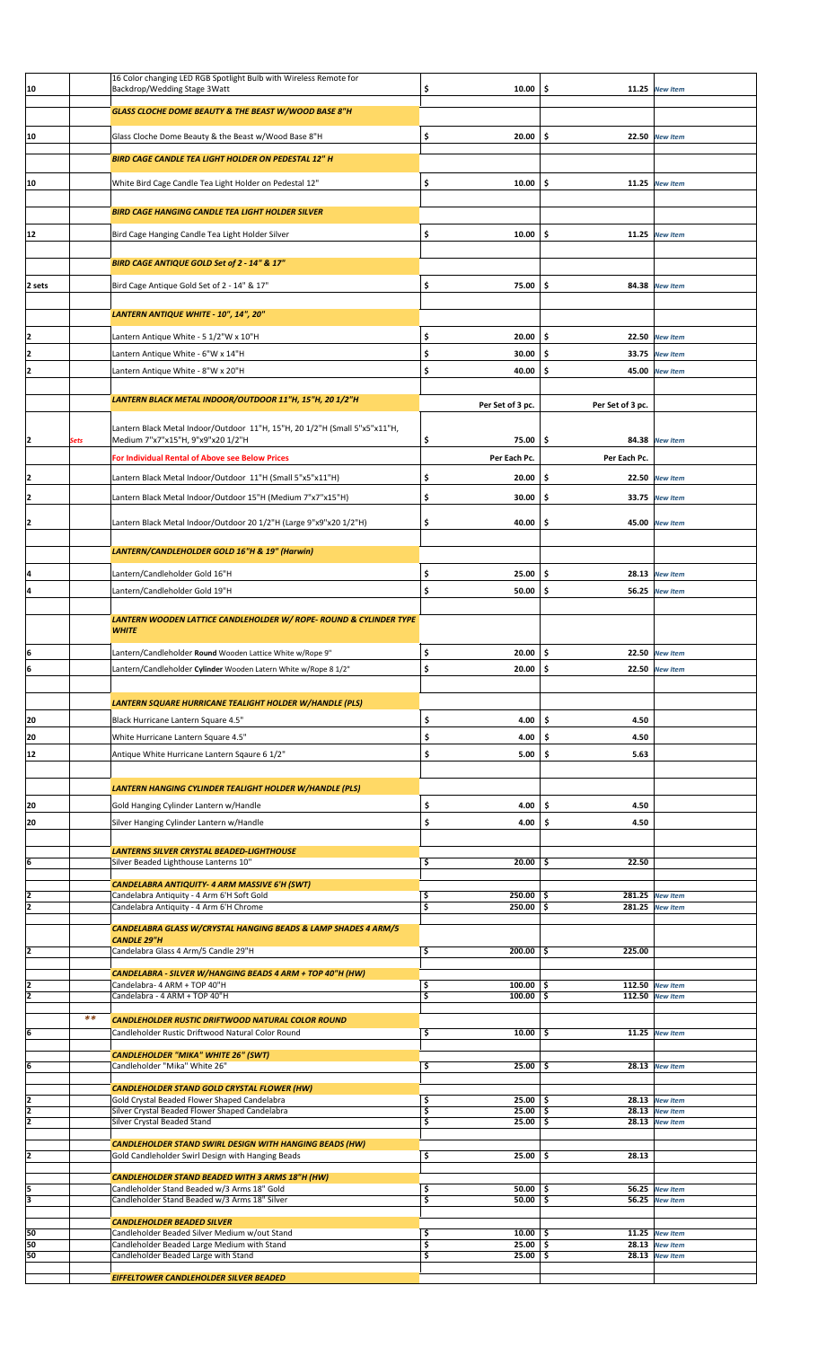|               |       | 16 Color changing LED RGB Spotlight Bulb with Wireless Remote for             |                     |                  |                                    |  |
|---------------|-------|-------------------------------------------------------------------------------|---------------------|------------------|------------------------------------|--|
| 10            |       | Backdrop/Wedding Stage 3Watt                                                  | \$<br>10.00         | \$.<br>11.25     | <b>New Item</b>                    |  |
|               |       |                                                                               |                     |                  |                                    |  |
|               |       | GLASS CLOCHE DOME BEAUTY & THE BEAST W/WOOD BASE 8"H                          |                     |                  |                                    |  |
|               |       |                                                                               |                     |                  |                                    |  |
| 10            |       | Glass Cloche Dome Beauty & the Beast w/Wood Base 8"H                          | \$<br>20.00         | \$               | 22.50 New Item                     |  |
|               |       |                                                                               |                     |                  |                                    |  |
|               |       | BIRD CAGE CANDLE TEA LIGHT HOLDER ON PEDESTAL 12" H                           |                     |                  |                                    |  |
|               |       |                                                                               |                     |                  |                                    |  |
| 10            |       | White Bird Cage Candle Tea Light Holder on Pedestal 12"                       | \$<br>10.00         | \$.<br>11.25     | <b>New Item</b>                    |  |
|               |       |                                                                               |                     |                  |                                    |  |
|               |       |                                                                               |                     |                  |                                    |  |
|               |       | BIRD CAGE HANGING CANDLE TEA LIGHT HOLDER SILVER                              |                     |                  |                                    |  |
| 12            |       | Bird Cage Hanging Candle Tea Light Holder Silver                              | \$<br>10.00         | \$.              | 11.25 New Item                     |  |
|               |       |                                                                               |                     |                  |                                    |  |
|               |       |                                                                               |                     |                  |                                    |  |
|               |       | BIRD CAGE ANTIQUE GOLD Set of 2 - 14" & 17"                                   |                     |                  |                                    |  |
|               |       |                                                                               |                     |                  |                                    |  |
| 2 sets        |       | Bird Cage Antique Gold Set of 2 - 14" & 17"                                   | \$<br>75.00         | \$.<br>84.38     | <b>New Item</b>                    |  |
|               |       |                                                                               |                     |                  |                                    |  |
|               |       | LANTERN ANTIQUE WHITE - 10", 14", 20"                                         |                     |                  |                                    |  |
|               |       |                                                                               |                     |                  |                                    |  |
| 12            |       | Lantern Antique White - 5 1/2"W x 10"H                                        | \$<br>20.00         | \$<br>22.50      | <b>New Item</b>                    |  |
|               |       |                                                                               |                     |                  |                                    |  |
| I2            |       | Lantern Antique White - 6"W x 14"H                                            | \$<br>30.00         | \$.<br>33.75     | <b>New Item</b>                    |  |
| I2            |       | Lantern Antique White - 8"W x 20"H                                            | \$<br>40.00         | \$.<br>45.00     | <b>New Item</b>                    |  |
|               |       |                                                                               |                     |                  |                                    |  |
|               |       |                                                                               |                     |                  |                                    |  |
|               |       | LANTERN BLACK METAL INDOOR/OUTDOOR 11"H, 15"H, 20 1/2"H                       | Per Set of 3 pc.    | Per Set of 3 pc. |                                    |  |
|               |       |                                                                               |                     |                  |                                    |  |
|               |       | Lantern Black Metal Indoor/Outdoor 11"H, 15"H, 20 1/2"H (Small 5"x5"x11"H,    |                     |                  |                                    |  |
| 12            | Sets  | Medium 7"x7"x15"H, 9"x9"x20 1/2"H                                             | \$<br>75.00         | \$               | 84.38 New Item                     |  |
|               |       |                                                                               |                     |                  |                                    |  |
|               |       | For Individual Rental of Above see Below Prices                               | Per Each Pc.        | Per Each Pc.     |                                    |  |
| I2            |       |                                                                               |                     | \$.              |                                    |  |
|               |       | Lantern Black Metal Indoor/Outdoor 11"H (Small 5"x5"x11"H)                    | \$<br>20.00         |                  | 22.50 New Item                     |  |
| I2            |       | Lantern Black Metal Indoor/Outdoor 15"H (Medium 7"x7"x15"H)                   | \$<br>30.00         | \$.              | 33.75 New Item                     |  |
|               |       |                                                                               |                     |                  |                                    |  |
| 12            |       | Lantern Black Metal Indoor/Outdoor 20 1/2"H (Large 9"x9"x20 1/2"H)            | \$<br>40.00         | \$.              | 45.00 New Item                     |  |
|               |       |                                                                               |                     |                  |                                    |  |
|               |       |                                                                               |                     |                  |                                    |  |
|               |       | LANTERN/CANDLEHOLDER GOLD 16"H & 19" (Harwin)                                 |                     |                  |                                    |  |
|               |       |                                                                               |                     |                  |                                    |  |
| 14            |       | Lantern/Candleholder Gold 16"H                                                | \$<br>25.00         | \$.<br>28.13     | <b>New Item</b>                    |  |
| 4             |       |                                                                               | \$                  | \$.              |                                    |  |
|               |       | Lantern/Candleholder Gold 19"H                                                | 50.00               | 56.25            | <b>New Item</b>                    |  |
|               |       |                                                                               |                     |                  |                                    |  |
|               |       | <b>LANTERN WOODEN LATTICE CANDLEHOLDER W/ ROPE- ROUND &amp; CYLINDER TYPE</b> |                     |                  |                                    |  |
|               |       | <b>WHITE</b>                                                                  |                     |                  |                                    |  |
|               |       |                                                                               |                     |                  |                                    |  |
| 6             |       | Lantern/Candleholder Round Wooden Lattice White w/Rope 9"                     | \$<br>20.00         | \$               | 22.50 New Item                     |  |
|               |       | Lantern/Candleholder Cylinder Wooden Latern White w/Rope 8 1/2"               | $20.00$ \$<br>\$    |                  | 22.50 New Item                     |  |
| ĮЬ            |       |                                                                               |                     |                  |                                    |  |
|               |       |                                                                               |                     |                  |                                    |  |
|               |       |                                                                               |                     |                  |                                    |  |
|               |       |                                                                               |                     |                  |                                    |  |
|               |       | LANTERN SQUARE HURRICANE TEALIGHT HOLDER W/HANDLE (PLS)                       |                     |                  |                                    |  |
| 20            |       | Black Hurricane Lantern Square 4.5"                                           | \$<br>4.00          | \$.<br>4.50      |                                    |  |
|               |       |                                                                               |                     |                  |                                    |  |
| 20            |       | White Hurricane Lantern Square 4.5"                                           | \$<br>4.00          | .\$<br>4.50      |                                    |  |
| 12            |       | Antique White Hurricane Lantern Sqaure 6 1/2"                                 | \$<br>5.00          | \$.<br>5.63      |                                    |  |
|               |       |                                                                               |                     |                  |                                    |  |
|               |       |                                                                               |                     |                  |                                    |  |
|               |       | LANTERN HANGING CYLINDER TEALIGHT HOLDER W/HANDLE (PLS)                       |                     |                  |                                    |  |
|               |       |                                                                               |                     |                  |                                    |  |
| 20            |       | Gold Hanging Cylinder Lantern w/Handle                                        | \$<br>4.00          | \$.<br>4.50      |                                    |  |
| 20            |       | Silver Hanging Cylinder Lantern w/Handle                                      | \$<br>4.00          | Ś<br>4.50        |                                    |  |
|               |       |                                                                               |                     |                  |                                    |  |
|               |       | <b>LANTERNS SILVER CRYSTAL BEADED-LIGHTHOUSE</b>                              |                     |                  |                                    |  |
| ļ6            |       | Silver Beaded Lighthouse Lanterns 10"                                         | \$<br>$20.00$   \$  | 22.50            |                                    |  |
|               |       |                                                                               |                     |                  |                                    |  |
|               |       | CANDELABRA ANTIQUITY- 4 ARM MASSIVE 6'H (SWT)                                 |                     |                  |                                    |  |
| 12            |       | Candelabra Antiquity - 4 Arm 6'H Soft Gold                                    | \$<br>$250.00$ \$   |                  | 281.25 New Item                    |  |
| ī             |       | Candelabra Antiquity - 4 Arm 6'H Chrome                                       | \$<br>$250.00$ \$   |                  | 281.25 New Item                    |  |
|               |       |                                                                               |                     |                  |                                    |  |
|               |       | CANDELABRA GLASS W/CRYSTAL HANGING BEADS & LAMP SHADES 4 ARM/5                |                     |                  |                                    |  |
|               |       | <b>CANDLE 29"H</b>                                                            |                     |                  |                                    |  |
| I2            |       | Candelabra Glass 4 Arm/5 Candle 29"H                                          | \$<br>$200.00$ \$   | 225.00           |                                    |  |
|               |       |                                                                               |                     |                  |                                    |  |
|               |       | CANDELABRA - SILVER W/HANGING BEADS 4 ARM + TOP 40"H (HW)                     |                     |                  |                                    |  |
| 12            |       | Candelabra- 4 ARM + TOP 40"H                                                  | \$<br>$100.00$   \$ |                  | 112.50 New Item                    |  |
| 2             |       | Candelabra - 4 ARM + TOP 40"H                                                 | \$<br>$100.00$   \$ |                  | 112.50 New Item                    |  |
|               |       |                                                                               |                     |                  |                                    |  |
|               | $* *$ | CANDLEHOLDER RUSTIC DRIFTWOOD NATURAL COLOR ROUND                             |                     |                  |                                    |  |
| 6             |       | Candleholder Rustic Driftwood Natural Color Round                             | \$<br>10.00         | -\$              | $11.25$ New Item                   |  |
|               |       |                                                                               |                     |                  |                                    |  |
|               |       | <b>CANDLEHOLDER "MIKA" WHITE 26" (SWT)</b>                                    |                     |                  |                                    |  |
| 6             |       | Candleholder "Mika" White 26"                                                 | $25.00$   \$<br>\$  |                  | 28.13 New Item                     |  |
|               |       |                                                                               |                     |                  |                                    |  |
|               |       | <b>CANDLEHOLDER STAND GOLD CRYSTAL FLOWER (HW)</b>                            |                     |                  |                                    |  |
| I2            |       | Gold Crystal Beaded Flower Shaped Candelabra                                  | \$<br>$25.00$   \$  |                  | 28.13 New Item                     |  |
| 12            |       | Silver Crystal Beaded Flower Shaped Candelabra                                | \$<br>$25.00$   \$  |                  | 28.13 New Item                     |  |
| 2             |       | Silver Crystal Beaded Stand                                                   | \$<br>$25.00$   \$  |                  | 28.13 New Item                     |  |
|               |       |                                                                               |                     |                  |                                    |  |
|               |       | <b>CANDLEHOLDER STAND SWIRL DESIGN WITH HANGING BEADS (HW)</b>                |                     |                  |                                    |  |
| 12            |       | Gold Candleholder Swirl Design with Hanging Beads                             | \$<br>$25.00$ \$    | 28.13            |                                    |  |
|               |       |                                                                               |                     |                  |                                    |  |
|               |       | <b>CANDLEHOLDER STAND BEADED WITH 3 ARMS 18"H (HW)</b>                        |                     |                  |                                    |  |
|               |       | Candleholder Stand Beaded w/3 Arms 18" Gold                                   | \$<br>$50.00$   \$  |                  | 56.25 New Item                     |  |
| $\frac{5}{3}$ |       | Candleholder Stand Beaded w/3 Arms 18" Silver                                 | \$<br>$50.00$   \$  | 56.25            | <b>New Item</b>                    |  |
|               |       |                                                                               |                     |                  |                                    |  |
|               |       | <b>CANDLEHOLDER BEADED SILVER</b>                                             |                     |                  |                                    |  |
| 50            |       | Candleholder Beaded Silver Medium w/out Stand                                 | \$<br>$10.00$   \$  |                  | 11.25 New Item                     |  |
| 50            |       | Candleholder Beaded Large Medium with Stand                                   | 3<br>$25.00$   \$   |                  | 28.13 New Item<br>$28.13$ New Item |  |
| 50            |       | Candleholder Beaded Large with Stand                                          | \$<br>25.00         | -\$              |                                    |  |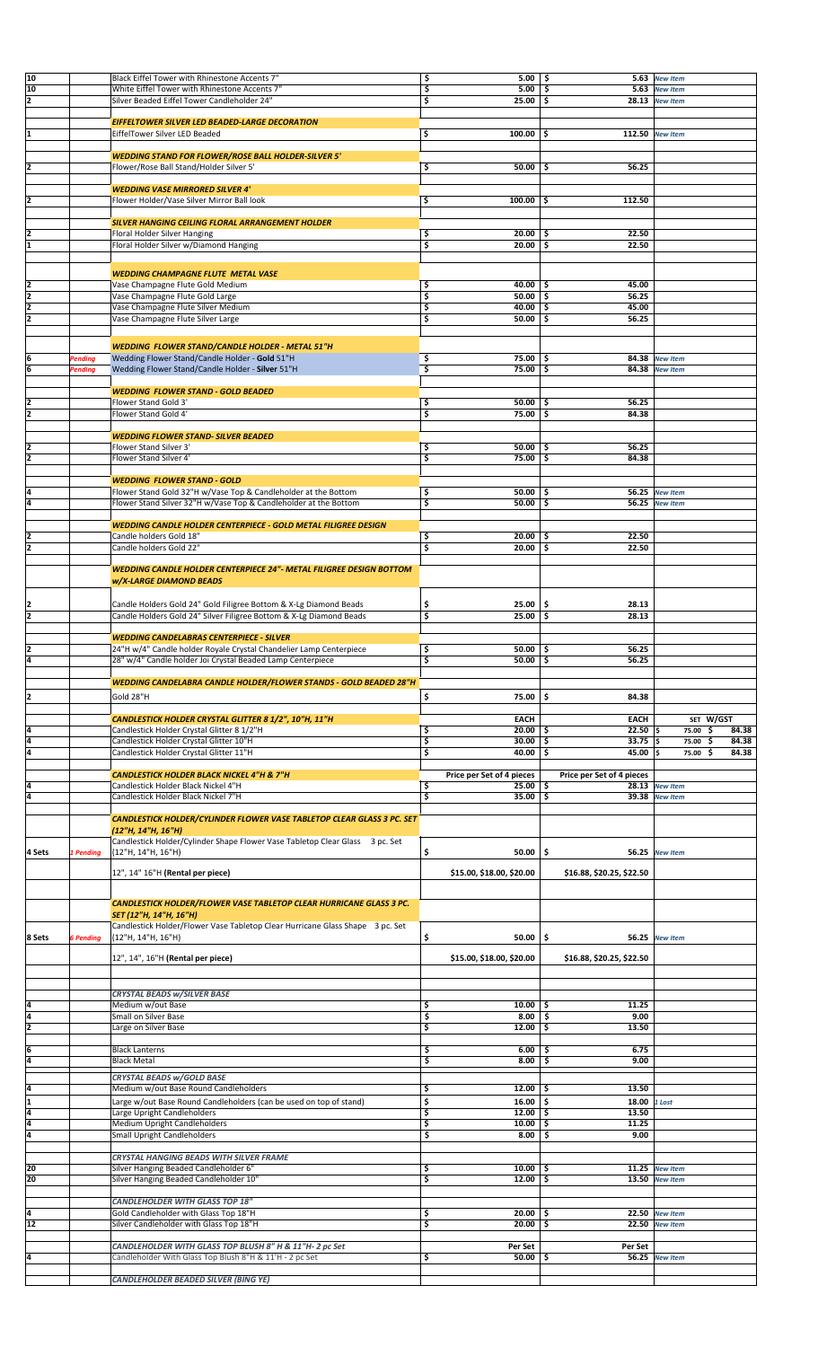| 10              |                  |                                                                               |                           |                           |                  |              |
|-----------------|------------------|-------------------------------------------------------------------------------|---------------------------|---------------------------|------------------|--------------|
|                 |                  | Black Eiffel Tower with Rhinestone Accents 7"                                 | $5.00$   \$<br>\$         |                           | 5.63 New Item    |              |
| 10              |                  | White Eiffel Tower with Rhinestone Accents 7"                                 | \$<br>5.00                | -\$                       | 5.63 New Item    |              |
| 2               |                  | Silver Beaded Eiffel Tower Candleholder 24"                                   | \$<br>25.00               | ا \$                      | $28.13$ New Item |              |
|                 |                  |                                                                               |                           |                           |                  |              |
|                 |                  | EIFFELTOWER SILVER LED BEADED-LARGE DECORATION                                |                           |                           |                  |              |
| ł1              |                  | EiffelTower Silver LED Beaded                                                 | \$<br>100.00              | -\$                       | 112.50 New Item  |              |
|                 |                  |                                                                               |                           |                           |                  |              |
|                 |                  | <b>WEDDING STAND FOR FLOWER/ROSE BALL HOLDER-SILVER 5'</b>                    |                           |                           |                  |              |
| I2              |                  | Flower/Rose Ball Stand/Holder Silver 5'                                       | \$<br>50.00               | 56.25<br>.\$              |                  |              |
|                 |                  |                                                                               |                           |                           |                  |              |
|                 |                  | <b>WEDDING VASE MIRRORED SILVER 4'</b>                                        |                           |                           |                  |              |
| I2              |                  |                                                                               |                           | 112.50                    |                  |              |
|                 |                  | Flower Holder/Vase Silver Mirror Ball look                                    | \$<br>$100.00$   \$       |                           |                  |              |
|                 |                  |                                                                               |                           |                           |                  |              |
|                 |                  | SILVER HANGING CEILING FLORAL ARRANGEMENT HOLDER                              |                           |                           |                  |              |
|                 |                  | Floral Holder Silver Hanging                                                  | \$<br>$20.00$   \$        | 22.50                     |                  |              |
| 1               |                  | Floral Holder Silver w/Diamond Hanging                                        | \$<br>$20.00$ \$          | 22.50                     |                  |              |
|                 |                  |                                                                               |                           |                           |                  |              |
|                 |                  |                                                                               |                           |                           |                  |              |
|                 |                  | <b>WEDDING CHAMPAGNE FLUTE METAL VASE</b>                                     |                           |                           |                  |              |
| 12              |                  | Vase Champagne Flute Gold Medium                                              | \$<br>40.00               | 45.00<br>-\$              |                  |              |
| z               |                  | Vase Champagne Flute Gold Large                                               | \$<br>50.00               | -\$<br>56.25              |                  |              |
| 2               |                  | Vase Champagne Flute Silver Medium                                            | \$<br>40.00               | 45.00<br>\$               |                  |              |
| $\overline{2}$  |                  | Vase Champagne Flute Silver Large                                             | \$<br>50.00               | -\$<br>56.25              |                  |              |
|                 |                  |                                                                               |                           |                           |                  |              |
|                 |                  |                                                                               |                           |                           |                  |              |
|                 |                  | <b>WEDDING FLOWER STAND/CANDLE HOLDER - METAL 51"H</b>                        |                           |                           |                  |              |
| ļ6              | Pending          | Wedding Flower Stand/Candle Holder - Gold 51"H                                | \$<br>$75.00$   \$        |                           | 84.38 New Item   |              |
| 6               | Pending          | Wedding Flower Stand/Candle Holder - Silver 51"H                              | \$<br>$75.00$ \$          |                           | 84.38 New Item   |              |
|                 |                  |                                                                               |                           |                           |                  |              |
|                 |                  | <b>WEDDING FLOWER STAND - GOLD BEADED</b>                                     |                           |                           |                  |              |
| 12              |                  | Flower Stand Gold 3'                                                          | \$<br>$50.00$   \$        | 56.25                     |                  |              |
| 2               |                  | Flower Stand Gold 4'                                                          | \$<br>$75.00$   \$        | 84.38                     |                  |              |
|                 |                  |                                                                               |                           |                           |                  |              |
|                 |                  | <b>WEDDING FLOWER STAND- SILVER BEADED</b>                                    |                           |                           |                  |              |
|                 |                  |                                                                               |                           |                           |                  |              |
| 12              |                  | Flower Stand Silver 3'                                                        | \$<br>$50.00$   \$        | 56.25                     |                  |              |
| īz              |                  | Flower Stand Silver 4'                                                        | \$<br>75.00               | -\$<br>84.38              |                  |              |
|                 |                  |                                                                               |                           |                           |                  |              |
|                 |                  | <b>WEDDING FLOWER STAND - GOLD</b>                                            |                           |                           |                  |              |
| 4               |                  | Flower Stand Gold 32"H w/Vase Top & Candleholder at the Bottom                | \$<br>50.00               | ا \$                      | 56.25 New Item   |              |
| 14              |                  | Flower Stand Silver 32"H w/Vase Top & Candleholder at the Bottom              | \$<br>50.00               | Ŝ.                        | 56.25 New Item   |              |
|                 |                  |                                                                               |                           |                           |                  |              |
|                 |                  | <b>WEDDING CANDLE HOLDER CENTERPIECE - GOLD METAL FILIGREE DESIGN</b>         |                           |                           |                  |              |
| 12              |                  | Candle holders Gold 18"                                                       | \$<br>20.00               | -\$<br>22.50              |                  |              |
| 2               |                  | Candle holders Gold 22"                                                       | \$<br>20.00               | 22.50<br>ا \$             |                  |              |
|                 |                  |                                                                               |                           |                           |                  |              |
|                 |                  |                                                                               |                           |                           |                  |              |
|                 |                  | <b>WEDDING CANDLE HOLDER CENTERPIECE 24"- METAL FILIGREE DESIGN BOTTOM</b>    |                           |                           |                  |              |
|                 |                  | <b>w/X-LARGE DIAMOND BEADS</b>                                                |                           |                           |                  |              |
|                 |                  |                                                                               |                           |                           |                  |              |
|                 |                  | Candle Holders Gold 24" Gold Filigree Bottom & X-Lg Diamond Beads             | \$<br>25.00               | \$<br>28.13               |                  |              |
| $\frac{2}{2}$   |                  | Candle Holders Gold 24" Silver Filigree Bottom & X-Lg Diamond Beads           | \$<br>25.00               | 28.13<br>-\$              |                  |              |
|                 |                  |                                                                               |                           |                           |                  |              |
|                 |                  | <b>WEDDING CANDELABRAS CENTERPIECE - SILVER</b>                               |                           |                           |                  |              |
| 12              |                  | 24"H w/4" Candle holder Royale Crystal Chandelier Lamp Centerpiece            | \$<br>50.00               | 56.25<br>-\$              |                  |              |
| 4               |                  | 28" w/4" Candle holder Joi Crystal Beaded Lamp Centerpiece                    | \$<br>50.00               | 56.25<br>\$               |                  |              |
|                 |                  |                                                                               |                           |                           |                  |              |
|                 |                  |                                                                               |                           |                           |                  |              |
|                 |                  | <b>WEDDING CANDELABRA CANDLE HOLDER/FLOWER STANDS - GOLD BEADED 28"H</b>      |                           |                           |                  |              |
|                 |                  |                                                                               |                           |                           |                  |              |
|                 |                  | Gold 28"H                                                                     | 75.00                     | -\$<br>84.38              |                  |              |
| 2               |                  |                                                                               | \$                        |                           |                  |              |
|                 |                  |                                                                               |                           |                           |                  |              |
|                 |                  | CANDLESTICK HOLDER CRYSTAL GLITTER 8 1/2", 10"H, 11"H                         | <b>EACH</b>               | <b>EACH</b>               |                  | SET W/GST    |
| l4              |                  | Candlestick Holder Crystal Glitter 8 1/2"H                                    | $20.00$ \$<br>\$          | $22.50$   \$              | 75.00 \$         | 84.38        |
| 4               |                  | Candlestick Holder Crystal Glitter 10"H                                       | \$<br>30.00               | \$<br>$33.75$ \$          | 75.00            | ١\$<br>84.38 |
| ī4              |                  | Candlestick Holder Crystal Glitter 11"H                                       | \$<br>40.00               | \$.<br>45.00              | ١s<br>75.00      | \$<br>84.38  |
|                 |                  |                                                                               |                           |                           |                  |              |
|                 |                  | <b>CANDLESTICK HOLDER BLACK NICKEL 4"H &amp; 7"H</b>                          | Price per Set of 4 pieces | Price per Set of 4 pieces |                  |              |
| 14              |                  | Candlestick Holder Black Nickel 4"H                                           | \$<br>25.00               | \$                        | $28.13$ New Item |              |
| 4               |                  | Candlestick Holder Black Nickel 7"H                                           | \$<br>35.00               | \$.                       | 39.38 New Item   |              |
|                 |                  |                                                                               |                           |                           |                  |              |
|                 |                  | <b>CANDLESTICK HOLDER/CYLINDER FLOWER VASE TABLETOP CLEAR GLASS 3 PC. SET</b> |                           |                           |                  |              |
|                 |                  | (12"H, 14"H, 16"H)                                                            |                           |                           |                  |              |
|                 |                  |                                                                               |                           |                           |                  |              |
|                 |                  | Candlestick Holder/Cylinder Shape Flower Vase Tabletop Clear Glass 3 pc. Set  |                           |                           |                  |              |
| 4 Sets          | 1 Pending        | (12"H, 14"H, 16"H)                                                            | \$<br>50.00               | -\$                       | 56.25 New Item   |              |
|                 |                  | 12", 14" 16"H (Rental per piece)                                              | \$15.00, \$18.00, \$20.00 | \$16.88, \$20.25, \$22.50 |                  |              |
|                 |                  |                                                                               |                           |                           |                  |              |
|                 |                  |                                                                               |                           |                           |                  |              |
|                 |                  | <b>CANDLESTICK HOLDER/FLOWER VASE TABLETOP CLEAR HURRICANE GLASS 3 PC.</b>    |                           |                           |                  |              |
|                 |                  | SET (12"H, 14"H, 16"H)                                                        |                           |                           |                  |              |
|                 |                  | Candlestick Holder/Flower Vase Tabletop Clear Hurricane Glass Shape 3 pc. Set |                           |                           |                  |              |
|                 |                  |                                                                               |                           |                           |                  |              |
| 8 Sets          | <b>6 Pending</b> | (12"H, 14"H, 16"H)                                                            | \$<br>50.00               | -\$                       | 56.25 New Item   |              |
|                 |                  |                                                                               | \$15.00, \$18.00, \$20.00 | \$16.88, \$20.25, \$22.50 |                  |              |
|                 |                  | 12", 14", 16"H (Rental per piece)                                             |                           |                           |                  |              |
|                 |                  |                                                                               |                           |                           |                  |              |
|                 |                  |                                                                               |                           |                           |                  |              |
|                 |                  | CRYSTAL BEADS w/SILVER BASE                                                   |                           |                           |                  |              |
| l4              |                  | Medium w/out Base                                                             | \$<br>10.00               | 11.25<br>-\$              |                  |              |
|                 |                  | Small on Silver Base                                                          | \$<br>8.00                | 9.00<br>-\$               |                  |              |
| $\frac{4}{2}$   |                  | Large on Silver Base                                                          | \$<br>12.00               | \$.<br>13.50              |                  |              |
|                 |                  |                                                                               |                           |                           |                  |              |
| 6               |                  | <b>Black Lanterns</b>                                                         | \$<br>6.00                | 6.75<br>\$                |                  |              |
| l4              |                  | <b>Black Metal</b>                                                            | \$<br>8.00                | 9.00<br>\$                |                  |              |
|                 |                  |                                                                               |                           |                           |                  |              |
|                 |                  | CRYSTAL BEADS w/GOLD BASE                                                     |                           |                           |                  |              |
| 4               |                  | Medium w/out Base Round Candleholders                                         | \$<br>12.00               | 13.50<br>-\$              |                  |              |
| I1              |                  | Large w/out Base Round Candleholders (can be used on top of stand)            | \$<br>16.00               | -\$<br>18.00 1 Lost       |                  |              |
| 4               |                  | Large Upright Candleholders                                                   | 12.00                     | -\$<br>13.50              |                  |              |
|                 |                  |                                                                               | \$                        |                           |                  |              |
| ā               |                  | <b>Medium Upright Candleholders</b>                                           | \$<br>10.00               | -\$<br>11.25              |                  |              |
| Ī4              |                  | Small Upright Candleholders                                                   | \$<br>8.00                | -\$<br>9.00               |                  |              |
|                 |                  |                                                                               |                           |                           |                  |              |
|                 |                  | CRYSTAL HANGING BEADS WITH SILVER FRAME                                       |                           |                           |                  |              |
| 20              |                  | Silver Hanging Beaded Candleholder 6"                                         | \$<br>10.00               | -\$                       | $11.25$ New Item |              |
| 20              |                  | Silver Hanging Beaded Candleholder 10"                                        | \$<br>12.00               | -\$                       | 13.50 New Item   |              |
|                 |                  |                                                                               |                           |                           |                  |              |
|                 |                  | <b>CANDLEHOLDER WITH GLASS TOP 18"</b>                                        |                           |                           |                  |              |
| l4              |                  | Gold Candleholder with Glass Top 18"H                                         | \$<br>20.00               | -\$                       | 22.50 New Item   |              |
| $\overline{12}$ |                  | Silver Candleholder with Glass Top 18"H                                       | \$<br>20.00               | \$.                       | 22.50 New Item   |              |
|                 |                  |                                                                               |                           |                           |                  |              |
|                 |                  |                                                                               |                           |                           |                  |              |
|                 |                  | CANDLEHOLDER WITH GLASS TOP BLUSH 8" H & 11"H- 2 pc Set                       | Per Set                   | Per Set                   |                  |              |
| ļ4              |                  | Candleholder With Glass Top Blush 8"H & 11'H - 2 pc Set                       | \$<br>50.00               | .\$                       | 56.25 New Item   |              |
|                 |                  | CANDLEHOLDER BEADED SILVER (BING YE)                                          |                           |                           |                  |              |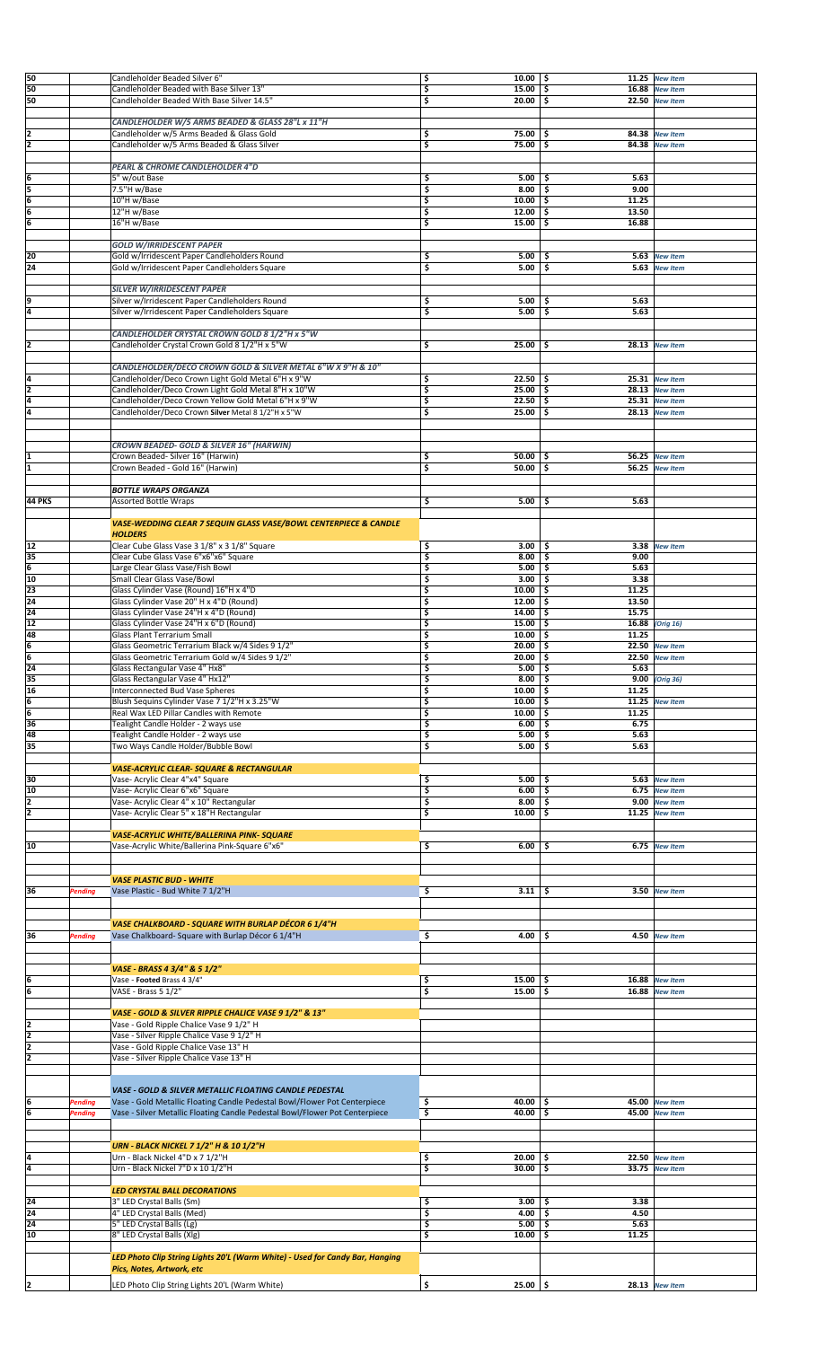| 50              |                    | Candleholder Beaded Silver 6"                                                                                                                            | \$<br>$10.00$   \$ |                    | $11.25$ New Item |  |
|-----------------|--------------------|----------------------------------------------------------------------------------------------------------------------------------------------------------|--------------------|--------------------|------------------|--|
| 50              |                    | Candleholder Beaded with Base Silver 13"                                                                                                                 | \$<br>15.00        | -\$<br>16.88       | <b>New Item</b>  |  |
| 50              |                    | Candleholder Beaded With Base Silver 14.5"                                                                                                               | \$<br>20.00        | -\$                | 22.50 New Item   |  |
|                 |                    |                                                                                                                                                          |                    |                    |                  |  |
|                 |                    | CANDLEHOLDER W/5 ARMS BEADED & GLASS 28"L x 11"H                                                                                                         |                    |                    |                  |  |
| 12              |                    | Candleholder w/5 Arms Beaded & Glass Gold                                                                                                                | 75.00<br>\$        | - \$               | 84.38 New Item   |  |
| 2               |                    | Candleholder w/5 Arms Beaded & Glass Silver                                                                                                              | \$<br>75.00        | -\$                | 84.38 New Item   |  |
|                 |                    |                                                                                                                                                          |                    |                    |                  |  |
|                 |                    | PEARL & CHROME CANDLEHOLDER 4"D                                                                                                                          |                    |                    |                  |  |
| ļ6              |                    | 5" w/out Base                                                                                                                                            | \$<br>5.00         | 5.63<br>-\$        |                  |  |
| Ī5              |                    | 7.5"H w/Base                                                                                                                                             | \$<br>$8.00$   \$  | 9.00               |                  |  |
| $\overline{6}$  |                    | 10"H w/Base                                                                                                                                              | \$<br>10.00        | -\$<br>11.25       |                  |  |
| 6               |                    | 12"H w/Base                                                                                                                                              | \$<br>12.00        | \$<br>13.50        |                  |  |
| 6               |                    | 16"H w/Base                                                                                                                                              | \$<br>15.00        | \$<br>16.88        |                  |  |
|                 |                    |                                                                                                                                                          |                    |                    |                  |  |
|                 |                    | GOLD W/IRRIDESCENT PAPER                                                                                                                                 |                    |                    |                  |  |
| 20              |                    | Gold w/Irridescent Paper Candleholders Round                                                                                                             | \$<br>5.00         | -\$                | 5.63 New Item    |  |
| 24              |                    | Gold w/Irridescent Paper Candleholders Square                                                                                                            | \$<br>5.00         | Ŝ.                 | 5.63 New Item    |  |
|                 |                    |                                                                                                                                                          |                    |                    |                  |  |
| 9               |                    | <b>SILVER W/IRRIDESCENT PAPER</b>                                                                                                                        | \$<br>5.00         | 5.63               |                  |  |
| 4               |                    | Silver w/Irridescent Paper Candleholders Round<br>Silver w/Irridescent Paper Candleholders Square                                                        | \$<br>5.00         | -\$<br>\$.<br>5.63 |                  |  |
|                 |                    |                                                                                                                                                          |                    |                    |                  |  |
|                 |                    | CANDLEHOLDER CRYSTAL CROWN GOLD 8 1/2"H x 5"W                                                                                                            |                    |                    |                  |  |
|                 |                    | Candleholder Crystal Crown Gold 8 1/2"H x 5"W                                                                                                            | \$<br>25.00        | -\$                | 28.13 New Item   |  |
|                 |                    |                                                                                                                                                          |                    |                    |                  |  |
|                 |                    | CANDLEHOLDER/DECO CROWN GOLD & SILVER METAL 6"W X 9"H & 10"                                                                                              |                    |                    |                  |  |
| l4              |                    | Candleholder/Deco Crown Light Gold Metal 6"H x 9"W                                                                                                       | \$<br>22.50        | ا \$               | $25.31$ New Item |  |
| ī               |                    | Candleholder/Deco Crown Light Gold Metal 8"H x 10"W                                                                                                      | \$<br>25.00        | -\$                | $28.13$ New Item |  |
| 4               |                    | Candleholder/Deco Crown Yellow Gold Metal 6"H x 9"W                                                                                                      | \$<br>22.50        | -\$                | 25.31 New Item   |  |
| 4               |                    | Candleholder/Deco Crown Silver Metal 8 1/2"H x 5"W                                                                                                       | \$<br>25.00        | -\$                | 28.13 New Item   |  |
|                 |                    |                                                                                                                                                          |                    |                    |                  |  |
|                 |                    |                                                                                                                                                          |                    |                    |                  |  |
|                 |                    | CROWN BEADED- GOLD & SILVER 16" (HARWIN)                                                                                                                 |                    |                    |                  |  |
|                 |                    | Crown Beaded- Silver 16" (Harwin)                                                                                                                        | \$<br>$50.00$   \$ |                    | 56.25 New Item   |  |
|                 |                    | Crown Beaded - Gold 16" (Harwin)                                                                                                                         | \$<br>50.00        | -\$                | 56.25 New Item   |  |
|                 |                    |                                                                                                                                                          |                    |                    |                  |  |
|                 |                    | <b>BOTTLE WRAPS ORGANZA</b>                                                                                                                              |                    |                    |                  |  |
| <b>44 PKS</b>   |                    | Assorted Bottle Wraps                                                                                                                                    | \$<br>5.00         | \$ ا<br>5.63       |                  |  |
|                 |                    |                                                                                                                                                          |                    |                    |                  |  |
|                 |                    | VASE-WEDDING CLEAR 7 SEQUIN GLASS VASE/BOWL CENTERPIECE & CANDLE                                                                                         |                    |                    |                  |  |
|                 |                    | <b>HOLDERS</b>                                                                                                                                           |                    |                    |                  |  |
| 12              |                    | Clear Cube Glass Vase 3 1/8" x 3 1/8" Square                                                                                                             | \$<br>3.00         | -\$                | 3.38 New Item    |  |
| 35              |                    | Clear Cube Glass Vase 6"x6"x6" Square                                                                                                                    | \$<br>8.00         | -\$<br>9.00        |                  |  |
| 6               |                    | Large Clear Glass Vase/Fish Bowl                                                                                                                         | \$<br>5.00         | Ŝ.<br>5.63         |                  |  |
| 10              |                    | Small Clear Glass Vase/Bowl                                                                                                                              | \$<br>3.00         | 3.38<br>-\$        |                  |  |
| $\overline{23}$ |                    | Glass Cylinder Vase (Round) 16"H x 4"D                                                                                                                   | \$<br>10.00        | -\$<br>11.25       |                  |  |
| 24              |                    | Glass Cylinder Vase 20" H x 4"D (Round)                                                                                                                  | \$<br>12.00        | -\$<br>13.50       |                  |  |
| 24              |                    | Glass Cylinder Vase 24"H x 4"D (Round)                                                                                                                   | \$<br>14.00        | \$.<br>15.75       |                  |  |
| 12              |                    | Glass Cylinder Vase 24"H x 6"D (Round)                                                                                                                   | \$<br>15.00        | \$.                | 16.88 (Orig 16)  |  |
| 48              |                    | Glass Plant Terrarium Small                                                                                                                              | \$<br>10.00        | \$<br>11.25        |                  |  |
| 6               |                    | Glass Geometric Terrarium Black w/4 Sides 9 1/2"                                                                                                         | \$<br>20.00        | -\$                | 22.50 New Item   |  |
| 6               |                    | Glass Geometric Terrarium Gold w/4 Sides 9 1/2"                                                                                                          | \$<br>20.00        | Ŝ                  | 22.50 New Item   |  |
| 24              |                    | Glass Rectangular Vase 4" Hx8"                                                                                                                           | 5.00<br>\$         | 5.63               |                  |  |
| 35              |                    | Glass Rectangular Vase 4" Hx12"                                                                                                                          | \$<br>8.00         | -\$                | 9.00 (Orig 36)   |  |
| 16              |                    | Interconnected Bud Vase Spheres                                                                                                                          | \$<br>10.00        | 11.25<br>-\$       |                  |  |
| 6               |                    | Blush Sequins Cylinder Vase 7 1/2"H x 3.25"W                                                                                                             | \$<br>10.00        | 11.25<br>-\$       | <b>New Item</b>  |  |
| 6               |                    | Real Wax LED Pillar Candles with Remote                                                                                                                  | \$<br>10.00        | 11.25<br>\$.       |                  |  |
| 36              |                    | Tealight Candle Holder - 2 ways use                                                                                                                      | \$<br>6.00         | 6.75<br>\$.        |                  |  |
| 48              |                    | Tealight Candle Holder - 2 ways use                                                                                                                      | \$<br>5.00         | 5.63<br>-\$        |                  |  |
| 35              |                    | Two Ways Candle Holder/Bubble Bowl                                                                                                                       | \$<br>5.00         | \$.<br>5.63        |                  |  |
|                 |                    |                                                                                                                                                          |                    |                    |                  |  |
|                 |                    | <b>VASE-ACRYLIC CLEAR- SQUARE &amp; RECTANGULAR</b>                                                                                                      |                    |                    |                  |  |
| 30<br>10        |                    | Vase- Acrylic Clear 4"x4" Square                                                                                                                         | \$<br>5.00         | -\$                | 5.63 New Item    |  |
| 2               |                    | Vase- Acrylic Clear 6"x6" Square                                                                                                                         | \$<br>6.00<br>\$   | ۱s                 | 6.75 New Item    |  |
| 2               |                    | Vase- Acrylic Clear 4" x 10" Rectangular                                                                                                                 | 8.00               | -\$                | 9.00 New Item    |  |
|                 |                    | Vase- Acrylic Clear 5" x 18"H Rectangular                                                                                                                | \$<br>10.00        | -\$                | 11.25 New Item   |  |
|                 |                    |                                                                                                                                                          |                    |                    |                  |  |
|                 |                    | VASE-ACRYLIC WHITE/BALLERINA PINK-SQUARE                                                                                                                 |                    |                    |                  |  |
| 10              |                    | Vase-Acrylic White/Ballerina Pink-Square 6"x6"                                                                                                           | \$<br>6.00         | -\$                | 6.75 New Item    |  |
|                 |                    |                                                                                                                                                          |                    |                    |                  |  |
|                 |                    | <b>VASE PLASTIC BUD - WHITE</b>                                                                                                                          |                    |                    |                  |  |
| 36              | Pending            | Vase Plastic - Bud White 7 1/2"H                                                                                                                         | \$<br>$3.11$   \$  |                    | 3.50 New Item    |  |
|                 |                    |                                                                                                                                                          |                    |                    |                  |  |
|                 |                    |                                                                                                                                                          |                    |                    |                  |  |
|                 |                    | VASE CHALKBOARD - SQUARE WITH BURLAP DÉCOR 6 1/4"H                                                                                                       |                    |                    |                  |  |
| 36              | Pending            | Vase Chalkboard- Square with Burlap Décor 6 1/4"H                                                                                                        | \$<br>4.00         | -\$                | 4.50 New Item    |  |
|                 |                    |                                                                                                                                                          |                    |                    |                  |  |
|                 |                    |                                                                                                                                                          |                    |                    |                  |  |
|                 |                    | VASE - BRASS 4 3/4" & 5 1/2"                                                                                                                             |                    |                    |                  |  |
| ļ6              |                    | Vase - Footed Brass 4 3/4"                                                                                                                               | \$<br>15.00        | -\$                | 16.88 New Item   |  |
| le              |                    | VASE - Brass 5 1/2"                                                                                                                                      | \$<br>15.00        | -\$                | 16.88 New Item   |  |
|                 |                    |                                                                                                                                                          |                    |                    |                  |  |
|                 |                    | VASE - GOLD & SILVER RIPPLE CHALICE VASE 9 1/2" & 13"                                                                                                    |                    |                    |                  |  |
| I2              |                    | Vase - Gold Ripple Chalice Vase 9 1/2" H                                                                                                                 |                    |                    |                  |  |
| 2               |                    | Vase - Silver Ripple Chalice Vase 9 1/2" H                                                                                                               |                    |                    |                  |  |
| 2               |                    | Vase - Gold Ripple Chalice Vase 13" H                                                                                                                    |                    |                    |                  |  |
| 2               |                    | Vase - Silver Ripple Chalice Vase 13" H                                                                                                                  |                    |                    |                  |  |
|                 |                    |                                                                                                                                                          |                    |                    |                  |  |
|                 |                    | VASE - GOLD & SILVER METALLIC FLOATING CANDLE PEDESTAL                                                                                                   |                    |                    |                  |  |
| 6               |                    |                                                                                                                                                          | \$<br>40.00        | -\$                | 45.00 New Item   |  |
| 6               | Pending<br>Pending | Vase - Gold Metallic Floating Candle Pedestal Bowl/Flower Pot Centerpiece<br>Vase - Silver Metallic Floating Candle Pedestal Bowl/Flower Pot Centerpiece | \$<br>40.00        | \$                 | 45.00 New Item   |  |
|                 |                    |                                                                                                                                                          |                    |                    |                  |  |
|                 |                    |                                                                                                                                                          |                    |                    |                  |  |
|                 |                    | URN - BLACK NICKEL 7 1/2" H & 10 1/2"H                                                                                                                   |                    |                    |                  |  |
| 4               |                    | Urn - Black Nickel 4"D x 7 1/2"H                                                                                                                         | \$<br>20.00        | -\$                | $22.50$ New Item |  |
| 4               |                    | Urn - Black Nickel 7"D x 10 1/2"H                                                                                                                        | \$<br>30.00        | -\$                | 33.75 New Item   |  |
|                 |                    |                                                                                                                                                          |                    |                    |                  |  |
|                 |                    | LED CRYSTAL BALL DECORATIONS                                                                                                                             |                    |                    |                  |  |
| 24              |                    | 3" LED Crystal Balls (Sm)                                                                                                                                | \$<br>3.00         | 3.38<br>\$.        |                  |  |
| 24              |                    | 4" LED Crystal Balls (Med)                                                                                                                               | \$<br>4.00         | \$.<br>4.50        |                  |  |
| 24              |                    | 5" LED Crystal Balls (Lg)                                                                                                                                | \$<br>5.00         | 5.63<br>\$         |                  |  |
| 10              |                    | 8" LED Crystal Balls (Xlg)                                                                                                                               | \$<br>10.00        | -\$<br>11.25       |                  |  |
|                 |                    |                                                                                                                                                          |                    |                    |                  |  |
|                 |                    | LED Photo Clip String Lights 20'L (Warm White) - Used for Candy Bar, Hanging                                                                             |                    |                    |                  |  |
|                 |                    | Pics, Notes, Artwork, etc                                                                                                                                |                    |                    |                  |  |
|                 |                    |                                                                                                                                                          |                    |                    |                  |  |
| 12              |                    | LED Photo Clip String Lights 20'L (Warm White)                                                                                                           | \$<br>$25.00$ \$   |                    | 28.13 New Item   |  |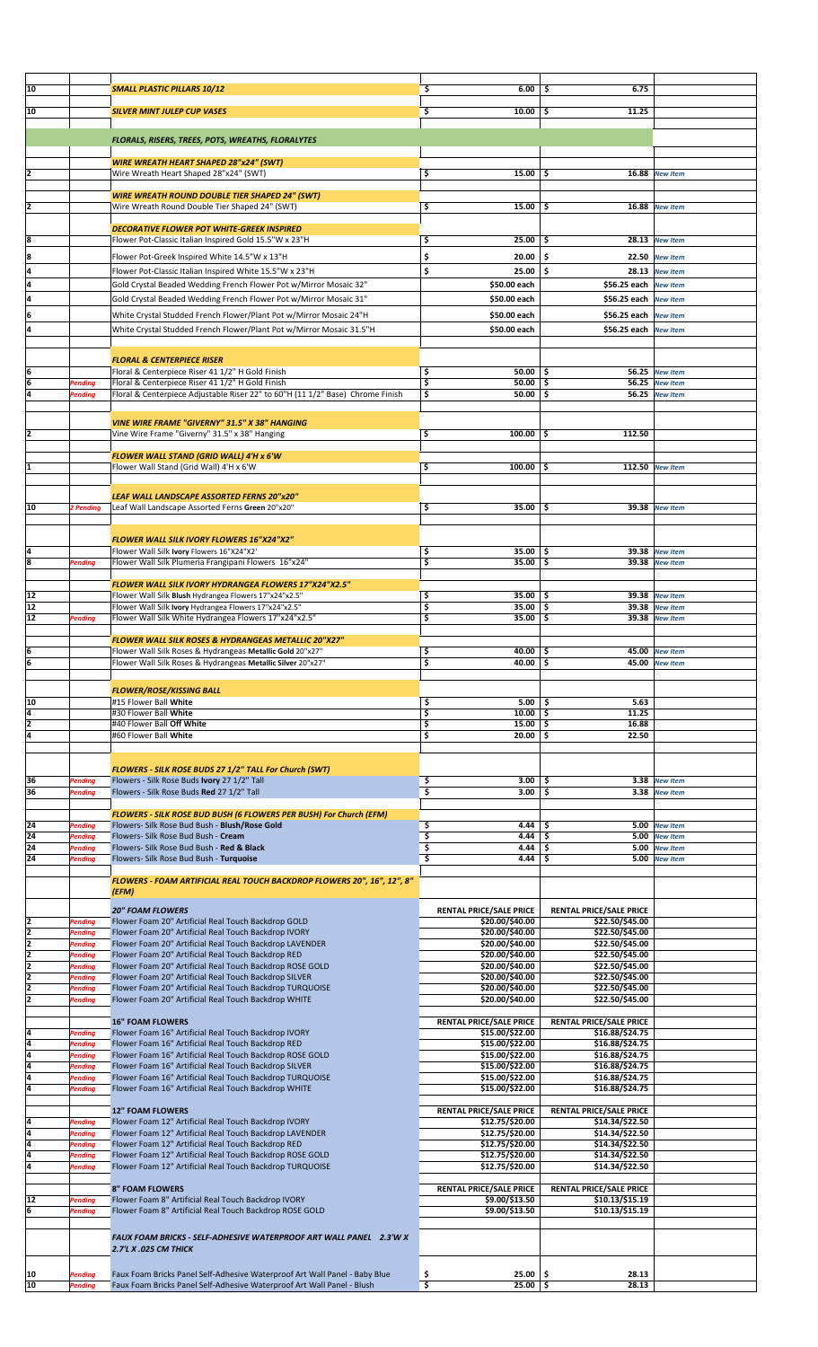| 10                  |                    | <b>SMALL PLASTIC PILLARS 10/12</b>                                                                              | 6.00<br>\$.                                       | 6.75<br>-S                                        |                                    |  |
|---------------------|--------------------|-----------------------------------------------------------------------------------------------------------------|---------------------------------------------------|---------------------------------------------------|------------------------------------|--|
|                     |                    |                                                                                                                 |                                                   |                                                   |                                    |  |
| 10                  |                    | <b>SILVER MINT JULEP CUP VASES</b>                                                                              | \$<br>10.00                                       | 11.25<br>\$                                       |                                    |  |
|                     |                    |                                                                                                                 |                                                   |                                                   |                                    |  |
|                     |                    | FLORALS, RISERS, TREES, POTS, WREATHS, FLORALYTES                                                               |                                                   |                                                   |                                    |  |
|                     |                    |                                                                                                                 |                                                   |                                                   |                                    |  |
|                     |                    | <b>WIRE WREATH HEART SHAPED 28"x24" (SWT)</b>                                                                   |                                                   |                                                   |                                    |  |
| 12                  |                    | Wire Wreath Heart Shaped 28"x24" (SWT)                                                                          | \$<br>$15.00$   \$                                |                                                   | 16.88 New Item                     |  |
|                     |                    |                                                                                                                 |                                                   |                                                   |                                    |  |
|                     |                    | <b>WIRE WREATH ROUND DOUBLE TIER SHAPED 24" (SWT)</b>                                                           |                                                   |                                                   |                                    |  |
| 12                  |                    | Wire Wreath Round Double Tier Shaped 24" (SWT)                                                                  | \$<br>$15.00$ \$                                  |                                                   | 16.88 New Item                     |  |
|                     |                    |                                                                                                                 |                                                   |                                                   |                                    |  |
|                     |                    | <b>DECORATIVE FLOWER POT WHITE-GREEK INSPIRED</b>                                                               |                                                   |                                                   |                                    |  |
| 8                   |                    | Flower Pot-Classic Italian Inspired Gold 15.5"W x 23"H                                                          | \$<br>25.00                                       | \$                                                | $28.13$ New Item                   |  |
| 8                   |                    | Flower Pot-Greek Inspired White 14.5"W x 13"H                                                                   | \$<br>20.00                                       | -\$                                               | 22.50 New Item                     |  |
| 4                   |                    | Flower Pot-Classic Italian Inspired White 15.5"W x 23"H                                                         | \$<br>25.00                                       | \$.<br>28.13                                      | <b>New Item</b>                    |  |
| 4                   |                    | Gold Crystal Beaded Wedding French Flower Pot w/Mirror Mosaic 32"                                               | \$50.00 each                                      | \$56.25 each New Item                             |                                    |  |
| 4                   |                    | Gold Crystal Beaded Wedding French Flower Pot w/Mirror Mosaic 31"                                               | \$50.00 each                                      | \$56.25 each New Item                             |                                    |  |
| 6                   |                    | White Crystal Studded French Flower/Plant Pot w/Mirror Mosaic 24"H                                              | \$50.00 each                                      | \$56.25 each                                      | <b>New Item</b>                    |  |
| 4                   |                    |                                                                                                                 |                                                   |                                                   |                                    |  |
|                     |                    | White Crystal Studded French Flower/Plant Pot w/Mirror Mosaic 31.5"H                                            | \$50.00 each                                      | \$56.25 each                                      | <b>New Item</b>                    |  |
|                     |                    |                                                                                                                 |                                                   |                                                   |                                    |  |
|                     |                    | <b>FLORAL &amp; CENTERPIECE RISER</b>                                                                           |                                                   |                                                   |                                    |  |
| 6                   |                    | Floral & Centerpiece Riser 41 1/2" H Gold Finish                                                                | \$<br>50.00                                       | -\$                                               | 56.25 New Item                     |  |
| $6\phantom{a}$      | Pending            | Floral & Centerpiece Riser 41 1/2" H Gold Finish                                                                | \$<br>50.00                                       | -\$                                               | 56.25 New Item                     |  |
| 4                   | Pending            | Floral & Centerpiece Adjustable Riser 22" to 60"H (11 1/2" Base) Chrome Finish                                  | \$<br>$50.00$   \$                                | 56.25                                             | <b>New Item</b>                    |  |
|                     |                    |                                                                                                                 |                                                   |                                                   |                                    |  |
|                     |                    | <b>VINE WIRE FRAME "GIVERNY" 31.5" X 38" HANGING</b>                                                            |                                                   |                                                   |                                    |  |
|                     |                    | Vine Wire Frame "Giverny" 31.5" x 38" Hanging                                                                   | \$<br>$100.00$ \$                                 | 112.50                                            |                                    |  |
|                     |                    |                                                                                                                 |                                                   |                                                   |                                    |  |
| 1                   |                    | FLOWER WALL STAND (GRID WALL) 4'H x 6'W                                                                         | \$<br>$100.00$   \$                               |                                                   | 112.50 New Item                    |  |
|                     |                    | Flower Wall Stand (Grid Wall) 4'H x 6'W                                                                         |                                                   |                                                   |                                    |  |
|                     |                    |                                                                                                                 |                                                   |                                                   |                                    |  |
|                     |                    | LEAF WALL LANDSCAPE ASSORTED FERNS 20"x20"                                                                      |                                                   |                                                   |                                    |  |
| 10                  | 2 Pending          | Leaf Wall Landscape Assorted Ferns Green 20"x20"                                                                | \$<br>$35.00$   \$                                |                                                   | 39.38 New Item                     |  |
|                     |                    |                                                                                                                 |                                                   |                                                   |                                    |  |
|                     |                    | FLOWER WALL SILK IVORY FLOWERS 16"X24"X2"                                                                       |                                                   |                                                   |                                    |  |
| l4                  |                    | Flower Wall Silk Ivory Flowers 16"X24"X2'                                                                       | $35.00$   \$<br>\$                                |                                                   | 39.38 New Item                     |  |
| 8                   | Pending            | Flower Wall Silk Plumeria Frangipani Flowers 16"x24"                                                            | \$<br>35.00                                       | \$.                                               | 39.38 New Item                     |  |
|                     |                    |                                                                                                                 |                                                   |                                                   |                                    |  |
|                     |                    | FLOWER WALL SILK IVORY HYDRANGEA FLOWERS 17"X24"X2.5"                                                           |                                                   |                                                   |                                    |  |
| 12                  |                    | Flower Wall Silk Blush Hydrangea Flowers 17"x24"x2.5"                                                           | \$<br>$35.00$   \$                                |                                                   | 39.38 New Item                     |  |
| 12                  |                    | Flower Wall Silk Ivory Hydrangea Flowers 17"x24"x2.5"                                                           | \$<br>35.00                                       | -\$                                               | 39.38 New Item                     |  |
| 12                  | Pending            | Flower Wall Silk White Hydrangea Flowers 17"x24"x2.5"                                                           | \$<br>35.00 \$                                    |                                                   | 39.38 New Item                     |  |
|                     |                    | FLOWER WALL SILK ROSES & HYDRANGEAS METALLIC 20"X27"                                                            |                                                   |                                                   |                                    |  |
| ļ6                  |                    | Flower Wall Silk Roses & Hydrangeas Metallic Gold 20"x27"                                                       | \$<br>40.00 \$                                    |                                                   | 45.00 New Item                     |  |
| ļ6                  |                    | Flower Wall Silk Roses & Hydrangeas Metallic Silver 20"x27"                                                     | \$<br>40.00 \$                                    |                                                   | 45.00 New Item                     |  |
|                     |                    |                                                                                                                 |                                                   |                                                   |                                    |  |
|                     |                    | <b>FLOWER/ROSE/KISSING BALL</b>                                                                                 |                                                   |                                                   |                                    |  |
| 10                  |                    | #15 Flower Ball White                                                                                           | \$<br>5.00                                        | 5.63<br>-\$                                       |                                    |  |
| 4                   |                    | #30 Flower Ball White                                                                                           | \$<br>10.00                                       | \$<br>11.25                                       |                                    |  |
| 2                   |                    | #40 Flower Ball Off White                                                                                       | \$<br>15.00                                       | \$<br>16.88                                       |                                    |  |
| l4                  |                    | #60 Flower Ball White                                                                                           | \$<br>20.00                                       | \$<br>22.50                                       |                                    |  |
|                     |                    |                                                                                                                 |                                                   |                                                   |                                    |  |
|                     |                    |                                                                                                                 |                                                   |                                                   |                                    |  |
|                     |                    | FLOWERS - SILK ROSE BUDS 27 1/2" TALL For Church (SWT)                                                          | 3.00                                              | \$<br>3.38                                        |                                    |  |
| 36<br>36            | Pending<br>Pending | Flowers - Silk Rose Buds Ivory 27 1/2" Tall<br>Flowers - Silk Rose Buds Red 27 1/2" Tall                        | \$<br>\$<br>3.00                                  | \$<br>3.38                                        | <b>New Item</b><br><b>New Item</b> |  |
|                     |                    |                                                                                                                 |                                                   |                                                   |                                    |  |
|                     |                    | FLOWERS - SILK ROSE BUD BUSH (6 FLOWERS PER BUSH) For Church (EFM)                                              |                                                   |                                                   |                                    |  |
| 24                  | Pending            | Flowers- Silk Rose Bud Bush - Blush/Rose Gold                                                                   | \$<br>4.44                                        | \$<br>5.00                                        | <b>New Item</b>                    |  |
| 24                  | Pending            | Flowers- Silk Rose Bud Bush - Cream                                                                             | \$<br>4.44                                        | \$<br>5.00                                        | <b>New Item</b>                    |  |
| 24                  | Pending            | Flowers- Silk Rose Bud Bush - Red & Black                                                                       | \$<br>4.44                                        | \$<br>5.00                                        | <b>New Item</b>                    |  |
| 24                  | Pending            | Flowers- Silk Rose Bud Bush - Turquoise                                                                         | \$<br>4.44                                        | \$<br>5.00                                        | <b>New Item</b>                    |  |
|                     |                    | FLOWERS - FOAM ARTIFICIAL REAL TOUCH BACKDROP FLOWERS 20", 16", 12", 8"                                         |                                                   |                                                   |                                    |  |
|                     |                    | (EFM)                                                                                                           |                                                   |                                                   |                                    |  |
|                     |                    |                                                                                                                 |                                                   |                                                   |                                    |  |
|                     |                    | <b>20" FOAM FLOWERS</b>                                                                                         | <b>RENTAL PRICE/SALE PRICE</b>                    | RENTAL PRICE/SALE PRICE                           |                                    |  |
| 2<br>$\overline{2}$ | Pending            | Flower Foam 20" Artificial Real Touch Backdrop GOLD                                                             | \$20.00/\$40.00<br>\$20.00/\$40.00                | \$22.50/\$45.00                                   |                                    |  |
| 2                   | Pending<br>Pending | Flower Foam 20" Artificial Real Touch Backdrop IVORY<br>Flower Foam 20" Artificial Real Touch Backdrop LAVENDER | \$20.00/\$40.00                                   | \$22.50/\$45.00<br>\$22.50/\$45.00                |                                    |  |
| 2                   | Pending            | Flower Foam 20" Artificial Real Touch Backdrop RED                                                              | \$20.00/\$40.00                                   | \$22.50/\$45.00                                   |                                    |  |
| $\overline{2}$      | Pending            | Flower Foam 20" Artificial Real Touch Backdrop ROSE GOLD                                                        | \$20.00/\$40.00                                   | \$22.50/\$45.00                                   |                                    |  |
| 2                   | Pending            | Flower Foam 20" Artificial Real Touch Backdrop SILVER                                                           | \$20.00/\$40.00                                   | \$22.50/\$45.00                                   |                                    |  |
| 2                   | Pending            | Flower Foam 20" Artificial Real Touch Backdrop TURQUOISE                                                        | \$20.00/\$40.00                                   | \$22.50/\$45.00                                   |                                    |  |
| 2                   | Pending            | Flower Foam 20" Artificial Real Touch Backdrop WHITE                                                            | \$20.00/\$40.00                                   | \$22.50/\$45.00                                   |                                    |  |
|                     |                    |                                                                                                                 |                                                   |                                                   |                                    |  |
| 4                   | Pending            | <b>16" FOAM FLOWERS</b><br>Flower Foam 16" Artificial Real Touch Backdrop IVORY                                 | <b>RENTAL PRICE/SALE PRICE</b><br>\$15.00/\$22.00 | <b>RENTAL PRICE/SALE PRICE</b><br>\$16.88/\$24.75 |                                    |  |
| 4                   | Pending            | Flower Foam 16" Artificial Real Touch Backdrop RED                                                              | \$15.00/\$22.00                                   | \$16.88/\$24.75                                   |                                    |  |
| 4                   | Pending            | Flower Foam 16" Artificial Real Touch Backdrop ROSE GOLD                                                        | \$15.00/\$22.00                                   | \$16.88/\$24.75                                   |                                    |  |
| 4                   | Pending            | Flower Foam 16" Artificial Real Touch Backdrop SILVER                                                           | \$15.00/\$22.00                                   | \$16.88/\$24.75                                   |                                    |  |
| 4                   | Pending            | Flower Foam 16" Artificial Real Touch Backdrop TURQUOISE                                                        | \$15.00/\$22.00                                   | \$16.88/\$24.75                                   |                                    |  |
| 4                   | Pending            | Flower Foam 16" Artificial Real Touch Backdrop WHITE                                                            | \$15.00/\$22.00                                   | \$16.88/\$24.75                                   |                                    |  |
|                     |                    |                                                                                                                 |                                                   |                                                   |                                    |  |
| 4                   | Pending            | <b>12" FOAM FLOWERS</b><br>Flower Foam 12" Artificial Real Touch Backdrop IVORY                                 | <b>RENTAL PRICE/SALE PRICE</b><br>\$12.75/\$20.00 | <b>RENTAL PRICE/SALE PRICE</b><br>\$14.34/\$22.50 |                                    |  |
| 4                   | Pending            | Flower Foam 12" Artificial Real Touch Backdrop LAVENDER                                                         | \$12.75/\$20.00                                   | \$14.34/\$22.50                                   |                                    |  |
| 4                   | Pending            | Flower Foam 12" Artificial Real Touch Backdrop RED                                                              | \$12.75/\$20.00                                   | \$14.34/\$22.50                                   |                                    |  |
| 4                   | Pending            | Flower Foam 12" Artificial Real Touch Backdrop ROSE GOLD                                                        | \$12.75/\$20.00                                   | \$14.34/\$22.50                                   |                                    |  |
| 4                   | Pending            | Flower Foam 12" Artificial Real Touch Backdrop TURQUOISE                                                        | \$12.75/\$20.00                                   | \$14.34/\$22.50                                   |                                    |  |
|                     |                    |                                                                                                                 |                                                   |                                                   |                                    |  |
|                     |                    | <b>8" FOAM FLOWERS</b>                                                                                          | <b>RENTAL PRICE/SALE PRICE</b>                    | <b>RENTAL PRICE/SALE PRICE</b>                    |                                    |  |
| 12                  | Pending            | Flower Foam 8" Artificial Real Touch Backdrop IVORY                                                             | \$9.00/\$13.50                                    | \$10.13/\$15.19                                   |                                    |  |
| 6                   | Pending            | Flower Foam 8" Artificial Real Touch Backdrop ROSE GOLD                                                         | \$9.00/\$13.50                                    | \$10.13/\$15.19                                   |                                    |  |
|                     |                    |                                                                                                                 |                                                   |                                                   |                                    |  |
|                     |                    | FAUX FOAM BRICKS - SELF-ADHESIVE WATERPROOF ART WALL PANEL 2.3'W X                                              |                                                   |                                                   |                                    |  |
|                     |                    | 2.7'L X .025 CM THICK                                                                                           |                                                   |                                                   |                                    |  |
|                     |                    |                                                                                                                 |                                                   |                                                   |                                    |  |
| 10                  | Pending            | Faux Foam Bricks Panel Self-Adhesive Waterproof Art Wall Panel - Baby Blue                                      | \$<br>$25.00$ \$                                  | 28.13                                             |                                    |  |
| 10                  | Pending            | Faux Foam Bricks Panel Self-Adhesive Waterproof Art Wall Panel - Blush                                          | $\overline{\mathbf{5}}$<br>$25.00$ \$             | 28.13                                             |                                    |  |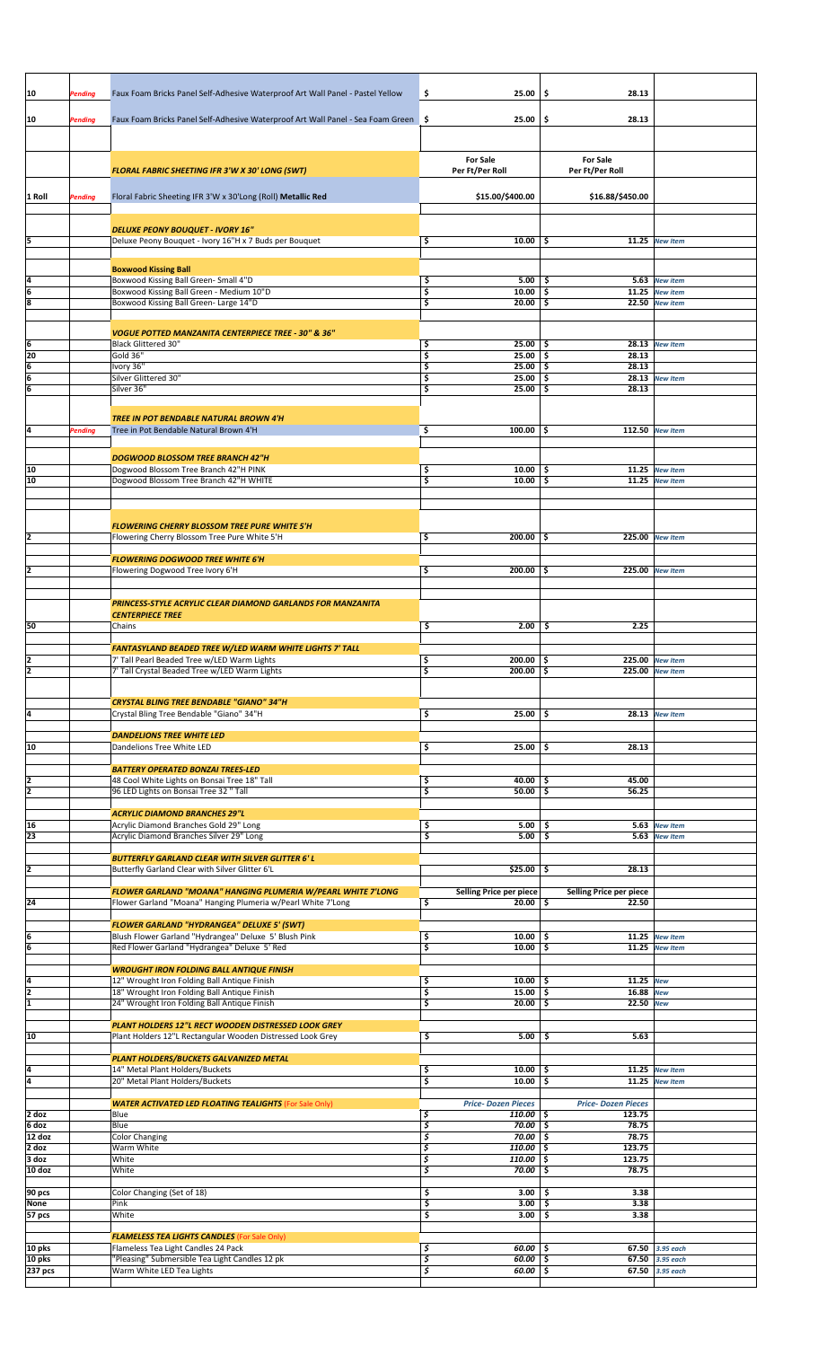| 10                                               | Pending        | Faux Foam Bricks Panel Self-Adhesive Waterproof Art Wall Panel - Pastel Yellow                                    | \$       | 25.00                                      | \$.         | 28.13                               |                                    |  |
|--------------------------------------------------|----------------|-------------------------------------------------------------------------------------------------------------------|----------|--------------------------------------------|-------------|-------------------------------------|------------------------------------|--|
| 10                                               | Pending        | Faux Foam Bricks Panel Self-Adhesive Waterproof Art Wall Panel - Sea Foam Green \$                                |          | 25.00                                      | \$          | 28.13                               |                                    |  |
|                                                  |                |                                                                                                                   |          |                                            |             |                                     |                                    |  |
|                                                  |                |                                                                                                                   |          | <b>For Sale</b>                            |             | <b>For Sale</b>                     |                                    |  |
|                                                  |                | <b>FLORAL FABRIC SHEETING IFR 3'W X 30' LONG (SWT)</b>                                                            |          | Per Ft/Per Roll                            |             | Per Ft/Per Roll                     |                                    |  |
| 1 Roll                                           | <b>Pending</b> | Floral Fabric Sheeting IFR 3'W x 30'Long (Roll) Metallic Red                                                      |          | \$15.00/\$400.00                           |             | \$16.88/\$450.00                    |                                    |  |
|                                                  |                |                                                                                                                   |          |                                            |             |                                     |                                    |  |
| 5                                                |                | <b>DELUXE PEONY BOUQUET - IVORY 16"</b><br>Deluxe Peony Bouquet - Ivory 16"H x 7 Buds per Bouquet                 | \$       | 10.00                                      | -\$         | 11.25                               | <b>New Item</b>                    |  |
|                                                  |                |                                                                                                                   |          |                                            |             |                                     |                                    |  |
| 4                                                |                | <b>Boxwood Kissing Ball</b><br>Boxwood Kissing Ball Green- Small 4"D                                              | \$       | $5.00$   \$                                |             |                                     | 5.63 New item                      |  |
| $\frac{6}{8}$                                    |                | Boxwood Kissing Ball Green - Medium 10"D<br>Boxwood Kissing Ball Green- Large 14"D                                | \$<br>\$ | 10.00<br>20.00                             | -\$<br>\$.  |                                     | 11.25 New item<br>22.50 New item   |  |
|                                                  |                |                                                                                                                   |          |                                            |             |                                     |                                    |  |
|                                                  |                | <b>VOGUE POTTED MANZANITA CENTERPIECE TREE - 30" &amp; 36"</b><br><b>Black Glittered 30"</b>                      | \$       | $25.00$   \$                               |             |                                     | 28.13 New Item                     |  |
| $\frac{6}{20}$<br>$\frac{6}{6}$<br>$\frac{6}{6}$ |                | Gold 36"                                                                                                          | \$       | 25.00                                      | \$          | 28.13                               |                                    |  |
|                                                  |                | Ivory 36"<br>Silver Glittered 30"                                                                                 | \$<br>\$ | 25.00<br>25.00                             | -\$<br>\$   | 28.13                               | 28.13 New Item                     |  |
|                                                  |                | Silver 36"                                                                                                        | \$       | $25.00$ \$                                 |             | 28.13                               |                                    |  |
|                                                  |                | <b>TREE IN POT BENDABLE NATURAL BROWN 4'H</b>                                                                     |          |                                            |             |                                     |                                    |  |
| 4                                                | <b>Pending</b> | Tree in Pot Bendable Natural Brown 4'H                                                                            | \$       | $100.00$   \$                              |             |                                     | 112.50 New Item                    |  |
|                                                  |                | <b>DOGWOOD BLOSSOM TREE BRANCH 42"H</b>                                                                           |          |                                            |             |                                     |                                    |  |
| 10<br>$\overline{10}$                            |                | Dogwood Blossom Tree Branch 42"H PINK<br>Dogwood Blossom Tree Branch 42"H WHITE                                   | \$<br>\$ | $10.00$   \$<br>10.00                      | ا \$        |                                     | 11.25 New Item<br>11.25 New Item   |  |
|                                                  |                |                                                                                                                   |          |                                            |             |                                     |                                    |  |
|                                                  |                |                                                                                                                   |          |                                            |             |                                     |                                    |  |
| $\overline{\mathbf{c}}$                          |                | <b>FLOWERING CHERRY BLOSSOM TREE PURE WHITE 5'H</b><br>Flowering Cherry Blossom Tree Pure White 5'H               | \$       | $200.00$   \$                              |             |                                     | 225.00 New Item                    |  |
|                                                  |                | <b>FLOWERING DOGWOOD TREE WHITE 6'H</b>                                                                           |          |                                            |             |                                     |                                    |  |
| $\overline{2}$                                   |                | Flowering Dogwood Tree Ivory 6'H                                                                                  | \$       | $200.00$ \$                                |             |                                     | 225.00 New Item                    |  |
|                                                  |                |                                                                                                                   |          |                                            |             |                                     |                                    |  |
|                                                  |                | PRINCESS-STYLE ACRYLIC CLEAR DIAMOND GARLANDS FOR MANZANITA<br><b>CENTERPIECE TREE</b>                            |          |                                            |             |                                     |                                    |  |
| 50                                               |                | Chains                                                                                                            | \$       | $2.00$   \$                                |             | 2.25                                |                                    |  |
|                                                  |                | FANTASYLAND BEADED TREE W/LED WARM WHITE LIGHTS 7' TALL                                                           |          |                                            |             |                                     |                                    |  |
| $\frac{2}{2}$                                    |                | 7' Tall Pearl Beaded Tree w/LED Warm Lights<br>7' Tall Crystal Beaded Tree w/LED Warm Lights                      | \$<br>5  | $200.00$   \$<br>$200.00$ \$               |             | 225.00 New Item                     | 225.00 New Item                    |  |
|                                                  |                |                                                                                                                   |          |                                            |             |                                     |                                    |  |
| 4                                                |                | <b>CRYSTAL BLING TREE BENDABLE "GIANO" 34"H</b><br>Crystal Bling Tree Bendable "Giano" 34"H                       | \$       | $25.00$ \ \$                               |             |                                     | 28.13 New Item                     |  |
|                                                  |                | <b>DANDELIONS TREE WHITE LED</b>                                                                                  |          |                                            |             |                                     |                                    |  |
| 10                                               |                | Dandelions Tree White LED                                                                                         | \$       | $25.00$   \$                               |             | 28.13                               |                                    |  |
|                                                  |                | <b>BATTERY OPERATED BONZAI TREES-LED</b>                                                                          |          |                                            |             |                                     |                                    |  |
| $\frac{2}{2}$                                    |                | 48 Cool White Lights on Bonsai Tree 18" Tall<br>96 LED Lights on Bonsai Tree 32 " Tall                            | \$<br>\$ | 40.00<br>50.00                             | \$.<br>\$   | 45.00<br>56.25                      |                                    |  |
|                                                  |                | <b>ACRYLIC DIAMOND BRANCHES 29"L</b>                                                                              |          |                                            |             |                                     |                                    |  |
| $\frac{16}{23}$                                  |                | Acrylic Diamond Branches Gold 29" Long<br>Acrylic Diamond Branches Silver 29" Long                                | \$<br>\$ | 5.00<br>5.00                               | \$<br>-\$   | 5.63                                | <b>New Item</b><br>5.63 New Item   |  |
|                                                  |                |                                                                                                                   |          |                                            |             |                                     |                                    |  |
| $\overline{\mathbf{2}}$                          |                | <b>BUTTERFLY GARLAND CLEAR WITH SILVER GLITTER 6' L</b><br>Butterfly Garland Clear with Silver Glitter 6'L        |          | $$25.00$ $$$                               |             | 28.13                               |                                    |  |
|                                                  |                | <b>FLOWER GARLAND "MOANA" HANGING PLUMERIA W/PEARL WHITE 7'LONG</b>                                               |          | Selling Price per piece                    |             | Selling Price per piece             |                                    |  |
| $\overline{24}$                                  |                | Flower Garland "Moana" Hanging Plumeria w/Pearl White 7'Long                                                      | \$       | $20.00$   \$                               |             | 22.50                               |                                    |  |
|                                                  |                | <b>FLOWER GARLAND "HYDRANGEA" DELUXE 5' (SWT)</b><br>Blush Flower Garland "Hydrangea" Deluxe 5' Blush Pink        | \$       | 10.00                                      | \$          |                                     | 11.25 New Item                     |  |
| $\frac{6}{6}$                                    |                | Red Flower Garland "Hydrangea" Deluxe 5' Red                                                                      | \$       | 10.00                                      | -\$         |                                     | 11.25 New Item                     |  |
|                                                  |                | <b>WROUGHT IRON FOLDING BALL ANTIQUE FINISH</b>                                                                   |          |                                            |             |                                     |                                    |  |
| $\frac{4}{2}$                                    |                | 12" Wrought Iron Folding Ball Antique Finish<br>18" Wrought Iron Folding Ball Antique Finish                      | \$<br>\$ | 10.00<br>15.00                             | \$<br>\$    | 11.25 New<br>16.88 New              |                                    |  |
|                                                  |                | 24" Wrought Iron Folding Ball Antique Finish                                                                      | \$       | 20.00                                      | -\$         | 22.50 New                           |                                    |  |
| 10                                               |                | PLANT HOLDERS 12"L RECT WOODEN DISTRESSED LOOK GREY<br>Plant Holders 12"L Rectangular Wooden Distressed Look Grey | \$       | 5.00                                       | \$.         | 5.63                                |                                    |  |
|                                                  |                |                                                                                                                   |          |                                            |             |                                     |                                    |  |
| $\frac{4}{4}$                                    |                | PLANT HOLDERS/BUCKETS GALVANIZED METAL<br>14" Metal Plant Holders/Buckets                                         | \$       | 10.00                                      | -\$         | 11.25                               | <b>New Item</b>                    |  |
|                                                  |                | 20" Metal Plant Holders/Buckets                                                                                   | \$       | 10.00                                      | \$          |                                     | $11.25$ New Item                   |  |
| $2$ doz                                          |                | <b>WATER ACTIVATED LED FLOATING TEALIGHTS (For Sale Only)</b><br>Blue                                             | \$       | <b>Price-Dozen Pieces</b><br>$110.00$   \$ |             | <b>Price-Dozen Pieces</b><br>123.75 |                                    |  |
| 6 doz<br>12 doz                                  |                | Blue                                                                                                              | \$<br>\$ | $70.00$ \$<br>70.00                        |             | 78.75<br>78.75                      |                                    |  |
| $2$ doz                                          |                | <b>Color Changing</b><br>Warm White                                                                               | \$       | 110.00                                     | -\$<br>\$ ا | 123.75                              |                                    |  |
| $3$ doz<br>10 doz                                |                | White<br>White                                                                                                    | \$<br>\$ | 110.00<br>70.00                            | \$<br>\$    | 123.75<br>78.75                     |                                    |  |
| 90 pcs                                           |                | Color Changing (Set of 18)                                                                                        | \$       | 3.00                                       | -\$         | 3.38                                |                                    |  |
| None<br>57 pcs                                   |                | Pink<br>White                                                                                                     | \$<br>\$ | 3.00<br>3.00                               | \$<br>-\$   | 3.38<br>3.38                        |                                    |  |
|                                                  |                |                                                                                                                   |          |                                            |             |                                     |                                    |  |
| 10 pks                                           |                | <b>FLAMELESS TEA LIGHTS CANDLES</b> (For Sale Only)<br>Flameless Tea Light Candles 24 Pack                        | \$       | $60.00$ \\$                                |             |                                     | 67.50 3.95 each                    |  |
| 10 pks<br>237 pcs                                |                | "Pleasing" Submersible Tea Light Candles 12 pk<br>Warm White LED Tea Lights                                       | \$<br>\$ | 60.00<br>$60.00$ \$                        | \$          |                                     | 67.50 3.95 each<br>67.50 3.95 each |  |
|                                                  |                |                                                                                                                   |          |                                            |             |                                     |                                    |  |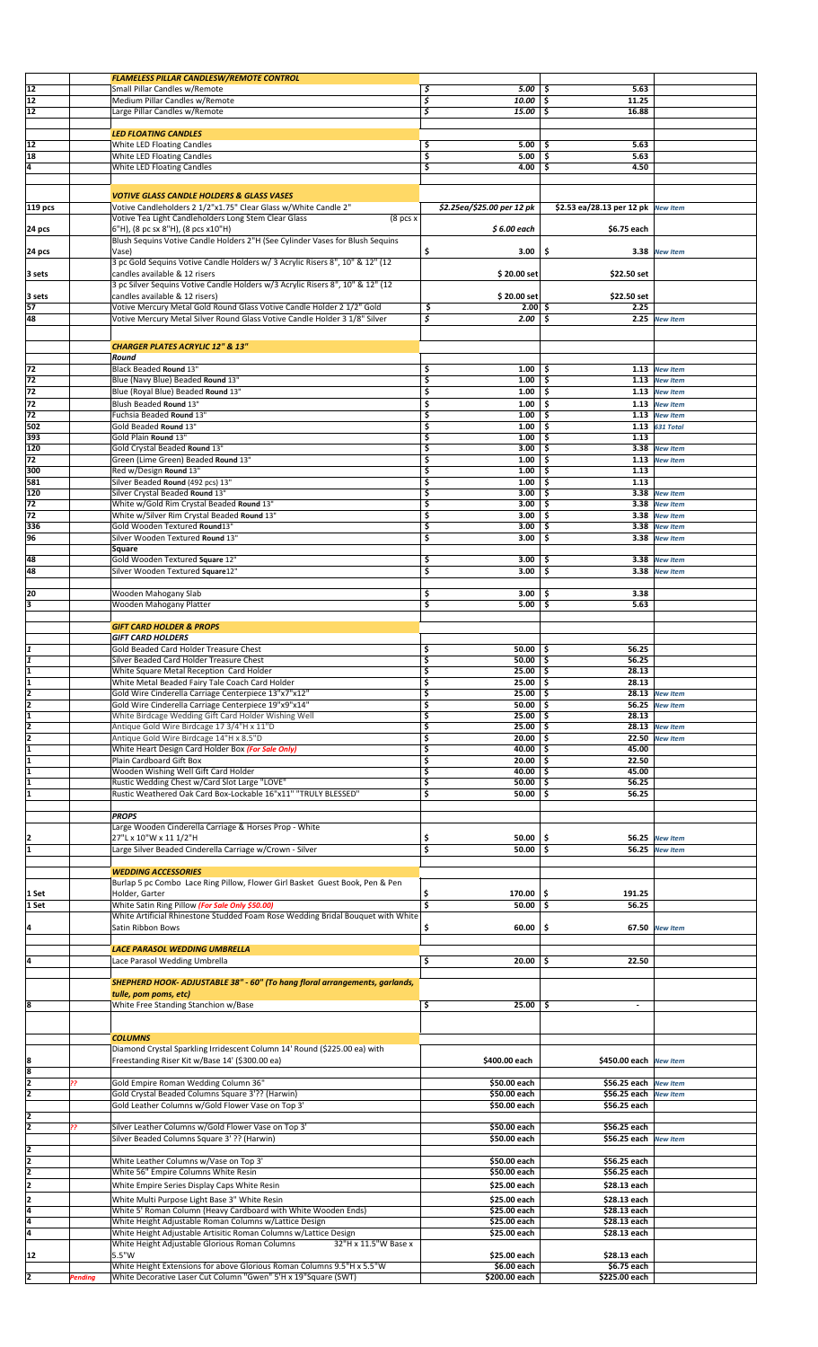|                     |                | <b>FLAMELESS PILLAR CANDLESW/REMOTE CONTROL</b>                                                                 |                                   |                                       |                 |  |
|---------------------|----------------|-----------------------------------------------------------------------------------------------------------------|-----------------------------------|---------------------------------------|-----------------|--|
| 12                  |                | Small Pillar Candles w/Remote                                                                                   | \$<br>5.00                        | 5.63<br>-\$                           |                 |  |
| 12                  |                | Medium Pillar Candles w/Remote                                                                                  | \$<br>10.00                       | 11.25<br>\$.                          |                 |  |
| 12                  |                | Large Pillar Candles w/Remote                                                                                   | \$<br>15.00                       | \$.<br>16.88                          |                 |  |
|                     |                |                                                                                                                 |                                   |                                       |                 |  |
|                     |                | <b>LED FLOATING CANDLES</b>                                                                                     |                                   |                                       |                 |  |
| 12                  |                | White LED Floating Candles                                                                                      | \$<br>5.00                        | 5.63<br>-\$                           |                 |  |
| 18                  |                | White LED Floating Candles                                                                                      | \$<br>5.00                        | 5.63<br>\$.                           |                 |  |
| 4                   |                | White LED Floating Candles                                                                                      | \$<br>4.00                        | 4.50<br>-\$                           |                 |  |
|                     |                |                                                                                                                 |                                   |                                       |                 |  |
|                     |                | <b>VOTIVE GLASS CANDLE HOLDERS &amp; GLASS VASES</b>                                                            |                                   |                                       |                 |  |
| 119 pcs             |                | Votive Candleholders 2 1/2"x1.75" Clear Glass w/White Candle 2"                                                 | \$2.25ea/\$25.00 per 12 pk        | \$2.53 ea/28.13 per 12 pk New Item    |                 |  |
|                     |                | Votive Tea Light Candleholders Long Stem Clear Glass<br>$(8$ pcs $x$                                            |                                   |                                       |                 |  |
| 24 pcs              |                | 6"H), (8 pc sx 8"H), (8 pcs x10"H)                                                                              | $$6.00$ each                      | \$6.75 each                           |                 |  |
|                     |                | Blush Sequins Votive Candle Holders 2"H (See Cylinder Vases for Blush Sequins                                   |                                   |                                       |                 |  |
| 24 pcs              |                | Vase)                                                                                                           | \$<br>3.00                        | \$                                    | 3.38 New Item   |  |
|                     |                | 3 pc Gold Sequins Votive Candle Holders w/ 3 Acrylic Risers 8", 10" & 12" (12)                                  |                                   |                                       |                 |  |
| 3 sets              |                | candles available & 12 risers                                                                                   | \$20.00 set                       | \$22.50 set                           |                 |  |
|                     |                | 3 pc Silver Sequins Votive Candle Holders w/3 Acrylic Risers 8", 10" & 12" (12                                  |                                   |                                       |                 |  |
| 3 sets              |                | candles available & 12 risers)                                                                                  | \$20.00 set                       | \$22.50 set                           |                 |  |
| 57                  |                | Votive Mercury Metal Gold Round Glass Votive Candle Holder 2 1/2" Gold                                          | \$<br>$2.00 \mid 5$               | 2.25                                  |                 |  |
| 48                  |                | Votive Mercury Metal Silver Round Glass Votive Candle Holder 3 1/8" Silver                                      | \$<br>$2.00$ \ \$                 | 2.25                                  | <b>New Item</b> |  |
|                     |                |                                                                                                                 |                                   |                                       |                 |  |
|                     |                | <b>CHARGER PLATES ACRYLIC 12" &amp; 13"</b>                                                                     |                                   |                                       |                 |  |
|                     |                | Round                                                                                                           |                                   |                                       |                 |  |
| 72                  |                | <b>Black Beaded Round 13"</b>                                                                                   | \$<br>1.00                        | \$.                                   | 1.13 New Item   |  |
| 72                  |                | Blue (Navy Blue) Beaded Round 13"                                                                               | \$<br>1.00                        | 1.13<br>-\$                           | <b>New Item</b> |  |
| 72                  |                | Blue (Royal Blue) Beaded Round 13"                                                                              | \$<br>1.00                        | -\$                                   | 1.13 New Item   |  |
| 72                  |                | Blush Beaded Round 13"                                                                                          | \$<br>1.00                        | -\$<br>1.13                           | <b>New Item</b> |  |
| 72                  |                | Fuchsia Beaded Round 13"                                                                                        | \$<br>1.00                        | Ś.                                    | 1.13 New Item   |  |
| 502                 |                | Gold Beaded Round 13"                                                                                           | \$<br>1.00                        | -\$<br>1.13                           | 631 Total       |  |
| 393                 |                | Gold Plain Round 13"                                                                                            | \$<br>1.00                        | 1.13<br>-\$                           |                 |  |
| 120                 |                | Gold Crystal Beaded Round 13"                                                                                   | \$<br>3.00                        | 3.38<br>\$.                           | <b>New Item</b> |  |
| 72                  |                | Green (Lime Green) Beaded Round 13"                                                                             | \$<br>1.00                        | -\$<br>1.13                           | <b>New Item</b> |  |
| 300                 |                | Red w/Design Round 13"                                                                                          | \$<br>1.00                        | -\$<br>1.13                           |                 |  |
| 581                 |                | Silver Beaded Round (492 pcs) 13"                                                                               | Š<br>1.00                         | 1.13<br>-\$                           |                 |  |
| 120                 |                | Silver Crystal Beaded Round 13"                                                                                 | \$<br>3.00                        | 3.38<br>\$.                           | <b>New Item</b> |  |
| 72                  |                | White w/Gold Rim Crystal Beaded Round 13"                                                                       | \$<br>3.00                        | 3.38<br>-\$                           | <b>New Item</b> |  |
| 72                  |                | White w/Silver Rim Crystal Beaded Round 13"                                                                     | \$<br>3.00                        | 3.38<br>-\$                           | <b>New Item</b> |  |
| 336                 |                | Gold Wooden Textured Round13"                                                                                   | \$<br>3.00                        | -\$<br>3.38                           | <b>New Item</b> |  |
| 96                  |                | Silver Wooden Textured Round 13"                                                                                | \$<br>3.00                        | -\$<br>3.38                           | <b>New Item</b> |  |
|                     |                | Square                                                                                                          |                                   |                                       |                 |  |
| 48                  |                | Gold Wooden Textured Square 12"                                                                                 | \$<br>3.00                        | -\$                                   | 3.38 New Item   |  |
| 48                  |                | Silver Wooden Textured Square12"                                                                                | \$<br>3.00                        | -\$<br>3.38                           | <b>New Item</b> |  |
|                     |                |                                                                                                                 |                                   |                                       |                 |  |
| 20                  |                | Wooden Mahogany Slab                                                                                            | \$<br>3.00                        | 3.38<br>\$.                           |                 |  |
| 3                   |                | Wooden Mahogany Platter                                                                                         | \$<br>5.00                        | 5.63<br>-\$                           |                 |  |
|                     |                |                                                                                                                 |                                   |                                       |                 |  |
|                     |                | <b>GIFT CARD HOLDER &amp; PROPS</b>                                                                             |                                   |                                       |                 |  |
|                     |                | <b>GIFT CARD HOLDERS</b>                                                                                        |                                   |                                       |                 |  |
| I1                  |                | Gold Beaded Card Holder Treasure Chest                                                                          | 50.00<br>\$                       | 56.25<br>-\$                          |                 |  |
| I1                  |                | Silver Beaded Card Holder Treasure Chest                                                                        | \$<br>50.00                       | \$<br>56.25                           |                 |  |
|                     |                | White Square Metal Reception Card Holder                                                                        | Ş<br>25.00   \$                   | 28.13                                 |                 |  |
| ī                   |                | White Metal Beaded Fairy Tale Coach Card Holder                                                                 | \$<br>$25.00$ \$                  | 28.13                                 |                 |  |
| ī                   |                | Gold Wire Cinderella Carriage Centerpiece 13"x7"x12"                                                            | \$<br>25.00                       | -\$                                   | 28.13 New Item  |  |
| 2                   |                | Gold Wire Cinderella Carriage Centerpiece 19"x9"x14"                                                            | \$<br>$50.00$   \$                |                                       | 56.25 New Item  |  |
| ī                   |                | White Birdcage Wedding Gift Card Holder Wishing Well                                                            | \$<br>$25.00$   \$                | 28.13                                 |                 |  |
| $\frac{2}{2}$       |                | Antique Gold Wire Birdcage 17 3/4"H x 11"D                                                                      | \$<br>$25.00$ \$                  | 28.13                                 | <b>New Item</b> |  |
|                     |                | Antique Gold Wire Birdcage 14"H x 8.5"D                                                                         | \$<br>20.00                       | -\$<br>22.50                          | <b>New Item</b> |  |
| 1                   |                | White Heart Design Card Holder Box (For Sale Only)                                                              | \$<br>40.00                       | 45.00<br>-\$                          |                 |  |
| 1                   |                | Plain Cardboard Gift Box                                                                                        | \$<br>20.00                       | -\$<br>22.50                          |                 |  |
| 1                   |                | Wooden Wishing Well Gift Card Holder                                                                            | \$<br>40.00                       | -\$<br>45.00                          |                 |  |
| I1<br>l1            |                | Rustic Wedding Chest w/Card Slot Large "LOVE"<br>Rustic Weathered Oak Card Box-Lockable 16"x11" "TRULY BLESSED" | \$<br>$50.00$   \$<br>\$<br>50.00 | 56.25<br>\$.<br>56.25                 |                 |  |
|                     |                |                                                                                                                 |                                   |                                       |                 |  |
|                     |                | <b>PROPS</b>                                                                                                    |                                   |                                       |                 |  |
|                     |                | Large Wooden Cinderella Carriage & Horses Prop - White                                                          |                                   |                                       |                 |  |
|                     |                | 27"L x 10"W x 11 1/2"H                                                                                          | \$<br>50.00                       | \$<br>56.25                           | <b>New Item</b> |  |
| I1                  |                | Large Silver Beaded Cinderella Carriage w/Crown - Silver                                                        | \$<br>50.00                       | \$.<br>56.25                          | <b>New Item</b> |  |
|                     |                |                                                                                                                 |                                   |                                       |                 |  |
|                     |                | <b>WEDDING ACCESSORIES</b>                                                                                      |                                   |                                       |                 |  |
|                     |                | Burlap 5 pc Combo Lace Ring Pillow, Flower Girl Basket Guest Book, Pen & Pen                                    |                                   |                                       |                 |  |
| 1 Set               |                | Holder, Garter                                                                                                  | \$<br>170.00                      | \$<br>191.25                          |                 |  |
| 1 Set               |                | White Satin Ring Pillow (For Sale Only \$50.00)                                                                 | \$<br>50.00                       | \$<br>56.25                           |                 |  |
|                     |                | White Artificial Rhinestone Studded Foam Rose Wedding Bridal Bouquet with White                                 |                                   |                                       |                 |  |
| 14                  |                | Satin Ribbon Bows                                                                                               | 60.00<br>\$                       | \$                                    | 67.50 New Item  |  |
|                     |                |                                                                                                                 |                                   |                                       |                 |  |
|                     |                | LACE PARASOL WEDDING UMBRELLA                                                                                   |                                   |                                       |                 |  |
| 14                  |                | Lace Parasol Wedding Umbrella                                                                                   | \$<br>$20.00$   \$                | 22.50                                 |                 |  |
|                     |                |                                                                                                                 |                                   |                                       |                 |  |
|                     |                | SHEPHERD HOOK- ADJUSTABLE 38" - 60" (To hang floral arrangements, garlands,                                     |                                   |                                       |                 |  |
|                     |                | tulle, pom poms, etc)                                                                                           |                                   |                                       |                 |  |
| l8                  |                | White Free Standing Stanchion w/Base                                                                            | \$<br>25.00                       | -\$<br>$\blacksquare$                 |                 |  |
|                     |                |                                                                                                                 |                                   |                                       |                 |  |
|                     |                |                                                                                                                 |                                   |                                       |                 |  |
|                     |                | <b>COLUMNS</b>                                                                                                  |                                   |                                       |                 |  |
|                     |                | Diamond Crystal Sparkling Irridescent Column 14' Round (\$225.00 ea) with                                       |                                   |                                       |                 |  |
| 8                   |                | Freestanding Riser Kit w/Base 14' (\$300.00 ea)                                                                 | \$400.00 each                     | \$450.00 each New Item                |                 |  |
| 8<br>$\overline{2}$ |                |                                                                                                                 |                                   |                                       |                 |  |
| I2                  | 22             | Gold Empire Roman Wedding Column 36"                                                                            | \$50.00 each                      | \$56.25 each                          | <b>New Item</b> |  |
|                     |                | Gold Crystal Beaded Columns Square 3'?? (Harwin)                                                                | \$50.00 each                      | \$56.25 each                          | <b>New Item</b> |  |
|                     |                | Gold Leather Columns w/Gold Flower Vase on Top 3'                                                               | \$50.00 each                      | \$56.25 each                          |                 |  |
| 2<br>2              |                |                                                                                                                 | \$50.00 each                      |                                       |                 |  |
|                     | 22             | Silver Leather Columns w/Gold Flower Vase on Top 3'<br>Silver Beaded Columns Square 3' ?? (Harwin)              | \$50.00 each                      | \$56.25 each<br>\$56.25 each New Item |                 |  |
|                     |                |                                                                                                                 |                                   |                                       |                 |  |
| $\frac{2}{2}$       |                | White Leather Columns w/Vase on Top 3'                                                                          |                                   |                                       |                 |  |
| 2                   |                | White 56" Empire Columns White Resin                                                                            | \$50.00 each<br>\$50.00 each      | \$56.25 each<br>\$56.25 each          |                 |  |
| 12                  |                |                                                                                                                 |                                   |                                       |                 |  |
|                     |                | White Empire Series Display Caps White Resin                                                                    | \$25.00 each                      | \$28.13 each                          |                 |  |
| 2                   |                | White Multi Purpose Light Base 3" White Resin                                                                   | \$25.00 each                      | \$28.13 each                          |                 |  |
| 4                   |                | White 5' Roman Column (Heavy Cardboard with White Wooden Ends)                                                  | \$25.00 each                      | \$28.13 each                          |                 |  |
| l4                  |                | White Height Adjustable Roman Columns w/Lattice Design                                                          | \$25.00 each                      | \$28.13 each                          |                 |  |
| 4                   |                | White Height Adjustable Artisitic Roman Columns w/Lattice Design                                                | \$25.00 each                      | \$28.13 each                          |                 |  |
|                     |                | White Height Adjustable Glorious Roman Columns<br>32"H x 11.5"W Base x                                          |                                   |                                       |                 |  |
| 12                  |                | 5.5"W                                                                                                           | \$25.00 each                      | \$28.13 each                          |                 |  |
|                     |                | White Height Extensions for above Glorious Roman Columns 9.5"H x 5.5"W                                          | \$6.00 each                       | \$6.75 each                           |                 |  |
| 2                   | <b>Pending</b> | White Decorative Laser Cut Column "Gwen" 5'H x 19"Square (SWT)                                                  | \$200.00 each                     | \$225.00 each                         |                 |  |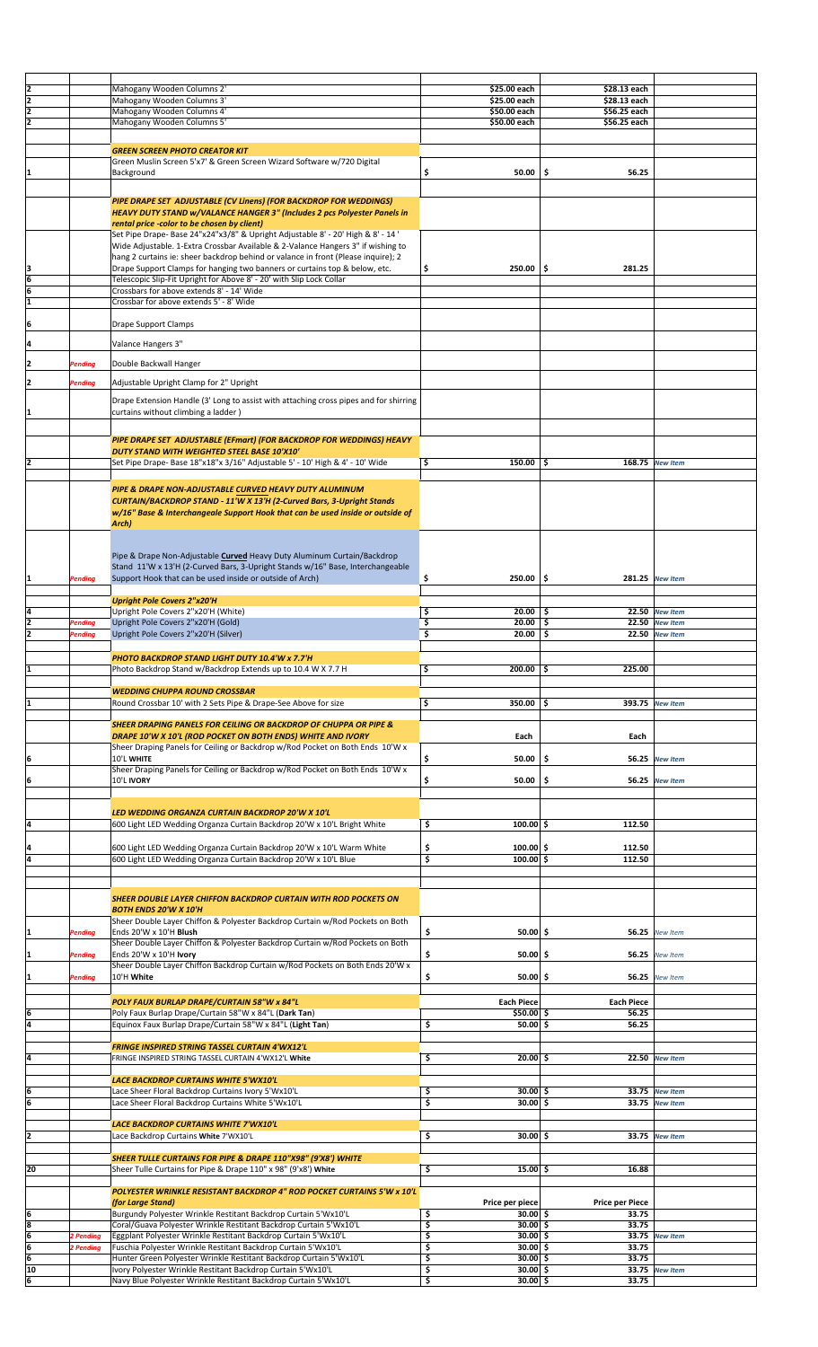| 12                                                                  |                                  | Mahogany Wooden Columns 2'                                                                                                                                                                                                                                                                                                                                                                                                                                                                                                                                                                                                                                   | \$25.00 each                         | \$28.13 each           |                                    |  |
|---------------------------------------------------------------------|----------------------------------|--------------------------------------------------------------------------------------------------------------------------------------------------------------------------------------------------------------------------------------------------------------------------------------------------------------------------------------------------------------------------------------------------------------------------------------------------------------------------------------------------------------------------------------------------------------------------------------------------------------------------------------------------------------|--------------------------------------|------------------------|------------------------------------|--|
| $\overline{2}$                                                      |                                  | Mahogany Wooden Columns 3'                                                                                                                                                                                                                                                                                                                                                                                                                                                                                                                                                                                                                                   | \$25.00 each                         | \$28.13 each           |                                    |  |
| $\overline{2}$                                                      |                                  | Mahogany Wooden Columns 4'                                                                                                                                                                                                                                                                                                                                                                                                                                                                                                                                                                                                                                   | \$50.00 each                         | \$56.25 each           |                                    |  |
| 12                                                                  |                                  | Mahogany Wooden Columns 5'                                                                                                                                                                                                                                                                                                                                                                                                                                                                                                                                                                                                                                   | \$50.00 each                         | \$56.25 each           |                                    |  |
|                                                                     |                                  |                                                                                                                                                                                                                                                                                                                                                                                                                                                                                                                                                                                                                                                              |                                      |                        |                                    |  |
|                                                                     |                                  | <b>GREEN SCREEN PHOTO CREATOR KIT</b>                                                                                                                                                                                                                                                                                                                                                                                                                                                                                                                                                                                                                        |                                      |                        |                                    |  |
|                                                                     |                                  | Green Muslin Screen 5'x7' & Green Screen Wizard Software w/720 Digital                                                                                                                                                                                                                                                                                                                                                                                                                                                                                                                                                                                       |                                      |                        |                                    |  |
| 11                                                                  |                                  | Background                                                                                                                                                                                                                                                                                                                                                                                                                                                                                                                                                                                                                                                   | \$<br>50.00                          | \$<br>56.25            |                                    |  |
|                                                                     |                                  |                                                                                                                                                                                                                                                                                                                                                                                                                                                                                                                                                                                                                                                              |                                      |                        |                                    |  |
| $\frac{3}{6}$                                                       |                                  | PIPE DRAPE SET ADJUSTABLE (CV Linens) (FOR BACKDROP FOR WEDDINGS)<br>HEAVY DUTY STAND w/VALANCE HANGER 3" (Includes 2 pcs Polyester Panels in<br>rental price -color to be chosen by client)<br>Set Pipe Drape- Base 24"x24"x3/8" & Upright Adjustable 8' - 20' High & 8' - 14 '<br>Wide Adjustable. 1-Extra Crossbar Available & 2-Valance Hangers 3" if wishing to<br>hang 2 curtains ie: sheer backdrop behind or valance in front (Please inquire); 2<br>Drape Support Clamps for hanging two banners or curtains top & below, etc.<br>Telescopic Slip-Fit Upright for Above 8' - 20' with Slip Lock Collar<br>Crossbars for above extends 8' - 14' Wide | \$<br>$250.00$ \ \$                  | 281.25                 |                                    |  |
| ī                                                                   |                                  | Crossbar for above extends 5' - 8' Wide                                                                                                                                                                                                                                                                                                                                                                                                                                                                                                                                                                                                                      |                                      |                        |                                    |  |
| 6                                                                   |                                  | Drape Support Clamps                                                                                                                                                                                                                                                                                                                                                                                                                                                                                                                                                                                                                                         |                                      |                        |                                    |  |
|                                                                     |                                  |                                                                                                                                                                                                                                                                                                                                                                                                                                                                                                                                                                                                                                                              |                                      |                        |                                    |  |
| ļ4                                                                  |                                  | Valance Hangers 3"                                                                                                                                                                                                                                                                                                                                                                                                                                                                                                                                                                                                                                           |                                      |                        |                                    |  |
| 2                                                                   | Pending                          | Double Backwall Hanger                                                                                                                                                                                                                                                                                                                                                                                                                                                                                                                                                                                                                                       |                                      |                        |                                    |  |
|                                                                     |                                  |                                                                                                                                                                                                                                                                                                                                                                                                                                                                                                                                                                                                                                                              |                                      |                        |                                    |  |
| 2                                                                   | Pending                          | Adjustable Upright Clamp for 2" Upright                                                                                                                                                                                                                                                                                                                                                                                                                                                                                                                                                                                                                      |                                      |                        |                                    |  |
| 11                                                                  |                                  | Drape Extension Handle (3' Long to assist with attaching cross pipes and for shirring<br>curtains without climbing a ladder)                                                                                                                                                                                                                                                                                                                                                                                                                                                                                                                                 |                                      |                        |                                    |  |
|                                                                     |                                  | PIPE DRAPE SET ADJUSTABLE (EFmart) (FOR BACKDROP FOR WEDDINGS) HEAVY                                                                                                                                                                                                                                                                                                                                                                                                                                                                                                                                                                                         |                                      |                        |                                    |  |
|                                                                     |                                  | DUTY STAND WITH WEIGHTED STEEL BASE 10'X10'                                                                                                                                                                                                                                                                                                                                                                                                                                                                                                                                                                                                                  |                                      |                        |                                    |  |
| 2                                                                   |                                  | Set Pipe Drape- Base 18"x18"x 3/16" Adjustable 5' - 10' High & 4' - 10' Wide                                                                                                                                                                                                                                                                                                                                                                                                                                                                                                                                                                                 | \$<br>$150.00$   \$                  | 168.75                 | <b>New Item</b>                    |  |
|                                                                     |                                  | PIPE & DRAPE NON-ADJUSTABLE CURVED HEAVY DUTY ALUMINUM<br>CURTAIN/BACKDROP STAND - 11'W X 13'H (2-Curved Bars, 3-Upright Stands<br>w/16" Base & Interchangeale Support Hook that can be used inside or outside of<br>Arch)                                                                                                                                                                                                                                                                                                                                                                                                                                   |                                      |                        |                                    |  |
| 1                                                                   | Pending                          | Pipe & Drape Non-Adjustable Curved Heavy Duty Aluminum Curtain/Backdrop<br>Stand 11'W x 13'H (2-Curved Bars, 3-Upright Stands w/16" Base, Interchangeable<br>Support Hook that can be used inside or outside of Arch)                                                                                                                                                                                                                                                                                                                                                                                                                                        | \$<br>$250.00$   \$                  |                        | 281.25 New Item                    |  |
|                                                                     |                                  | <b>Upright Pole Covers 2"x20'H</b>                                                                                                                                                                                                                                                                                                                                                                                                                                                                                                                                                                                                                           |                                      |                        |                                    |  |
| ļ4                                                                  |                                  | Upright Pole Covers 2"x20'H (White)                                                                                                                                                                                                                                                                                                                                                                                                                                                                                                                                                                                                                          | \$<br>$20.00$   \$                   |                        | 22.50 New Item                     |  |
| ē<br>12                                                             | <b>Pending</b><br><b>Pending</b> | Upright Pole Covers 2"x20'H (Gold)<br>Upright Pole Covers 2"x20'H (Silver)                                                                                                                                                                                                                                                                                                                                                                                                                                                                                                                                                                                   | \$<br>20.00<br>\$<br>$20.00$   \$    | \$<br>22.50<br>22.50   | <b>New Item</b><br><b>New Item</b> |  |
|                                                                     |                                  |                                                                                                                                                                                                                                                                                                                                                                                                                                                                                                                                                                                                                                                              |                                      |                        |                                    |  |
|                                                                     |                                  | PHOTO BACKDROP STAND LIGHT DUTY 10.4'W x 7.7'H                                                                                                                                                                                                                                                                                                                                                                                                                                                                                                                                                                                                               |                                      |                        |                                    |  |
|                                                                     |                                  | Photo Backdrop Stand w/Backdrop Extends up to 10.4 W X 7.7 H                                                                                                                                                                                                                                                                                                                                                                                                                                                                                                                                                                                                 | $200.00$ \$<br>\$                    | 225.00                 |                                    |  |
|                                                                     |                                  |                                                                                                                                                                                                                                                                                                                                                                                                                                                                                                                                                                                                                                                              |                                      |                        |                                    |  |
|                                                                     |                                  |                                                                                                                                                                                                                                                                                                                                                                                                                                                                                                                                                                                                                                                              |                                      |                        |                                    |  |
|                                                                     |                                  | <b>WEDDING CHUPPA ROUND CROSSBAR</b>                                                                                                                                                                                                                                                                                                                                                                                                                                                                                                                                                                                                                         |                                      |                        |                                    |  |
|                                                                     |                                  | Round Crossbar 10' with 2 Sets Pipe & Drape-See Above for size                                                                                                                                                                                                                                                                                                                                                                                                                                                                                                                                                                                               | \$<br>350.00 \$                      |                        | 393.75 New Item                    |  |
|                                                                     |                                  | <b>SHEER DRAPING PANELS FOR CEILING OR BACKDROP OF CHUPPA OR PIPE &amp;</b>                                                                                                                                                                                                                                                                                                                                                                                                                                                                                                                                                                                  |                                      |                        |                                    |  |
|                                                                     |                                  | DRAPE 10'W X 10'L (ROD POCKET ON BOTH ENDS) WHITE AND IVORY                                                                                                                                                                                                                                                                                                                                                                                                                                                                                                                                                                                                  | Each                                 | Each                   |                                    |  |
|                                                                     |                                  | Sheer Draping Panels for Ceiling or Backdrop w/Rod Pocket on Both Ends 10'W x                                                                                                                                                                                                                                                                                                                                                                                                                                                                                                                                                                                |                                      |                        |                                    |  |
| 6                                                                   |                                  | 10'L WHITE<br>Sheer Draping Panels for Ceiling or Backdrop w/Rod Pocket on Both Ends 10'W x                                                                                                                                                                                                                                                                                                                                                                                                                                                                                                                                                                  | \$<br>50.00                          | \$                     | 56.25 New Item                     |  |
|                                                                     |                                  | 10'L IVORY                                                                                                                                                                                                                                                                                                                                                                                                                                                                                                                                                                                                                                                   | \$<br>50.00                          | -\$                    | 56.25 New Item                     |  |
|                                                                     |                                  |                                                                                                                                                                                                                                                                                                                                                                                                                                                                                                                                                                                                                                                              |                                      |                        |                                    |  |
| 6 <br>ļ4                                                            |                                  | LED WEDDING ORGANZA CURTAIN BACKDROP 20'W X 10'L<br>600 Light LED Wedding Organza Curtain Backdrop 20'W x 10'L Bright White                                                                                                                                                                                                                                                                                                                                                                                                                                                                                                                                  | \$<br>$100.00$ \$                    | 112.50                 |                                    |  |
| 14                                                                  |                                  | 600 Light LED Wedding Organza Curtain Backdrop 20'W x 10'L Warm White                                                                                                                                                                                                                                                                                                                                                                                                                                                                                                                                                                                        | \$<br>$100.00$ \$                    | 112.50                 |                                    |  |
| T4                                                                  |                                  | 600 Light LED Wedding Organza Curtain Backdrop 20'W x 10'L Blue                                                                                                                                                                                                                                                                                                                                                                                                                                                                                                                                                                                              | \$<br>$100.00$ \$                    | 112.50                 |                                    |  |
|                                                                     |                                  | <b>SHEER DOUBLE LAYER CHIFFON BACKDROP CURTAIN WITH ROD POCKETS ON</b>                                                                                                                                                                                                                                                                                                                                                                                                                                                                                                                                                                                       |                                      |                        |                                    |  |
|                                                                     |                                  | <b>BOTH ENDS 20'W X 10'H</b>                                                                                                                                                                                                                                                                                                                                                                                                                                                                                                                                                                                                                                 |                                      |                        |                                    |  |
|                                                                     | Pending                          | Sheer Double Layer Chiffon & Polyester Backdrop Curtain w/Rod Pockets on Both<br>Ends 20'W x 10'H Blush                                                                                                                                                                                                                                                                                                                                                                                                                                                                                                                                                      | \$<br>$50.00$ \$                     |                        | 56.25 New Item                     |  |
|                                                                     |                                  | Sheer Double Layer Chiffon & Polyester Backdrop Curtain w/Rod Pockets on Both                                                                                                                                                                                                                                                                                                                                                                                                                                                                                                                                                                                |                                      |                        |                                    |  |
|                                                                     | Pending                          | Ends 20'W x 10'H Ivory                                                                                                                                                                                                                                                                                                                                                                                                                                                                                                                                                                                                                                       | \$<br>$50.00$ \$                     | 56.25                  | <b>New Item</b>                    |  |
| 1<br>I1<br> 1                                                       | Pending                          | Sheer Double Layer Chiffon Backdrop Curtain w/Rod Pockets on Both Ends 20'W x<br>10'H White                                                                                                                                                                                                                                                                                                                                                                                                                                                                                                                                                                  | \$<br>$50.00$ \$                     | 56.25                  | <b>New Item</b>                    |  |
|                                                                     |                                  | POLY FAUX BURLAP DRAPE/CURTAIN 58"W x 84"L                                                                                                                                                                                                                                                                                                                                                                                                                                                                                                                                                                                                                   | Each Piece                           | <b>Each Piece</b>      |                                    |  |
|                                                                     |                                  | Poly Faux Burlap Drape/Curtain 58"W x 84"L (Dark Tan)                                                                                                                                                                                                                                                                                                                                                                                                                                                                                                                                                                                                        | $$50.00$ \$                          | 56.25                  |                                    |  |
|                                                                     |                                  | Equinox Faux Burlap Drape/Curtain 58"W x 84"L (Light Tan)                                                                                                                                                                                                                                                                                                                                                                                                                                                                                                                                                                                                    | \$<br>$50.00$ \$                     | 56.25                  |                                    |  |
|                                                                     |                                  | <b>FRINGE INSPIRED STRING TASSEL CURTAIN 4'WX12'L</b><br>FRINGE INSPIRED STRING TASSEL CURTAIN 4'WX12'L White                                                                                                                                                                                                                                                                                                                                                                                                                                                                                                                                                | \$<br>$20.00$ \$                     | 22.50                  | <b>New Item</b>                    |  |
|                                                                     |                                  | <b>LACE BACKDROP CURTAINS WHITE 5'WX10'L</b>                                                                                                                                                                                                                                                                                                                                                                                                                                                                                                                                                                                                                 |                                      |                        |                                    |  |
|                                                                     |                                  | Lace Sheer Floral Backdrop Curtains Ivory 5'Wx10'L<br>Lace Sheer Floral Backdrop Curtains White 5'Wx10'L                                                                                                                                                                                                                                                                                                                                                                                                                                                                                                                                                     | \$<br>$30.00$ \$<br>\$<br>$30.00$ \$ |                        | 33.75 New Item<br>33.75 New Item   |  |
|                                                                     |                                  |                                                                                                                                                                                                                                                                                                                                                                                                                                                                                                                                                                                                                                                              |                                      |                        |                                    |  |
|                                                                     |                                  | LACE BACKDROP CURTAINS WHITE 7'WX10'L                                                                                                                                                                                                                                                                                                                                                                                                                                                                                                                                                                                                                        |                                      |                        |                                    |  |
|                                                                     |                                  | Lace Backdrop Curtains White 7'WX10'L                                                                                                                                                                                                                                                                                                                                                                                                                                                                                                                                                                                                                        | \$<br>$30.00$ \$                     |                        | 33.75 New Item                     |  |
|                                                                     |                                  | SHEER TULLE CURTAINS FOR PIPE & DRAPE 110"X98" (9'X8') WHITE                                                                                                                                                                                                                                                                                                                                                                                                                                                                                                                                                                                                 |                                      |                        |                                    |  |
|                                                                     |                                  | Sheer Tulle Curtains for Pipe & Drape 110" x 98" (9'x8') White                                                                                                                                                                                                                                                                                                                                                                                                                                                                                                                                                                                               | \$<br>$15.00 $ \$                    | 16.88                  |                                    |  |
|                                                                     |                                  |                                                                                                                                                                                                                                                                                                                                                                                                                                                                                                                                                                                                                                                              |                                      |                        |                                    |  |
|                                                                     |                                  | POLYESTER WRINKLE RESISTANT BACKDROP 4" ROD POCKET CURTAINS 5'W x 10'L<br>(for Large Stand)                                                                                                                                                                                                                                                                                                                                                                                                                                                                                                                                                                  | Price per piece                      | <b>Price per Piece</b> |                                    |  |
|                                                                     |                                  | Burgundy Polyester Wrinkle Restitant Backdrop Curtain 5'Wx10'L                                                                                                                                                                                                                                                                                                                                                                                                                                                                                                                                                                                               | \$<br>$30.00$ \$                     | 33.75                  |                                    |  |
| 6 <br>Ā<br>Ā.<br>6 <br>6<br>2<br>20                                 |                                  | Coral/Guava Polyester Wrinkle Restitant Backdrop Curtain 5'Wx10'L                                                                                                                                                                                                                                                                                                                                                                                                                                                                                                                                                                                            | \$<br>$30.00$ \$                     | 33.75                  |                                    |  |
|                                                                     | 2 Pending                        | Eggplant Polyester Wrinkle Restitant Backdrop Curtain 5'Wx10'L                                                                                                                                                                                                                                                                                                                                                                                                                                                                                                                                                                                               | \$<br>$30.00$ \$                     | 33.75                  | 33.75 New Item                     |  |
|                                                                     | 2 Pending                        | Fuschia Polyester Wrinkle Restitant Backdrop Curtain 5'Wx10'L<br>Hunter Green Polyester Wrinkle Restitant Backdrop Curtain 5'Wx10'L                                                                                                                                                                                                                                                                                                                                                                                                                                                                                                                          | \$<br>$30.00$ \$<br>\$<br>$30.00$ \$ | 33.75                  |                                    |  |
| $\frac{6}{8}$<br>$\frac{8}{6}$<br>$\frac{6}{10}$<br>$6 \overline{}$ |                                  | Ivory Polyester Wrinkle Restitant Backdrop Curtain 5'Wx10'L<br>Navy Blue Polyester Wrinkle Restitant Backdrop Curtain 5'Wx10'L                                                                                                                                                                                                                                                                                                                                                                                                                                                                                                                               | \$<br>$30.00$ \$<br>\$<br>30.005     | 33.75                  | 33.75 New Item                     |  |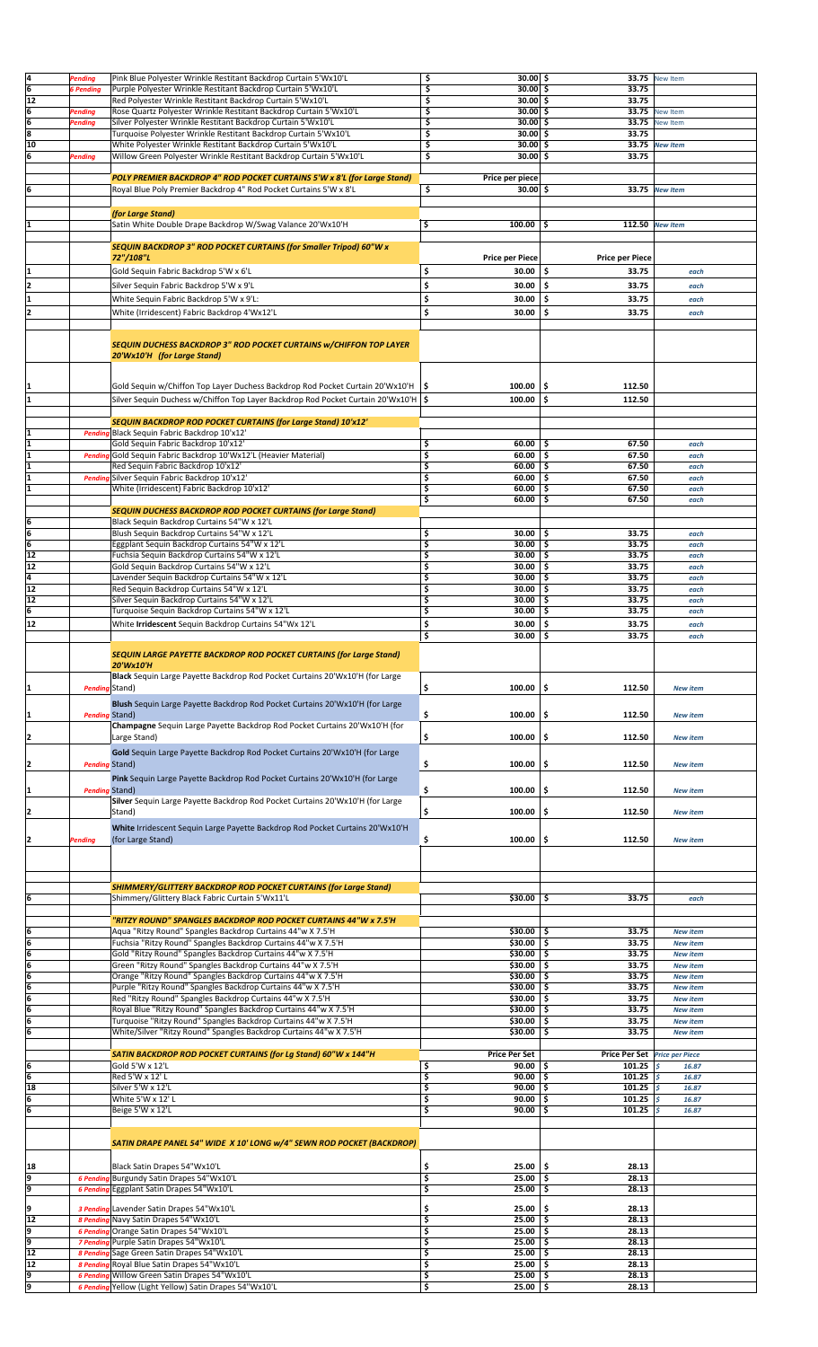| 4                       | Pending               | Pink Blue Polyester Wrinkle Restitant Backdrop Curtain 5'Wx10'L                                         | \$                                  | $30.00$ \$             | 33.75                         | <b>New Item</b> |  |
|-------------------------|-----------------------|---------------------------------------------------------------------------------------------------------|-------------------------------------|------------------------|-------------------------------|-----------------|--|
| 6                       | 6 Pending             | Purple Polyester Wrinkle Restitant Backdrop Curtain 5'Wx10'L                                            | \$                                  | $30.00$ \$             | 33.75                         |                 |  |
| 12                      |                       | Red Polyester Wrinkle Restitant Backdrop Curtain 5'Wx10'L                                               | \$                                  | $30.00$ \$             | 33.75                         |                 |  |
|                         |                       |                                                                                                         |                                     |                        |                               |                 |  |
| 6                       | Pending               | Rose Quartz Polyester Wrinkle Restitant Backdrop Curtain 5'Wx10'L                                       | Ś                                   | $30.00$ \$             | 33.75                         | New Item        |  |
| $\overline{6}$          | Pending               | Silver Polyester Wrinkle Restitant Backdrop Curtain 5'Wx10'L                                            | \$                                  | $30.00$ \$             | 33.75                         | New Item        |  |
| $\overline{\mathbf{8}}$ |                       | Turquoise Polyester Wrinkle Restitant Backdrop Curtain 5'Wx10'L                                         | \$                                  | $30.00$ \$             | 33.75                         |                 |  |
| 10                      |                       | White Polyester Wrinkle Restitant Backdrop Curtain 5'Wx10'L                                             | \$                                  | $30.00$ \$             | 33.75                         | <b>New Item</b> |  |
| 6                       | <b>Pending</b>        | Willow Green Polyester Wrinkle Restitant Backdrop Curtain 5'Wx10'L                                      | \$                                  | $30.00$ \$             | 33.75                         |                 |  |
|                         |                       |                                                                                                         |                                     |                        |                               |                 |  |
|                         |                       | POLY PREMIER BACKDROP 4" ROD POCKET CURTAINS 5'W x 8'L (for Large Stand)                                |                                     | Price per piece        |                               |                 |  |
| 6                       |                       | Royal Blue Poly Premier Backdrop 4" Rod Pocket Curtains 5'W x 8'L                                       | \$                                  | $30.00$ \$             | 33.75                         | <b>New Item</b> |  |
|                         |                       |                                                                                                         |                                     |                        |                               |                 |  |
|                         |                       | (for Large Stand)                                                                                       |                                     |                        |                               |                 |  |
|                         |                       | Satin White Double Drape Backdrop W/Swag Valance 20'Wx10'H                                              | \$                                  | 100.00                 | \$                            | 112.50 New Item |  |
|                         |                       |                                                                                                         |                                     |                        |                               |                 |  |
|                         |                       | SEQUIN BACKDROP 3" ROD POCKET CURTAINS (for Smaller Tripod) 60"W x                                      |                                     |                        |                               |                 |  |
|                         |                       | 72"/108"L                                                                                               |                                     |                        |                               |                 |  |
|                         |                       |                                                                                                         |                                     | <b>Price per Piece</b> | <b>Price per Piece</b>        |                 |  |
|                         |                       | Gold Sequin Fabric Backdrop 5'W x 6'L                                                                   | \$                                  | 30.00                  | \$<br>33.75                   | each            |  |
| 2                       |                       | Silver Sequin Fabric Backdrop 5'W x 9'L                                                                 | \$                                  | 30.00                  | Ŝ.<br>33.75                   | each            |  |
|                         |                       | White Sequin Fabric Backdrop 5'W x 9'L:                                                                 | \$                                  | 30.00                  | \$<br>33.75                   | each            |  |
|                         |                       |                                                                                                         |                                     |                        |                               |                 |  |
|                         |                       | White (Irridescent) Fabric Backdrop 4'Wx12'L                                                            | \$                                  | 30.00                  | \$<br>33.75                   | each            |  |
|                         |                       |                                                                                                         |                                     |                        |                               |                 |  |
|                         |                       |                                                                                                         |                                     |                        |                               |                 |  |
|                         |                       | SEQUIN DUCHESS BACKDROP 3" ROD POCKET CURTAINS W/CHIFFON TOP LAYER                                      |                                     |                        |                               |                 |  |
|                         |                       | 20'Wx10'H (for Large Stand)                                                                             |                                     |                        |                               |                 |  |
|                         |                       |                                                                                                         |                                     |                        |                               |                 |  |
|                         |                       |                                                                                                         |                                     |                        |                               |                 |  |
|                         |                       | Gold Sequin w/Chiffon Top Layer Duchess Backdrop Rod Pocket Curtain 20'Wx10'H   \$                      |                                     | 100.00                 | \$<br>112.50                  |                 |  |
|                         |                       | Silver Sequin Duchess w/Chiffon Top Layer Backdrop Rod Pocket Curtain 20'Wx10'H   \$                    |                                     | 100.00                 | \$<br>112.50                  |                 |  |
|                         |                       |                                                                                                         |                                     |                        |                               |                 |  |
|                         |                       | SEQUIN BACKDROP ROD POCKET CURTAINS (for Large Stand) 10'x12'                                           |                                     |                        |                               |                 |  |
| 1                       |                       | Pending Black Sequin Fabric Backdrop 10'x12'                                                            |                                     |                        |                               |                 |  |
|                         |                       | Gold Sequin Fabric Backdrop 10'x12'                                                                     | \$                                  | 60.00                  | \$<br>67.50                   | each            |  |
| 1                       |                       | Pending Gold Sequin Fabric Backdrop 10'Wx12'L (Heavier Material)                                        | \$                                  | 60.00                  | Ś.<br>67.50                   | each            |  |
|                         |                       | Red Sequin Fabric Backdrop 10'x12'                                                                      | \$                                  | 60.00                  | \$.<br>67.50                  | each            |  |
|                         |                       | Pending Silver Sequin Fabric Backdrop 10'x12'                                                           | \$                                  | 60.00                  | \$<br>67.50                   |                 |  |
| 1                       |                       |                                                                                                         |                                     |                        |                               | each            |  |
|                         |                       | White (Irridescent) Fabric Backdrop 10'x12'                                                             | \$                                  | 60.00                  | 67.50<br>\$                   | each            |  |
|                         |                       |                                                                                                         | \$                                  | 60.00                  | \$<br>67.50                   | each            |  |
|                         |                       | <b>SEQUIN DUCHESS BACKDROP ROD POCKET CURTAINS (for Large Stand)</b>                                    |                                     |                        |                               |                 |  |
| 6                       |                       | Black Sequin Backdrop Curtains 54"W x 12'L                                                              |                                     |                        |                               |                 |  |
| 6                       |                       | Blush Sequin Backdrop Curtains 54"W x 12'L                                                              | \$                                  | 30.00                  | \$.<br>33.75                  | each            |  |
| $\overline{6}$          |                       | Eggplant Sequin Backdrop Curtains 54"W x 12'L                                                           | \$                                  | 30.00                  | Ś<br>33.75                    | each            |  |
| 12                      |                       | Fuchsia Sequin Backdrop Curtains 54"W x 12'L                                                            | \$                                  | 30.00                  | \$<br>33.75                   | each            |  |
| 12                      |                       | Gold Sequin Backdrop Curtains 54"W x 12'L                                                               | \$                                  | 30.00                  | Ś.<br>33.75                   | each            |  |
| 4                       |                       | Lavender Sequin Backdrop Curtains 54"W x 12'L                                                           | \$                                  | 30.00                  | 33.75<br>\$                   | each            |  |
| 12                      |                       | Red Sequin Backdrop Curtains 54"W x 12'L                                                                | \$                                  | 30.00                  | \$<br>33.75                   | each            |  |
| 12                      |                       | Silver Sequin Backdrop Curtains 54"W x 12'L                                                             | \$                                  | 30.00                  | 33.75<br>Ŝ                    | each            |  |
| 6                       |                       | Turquoise Sequin Backdrop Curtains 54"W x 12'L                                                          | \$                                  | 30.00                  | \$<br>33.75                   | each            |  |
| 12                      |                       | White Irridescent Sequin Backdrop Curtains 54"Wx 12'L                                                   | \$                                  | 30.00                  | Ś<br>33.75                    | each            |  |
|                         |                       |                                                                                                         |                                     |                        |                               |                 |  |
|                         |                       |                                                                                                         | \$                                  | 30.00                  | \$<br>33.75                   | each            |  |
|                         |                       | <b>SEQUIN LARGE PAYETTE BACKDROP ROD POCKET CURTAINS (for Large Stand)</b>                              |                                     |                        |                               |                 |  |
|                         |                       | 20'Wx10'H                                                                                               |                                     |                        |                               |                 |  |
|                         |                       | Black Sequin Large Payette Backdrop Rod Pocket Curtains 20'Wx10'H (for Large                            |                                     |                        |                               |                 |  |
| 11                      | Pending Stand)        |                                                                                                         | \$                                  | 100.00                 | \$<br>112.50                  |                 |  |
|                         |                       |                                                                                                         |                                     |                        |                               | <b>New item</b> |  |
|                         |                       | Blush Sequin Large Payette Backdrop Rod Pocket Curtains 20'Wx10'H (for Large                            |                                     |                        |                               |                 |  |
| 11                      | <b>Pending Stand)</b> |                                                                                                         | \$                                  | 100.00                 | \$<br>112.50                  | <b>New item</b> |  |
|                         |                       | Champagne Sequin Large Payette Backdrop Rod Pocket Curtains 20'Wx10'H (for                              |                                     |                        |                               |                 |  |
| 2                       |                       | Large Stand)                                                                                            | \$                                  | 100.00                 | \$<br>112.50                  | <b>New item</b> |  |
|                         |                       |                                                                                                         |                                     |                        |                               |                 |  |
|                         |                       | Gold Sequin Large Payette Backdrop Rod Pocket Curtains 20'Wx10'H (for Large                             |                                     |                        |                               |                 |  |
|                         | <b>Pending Stand)</b> |                                                                                                         | \$                                  | 100.00                 | \$<br>112.50                  | <b>New item</b> |  |
|                         |                       | Pink Sequin Large Payette Backdrop Rod Pocket Curtains 20'Wx10'H (for Large                             |                                     |                        |                               |                 |  |
|                         | <b>Pending Stand)</b> |                                                                                                         | \$                                  | 100.00                 | \$<br>112.50                  | <b>New item</b> |  |
|                         |                       | Silver Sequin Large Payette Backdrop Rod Pocket Curtains 20'Wx10'H (for Large                           |                                     |                        |                               |                 |  |
| 2                       |                       | Stand)                                                                                                  | \$                                  | 100.00                 | 112.50<br>\$                  | <b>New item</b> |  |
|                         |                       |                                                                                                         |                                     |                        |                               |                 |  |
|                         |                       | White Irridescent Sequin Large Payette Backdrop Rod Pocket Curtains 20'Wx10'H                           |                                     |                        |                               |                 |  |
| 12                      | Pending               | (for Large Stand)                                                                                       | \$                                  | 100.00                 | \$<br>112.50                  | <b>New item</b> |  |
|                         |                       |                                                                                                         |                                     |                        |                               |                 |  |
|                         |                       |                                                                                                         |                                     |                        |                               |                 |  |
|                         |                       |                                                                                                         |                                     |                        |                               |                 |  |
|                         |                       | <b>SHIMMERY/GLITTERY BACKDROP ROD POCKET CURTAINS (for Large Stand)</b>                                 |                                     |                        |                               |                 |  |
| 6                       |                       | Shimmery/Glittery Black Fabric Curtain 5'Wx11'L                                                         |                                     | \$30.00                | \$<br>33.75                   |                 |  |
|                         |                       |                                                                                                         |                                     |                        |                               | each            |  |
|                         |                       | "RITZY ROUND" SPANGLES BACKDROP ROD POCKET CURTAINS 44"W x 7.5'H                                        |                                     |                        |                               |                 |  |
|                         |                       |                                                                                                         |                                     | \$30.00                | 33.75                         |                 |  |
| 6                       |                       | Aqua "Ritzy Round" Spangles Backdrop Curtains 44"w X 7.5'H                                              |                                     |                        | \$.                           | <b>New item</b> |  |
| 6                       |                       | Fuchsia "Ritzy Round" Spangles Backdrop Curtains 44"w X 7.5'H                                           |                                     | \$30.00                | \$<br>33.75                   | <b>New item</b> |  |
| $\overline{6}$          |                       | Gold "Ritzy Round" Spangles Backdrop Curtains 44"w X 7.5'H                                              |                                     | \$30.00                | \$<br>33.75                   | <b>New item</b> |  |
| $\overline{6}$          |                       | Green "Ritzy Round" Spangles Backdrop Curtains 44"w X 7.5'H                                             |                                     | \$30.00                | 33.75<br>\$                   | <b>New item</b> |  |
| $\overline{6}$          |                       | Orange "Ritzy Round" Spangles Backdrop Curtains 44"w X 7.5'H                                            |                                     | \$30.00                | \$<br>33.75                   | <b>New item</b> |  |
| 6                       |                       | Purple "Ritzy Round" Spangles Backdrop Curtains 44"w X 7.5'H                                            |                                     | \$30.00                | \$<br>33.75                   | <b>New item</b> |  |
| $\overline{6}$          |                       | Red "Ritzy Round" Spangles Backdrop Curtains 44"w X 7.5'H                                               |                                     | \$30.00                | \$<br>33.75                   | <b>New item</b> |  |
| $\overline{6}$          |                       | Royal Blue "Ritzy Round" Spangles Backdrop Curtains 44"w X 7.5'H                                        |                                     | \$30.00                | \$<br>33.75                   | <b>New item</b> |  |
| İ6                      |                       | Turquoise "Ritzy Round" Spangles Backdrop Curtains 44"w X 7.5'H                                         |                                     | \$30.00                | \$<br>33.75                   | <b>New item</b> |  |
| $\overline{6}$          |                       | White/Silver "Ritzy Round" Spangles Backdrop Curtains 44"w X 7.5'H                                      |                                     | \$30.00                | \$<br>33.75                   | <b>New item</b> |  |
|                         |                       |                                                                                                         |                                     |                        |                               |                 |  |
|                         |                       | SATIN BACKDROP ROD POCKET CURTAINS (for Lg Stand) 60"W x 144"H                                          |                                     | <b>Price Per Set</b>   | Price Per Set Price per Piece |                 |  |
| 6                       |                       | Gold 5'W x 12'L                                                                                         | \$                                  | 90.00                  | 101.25<br>Ŝ                   | l\$<br>16.87    |  |
| $\overline{6}$          |                       | Red 5'W x 12' L                                                                                         | \$                                  | 90.00                  | \$<br>101.25                  | l s<br>16.87    |  |
| 18                      |                       | Silver 5'W x 12'L                                                                                       | \$                                  | 90.00                  | Ś.<br>101.25                  | l \$<br>16.87   |  |
| 6                       |                       | White 5'W x 12'L                                                                                        | \$                                  | 90.00                  | \$<br>101.25                  | ١\$<br>16.87    |  |
| 6                       |                       | Beige 5'W x 12'L                                                                                        | \$                                  | 90.00                  | \$.<br>101.25 $\sqrt{5}$      | 16.87           |  |
|                         |                       |                                                                                                         |                                     |                        |                               |                 |  |
|                         |                       |                                                                                                         |                                     |                        |                               |                 |  |
|                         |                       | SATIN DRAPE PANEL 54" WIDE X 10' LONG w/4" SEWN ROD POCKET (BACKDROP)                                   |                                     |                        |                               |                 |  |
|                         |                       |                                                                                                         |                                     |                        |                               |                 |  |
| 18                      |                       | Black Satin Drapes 54"Wx10'L                                                                            | \$                                  | 25.00                  | \$<br>28.13                   |                 |  |
| p                       |                       | 6 Pending Burgundy Satin Drapes 54"Wx10'L                                                               | \$                                  | 25.00                  | \$<br>28.13                   |                 |  |
| 9                       |                       | 6 Pending Eggplant Satin Drapes 54"Wx10'L                                                               | \$                                  | 25.00                  | \$<br>28.13                   |                 |  |
|                         |                       |                                                                                                         |                                     |                        |                               |                 |  |
| 9                       |                       | 3 Pending Lavender Satin Drapes 54"Wx10'L                                                               | \$                                  | 25.00                  | \$<br>28.13                   |                 |  |
| 12                      |                       | 8 Pending Navy Satin Drapes 54"Wx10'L                                                                   | \$                                  | 25.00                  | \$<br>28.13                   |                 |  |
| p                       |                       | 6 Pending Orange Satin Drapes 54"Wx10'L                                                                 | \$                                  | 25.00                  | \$.<br>28.13                  |                 |  |
| 9                       |                       | 7 Pending Purple Satin Drapes 54"Wx10'L                                                                 | \$                                  | 25.00                  | 28.13<br>Ś                    |                 |  |
| 12                      |                       | 8 Pending Sage Green Satin Drapes 54"Wx10'L                                                             | \$                                  | 25.00                  | \$<br>28.13                   |                 |  |
| 12                      |                       |                                                                                                         | \$                                  | 25.00                  | \$.<br>28.13                  |                 |  |
|                         |                       | 8 Pending Royal Blue Satin Drapes 54"Wx10'L                                                             | \$                                  | $25.00$   \$           |                               |                 |  |
|                         |                       |                                                                                                         |                                     |                        | 28.13                         |                 |  |
| و<br>و                  |                       | 6 Pending Willow Green Satin Drapes 54"Wx10'L<br>6 Pending Yellow (Light Yellow) Satin Drapes 54"Wx10'L | $\overline{\boldsymbol{\varsigma}}$ | $25.00$ \$             | 28.13                         |                 |  |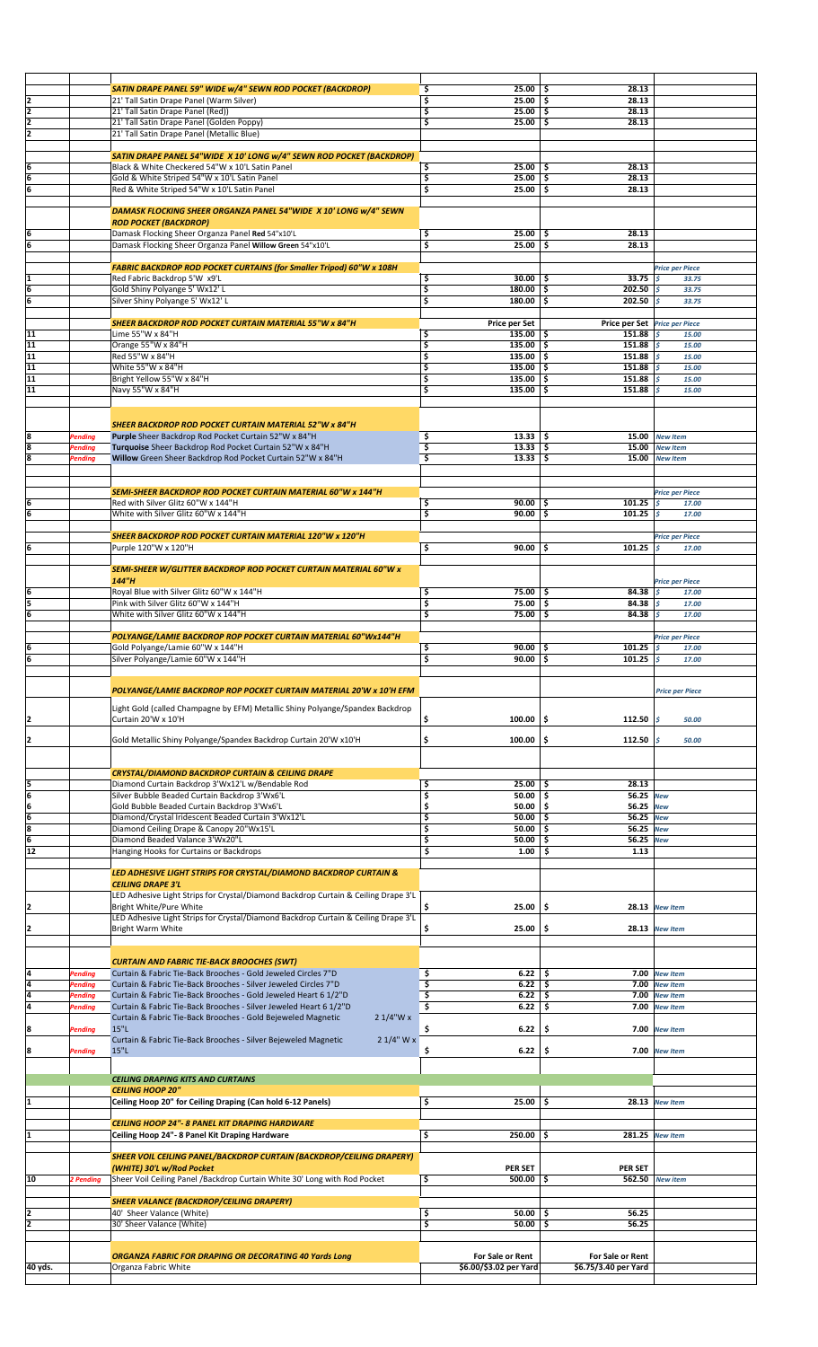|         |                           | SATIN DRAPE PANEL 59" WIDE w/4" SEWN ROD POCKET (BACKDROP)                                                                                       | \$<br>25.00                              | 28.13<br>-\$                                          |                                        |  |
|---------|---------------------------|--------------------------------------------------------------------------------------------------------------------------------------------------|------------------------------------------|-------------------------------------------------------|----------------------------------------|--|
| 2       |                           | 21' Tall Satin Drape Panel (Warm Silver)                                                                                                         | \$<br>25.00                              | 28.13<br>-\$                                          |                                        |  |
| 2       |                           | 21' Tall Satin Drape Panel (Red))                                                                                                                | \$<br>25.00                              | 28.13<br>-\$                                          |                                        |  |
| 2       |                           | 21' Tall Satin Drape Panel (Golden Poppy)                                                                                                        | \$<br>25.00                              | -\$<br>28.13                                          |                                        |  |
| 2       |                           | 21' Tall Satin Drape Panel (Metallic Blue)                                                                                                       |                                          |                                                       |                                        |  |
|         |                           | SATIN DRAPE PANEL 54"WIDE X 10' LONG w/4" SEWN ROD POCKET (BACKDROP)                                                                             |                                          |                                                       |                                        |  |
| 6       |                           | Black & White Checkered 54"W x 10'L Satin Panel                                                                                                  | \$<br>25.00                              | Ś.<br>28.13                                           |                                        |  |
| 6       |                           | Gold & White Striped 54"W x 10'L Satin Panel                                                                                                     | \$<br>25.00                              | -\$<br>28.13                                          |                                        |  |
| 6       |                           | Red & White Striped 54"W x 10'L Satin Panel                                                                                                      | 25.00<br>\$                              | 28.13<br>-\$                                          |                                        |  |
|         |                           |                                                                                                                                                  |                                          |                                                       |                                        |  |
|         |                           | DAMASK FLOCKING SHEER ORGANZA PANEL 54"WIDE X 10' LONG w/4" SEWN                                                                                 |                                          |                                                       |                                        |  |
|         |                           | <b>ROD POCKET (BACKDROP)</b>                                                                                                                     |                                          |                                                       |                                        |  |
| 6<br>6  |                           | Damask Flocking Sheer Organza Panel Red 54"x10'L<br>Damask Flocking Sheer Organza Panel Willow Green 54"x10'L                                    | \$<br>25.00<br>\$<br>25.00               | -\$<br>28.13<br>\$<br>28.13                           |                                        |  |
|         |                           |                                                                                                                                                  |                                          |                                                       |                                        |  |
|         |                           | <b>FABRIC BACKDROP ROD POCKET CURTAINS (for Smaller Tripod) 60"W x 108H</b>                                                                      |                                          |                                                       | <b>Price per Piece</b>                 |  |
| I1      |                           | Red Fabric Backdrop 5'W x9'L                                                                                                                     | 30.00<br>\$                              | 33.75<br>-\$                                          | ١s<br>33.75                            |  |
| 6       |                           | Gold Shiny Polyange 5' Wx12' L                                                                                                                   | \$<br>180.00                             | 202.50<br>\$.                                         | ١s<br>33.75                            |  |
| 6       |                           | Silver Shiny Polyange 5' Wx12' L                                                                                                                 | 180.00<br>\$                             | 202.50<br>\$.                                         | ls<br>33.75                            |  |
|         |                           | <b>SHEER BACKDROP ROD POCKET CURTAIN MATERIAL 55"W x 84"H</b>                                                                                    |                                          |                                                       |                                        |  |
| 11      |                           | Lime 55"W x 84"H                                                                                                                                 | Price per Set<br>\$<br>135.00 $\vert$ \$ | Price per Set Price per Piece<br>151.88 $\frac{1}{5}$ | 15.00                                  |  |
| 11      |                           | Orange 55"W x 84"H                                                                                                                               | \$<br>135.00                             | \$.<br>151.88                                         | ١s<br>15.00                            |  |
| 11      |                           | Red 55"W x 84"H                                                                                                                                  | \$<br>$135.00$ \$                        | 151.88                                                | ١s<br>15.00                            |  |
| 11      |                           | White 55"W x 84"H                                                                                                                                | \$<br>135.00                             | \$.<br>151.88                                         | ls<br>15.00                            |  |
| 11      |                           | Bright Yellow 55"W x 84"H                                                                                                                        | \$<br>135.00                             | \$ ا<br>151.88                                        | l s<br>15.00                           |  |
| 11      |                           | Navy 55"W x 84"H                                                                                                                                 | \$<br>135.00                             | -\$<br>151.88                                         | l s<br>15.00                           |  |
|         |                           |                                                                                                                                                  |                                          |                                                       |                                        |  |
|         |                           |                                                                                                                                                  |                                          |                                                       |                                        |  |
|         |                           | <b>SHEER BACKDROP ROD POCKET CURTAIN MATERIAL 52"W x 84"H</b>                                                                                    |                                          |                                                       |                                        |  |
| 8<br>8  | <b>Pending</b><br>Pending | Purple Sheer Backdrop Rod Pocket Curtain 52"W x 84"H<br>Turquoise Sheer Backdrop Rod Pocket Curtain 52"W x 84"H                                  | \$<br>13.33<br>\$<br>13.33               | 15.00<br>ا \$<br>-\$<br>15.00                         | <b>New Item</b><br><b>New Item</b>     |  |
| 8       | <b>Pending</b>            | Willow Green Sheer Backdrop Rod Pocket Curtain 52"W x 84"H                                                                                       | \$<br>13.33                              | -\$<br>15.00                                          | <b>New Item</b>                        |  |
|         |                           |                                                                                                                                                  |                                          |                                                       |                                        |  |
|         |                           |                                                                                                                                                  |                                          |                                                       |                                        |  |
|         |                           | SEMI-SHEER BACKDROP ROD POCKET CURTAIN MATERIAL 60"W x 144"H                                                                                     |                                          |                                                       | <b>Price per Piece</b>                 |  |
| 6       |                           | Red with Silver Glitz 60"W x 144"H                                                                                                               | \$<br>90.00                              | 101.25<br>-\$                                         | ى ا<br>17.00                           |  |
| 6       |                           | White with Silver Glitz 60"W x 144"H                                                                                                             | \$<br>90.00                              | \$.<br>101.25                                         | ls.<br>17.00                           |  |
|         |                           |                                                                                                                                                  |                                          |                                                       |                                        |  |
| İ6      |                           | SHEER BACKDROP ROD POCKET CURTAIN MATERIAL 120"W x 120"H<br>Purple 120"W x 120"H                                                                 | \$<br>90.00                              | 101.25<br>-\$                                         | <b>Price per Piece</b><br>l s<br>17.00 |  |
|         |                           |                                                                                                                                                  |                                          |                                                       |                                        |  |
|         |                           | SEMI-SHEER W/GLITTER BACKDROP ROD POCKET CURTAIN MATERIAL 60"W x                                                                                 |                                          |                                                       |                                        |  |
|         |                           | 144"H                                                                                                                                            |                                          |                                                       | <b>Price per Piece</b>                 |  |
| İ6      |                           | Royal Blue with Silver Glitz 60"W x 144"H                                                                                                        | \$<br>75.00                              | -\$<br>84.38                                          | ls<br>17.00                            |  |
| ļ5      |                           | Pink with Silver Glitz 60"W x 144"H                                                                                                              | \$<br>75.00                              | -\$<br>84.38                                          | l s<br>17.00                           |  |
| 6       |                           | White with Silver Glitz 60"W x 144"H                                                                                                             | 75.00<br>\$                              | -\$<br>84.38 $\frac{1}{5}$                            | 17.00                                  |  |
|         |                           |                                                                                                                                                  |                                          |                                                       |                                        |  |
| İ6      |                           | POLYANGE/LAMIE BACKDROP ROP POCKET CURTAIN MATERIAL 60"Wx144"H                                                                                   | 90.00                                    | 101.25                                                | <b>Price per Piece</b><br>١s           |  |
| 6       |                           | Gold Polyange/Lamie 60"W x 144"H<br>Silver Polyange/Lamie 60"W x 144"H                                                                           | \$<br>\$<br>90.00                        | -\$<br>5<br>101.25 $s$                                | 17.00<br>17.00                         |  |
|         |                           |                                                                                                                                                  |                                          |                                                       |                                        |  |
|         |                           |                                                                                                                                                  |                                          |                                                       |                                        |  |
|         |                           | POLYANGE/LAMIE BACKDROP ROP POCKET CURTAIN MATERIAL 20'W x 10'H EFM                                                                              |                                          |                                                       | <b>Price per Piece</b>                 |  |
|         |                           | Light Gold (called Champagne by EFM) Metallic Shiny Polyange/Spandex Backdrop                                                                    |                                          |                                                       |                                        |  |
| 12      |                           | Curtain 20'W x 10'H                                                                                                                              | \$<br>100.00                             | -\$<br>112.50                                         | ls<br>50.00                            |  |
|         |                           |                                                                                                                                                  |                                          |                                                       |                                        |  |
| I2      |                           | Gold Metallic Shiny Polyange/Spandex Backdrop Curtain 20'W x10'H                                                                                 | \$<br>100.00                             | \$.<br>112.50                                         | ١ś<br>50.00                            |  |
|         |                           |                                                                                                                                                  |                                          |                                                       |                                        |  |
|         |                           | <b>CRYSTAL/DIAMOND BACKDROP CURTAIN &amp; CEILING DRAPE</b>                                                                                      |                                          |                                                       |                                        |  |
| 5       |                           | Diamond Curtain Backdrop 3'Wx12'L w/Bendable Rod                                                                                                 | \$<br>25.00                              | 28.13<br>-\$                                          |                                        |  |
| 6       |                           | Silver Bubble Beaded Curtain Backdrop 3'Wx6'L                                                                                                    | \$<br>50.00                              | 56.25 New<br>-\$                                      |                                        |  |
| 6       |                           | Gold Bubble Beaded Curtain Backdrop 3'Wx6'L                                                                                                      | \$<br>50.00                              | \$<br>56.25 New                                       |                                        |  |
| 6       |                           | Diamond/Crystal Iridescent Beaded Curtain 3'Wx12'L                                                                                               | \$<br>50.00                              | -\$<br>56.25 New                                      |                                        |  |
| 8       |                           | Diamond Ceiling Drape & Canopy 20"Wx15'L                                                                                                         | \$<br>50.00                              | \$.<br>56.25 New                                      |                                        |  |
| 6       |                           | Diamond Beaded Valance 3'Wx20"L                                                                                                                  | \$<br>50.00                              | -\$<br>56.25 New                                      |                                        |  |
| 12      |                           | Hanging Hooks for Curtains or Backdrops                                                                                                          | \$<br>1.00                               | \$<br>1.13                                            |                                        |  |
|         |                           | LED ADHESIVE LIGHT STRIPS FOR CRYSTAL/DIAMOND BACKDROP CURTAIN &                                                                                 |                                          |                                                       |                                        |  |
|         |                           | <b>CEILING DRAPE 3'L</b>                                                                                                                         |                                          |                                                       |                                        |  |
|         |                           | LED Adhesive Light Strips for Crystal/Diamond Backdrop Curtain & Ceiling Drape 3'L                                                               |                                          |                                                       |                                        |  |
| I2      |                           | Bright White/Pure White                                                                                                                          | \$<br>25.00                              | \$                                                    | 28.13 New Item                         |  |
|         |                           | LED Adhesive Light Strips for Crystal/Diamond Backdrop Curtain & Ceiling Drape 3'L                                                               |                                          |                                                       |                                        |  |
| I2      |                           | Bright Warm White                                                                                                                                | \$<br>25.00                              | -\$<br>28.13                                          | <b>New Item</b>                        |  |
|         |                           |                                                                                                                                                  |                                          |                                                       |                                        |  |
|         |                           | <b>CURTAIN AND FABRIC TIE-BACK BROOCHES (SWT)</b>                                                                                                |                                          |                                                       |                                        |  |
| l4      | <b>Pending</b>            | Curtain & Fabric Tie-Back Brooches - Gold Jeweled Circles 7"D                                                                                    | $6.22$   \$<br>\$                        |                                                       | 7.00 New Item                          |  |
| 4       | <b>Pending</b>            | Curtain & Fabric Tie-Back Brooches - Silver Jeweled Circles 7"D                                                                                  | \$<br>6.22                               | -\$                                                   | 7.00 New Item                          |  |
| 4       | <b>Pending</b>            | Curtain & Fabric Tie-Back Brooches - Gold Jeweled Heart 6 1/2"D                                                                                  | \$<br>6.22                               | \$<br>7.00                                            | <b>New Item</b>                        |  |
| T4      | Pending                   | Curtain & Fabric Tie-Back Brooches - Silver Jeweled Heart 6 1/2"D<br>Curtain & Fabric Tie-Back Brooches - Gold Bejeweled Magnetic<br>$21/4$ "W x | \$<br>6.22                               | \$<br>7.00                                            | <b>New Item</b>                        |  |
| 8       | Pending                   | 15"L                                                                                                                                             | \$<br>6.22                               | \$                                                    | 7.00 New Item                          |  |
|         |                           | 2 1/4" W x<br>Curtain & Fabric Tie-Back Brooches - Silver Bejeweled Magnetic                                                                     |                                          |                                                       |                                        |  |
| 8       | Pending                   | 15"L                                                                                                                                             | \$<br>6.22                               | \$<br>7.00                                            | <b>New Item</b>                        |  |
|         |                           |                                                                                                                                                  |                                          |                                                       |                                        |  |
|         |                           | <b>CEILING DRAPING KITS AND CURTAINS</b>                                                                                                         |                                          |                                                       |                                        |  |
|         |                           | <b>CEILING HOOP 20"</b>                                                                                                                          |                                          |                                                       |                                        |  |
|         |                           | Ceiling Hoop 20" for Ceiling Draping (Can hold 6-12 Panels)                                                                                      | 25.00<br>\$                              | -\$                                                   | 28.13 New Item                         |  |
|         |                           |                                                                                                                                                  |                                          |                                                       |                                        |  |
|         |                           | <b>CEILING HOOP 24"- 8 PANEL KIT DRAPING HARDWARE</b>                                                                                            |                                          |                                                       |                                        |  |
|         |                           | Ceiling Hoop 24"- 8 Panel Kit Draping Hardware                                                                                                   | \$<br>250.00                             | \$.                                                   | 281.25 New Item                        |  |
|         |                           | <b>SHEER VOIL CEILING PANEL/BACKDROP CURTAIN (BACKDROP/CEILING DRAPERY)</b>                                                                      |                                          |                                                       |                                        |  |
|         |                           | (WHITE) 30'L w/Rod Pocket                                                                                                                        | <b>PER SET</b>                           | <b>PER SET</b>                                        |                                        |  |
| 10      | 2 Pending                 | Sheer Voil Ceiling Panel / Backdrop Curtain White 30' Long with Rod Pocket                                                                       | \$<br>500.00                             | \$.<br>562.50                                         | <b>New item</b>                        |  |
|         |                           |                                                                                                                                                  |                                          |                                                       |                                        |  |
|         |                           | <b>SHEER VALANCE (BACKDROP/CEILING DRAPERY)</b>                                                                                                  |                                          |                                                       |                                        |  |
| I2      |                           | 40' Sheer Valance (White)                                                                                                                        | \$<br>50.00                              | -\$<br>56.25                                          |                                        |  |
| 12      |                           | 30' Sheer Valance (White)                                                                                                                        | \$<br>50.00                              | -\$<br>56.25                                          |                                        |  |
|         |                           |                                                                                                                                                  |                                          |                                                       |                                        |  |
|         |                           | <b>ORGANZA FABRIC FOR DRAPING OR DECORATING 40 Yards Long</b>                                                                                    | For Sale or Rent                         | For Sale or Rent                                      |                                        |  |
| 40 yds. |                           | Organza Fabric White                                                                                                                             | \$6.00/\$3.02 per Yard                   | \$6.75/3.40 per Yard                                  |                                        |  |
|         |                           |                                                                                                                                                  |                                          |                                                       |                                        |  |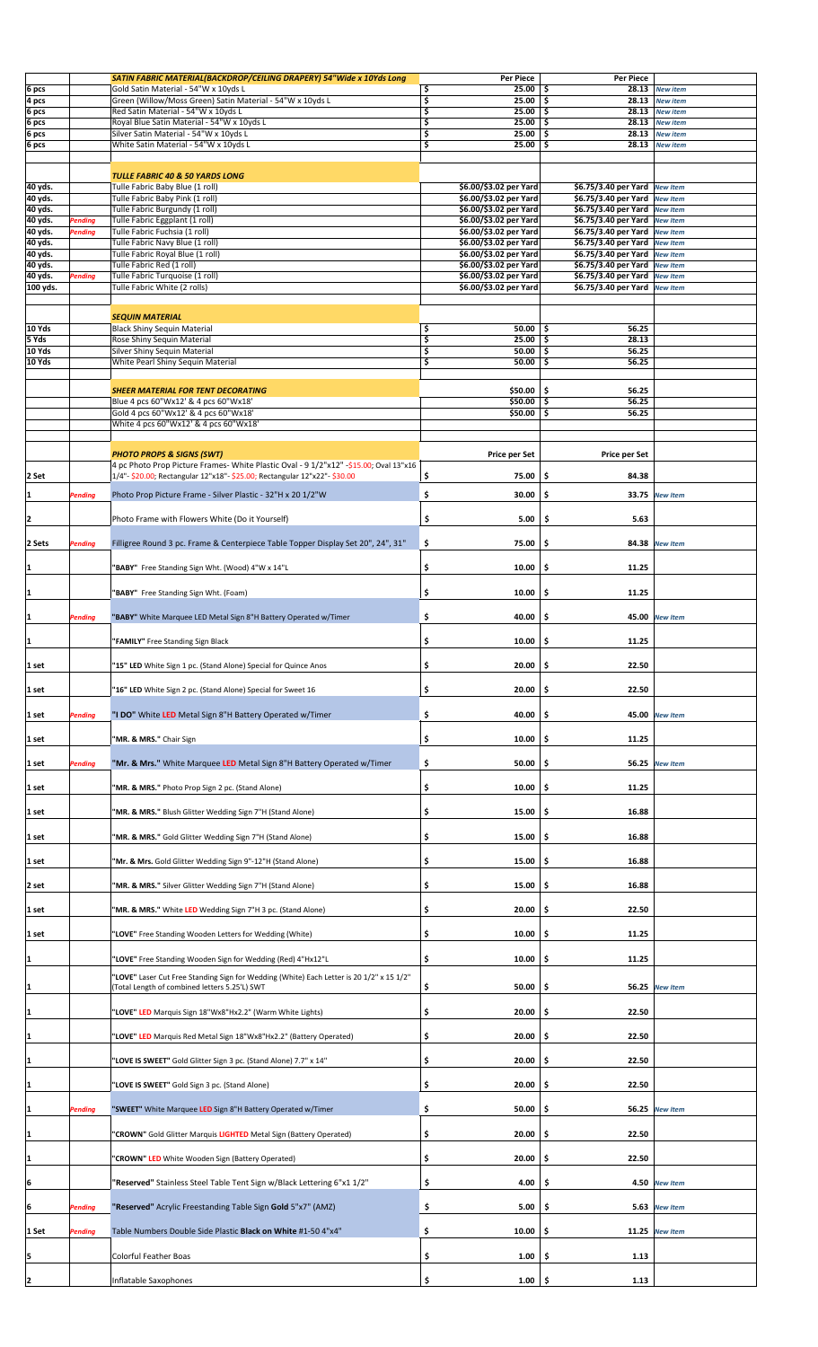|                 |                | SATIN FABRIC MATERIAL(BACKDROP/CEILING DRAPERY) 54"Wide x 10Yds Long                     |          | <b>Per Piece</b>       | <b>Per Piece</b>              |                 |  |
|-----------------|----------------|------------------------------------------------------------------------------------------|----------|------------------------|-------------------------------|-----------------|--|
| 6 pcs           |                | Gold Satin Material - 54"W x 10yds L                                                     | \$       | 25.00                  | -\$                           | 28.13 New item  |  |
| 4 pcs           |                | Green (Willow/Moss Green) Satin Material - 54"W x 10yds L                                | \$       | 25.00                  | \$<br>28.13                   | <b>New item</b> |  |
| 6 pcs           |                | Red Satin Material - 54"W x 10yds L                                                      | \$       | 25.00                  | \$<br>28.13                   | <b>New item</b> |  |
| 6 pcs           |                | Royal Blue Satin Material - 54"W x 10yds L                                               | \$       | 25.00                  | \$<br>28.13                   | <b>New item</b> |  |
| 6 pcs           |                | Silver Satin Material - 54"W x 10yds L                                                   | \$       | 25.00                  | \$<br>28.13                   | <b>New item</b> |  |
| 6 pcs           |                | White Satin Material - 54"W x 10yds L                                                    | \$       | 25.00                  | \$<br>28.13                   | <b>New item</b> |  |
|                 |                |                                                                                          |          |                        |                               |                 |  |
|                 |                |                                                                                          |          |                        |                               |                 |  |
|                 |                | TULLE FABRIC 40 & 50 YARDS LONG                                                          |          |                        |                               |                 |  |
| 40 yds.         |                | Tulle Fabric Baby Blue (1 roll)                                                          |          | \$6.00/\$3.02 per Yard | \$6.75/3.40 per Yard New Item |                 |  |
| 40 yds.         |                | Tulle Fabric Baby Pink (1 roll)                                                          |          | \$6.00/\$3.02 per Yard | \$6.75/3.40 per Yard          | <b>New Item</b> |  |
| 40 yds.         |                | Tulle Fabric Burgundy (1 roll)                                                           |          | \$6.00/\$3.02 per Yard | \$6.75/3.40 per Yard          | <b>New Item</b> |  |
| 40 yds.         | Pending        | Tulle Fabric Eggplant (1 roll)                                                           |          | \$6.00/\$3.02 per Yard | \$6.75/3.40 per Yard          | <b>New Item</b> |  |
| 40 yds.         | Pending        | Tulle Fabric Fuchsia (1 roll)                                                            |          | \$6.00/\$3.02 per Yard | \$6.75/3.40 per Yard          | <b>New Item</b> |  |
| 40 yds.         |                | Tulle Fabric Navy Blue (1 roll)                                                          |          | \$6.00/\$3.02 per Yard | \$6.75/3.40 per Yard          | <b>New Item</b> |  |
| 40 yds.         |                | Tulle Fabric Royal Blue (1 roll)                                                         |          | \$6.00/\$3.02 per Yard | \$6.75/3.40 per Yard          | <b>New Item</b> |  |
| 40 yds.         |                | Tulle Fabric Red (1 roll)                                                                |          | \$6.00/\$3.02 per Yard | \$6.75/3.40 per Yard          | <b>New Item</b> |  |
| 40 yds.         | Pending        | Tulle Fabric Turquoise (1 roll)                                                          |          | \$6.00/\$3.02 per Yard | \$6.75/3.40 per Yard          | <b>New Item</b> |  |
| 100 yds.        |                | Tulle Fabric White (2 rolls)                                                             |          | \$6.00/\$3.02 per Yard | \$6.75/3.40 per Yard          | <b>New Item</b> |  |
|                 |                |                                                                                          |          |                        |                               |                 |  |
|                 |                |                                                                                          |          |                        |                               |                 |  |
|                 |                | <b>SEQUIN MATERIAL</b>                                                                   |          |                        |                               |                 |  |
| 10 Yds<br>5 Yds |                | Black Shiny Sequin Material                                                              | \$<br>\$ | 50.00                  | \$.<br>56.25<br>28.13         |                 |  |
|                 |                | Rose Shiny Sequin Material                                                               |          | 25.00                  | \$                            |                 |  |
| 10 Yds          |                | Silver Shiny Sequin Material                                                             | \$       | 50.00                  | \$<br>56.25                   |                 |  |
| 10 Yds          |                | White Pearl Shiny Sequin Material                                                        | \$       | 50.00                  | \$<br>56.25                   |                 |  |
|                 |                |                                                                                          |          |                        |                               |                 |  |
|                 |                | <b>SHEER MATERIAL FOR TENT DECORATING</b>                                                |          | \$50.00                | \$.<br>56.25                  |                 |  |
|                 |                | Blue 4 pcs 60"Wx12' & 4 pcs 60"Wx18"                                                     |          | \$50.00                | \$<br>56.25                   |                 |  |
|                 |                | Gold 4 pcs 60"Wx12' & 4 pcs 60"Wx18"                                                     |          | \$50.00                | \$<br>56.25                   |                 |  |
|                 |                | White 4 pcs 60"Wx12' & 4 pcs 60"Wx18"                                                    |          |                        |                               |                 |  |
|                 |                |                                                                                          |          |                        |                               |                 |  |
|                 |                |                                                                                          |          |                        |                               |                 |  |
|                 |                | <b>PHOTO PROPS &amp; SIGNS (SWT)</b>                                                     |          | <b>Price per Set</b>   | <b>Price per Set</b>          |                 |  |
|                 |                | 4 pc Photo Prop Picture Frames- White Plastic Oval - 9 1/2"x12" -\$15.00; Oval 13"x16    |          |                        |                               |                 |  |
| 2 Set           |                | 1/4"- \$20.00; Rectangular 12"x18"- \$25.00; Rectangular 12"x22"- \$30.00                | \$       | 75.00                  | \$<br>84.38                   |                 |  |
| I1              | Pending        | Photo Prop Picture Frame - Silver Plastic - 32"H x 20 1/2"W                              | \$       | 30.00                  | \$                            | 33.75 New Item  |  |
|                 |                |                                                                                          |          |                        |                               |                 |  |
|                 |                | Photo Frame with Flowers White (Do it Yourself)                                          |          | 5.00                   | \$<br>5.63                    |                 |  |
| 12              |                |                                                                                          | \$       |                        |                               |                 |  |
|                 |                |                                                                                          |          |                        |                               |                 |  |
| 2 Sets          | Pending        | Filligree Round 3 pc. Frame & Centerpiece Table Topper Display Set 20", 24", 31"         | \$       | 75.00                  | \$                            | 84.38 New Item  |  |
|                 |                |                                                                                          |          |                        |                               |                 |  |
| 1               |                | "BABY" Free Standing Sign Wht. (Wood) 4"W x 14"L                                         | \$       | 10.00                  | \$<br>11.25                   |                 |  |
|                 |                |                                                                                          |          |                        |                               |                 |  |
| 1               |                | "BABY" Free Standing Sign Wht. (Foam)                                                    | \$       | 10.00                  | \$<br>11.25                   |                 |  |
|                 |                |                                                                                          |          |                        |                               |                 |  |
| 1               | Pending        | "BABY" White Marquee LED Metal Sign 8"H Battery Operated w/Timer                         | \$       | 40.00                  | \$                            | 45.00 New Item  |  |
|                 |                |                                                                                          |          |                        |                               |                 |  |
|                 |                |                                                                                          | \$       | 10.00                  | \$                            |                 |  |
| 1               |                | "FAMILY" Free Standing Sign Black                                                        |          |                        | 11.25                         |                 |  |
|                 |                |                                                                                          |          |                        |                               |                 |  |
| 1 set           |                | "15" LED White Sign 1 pc. (Stand Alone) Special for Quince Anos                          | \$       | 20.00                  | \$<br>22.50                   |                 |  |
|                 |                |                                                                                          |          |                        |                               |                 |  |
| 1 set           |                | "16" LED White Sign 2 pc. (Stand Alone) Special for Sweet 16                             | \$       | 20.00                  | \$<br>22.50                   |                 |  |
|                 |                |                                                                                          |          |                        |                               |                 |  |
| 1 set           | Pending        | "I DO" White LED Metal Sign 8"H Battery Operated w/Timer                                 | \$       | 40.00                  | \$<br>45.00                   | <b>New Item</b> |  |
|                 |                |                                                                                          |          |                        |                               |                 |  |
| 1 set           |                | "MR. & MRS." Chair Sign                                                                  | \$       | 10.00                  | 11.25<br>\$                   |                 |  |
|                 |                |                                                                                          |          |                        |                               |                 |  |
| 1 set           | Pending        | "Mr. & Mrs." White Marquee LED Metal Sign 8"H Battery Operated w/Timer                   | \$       | 50.00                  | \$<br>56.25                   | <b>New Item</b> |  |
|                 |                |                                                                                          |          |                        |                               |                 |  |
| 1 set           |                | "MR. & MRS." Photo Prop Sign 2 pc. (Stand Alone)                                         | \$       | 10.00                  | 11.25<br>\$                   |                 |  |
|                 |                |                                                                                          |          |                        |                               |                 |  |
|                 |                |                                                                                          |          |                        |                               |                 |  |
| l 1 set         |                | "MR. & MRS." Blush Glitter Wedding Sign 7"H (Stand Alone)                                | \$       | 15.00                  | 16.88<br>\$.                  |                 |  |
|                 |                |                                                                                          |          |                        |                               |                 |  |
| 1 set           |                | "MR. & MRS." Gold Glitter Wedding Sign 7"H (Stand Alone)                                 | \$       | 15.00                  | \$<br>16.88                   |                 |  |
|                 |                |                                                                                          |          |                        |                               |                 |  |
| 1 set           |                | "Mr. & Mrs. Gold Glitter Wedding Sign 9"-12"H (Stand Alone)                              | \$       | 15.00                  | 16.88<br>Ş                    |                 |  |
|                 |                |                                                                                          |          |                        |                               |                 |  |
| 2 set           |                | "MR. & MRS." Silver Glitter Wedding Sign 7"H (Stand Alone)                               | \$       | 15.00                  | \$<br>16.88                   |                 |  |
|                 |                |                                                                                          |          |                        |                               |                 |  |
| 1 set           |                | "MR. & MRS." White LED Wedding Sign 7"H 3 pc. (Stand Alone)                              | \$       | 20.00                  | 22.50<br>Ş                    |                 |  |
|                 |                |                                                                                          |          |                        |                               |                 |  |
| 1 set           |                | "LOVE" Free Standing Wooden Letters for Wedding (White)                                  | \$       | 10.00                  | 11.25<br>\$.                  |                 |  |
|                 |                |                                                                                          |          |                        |                               |                 |  |
| 11              |                | "LOVE" Free Standing Wooden Sign for Wedding (Red) 4"Hx12"L                              | \$       | 10.00                  | 11.25<br>\$.                  |                 |  |
|                 |                |                                                                                          |          |                        |                               |                 |  |
|                 |                | "LOVE" Laser Cut Free Standing Sign for Wedding (White) Each Letter is 20 1/2" x 15 1/2" |          |                        |                               |                 |  |
| 1               |                | (Total Length of combined letters 5.25'L) SWT                                            | \$       | 50.00                  | \$                            | 56.25 New Item  |  |
|                 |                |                                                                                          |          |                        |                               |                 |  |
| 11              |                | "LOVE" LED Marquis Sign 18"Wx8"Hx2.2" (Warm White Lights)                                | \$       | 20.00                  | 22.50<br>\$                   |                 |  |
|                 |                |                                                                                          |          |                        |                               |                 |  |
|                 |                | "LOVE" LED Marquis Red Metal Sign 18"Wx8"Hx2.2" (Battery Operated)                       | \$       | 20.00                  | 22.50<br>s                    |                 |  |
|                 |                |                                                                                          |          |                        |                               |                 |  |
|                 |                |                                                                                          | \$       | 20.00                  | 22.50<br>.\$                  |                 |  |
|                 |                | "LOVE IS SWEET" Gold Glitter Sign 3 pc. (Stand Alone) 7.7" x 14"                         |          |                        |                               |                 |  |
|                 |                |                                                                                          |          |                        |                               |                 |  |
| 11              |                | "LOVE IS SWEET" Gold Sign 3 pc. (Stand Alone)                                            | \$       | 20.00                  | 22.50<br>\$.                  |                 |  |
|                 |                |                                                                                          |          |                        |                               |                 |  |
| I1              | <b>Pending</b> | "SWEET" White Marquee LED Sign 8"H Battery Operated w/Timer                              | \$       | 50.00                  | \$<br>56.25                   | <b>New Item</b> |  |
|                 |                |                                                                                          |          |                        |                               |                 |  |
| I1              |                | "CROWN" Gold Glitter Marquis LIGHTED Metal Sign (Battery Operated)                       | \$       | 20.00                  | 22.50<br>Ş                    |                 |  |
|                 |                |                                                                                          |          |                        |                               |                 |  |
|                 |                | "CROWN" LED White Wooden Sign (Battery Operated)                                         | \$       | 20.00                  | 22.50<br>Ş                    |                 |  |
|                 |                |                                                                                          |          |                        |                               |                 |  |
| 16              |                | "Reserved" Stainless Steel Table Tent Sign w/Black Lettering 6"x1 1/2"                   | \$       | 4.00                   | 4.50<br>\$                    | <b>New Item</b> |  |
|                 |                |                                                                                          |          |                        |                               |                 |  |
| I6              | Pending        | "Reserved" Acrylic Freestanding Table Sign Gold 5"x7" (AMZ)                              | \$       | 5.00                   | 5.63<br>\$.                   | <b>New Item</b> |  |
|                 |                |                                                                                          |          |                        |                               |                 |  |
|                 |                | Table Numbers Double Side Plastic Black on White #1-50 4"x4"                             | \$       | 10.00                  | 11.25                         | <b>New Item</b> |  |
| 1 Set           | Pending        |                                                                                          |          |                        | Ş                             |                 |  |
|                 |                |                                                                                          |          |                        |                               |                 |  |
| 15              |                | Colorful Feather Boas                                                                    | \$       | 1.00                   | 1.13<br>-\$                   |                 |  |
|                 |                |                                                                                          |          |                        |                               |                 |  |
| 2               |                | Inflatable Saxophones                                                                    | \$       | $1.00$ \$              | $\bf 1.13$                    |                 |  |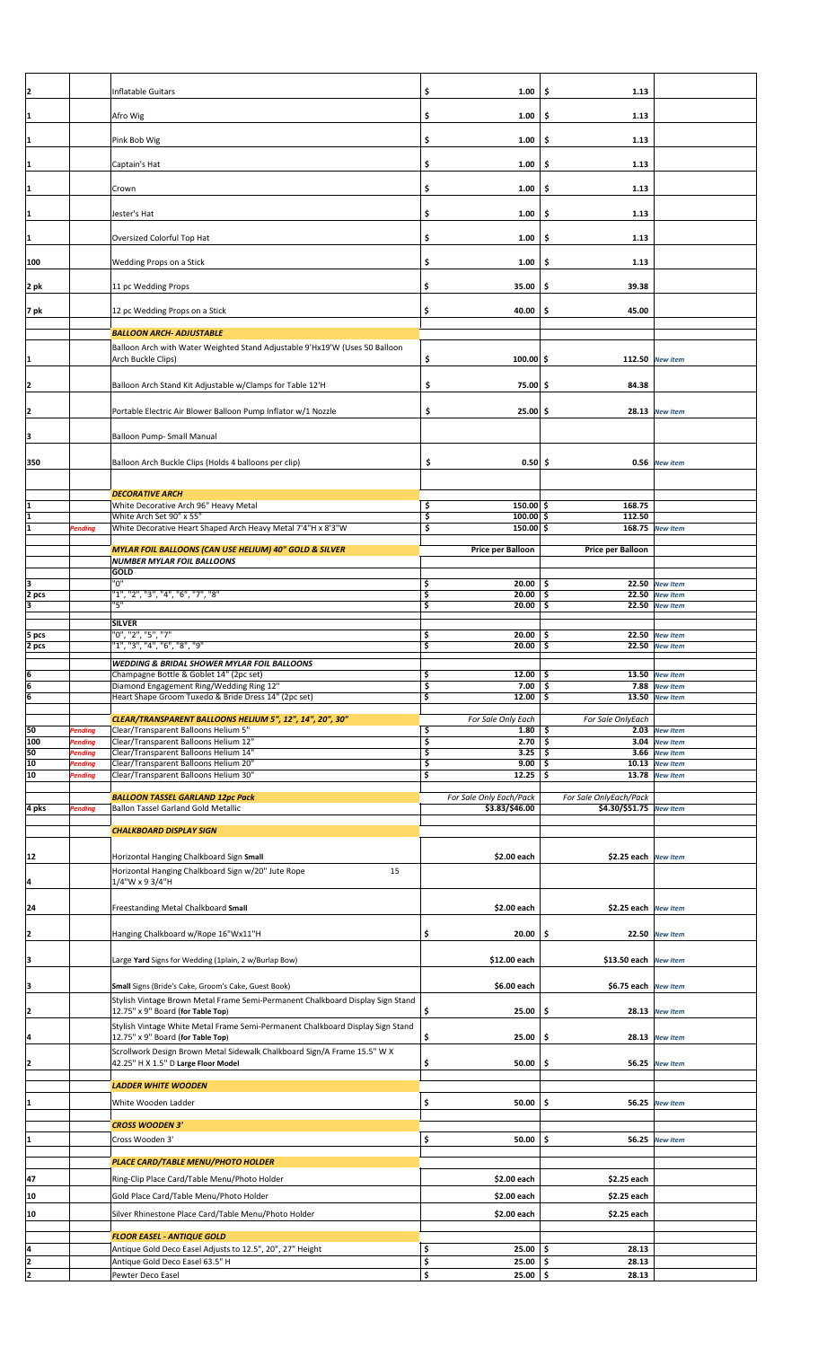| 2                                         |                           | Inflatable Guitars                                                                                                  | \$<br>1.00                       | \$<br>1.13                 |                                    |  |
|-------------------------------------------|---------------------------|---------------------------------------------------------------------------------------------------------------------|----------------------------------|----------------------------|------------------------------------|--|
|                                           |                           |                                                                                                                     |                                  |                            |                                    |  |
| 1                                         |                           | Afro Wig                                                                                                            | \$<br>1.00                       | \$<br>1.13                 |                                    |  |
|                                           |                           |                                                                                                                     |                                  |                            |                                    |  |
| 1                                         |                           | Pink Bob Wig                                                                                                        | \$<br>1.00                       | 1.13<br>\$                 |                                    |  |
|                                           |                           |                                                                                                                     |                                  |                            |                                    |  |
| $\mathbf{1}$                              |                           | Captain's Hat                                                                                                       | \$<br>1.00                       | 1.13<br>\$                 |                                    |  |
|                                           |                           | Crown                                                                                                               | \$<br>1.00                       | 1.13                       |                                    |  |
| $\overline{1}$                            |                           |                                                                                                                     |                                  | \$.                        |                                    |  |
| 1                                         |                           | Jester's Hat                                                                                                        | \$<br>1.00                       | \$<br>1.13                 |                                    |  |
|                                           |                           |                                                                                                                     |                                  |                            |                                    |  |
| $\overline{1}$                            |                           | Oversized Colorful Top Hat                                                                                          | \$<br>1.00                       | 1.13<br>\$                 |                                    |  |
|                                           |                           |                                                                                                                     |                                  |                            |                                    |  |
| 100                                       |                           | Wedding Props on a Stick                                                                                            | \$<br>1.00                       | 1.13<br>\$                 |                                    |  |
|                                           |                           |                                                                                                                     |                                  |                            |                                    |  |
| 2 pk                                      |                           | 11 pc Wedding Props                                                                                                 | \$<br>35.00                      | 39.38<br>-\$               |                                    |  |
|                                           |                           |                                                                                                                     |                                  |                            |                                    |  |
| 7 pk                                      |                           | 12 pc Wedding Props on a Stick                                                                                      | \$<br>40.00                      | -\$<br>45.00               |                                    |  |
|                                           |                           | <b>BALLOON ARCH- ADJUSTABLE</b>                                                                                     |                                  |                            |                                    |  |
|                                           |                           | Balloon Arch with Water Weighted Stand Adjustable 9'Hx19'W (Uses 50 Balloon                                         |                                  |                            |                                    |  |
| $\overline{\mathbf{1}}$                   |                           | Arch Buckle Clips)                                                                                                  | \$<br>$100.00$ \$                |                            | 112.50 New item                    |  |
|                                           |                           |                                                                                                                     |                                  |                            |                                    |  |
| $\overline{z}$                            |                           | Balloon Arch Stand Kit Adjustable w/Clamps for Table 12'H                                                           | \$<br>75.00 \$                   | 84.38                      |                                    |  |
|                                           |                           |                                                                                                                     |                                  |                            |                                    |  |
| $\overline{2}$                            |                           | Portable Electric Air Blower Balloon Pump Inflator w/1 Nozzle                                                       | \$<br>$25.00$ \$                 | 28.13                      | <b>New Item</b>                    |  |
|                                           |                           |                                                                                                                     |                                  |                            |                                    |  |
| 3                                         |                           | <b>Balloon Pump- Small Manual</b>                                                                                   |                                  |                            |                                    |  |
|                                           |                           |                                                                                                                     |                                  |                            |                                    |  |
| 350                                       |                           | Balloon Arch Buckle Clips (Holds 4 balloons per clip)                                                               | \$<br>$0.50 \, \xi$              | 0.56                       | <b>New item</b>                    |  |
|                                           |                           |                                                                                                                     |                                  |                            |                                    |  |
|                                           |                           | <b>DECORATIVE ARCH</b>                                                                                              |                                  |                            |                                    |  |
|                                           |                           | White Decorative Arch 96" Heavy Metal                                                                               | \$<br>$150.00$ \$                | 168.75                     |                                    |  |
| $\overline{\mathbf{1}}$                   |                           | White Arch Set 90" x 55"                                                                                            | \$<br>$100.00$ \$                | 112.50                     |                                    |  |
| 1                                         | <b>Pending</b>            | White Decorative Heart Shaped Arch Heavy Metal 7'4"H x 8'3"W                                                        | $150.00$ \$<br>\$                | 168.75                     | <b>New Item</b>                    |  |
|                                           |                           | MYLAR FOIL BALLOONS (CAN USE HELIUM) 40" GOLD & SILVER                                                              | Price per Balloon                | Price per Balloon          |                                    |  |
|                                           |                           | <b>NUMBER MYLAR FOIL BALLOONS</b>                                                                                   |                                  |                            |                                    |  |
|                                           |                           | GOLD                                                                                                                |                                  |                            |                                    |  |
| $\frac{3}{2}$ pcs                         |                           | "ט"                                                                                                                 | $20.00$ \$<br>\$                 | 22.50                      | <b>New Item</b>                    |  |
|                                           |                           | "1", "2", "3", "4", "6", "7", "8"<br>"5"                                                                            | \$<br>20.00<br>\$<br>20.00       | \$<br>22.50<br>\$<br>22.50 | <b>New Item</b>                    |  |
| 3                                         |                           |                                                                                                                     |                                  |                            | <b>New Item</b>                    |  |
|                                           |                           | <b>SILVER</b>                                                                                                       |                                  |                            |                                    |  |
| 5 pcs                                     |                           | "0", "2", "5", "7"<br>"1", "3", "4", "6", "8", "9"                                                                  | \$<br>20.00<br>\$<br>20.00       | 22.50<br>\$<br>22.50<br>\$ | <b>New Item</b><br><b>New Item</b> |  |
| 2 pcs                                     |                           |                                                                                                                     |                                  |                            |                                    |  |
|                                           |                           | <b>WEDDING &amp; BRIDAL SHOWER MYLAR FOIL BALLOONS</b>                                                              |                                  |                            |                                    |  |
|                                           |                           |                                                                                                                     |                                  |                            |                                    |  |
|                                           |                           | Champagne Bottle & Goblet 14" (2pc set)                                                                             | \$<br>$12.00$ \$                 | 13.50 New Item             |                                    |  |
|                                           |                           | Diamond Engagement Ring/Wedding Ring 12"<br>Heart Shape Groom Tuxedo & Bride Dress 14" (2pc set)                    | \$<br>7.00<br>\$<br>$12.00$   \$ | \$<br>7.88                 | <b>New Item</b><br>13.50 New Item  |  |
| $\frac{6}{6}$                             |                           |                                                                                                                     |                                  |                            |                                    |  |
|                                           |                           | CLEAR/TRANSPARENT BALLOONS HELIUM 5", 12", 14", 20", 30"                                                            | For Sale Only Each               | For Sale OnlyEach          |                                    |  |
| 50                                        | Pending                   | Clear/Transparent Balloons Helium 5"                                                                                | \$<br>1.80                       | \$<br>2.03                 | <b>New Item</b>                    |  |
| 100                                       | <b>Pending</b>            | Clear/Transparent Balloons Helium 12"                                                                               | 3<br>2.70                        | \$<br>3.04                 | <b>New Item</b>                    |  |
| $\begin{array}{c}\n50 \\ 10\n\end{array}$ | Pending<br><b>Pending</b> | Clear/Transparent Balloons Helium 14"<br>Clear/Transparent Balloons Helium 20"                                      | \$<br>3.25<br>\$<br>9.00         | -\$<br>3.66<br>\$<br>10.13 | <b>New Item</b><br><b>New Item</b> |  |
| 10                                        | <b>Pending</b>            | Clear/Transparent Balloons Helium 30"                                                                               | \$<br>12.25                      | \$                         | 13.78 New Item                     |  |
|                                           |                           |                                                                                                                     |                                  |                            |                                    |  |
|                                           |                           | <b>BALLOON TASSEL GARLAND 12pc Pack</b>                                                                             | For Sale Only Each/Pack          | For Sale OnlyEach/Pack     |                                    |  |
|                                           | <b>Pending</b>            | Ballon Tassel Garland Gold Metallic                                                                                 | \$3.83/\$46.00                   | \$4.30/\$51.75             | <b>New Item</b>                    |  |
|                                           |                           | <b>CHALKBOARD DISPLAY SIGN</b>                                                                                      |                                  |                            |                                    |  |
|                                           |                           |                                                                                                                     |                                  |                            |                                    |  |
| 12                                        |                           | Horizontal Hanging Chalkboard Sign Small                                                                            | \$2.00 each                      | \$2.25 each New Item       |                                    |  |
|                                           |                           | Horizontal Hanging Chalkboard Sign w/20" Jute Rope<br>15                                                            |                                  |                            |                                    |  |
| $\frac{4}{1}$                             |                           | 1/4"W x 9 3/4"H                                                                                                     |                                  |                            |                                    |  |
|                                           |                           |                                                                                                                     |                                  |                            |                                    |  |
|                                           |                           | Freestanding Metal Chalkboard Small                                                                                 | \$2.00 each                      | \$2.25 each New Item       |                                    |  |
|                                           |                           |                                                                                                                     |                                  |                            |                                    |  |
| $\overline{2}$                            |                           | Hanging Chalkboard w/Rope 16"Wx11"H                                                                                 | \$<br>20.00                      | -\$                        | 22.50 New Item                     |  |
|                                           |                           |                                                                                                                     |                                  |                            |                                    |  |
| $\overline{a}$                            |                           | Large Yard Signs for Wedding (1plain, 2 w/Burlap Bow)                                                               | \$12.00 each                     | \$13.50 each New Item      |                                    |  |
|                                           |                           |                                                                                                                     |                                  |                            |                                    |  |
| 3                                         |                           | Small Signs (Bride's Cake, Groom's Cake, Guest Book)                                                                | \$6.00 each                      | \$6.75 each   New Item     |                                    |  |
| 4 pks<br>$^{24}$                          |                           | Stylish Vintage Brown Metal Frame Semi-Permanent Chalkboard Display Sign Stand                                      |                                  |                            |                                    |  |
| $\overline{2}$                            |                           | 12.75" x 9" Board (for Table Top)                                                                                   | \$<br>25.00                      | \$                         | 28.13 New Item                     |  |
|                                           |                           | Stylish Vintage White Metal Frame Semi-Permanent Chalkboard Display Sign Stand<br>12.75" x 9" Board (for Table Top) | \$<br>25.00                      | \$                         | 28.13 New Item                     |  |
| $\overline{4}$                            |                           |                                                                                                                     |                                  |                            |                                    |  |
|                                           |                           | Scrollwork Design Brown Metal Sidewalk Chalkboard Sign/A Frame 15.5" W X<br>42.25" H X 1.5" D Large Floor Model     | \$<br>50.00                      | \$                         | 56.25 New Item                     |  |
| $\overline{\mathbf{c}}$                   |                           |                                                                                                                     |                                  |                            |                                    |  |
|                                           |                           | <b>LADDER WHITE WOODEN</b>                                                                                          |                                  |                            |                                    |  |
| 1                                         |                           | White Wooden Ladder                                                                                                 | \$<br>50.00                      | \$.                        | 56.25 New Item                     |  |
|                                           |                           |                                                                                                                     |                                  |                            |                                    |  |
|                                           |                           | <b>CROSS WOODEN 3'</b>                                                                                              |                                  |                            |                                    |  |
| $\overline{\mathbf{1}}$                   |                           | Cross Wooden 3'                                                                                                     | \$<br>50.00                      | \$.<br>56.25               | <b>New Item</b>                    |  |
|                                           |                           |                                                                                                                     |                                  |                            |                                    |  |
|                                           |                           | PLACE CARD/TABLE MENU/PHOTO HOLDER                                                                                  |                                  |                            |                                    |  |
| 47                                        |                           | Ring-Clip Place Card/Table Menu/Photo Holder                                                                        | \$2.00 each                      | \$2.25 each                |                                    |  |
| 10                                        |                           | Gold Place Card/Table Menu/Photo Holder                                                                             | \$2.00 each                      | \$2.25 each                |                                    |  |
|                                           |                           |                                                                                                                     |                                  |                            |                                    |  |
| 10                                        |                           | Silver Rhinestone Place Card/Table Menu/Photo Holder                                                                | \$2.00 each                      | \$2.25 each                |                                    |  |
|                                           |                           | <b>FLOOR EASEL - ANTIQUE GOLD</b>                                                                                   |                                  |                            |                                    |  |
|                                           |                           | Antique Gold Deco Easel Adjusts to 12.5", 20", 27" Height                                                           | \$<br>25.00                      | \$<br>28.13                |                                    |  |
| $\frac{4}{2}$<br>$\overline{2}$           |                           | Antique Gold Deco Easel 63.5" H<br>Pewter Deco Easel                                                                | \$<br>25.00<br>\$<br>$25.00$ \$  | \$<br>28.13<br>28.13       |                                    |  |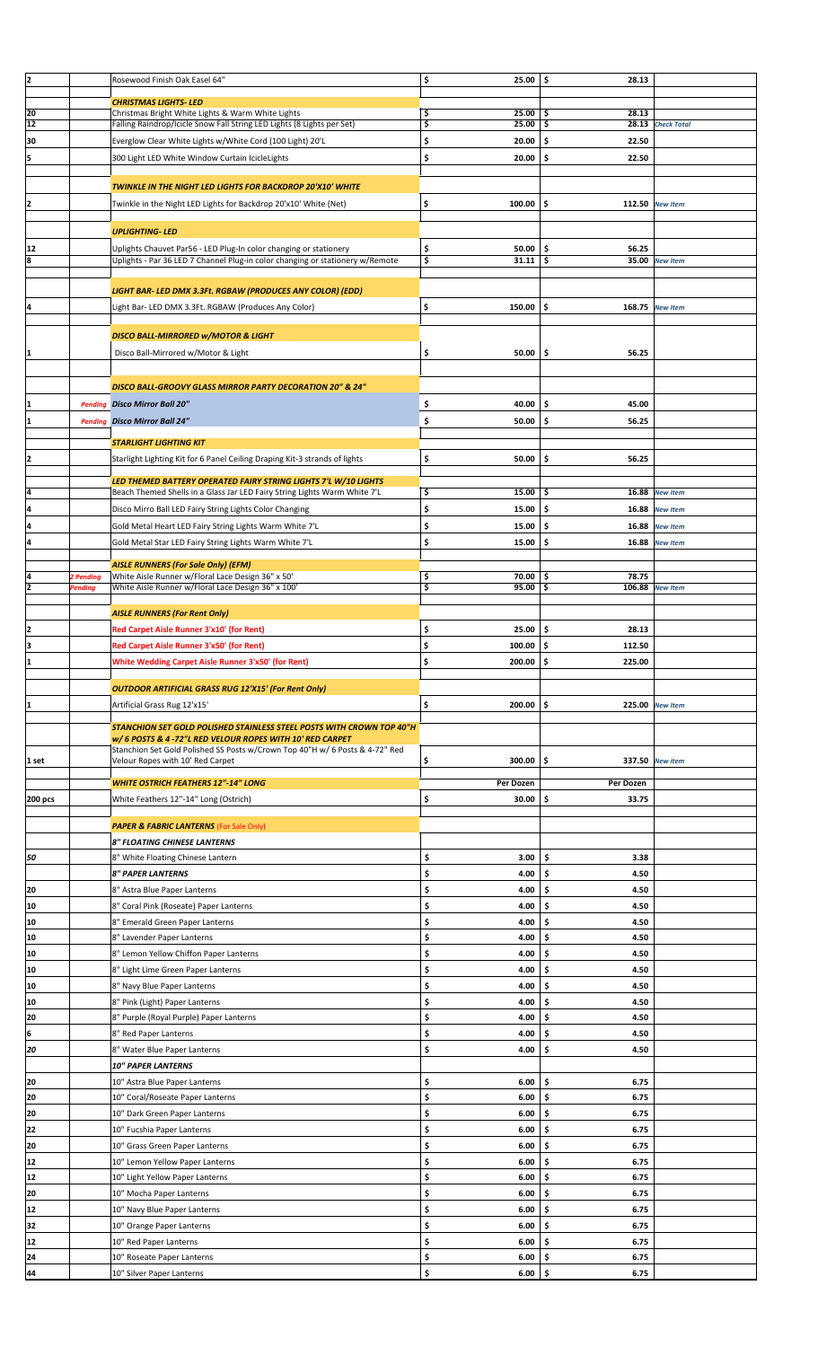| 12      |                | Rosewood Finish Oak Easel 64"                                                    | \$<br>25.00        | \$<br>28.13   |                   |  |
|---------|----------------|----------------------------------------------------------------------------------|--------------------|---------------|-------------------|--|
|         |                |                                                                                  |                    |               |                   |  |
| 20      |                | <b>CHRISTMAS LIGHTS-LED</b><br>Christmas Bright White Lights & Warm White Lights | \$<br>25.00        | \$<br>28.13   |                   |  |
| 12      |                | Falling Raindrop/Icicle Snow Fall String LED Lights (8 Lights per Set)           | \$<br>25.00        | \$            | 28.13 Check Total |  |
|         |                |                                                                                  |                    |               |                   |  |
| 30      |                | Everglow Clear White Lights w/White Cord (100 Light) 20'L                        | \$<br>20.00        | \$<br>22.50   |                   |  |
| 5       |                | 300 Light LED White Window Curtain IcicleLights                                  | \$<br>20.00        | \$.<br>22.50  |                   |  |
|         |                |                                                                                  |                    |               |                   |  |
|         |                |                                                                                  |                    |               |                   |  |
|         |                | TWINKLE IN THE NIGHT LED LIGHTS FOR BACKDROP 20'X10' WHITE                       |                    |               |                   |  |
| İ2      |                | Twinkle in the Night LED Lights for Backdrop 20'x10' White (Net)                 | \$<br>100.00       | \$            | 112.50 New Item   |  |
|         |                |                                                                                  |                    |               |                   |  |
|         |                | <b>UPLIGHTING-LED</b>                                                            |                    |               |                   |  |
|         |                |                                                                                  |                    |               |                   |  |
| 12      |                | Uplights Chauvet Par56 - LED Plug-In color changing or stationery                | \$<br>50.00        | \$<br>56.25   |                   |  |
| 8       |                | Uplights - Par 36 LED 7 Channel Plug-in color changing or stationery w/Remote    | \$<br>31.11        | -\$           | 35.00 New Item    |  |
|         |                |                                                                                  |                    |               |                   |  |
|         |                |                                                                                  |                    |               |                   |  |
|         |                | LIGHT BAR- LED DMX 3.3Ft. RGBAW (PRODUCES ANY COLOR) (EDD)                       |                    |               |                   |  |
| 14      |                | Light Bar- LED DMX 3.3Ft. RGBAW (Produces Any Color)                             | \$<br>150.00       | \$.           | 168.75 New Item   |  |
|         |                |                                                                                  |                    |               |                   |  |
|         |                | <b>DISCO BALL-MIRRORED W/MOTOR &amp; LIGHT</b>                                   |                    |               |                   |  |
|         |                |                                                                                  |                    |               |                   |  |
|         |                | Disco Ball-Mirrored w/Motor & Light                                              | \$<br>50.00        | \$<br>56.25   |                   |  |
|         |                |                                                                                  |                    |               |                   |  |
|         |                |                                                                                  |                    |               |                   |  |
|         |                | DISCO BALL-GROOVY GLASS MIRROR PARTY DECORATION 20" & 24"                        |                    |               |                   |  |
|         |                | <b>Pending Disco Mirror Ball 20"</b>                                             | 40.00<br>\$        | \$<br>45.00   |                   |  |
|         |                |                                                                                  |                    |               |                   |  |
| I1      | <b>Pending</b> | <b>Disco Mirror Ball 24"</b>                                                     | \$<br>50.00        | \$<br>56.25   |                   |  |
|         |                |                                                                                  |                    |               |                   |  |
|         |                | <b>STARLIGHT LIGHTING KIT</b>                                                    |                    |               |                   |  |
| I2      |                | Starlight Lighting Kit for 6 Panel Ceiling Draping Kit-3 strands of lights       | \$<br>50.00        | \$<br>56.25   |                   |  |
|         |                |                                                                                  |                    |               |                   |  |
|         |                | LED THEMED BATTERY OPERATED FAIRY STRING LIGHTS 7'L W/10 LIGHTS                  |                    |               |                   |  |
| 14      |                | Beach Themed Shells in a Glass Jar LED Fairy String Lights Warm White 7'L        | 15.00<br>\$        | \$.           | 16.88 New Item    |  |
| l4      |                |                                                                                  | \$                 | \$            |                   |  |
|         |                | Disco Mirro Ball LED Fairy String Lights Color Changing                          | 15.00              | 16.88         | <b>New Item</b>   |  |
| 4       |                | Gold Metal Heart LED Fairy String Lights Warm White 7'L                          | \$<br>15.00        | -\$<br>16.88  | <b>New Item</b>   |  |
| 4       |                |                                                                                  | \$<br>15.00        | \$            | 16.88 New Item    |  |
|         |                | Gold Metal Star LED Fairy String Lights Warm White 7'L                           |                    |               |                   |  |
|         |                | <b>AISLE RUNNERS (For Sale Only) (EFM)</b>                                       |                    |               |                   |  |
| 14      | 2 Pending      | White Aisle Runner w/Floral Lace Design 36" x 50'                                | \$<br>70.00        | -\$<br>78.75  |                   |  |
| I2      | Pending        | White Aisle Runner w/Floral Lace Design 36" x 100'                               | \$<br>$95.00$   \$ |               | 106.88 New Item   |  |
|         |                |                                                                                  |                    |               |                   |  |
|         |                |                                                                                  |                    |               |                   |  |
|         |                | <b>AISLE RUNNERS (For Rent Only)</b>                                             |                    |               |                   |  |
| 12      |                | Red Carpet Aisle Runner 3'x10' (for Rent)                                        | \$<br>25.00        | \$.<br>28.13  |                   |  |
| Iз      |                | Red Carpet Aisle Runner 3'x50' (for Rent)                                        | \$<br>100.00       | -\$<br>112.50 |                   |  |
|         |                |                                                                                  |                    |               |                   |  |
| ł1      |                | <b>White Wedding Carpet Aisle Runner 3'x50' (for Rent)</b>                       | \$<br>200.00       | \$.<br>225.00 |                   |  |
|         |                |                                                                                  |                    |               |                   |  |
|         |                |                                                                                  |                    |               |                   |  |
|         |                |                                                                                  |                    |               |                   |  |
|         |                | <b>OUTDOOR ARTIFICIAL GRASS RUG 12'X15' (For Rent Only)</b>                      |                    |               |                   |  |
|         |                | Artificial Grass Rug 12'x15'                                                     | \$<br>200.00       | \$.           | 225.00 New Item   |  |
|         |                |                                                                                  |                    |               |                   |  |
|         |                | STANCHION SET GOLD POLISHED STAINLESS STEEL POSTS WITH CROWN TOP 40"H            |                    |               |                   |  |
|         |                | w/ 6 POSTS & 4 -72"L RED VELOUR ROPES WITH 10' RED CARPET                        |                    |               |                   |  |
|         |                | Stanchion Set Gold Polished SS Posts w/Crown Top 40"H w/ 6 Posts & 4-72" Red     |                    |               |                   |  |
| 1 set   |                | Velour Ropes with 10' Red Carpet                                                 | \$<br>300.00       | \$.           | 337.50 New item   |  |
|         |                |                                                                                  |                    |               |                   |  |
|         |                | <b>WHITE OSTRICH FEATHERS 12"-14" LONG</b>                                       | Per Dozen          | Per Dozen     |                   |  |
| 200 pcs |                | White Feathers 12"-14" Long (Ostrich)                                            | \$<br>30.00        | \$<br>33.75   |                   |  |
|         |                |                                                                                  |                    |               |                   |  |
|         |                | <b>PAPER &amp; FABRIC LANTERNS (For Sale Only)</b>                               |                    |               |                   |  |
|         |                |                                                                                  |                    |               |                   |  |
|         |                | 8" FLOATING CHINESE LANTERNS                                                     |                    |               |                   |  |
| 50      |                | 8" White Floating Chinese Lantern                                                | \$<br>3.00         | \$<br>3.38    |                   |  |
|         |                | <b>8" PAPER LANTERNS</b>                                                         | \$<br>4.00         | \$<br>4.50    |                   |  |
|         |                |                                                                                  |                    |               |                   |  |
| 20      |                | 8" Astra Blue Paper Lanterns                                                     | \$<br>4.00         | \$<br>4.50    |                   |  |
| 10      |                | 8" Coral Pink (Roseate) Paper Lanterns                                           | \$<br>4.00         | \$<br>4.50    |                   |  |
| 10      |                | 8" Emerald Green Paper Lanterns                                                  | \$<br>4.00         | \$<br>4.50    |                   |  |
|         |                |                                                                                  |                    |               |                   |  |
| 10      |                | 8" Lavender Paper Lanterns                                                       | \$<br>4.00         | \$<br>4.50    |                   |  |
| 10      |                | 8" Lemon Yellow Chiffon Paper Lanterns                                           | \$<br>4.00         | \$<br>4.50    |                   |  |
| 10      |                |                                                                                  | \$<br>4.00         | \$<br>4.50    |                   |  |
|         |                | 8" Light Lime Green Paper Lanterns                                               |                    |               |                   |  |
| 10      |                | 8" Navy Blue Paper Lanterns                                                      | \$<br>4.00         | \$<br>4.50    |                   |  |
| 10      |                | 8" Pink (Light) Paper Lanterns                                                   | \$<br>4.00         | \$<br>4.50    |                   |  |
|         |                |                                                                                  |                    |               |                   |  |
| 20      |                | 8" Purple (Royal Purple) Paper Lanterns                                          | \$<br>4.00         | \$<br>4.50    |                   |  |
| l6      |                | 8" Red Paper Lanterns                                                            | \$<br>4.00         | \$<br>4.50    |                   |  |
| 20      |                | 8" Water Blue Paper Lanterns                                                     | \$<br>4.00         | \$<br>4.50    |                   |  |
|         |                |                                                                                  |                    |               |                   |  |
|         |                | <b>10" PAPER LANTERNS</b>                                                        |                    |               |                   |  |
| 20      |                | 10" Astra Blue Paper Lanterns                                                    | \$<br>6.00         | \$<br>6.75    |                   |  |
| 20      |                |                                                                                  | \$<br>6.00         | \$<br>6.75    |                   |  |
|         |                | 10" Coral/Roseate Paper Lanterns                                                 |                    |               |                   |  |
| 20      |                | 10" Dark Green Paper Lanterns                                                    | \$<br>6.00         | \$<br>6.75    |                   |  |
| 22      |                | 10" Fucshia Paper Lanterns                                                       | \$<br>6.00         | \$<br>6.75    |                   |  |
|         |                |                                                                                  |                    |               |                   |  |
| 20      |                | 10" Grass Green Paper Lanterns                                                   | \$<br>6.00         | \$<br>6.75    |                   |  |
| 12      |                | 10" Lemon Yellow Paper Lanterns                                                  | \$<br>6.00         | \$<br>6.75    |                   |  |
| 12      |                | 10" Light Yellow Paper Lanterns                                                  | \$<br>6.00         | \$<br>6.75    |                   |  |
|         |                |                                                                                  |                    |               |                   |  |
| 20      |                | 10" Mocha Paper Lanterns                                                         | \$<br>6.00         | \$<br>6.75    |                   |  |
| 12      |                | 10" Navy Blue Paper Lanterns                                                     | \$<br>6.00         | \$<br>6.75    |                   |  |
| 32      |                |                                                                                  | 6.00               | \$<br>6.75    |                   |  |
|         |                | 10" Orange Paper Lanterns                                                        | \$                 |               |                   |  |
| 12      |                | 10" Red Paper Lanterns                                                           | \$<br>6.00         | \$<br>6.75    |                   |  |
| 24      |                | 10" Roseate Paper Lanterns                                                       | \$<br>6.00         | \$<br>6.75    |                   |  |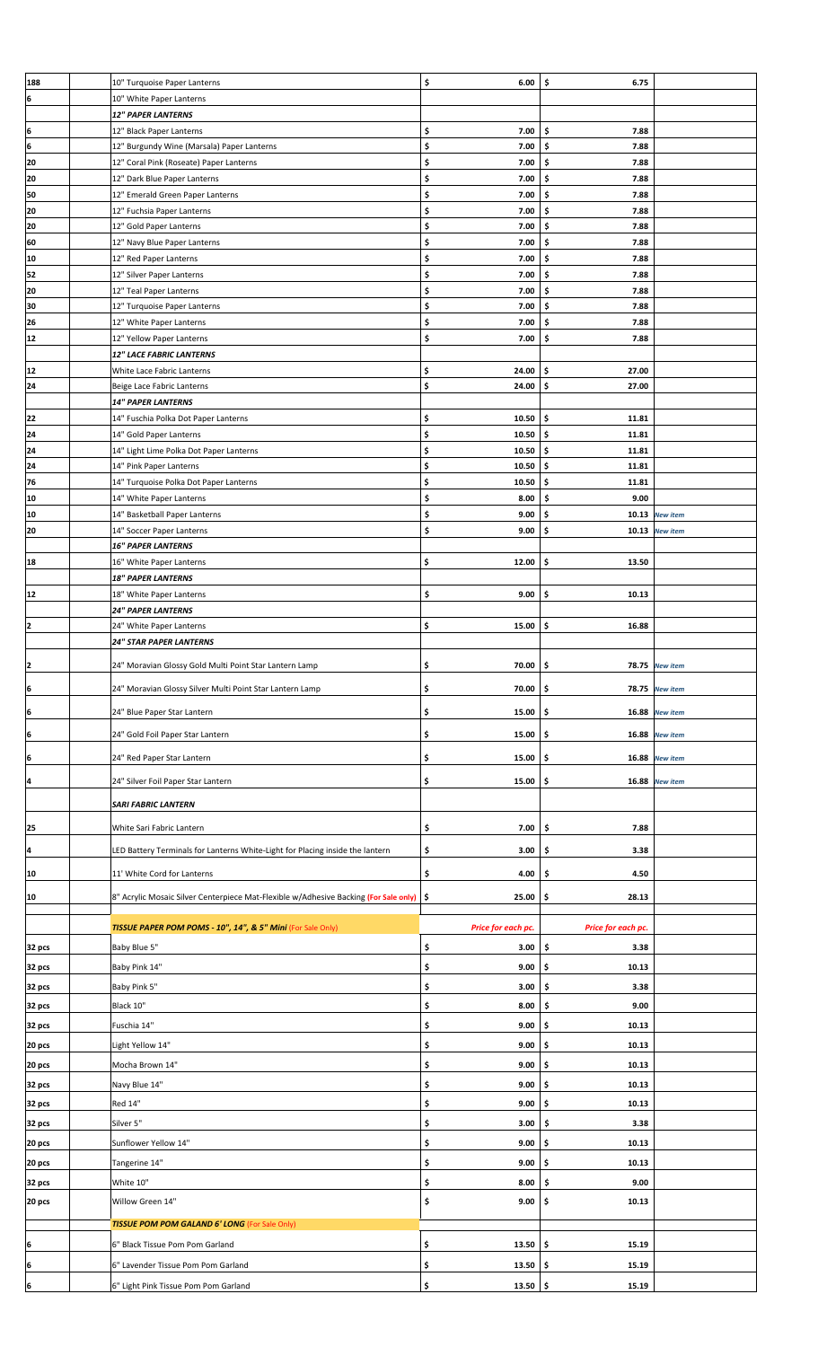| 188    | 10" Turquoise Paper Lanterns                                                              | \$<br>6.00         | \$<br>6.75         |                 |  |
|--------|-------------------------------------------------------------------------------------------|--------------------|--------------------|-----------------|--|
| 6      | 10" White Paper Lanterns                                                                  |                    |                    |                 |  |
|        | <b>12" PAPER LANTERNS</b>                                                                 |                    |                    |                 |  |
| ļ6     | 12" Black Paper Lanterns                                                                  | \$<br>7.00         | \$<br>7.88         |                 |  |
| ļ6     | 12" Burgundy Wine (Marsala) Paper Lanterns                                                | \$<br>7.00         | \$<br>7.88         |                 |  |
|        |                                                                                           |                    |                    |                 |  |
| 20     | 12" Coral Pink (Roseate) Paper Lanterns                                                   | \$<br>7.00         | \$<br>7.88         |                 |  |
| 20     | 12" Dark Blue Paper Lanterns                                                              | \$<br>7.00         | \$<br>7.88         |                 |  |
| 50     | 12" Emerald Green Paper Lanterns                                                          | \$<br>7.00         | \$<br>7.88         |                 |  |
| 20     | 12" Fuchsia Paper Lanterns                                                                | \$<br>7.00         | \$<br>7.88         |                 |  |
| 20     |                                                                                           | \$<br>7.00         | \$<br>7.88         |                 |  |
|        | 12" Gold Paper Lanterns                                                                   |                    |                    |                 |  |
| 60     | 12" Navy Blue Paper Lanterns                                                              | \$<br>7.00         | \$<br>7.88         |                 |  |
| 10     | 12" Red Paper Lanterns                                                                    | \$<br>7.00         | \$<br>7.88         |                 |  |
| 52     | 12" Silver Paper Lanterns                                                                 | \$<br>7.00         | \$<br>7.88         |                 |  |
| 20     | 12" Teal Paper Lanterns                                                                   | \$<br>7.00         | \$<br>7.88         |                 |  |
| 30     | 12" Turquoise Paper Lanterns                                                              | \$<br>7.00         | \$<br>7.88         |                 |  |
| 26     | 12" White Paper Lanterns                                                                  | \$<br>7.00         | \$<br>7.88         |                 |  |
|        |                                                                                           |                    |                    |                 |  |
| 12     | 12" Yellow Paper Lanterns                                                                 | \$<br>7.00         | \$<br>7.88         |                 |  |
|        | <b>12" LACE FABRIC LANTERNS</b>                                                           |                    |                    |                 |  |
| 12     | White Lace Fabric Lanterns                                                                | \$<br>24.00        | \$<br>27.00        |                 |  |
| 24     | Beige Lace Fabric Lanterns                                                                | \$<br>24.00        | \$<br>27.00        |                 |  |
|        | <b>14" PAPER LANTERNS</b>                                                                 |                    |                    |                 |  |
|        |                                                                                           |                    |                    |                 |  |
| 22     | 14" Fuschia Polka Dot Paper Lanterns                                                      | \$<br>10.50        | \$<br>11.81        |                 |  |
| 24     | 14" Gold Paper Lanterns                                                                   | \$<br>10.50        | \$<br>11.81        |                 |  |
| 24     | 14" Light Lime Polka Dot Paper Lanterns                                                   | \$<br>10.50        | \$<br>11.81        |                 |  |
| 24     | 14" Pink Paper Lanterns                                                                   | \$<br>10.50        | \$<br>11.81        |                 |  |
| 76     | 14" Turquoise Polka Dot Paper Lanterns                                                    | \$<br>10.50        | \$<br>11.81        |                 |  |
| 10     | 14" White Paper Lanterns                                                                  | \$<br>8.00         | \$<br>9.00         |                 |  |
|        |                                                                                           |                    |                    |                 |  |
| 10     | 14" Basketball Paper Lanterns                                                             | \$<br>9.00         | \$                 | 10.13 New item  |  |
| 20     | 14" Soccer Paper Lanterns                                                                 | \$<br>9.00         | \$                 | 10.13 New item  |  |
|        | <b>16" PAPER LANTERNS</b>                                                                 |                    |                    |                 |  |
| 18     | 16" White Paper Lanterns                                                                  | \$<br>12.00        | \$<br>13.50        |                 |  |
|        | <b>18" PAPER LANTERNS</b>                                                                 |                    |                    |                 |  |
| 12     |                                                                                           | \$<br>9.00         | \$<br>10.13        |                 |  |
|        | 18" White Paper Lanterns                                                                  |                    |                    |                 |  |
|        | <b>24" PAPER LANTERNS</b>                                                                 |                    |                    |                 |  |
| 2      | 24" White Paper Lanterns                                                                  | \$<br>15.00        | \$<br>16.88        |                 |  |
|        | <b>24" STAR PAPER LANTERNS</b>                                                            |                    |                    |                 |  |
|        |                                                                                           |                    |                    |                 |  |
| I2     | 24" Moravian Glossy Gold Multi Point Star Lantern Lamp                                    | 70.00<br>\$        | \$                 | 78.75 New item  |  |
| 6      | 24" Moravian Glossy Silver Multi Point Star Lantern Lamp                                  | \$<br>70.00        | \$<br>78.75        | <b>New item</b> |  |
|        |                                                                                           |                    |                    |                 |  |
| ļ6     | 24" Blue Paper Star Lantern                                                               | \$<br>15.00        | \$<br>16.88        | <b>New item</b> |  |
|        |                                                                                           |                    |                    |                 |  |
| ļ6     | 24" Gold Foil Paper Star Lantern                                                          | \$<br>15.00        | 16.88<br>-\$       | <b>New item</b> |  |
|        |                                                                                           |                    |                    |                 |  |
| İ6     | 24" Red Paper Star Lantern                                                                | \$<br>15.00        | 16.88<br>\$        | <b>New item</b> |  |
| l4     | 24" Silver Foil Paper Star Lantern                                                        | \$<br>15.00        | 16.88<br>-\$       | <b>New item</b> |  |
|        |                                                                                           |                    |                    |                 |  |
|        | <b>SARI FABRIC LANTERN</b>                                                                |                    |                    |                 |  |
|        |                                                                                           |                    |                    |                 |  |
| 25     | White Sari Fabric Lantern                                                                 | 7.00<br>\$         | 7.88<br>\$         |                 |  |
| 14     | LED Battery Terminals for Lanterns White-Light for Placing inside the lantern             | \$<br>3.00         | \$<br>3.38         |                 |  |
|        |                                                                                           |                    |                    |                 |  |
| 10     | 11' White Cord for Lanterns                                                               | \$<br>4.00         | \$<br>4.50         |                 |  |
|        |                                                                                           |                    |                    |                 |  |
| 10     | 8" Acrylic Mosaic Silver Centerpiece Mat-Flexible w/Adhesive Backing (For Sale only)   \$ | 25.00              | 28.13<br>\$        |                 |  |
|        |                                                                                           |                    |                    |                 |  |
|        | <b>TISSUE PAPER POM POMS - 10", 14", &amp; 5" Mini (For Sale Only)</b>                    | Price for each pc. | Price for each pc. |                 |  |
| 32 pcs | Baby Blue 5"                                                                              | \$<br>3.00         | \$<br>3.38         |                 |  |
|        |                                                                                           |                    |                    |                 |  |
| 32 pcs | Baby Pink 14"                                                                             | \$<br>9.00         | \$<br>10.13        |                 |  |
| 32 pcs | Baby Pink 5"                                                                              | \$<br>3.00         | \$<br>3.38         |                 |  |
|        |                                                                                           |                    |                    |                 |  |
| 32 pcs | Black 10"                                                                                 | \$<br>8.00         | 9.00<br>\$         |                 |  |
| 32 pcs | Fuschia 14"                                                                               | \$<br>9.00         | \$<br>10.13        |                 |  |
|        |                                                                                           |                    | 10.13              |                 |  |
| 20 pcs | Light Yellow 14"                                                                          | \$<br>9.00         | \$                 |                 |  |
| 20 pcs | Mocha Brown 14"                                                                           | \$<br>9.00         | \$<br>10.13        |                 |  |
| 32 pcs | Navy Blue 14"                                                                             | \$<br>9.00         | \$<br>10.13        |                 |  |
|        |                                                                                           |                    |                    |                 |  |
| 32 pcs | Red 14"                                                                                   | \$<br>9.00         | \$<br>10.13        |                 |  |
| 32 pcs | Silver 5"                                                                                 | \$<br>3.00         | \$<br>3.38         |                 |  |
|        |                                                                                           |                    |                    |                 |  |
| 20 pcs | Sunflower Yellow 14"                                                                      | \$<br>9.00         | 10.13<br>\$        |                 |  |
| 20 pcs | Tangerine 14"                                                                             | \$<br>9.00         | \$<br>10.13        |                 |  |
|        |                                                                                           |                    |                    |                 |  |
| 32 pcs | White 10"                                                                                 | \$<br>8.00         | 9.00<br>\$         |                 |  |
| 20 pcs | Willow Green 14"                                                                          | \$<br>9.00         | \$<br>10.13        |                 |  |
|        |                                                                                           |                    |                    |                 |  |
|        | <b>TISSUE POM POM GALAND 6' LONG (For Sale Only)</b>                                      |                    |                    |                 |  |
| 6      | 6" Black Tissue Pom Pom Garland                                                           | 13.50<br>\$        | 15.19<br>-\$       |                 |  |
|        |                                                                                           |                    |                    |                 |  |
| 6      | 6" Lavender Tissue Pom Pom Garland                                                        | \$<br>13.50        | \$<br>15.19        |                 |  |
| 6      | 6" Light Pink Tissue Pom Pom Garland                                                      | \$<br>13.50        | -\$<br>15.19       |                 |  |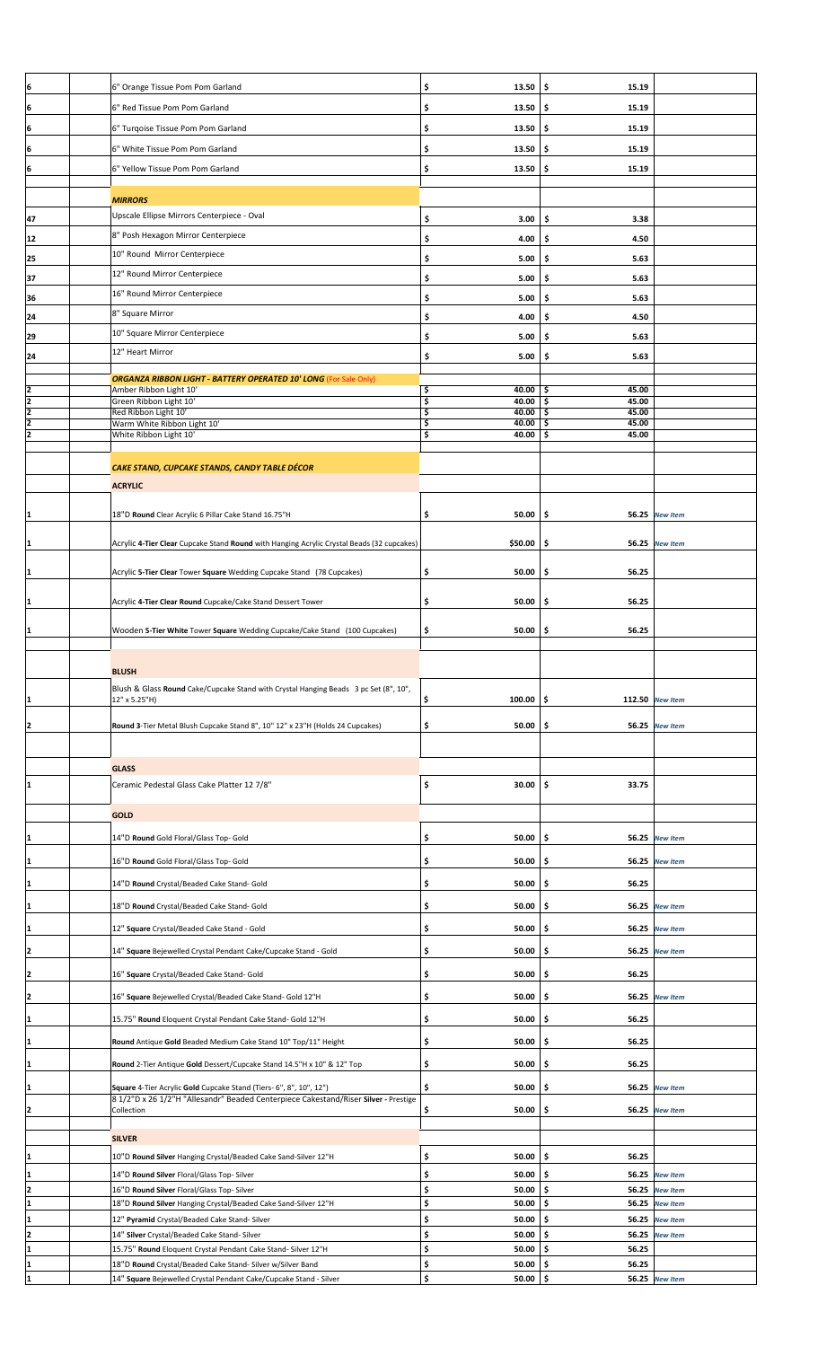| 6" Orange Tissue Pom Pom Garland                                                                                            | \$<br>13.50                                                                                                                                                                                                                                                                                                                                                                                                                                                                                                                                                                                                                                                               | \$<br>15.19                                                                                                                         |                                                                                                                       |                                                                       |
|-----------------------------------------------------------------------------------------------------------------------------|---------------------------------------------------------------------------------------------------------------------------------------------------------------------------------------------------------------------------------------------------------------------------------------------------------------------------------------------------------------------------------------------------------------------------------------------------------------------------------------------------------------------------------------------------------------------------------------------------------------------------------------------------------------------------|-------------------------------------------------------------------------------------------------------------------------------------|-----------------------------------------------------------------------------------------------------------------------|-----------------------------------------------------------------------|
| 6" Red Tissue Pom Pom Garland                                                                                               | \$<br>13.50                                                                                                                                                                                                                                                                                                                                                                                                                                                                                                                                                                                                                                                               | \$<br>15.19                                                                                                                         |                                                                                                                       |                                                                       |
| 6" Turqoise Tissue Pom Pom Garland                                                                                          | \$<br>13.50                                                                                                                                                                                                                                                                                                                                                                                                                                                                                                                                                                                                                                                               | \$<br>15.19                                                                                                                         |                                                                                                                       |                                                                       |
|                                                                                                                             |                                                                                                                                                                                                                                                                                                                                                                                                                                                                                                                                                                                                                                                                           |                                                                                                                                     |                                                                                                                       |                                                                       |
|                                                                                                                             |                                                                                                                                                                                                                                                                                                                                                                                                                                                                                                                                                                                                                                                                           |                                                                                                                                     |                                                                                                                       |                                                                       |
|                                                                                                                             |                                                                                                                                                                                                                                                                                                                                                                                                                                                                                                                                                                                                                                                                           |                                                                                                                                     |                                                                                                                       |                                                                       |
| <b>MIRRORS</b>                                                                                                              |                                                                                                                                                                                                                                                                                                                                                                                                                                                                                                                                                                                                                                                                           |                                                                                                                                     |                                                                                                                       |                                                                       |
| Upscale Ellipse Mirrors Centerpiece - Oval                                                                                  | \$<br>3.00                                                                                                                                                                                                                                                                                                                                                                                                                                                                                                                                                                                                                                                                | \$<br>3.38                                                                                                                          |                                                                                                                       |                                                                       |
| 8" Posh Hexagon Mirror Centerpiece                                                                                          | \$<br>4.00                                                                                                                                                                                                                                                                                                                                                                                                                                                                                                                                                                                                                                                                | \$<br>4.50                                                                                                                          |                                                                                                                       |                                                                       |
| 10" Round Mirror Centerpiece                                                                                                | \$<br>5.00                                                                                                                                                                                                                                                                                                                                                                                                                                                                                                                                                                                                                                                                | \$<br>5.63                                                                                                                          |                                                                                                                       |                                                                       |
| 12" Round Mirror Centerpiece                                                                                                | \$<br>5.00                                                                                                                                                                                                                                                                                                                                                                                                                                                                                                                                                                                                                                                                | \$<br>5.63                                                                                                                          |                                                                                                                       |                                                                       |
| 16" Round Mirror Centerpiece                                                                                                | \$<br>5.00                                                                                                                                                                                                                                                                                                                                                                                                                                                                                                                                                                                                                                                                | \$.<br>5.63                                                                                                                         |                                                                                                                       |                                                                       |
| 8" Square Mirror                                                                                                            | \$<br>4.00                                                                                                                                                                                                                                                                                                                                                                                                                                                                                                                                                                                                                                                                | \$<br>4.50                                                                                                                          |                                                                                                                       |                                                                       |
| 10" Square Mirror Centerpiece                                                                                               | \$<br>5.00                                                                                                                                                                                                                                                                                                                                                                                                                                                                                                                                                                                                                                                                | \$<br>5.63                                                                                                                          |                                                                                                                       |                                                                       |
| 12" Heart Mirror                                                                                                            | \$<br>5.00                                                                                                                                                                                                                                                                                                                                                                                                                                                                                                                                                                                                                                                                | \$.<br>5.63                                                                                                                         |                                                                                                                       |                                                                       |
|                                                                                                                             |                                                                                                                                                                                                                                                                                                                                                                                                                                                                                                                                                                                                                                                                           |                                                                                                                                     |                                                                                                                       |                                                                       |
| Amber Ribbon Light 10'                                                                                                      | \$<br>40.00                                                                                                                                                                                                                                                                                                                                                                                                                                                                                                                                                                                                                                                               | 45.00<br>-\$                                                                                                                        |                                                                                                                       |                                                                       |
| Red Ribbon Light 10'                                                                                                        | \$<br>40.00                                                                                                                                                                                                                                                                                                                                                                                                                                                                                                                                                                                                                                                               | 45.00<br>\$                                                                                                                         |                                                                                                                       |                                                                       |
| Warm White Ribbon Light 10'                                                                                                 | \$<br>40.00                                                                                                                                                                                                                                                                                                                                                                                                                                                                                                                                                                                                                                                               | \$<br>45.00                                                                                                                         |                                                                                                                       |                                                                       |
|                                                                                                                             |                                                                                                                                                                                                                                                                                                                                                                                                                                                                                                                                                                                                                                                                           |                                                                                                                                     |                                                                                                                       |                                                                       |
| CAKE STAND, CUPCAKE STANDS, CANDY TABLE DÉCOR                                                                               |                                                                                                                                                                                                                                                                                                                                                                                                                                                                                                                                                                                                                                                                           |                                                                                                                                     |                                                                                                                       |                                                                       |
| <b>ACRYLIC</b>                                                                                                              |                                                                                                                                                                                                                                                                                                                                                                                                                                                                                                                                                                                                                                                                           |                                                                                                                                     |                                                                                                                       |                                                                       |
|                                                                                                                             |                                                                                                                                                                                                                                                                                                                                                                                                                                                                                                                                                                                                                                                                           |                                                                                                                                     |                                                                                                                       |                                                                       |
|                                                                                                                             |                                                                                                                                                                                                                                                                                                                                                                                                                                                                                                                                                                                                                                                                           |                                                                                                                                     |                                                                                                                       |                                                                       |
| Acrylic 4-Tier Clear Cupcake Stand Round with Hanging Acrylic Crystal Beads (32 cupcakes)                                   | \$50.00                                                                                                                                                                                                                                                                                                                                                                                                                                                                                                                                                                                                                                                                   | \$                                                                                                                                  |                                                                                                                       |                                                                       |
|                                                                                                                             |                                                                                                                                                                                                                                                                                                                                                                                                                                                                                                                                                                                                                                                                           |                                                                                                                                     |                                                                                                                       |                                                                       |
|                                                                                                                             |                                                                                                                                                                                                                                                                                                                                                                                                                                                                                                                                                                                                                                                                           |                                                                                                                                     |                                                                                                                       |                                                                       |
| Acrylic 4-Tier Clear Round Cupcake/Cake Stand Dessert Tower                                                                 | \$<br>50.00                                                                                                                                                                                                                                                                                                                                                                                                                                                                                                                                                                                                                                                               | 56.25<br>-\$                                                                                                                        |                                                                                                                       |                                                                       |
|                                                                                                                             |                                                                                                                                                                                                                                                                                                                                                                                                                                                                                                                                                                                                                                                                           |                                                                                                                                     |                                                                                                                       |                                                                       |
|                                                                                                                             |                                                                                                                                                                                                                                                                                                                                                                                                                                                                                                                                                                                                                                                                           |                                                                                                                                     |                                                                                                                       |                                                                       |
|                                                                                                                             |                                                                                                                                                                                                                                                                                                                                                                                                                                                                                                                                                                                                                                                                           |                                                                                                                                     |                                                                                                                       |                                                                       |
|                                                                                                                             |                                                                                                                                                                                                                                                                                                                                                                                                                                                                                                                                                                                                                                                                           |                                                                                                                                     |                                                                                                                       |                                                                       |
| 12" x 5.25"H)                                                                                                               | \$<br>100.00                                                                                                                                                                                                                                                                                                                                                                                                                                                                                                                                                                                                                                                              | \$                                                                                                                                  |                                                                                                                       |                                                                       |
|                                                                                                                             |                                                                                                                                                                                                                                                                                                                                                                                                                                                                                                                                                                                                                                                                           |                                                                                                                                     |                                                                                                                       |                                                                       |
|                                                                                                                             |                                                                                                                                                                                                                                                                                                                                                                                                                                                                                                                                                                                                                                                                           |                                                                                                                                     |                                                                                                                       |                                                                       |
|                                                                                                                             |                                                                                                                                                                                                                                                                                                                                                                                                                                                                                                                                                                                                                                                                           |                                                                                                                                     |                                                                                                                       |                                                                       |
|                                                                                                                             |                                                                                                                                                                                                                                                                                                                                                                                                                                                                                                                                                                                                                                                                           |                                                                                                                                     |                                                                                                                       |                                                                       |
|                                                                                                                             |                                                                                                                                                                                                                                                                                                                                                                                                                                                                                                                                                                                                                                                                           |                                                                                                                                     |                                                                                                                       |                                                                       |
| <b>GOLD</b>                                                                                                                 |                                                                                                                                                                                                                                                                                                                                                                                                                                                                                                                                                                                                                                                                           |                                                                                                                                     |                                                                                                                       |                                                                       |
|                                                                                                                             |                                                                                                                                                                                                                                                                                                                                                                                                                                                                                                                                                                                                                                                                           |                                                                                                                                     |                                                                                                                       |                                                                       |
| 14"D Round Gold Floral/Glass Top- Gold                                                                                      | \$<br>50.00                                                                                                                                                                                                                                                                                                                                                                                                                                                                                                                                                                                                                                                               | \$                                                                                                                                  | 56.25 New Item                                                                                                        |                                                                       |
|                                                                                                                             |                                                                                                                                                                                                                                                                                                                                                                                                                                                                                                                                                                                                                                                                           |                                                                                                                                     |                                                                                                                       |                                                                       |
| 16"D Round Gold Floral/Glass Top- Gold                                                                                      | \$<br>50.00                                                                                                                                                                                                                                                                                                                                                                                                                                                                                                                                                                                                                                                               | -\$                                                                                                                                 | 56.25 New Item                                                                                                        |                                                                       |
| 14"D Round Crystal/Beaded Cake Stand- Gold                                                                                  | \$<br>50.00                                                                                                                                                                                                                                                                                                                                                                                                                                                                                                                                                                                                                                                               | \$.<br>56.25                                                                                                                        |                                                                                                                       |                                                                       |
| 18"D Round Crystal/Beaded Cake Stand- Gold                                                                                  | \$<br>50.00                                                                                                                                                                                                                                                                                                                                                                                                                                                                                                                                                                                                                                                               | -\$                                                                                                                                 | 56.25 New Item                                                                                                        |                                                                       |
| 12" Square Crystal/Beaded Cake Stand - Gold                                                                                 | \$<br>50.00                                                                                                                                                                                                                                                                                                                                                                                                                                                                                                                                                                                                                                                               | -\$<br>56.25                                                                                                                        | <b>New Item</b>                                                                                                       |                                                                       |
| 14" Square Bejewelled Crystal Pendant Cake/Cupcake Stand - Gold                                                             | \$<br>50.00                                                                                                                                                                                                                                                                                                                                                                                                                                                                                                                                                                                                                                                               | \$                                                                                                                                  | 56.25 New Item                                                                                                        |                                                                       |
|                                                                                                                             |                                                                                                                                                                                                                                                                                                                                                                                                                                                                                                                                                                                                                                                                           |                                                                                                                                     |                                                                                                                       |                                                                       |
| 16" Square Crystal/Beaded Cake Stand- Gold                                                                                  | \$<br>50.00                                                                                                                                                                                                                                                                                                                                                                                                                                                                                                                                                                                                                                                               | -\$<br>56.25                                                                                                                        |                                                                                                                       |                                                                       |
| 16" Square Bejewelled Crystal/Beaded Cake Stand- Gold 12"H                                                                  | \$<br>50.00                                                                                                                                                                                                                                                                                                                                                                                                                                                                                                                                                                                                                                                               | -\$                                                                                                                                 | 56.25 New Item                                                                                                        |                                                                       |
| 15.75" Round Eloquent Crystal Pendant Cake Stand- Gold 12"H                                                                 | \$<br>50.00                                                                                                                                                                                                                                                                                                                                                                                                                                                                                                                                                                                                                                                               | 56.25<br>-\$                                                                                                                        |                                                                                                                       |                                                                       |
| Round Antique Gold Beaded Medium Cake Stand 10" Top/11" Height                                                              | \$<br>50.00                                                                                                                                                                                                                                                                                                                                                                                                                                                                                                                                                                                                                                                               | \$<br>56.25                                                                                                                         |                                                                                                                       |                                                                       |
| Round 2-Tier Antique Gold Dessert/Cupcake Stand 14.5"H x 10" & 12" Top                                                      | \$<br>50.00                                                                                                                                                                                                                                                                                                                                                                                                                                                                                                                                                                                                                                                               | \$<br>56.25                                                                                                                         |                                                                                                                       |                                                                       |
| Square 4-Tier Acrylic Gold Cupcake Stand (Tiers- 6", 8", 10", 12")                                                          | \$<br>50.00                                                                                                                                                                                                                                                                                                                                                                                                                                                                                                                                                                                                                                                               | \$                                                                                                                                  | 56.25 New Item                                                                                                        |                                                                       |
| 8 1/2"D x 26 1/2"H "Allesandr" Beaded Centerpiece Cakestand/Riser Silver - Prestige                                         |                                                                                                                                                                                                                                                                                                                                                                                                                                                                                                                                                                                                                                                                           |                                                                                                                                     |                                                                                                                       |                                                                       |
| Collection                                                                                                                  | \$<br>50.00                                                                                                                                                                                                                                                                                                                                                                                                                                                                                                                                                                                                                                                               | -\$                                                                                                                                 | 56.25 New Item                                                                                                        |                                                                       |
| <b>SILVER</b>                                                                                                               |                                                                                                                                                                                                                                                                                                                                                                                                                                                                                                                                                                                                                                                                           |                                                                                                                                     |                                                                                                                       |                                                                       |
| 10"D Round Silver Hanging Crystal/Beaded Cake Sand-Silver 12"H                                                              | \$<br>50.00                                                                                                                                                                                                                                                                                                                                                                                                                                                                                                                                                                                                                                                               | \$<br>56.25                                                                                                                         |                                                                                                                       |                                                                       |
| 14"D Round Silver Floral/Glass Top-Silver                                                                                   | \$<br>50.00                                                                                                                                                                                                                                                                                                                                                                                                                                                                                                                                                                                                                                                               | \$                                                                                                                                  | 56.25 New Item                                                                                                        |                                                                       |
| 16"D Round Silver Floral/Glass Top-Silver                                                                                   | \$<br>50.00<br>\$<br>50.00                                                                                                                                                                                                                                                                                                                                                                                                                                                                                                                                                                                                                                                | \$.<br>\$<br>56.25                                                                                                                  | 56.25 New Item<br><b>New Item</b>                                                                                     |                                                                       |
| 18"D Round Silver Hanging Crystal/Beaded Cake Sand-Silver 12"H<br>12" Pyramid Crystal/Beaded Cake Stand-Silver              | \$<br>50.00                                                                                                                                                                                                                                                                                                                                                                                                                                                                                                                                                                                                                                                               | \$<br>56.25                                                                                                                         | <b>New Item</b>                                                                                                       |                                                                       |
| 14" Silver Crystal/Beaded Cake Stand- Silver                                                                                | \$<br>50.00                                                                                                                                                                                                                                                                                                                                                                                                                                                                                                                                                                                                                                                               | \$.<br>56.25                                                                                                                        | <b>New Item</b>                                                                                                       |                                                                       |
| 15.75" Round Eloquent Crystal Pendant Cake Stand- Silver 12"H<br>18"D Round Crystal/Beaded Cake Stand- Silver w/Silver Band | \$<br>50.00<br>\$<br>50.00                                                                                                                                                                                                                                                                                                                                                                                                                                                                                                                                                                                                                                                | \$.<br>56.25<br>\$.<br>56.25                                                                                                        |                                                                                                                       |                                                                       |
|                                                                                                                             | 6" White Tissue Pom Pom Garland<br>6" Yellow Tissue Pom Pom Garland<br><b>ORGANZA RIBBON LIGHT - BATTERY OPERATED 10' LONG (For Sale Only)</b><br>Green Ribbon Light 10'<br>White Ribbon Light 10'<br>18"D Round Clear Acrylic 6 Pillar Cake Stand 16.75"H<br>Acrylic 5-Tier Clear Tower Square Wedding Cupcake Stand (78 Cupcakes)<br>Wooden 5-Tier White Tower Square Wedding Cupcake/Cake Stand (100 Cupcakes)<br><b>BLUSH</b><br>Blush & Glass Round Cake/Cupcake Stand with Crystal Hanging Beads 3 pc Set (8", 10",<br>Round 3-Tier Metal Blush Cupcake Stand 8", 10" 12" x 23"H (Holds 24 Cupcakes)<br><b>GLASS</b><br>Ceramic Pedestal Glass Cake Platter 12 7/8" | \$<br>13.50<br>\$<br>13.50<br>\$<br>40.00<br>\$<br>40.00<br>50.00<br>\$<br>\$<br>50.00<br>50.00<br>\$<br>\$<br>50.00<br>\$<br>30.00 | \$<br>15.19<br>\$<br>15.19<br>\$<br>45.00<br>45.00<br>\$<br>-\$<br>56.25<br>-\$<br>\$<br>56.25<br>-\$<br>\$.<br>33.75 | 56.25 New Item<br>56.25 New Item<br>112.50 New Item<br>56.25 New Item |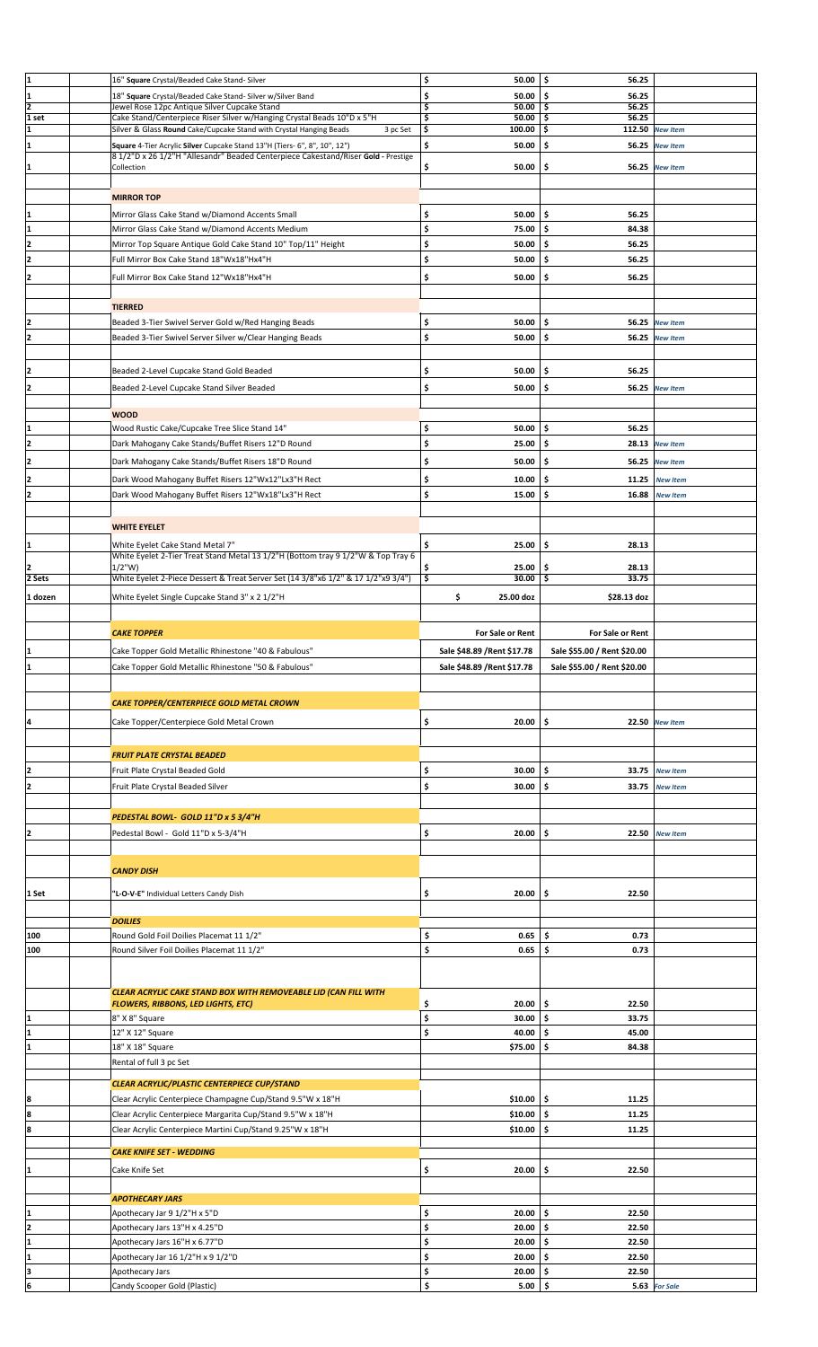| ļ1             | 16" Square Crystal/Beaded Cake Stand-Silver                                                                                                                    | \$<br>50.00                         | \$ ا<br>56.25               |                 |  |
|----------------|----------------------------------------------------------------------------------------------------------------------------------------------------------------|-------------------------------------|-----------------------------|-----------------|--|
| 1              | 18" Square Crystal/Beaded Cake Stand- Silver w/Silver Band                                                                                                     | \$<br>50.00                         | Ś.<br>56.25                 |                 |  |
| $\overline{2}$ | Jewel Rose 12pc Antique Silver Cupcake Stand                                                                                                                   | \$<br>$50.00$   \$                  | 56.25                       |                 |  |
| 1 set          | Cake Stand/Centerpiece Riser Silver w/Hanging Crystal Beads 10"D x 5"H                                                                                         | \$<br>50.00                         | 56.25<br>-\$                |                 |  |
| 1              | Silver & Glass Round Cake/Cupcake Stand with Crystal Hanging Beads<br>3 pc Set                                                                                 | \$<br>$100.00$ \$                   |                             | 112.50 New Item |  |
| 1              | Square 4-Tier Acrylic Silver Cupcake Stand 13"H (Tiers- 6", 8", 10", 12")<br>8 1/2"D x 26 1/2"H "Allesandr" Beaded Centerpiece Cakestand/Riser Gold - Prestige | \$<br>50.00                         | -\$                         | 56.25 New Item  |  |
| I1             | Collection                                                                                                                                                     | \$<br>50.00                         | \$                          | 56.25 New Item  |  |
|                |                                                                                                                                                                |                                     |                             |                 |  |
|                | <b>MIRROR TOP</b>                                                                                                                                              |                                     |                             |                 |  |
| I1             | Mirror Glass Cake Stand w/Diamond Accents Small                                                                                                                | \$<br>50.00                         | \$.<br>56.25                |                 |  |
| I1             | Mirror Glass Cake Stand w/Diamond Accents Medium                                                                                                               | \$<br>75.00                         | -\$<br>84.38                |                 |  |
| I2             | Mirror Top Square Antique Gold Cake Stand 10" Top/11" Height                                                                                                   | \$<br>50.00                         | -\$<br>56.25                |                 |  |
| I2             | Full Mirror Box Cake Stand 18"Wx18"Hx4"H                                                                                                                       | \$<br>50.00                         | -\$<br>56.25                |                 |  |
|                |                                                                                                                                                                |                                     |                             |                 |  |
| I2             | Full Mirror Box Cake Stand 12"Wx18"Hx4"H                                                                                                                       | \$<br>$50.00$   \$                  | 56.25                       |                 |  |
|                |                                                                                                                                                                |                                     |                             |                 |  |
|                | <b>TIERRED</b>                                                                                                                                                 |                                     |                             |                 |  |
| 12             | Beaded 3-Tier Swivel Server Gold w/Red Hanging Beads                                                                                                           | \$<br>50.00                         | \$.                         | 56.25 New Item  |  |
| 12             | Beaded 3-Tier Swivel Server Silver w/Clear Hanging Beads                                                                                                       | \$<br>50.00                         | -\$                         | 56.25 New Item  |  |
|                |                                                                                                                                                                |                                     |                             |                 |  |
| 12             | Beaded 2-Level Cupcake Stand Gold Beaded                                                                                                                       | \$<br>50.00                         | \$.<br>56.25                |                 |  |
| I2             | Beaded 2-Level Cupcake Stand Silver Beaded                                                                                                                     | \$<br>50.00                         | \$                          | 56.25 New Item  |  |
|                |                                                                                                                                                                |                                     |                             |                 |  |
|                | <b>WOOD</b>                                                                                                                                                    |                                     |                             |                 |  |
|                | Wood Rustic Cake/Cupcake Tree Slice Stand 14"                                                                                                                  | \$<br>50.00                         | \$.<br>56.25                |                 |  |
| 12             | Dark Mahogany Cake Stands/Buffet Risers 12"D Round                                                                                                             | \$<br>25.00                         | -\$                         | 28.13 New Item  |  |
| I2             | Dark Mahogany Cake Stands/Buffet Risers 18"D Round                                                                                                             | \$<br>50.00                         | -\$                         | 56.25 New Item  |  |
| I2             | Dark Wood Mahogany Buffet Risers 12"Wx12"Lx3"H Rect                                                                                                            | \$<br>10.00                         | \$.<br>11.25                | <b>New Item</b> |  |
| I2             | Dark Wood Mahogany Buffet Risers 12"Wx18"Lx3"H Rect                                                                                                            | \$<br>15.00                         | \$<br>16.88                 | <b>New Item</b> |  |
|                |                                                                                                                                                                |                                     |                             |                 |  |
|                | <b>WHITE EYELET</b>                                                                                                                                            |                                     |                             |                 |  |
|                |                                                                                                                                                                |                                     |                             |                 |  |
| I1             | White Eyelet Cake Stand Metal 7"<br>White Eyelet 2-Tier Treat Stand Metal 13 1/2"H (Bottom tray 9 1/2"W & Top Tray 6                                           | \$<br>25.00                         | \$.<br>28.13                |                 |  |
| I2             | $1/2$ "W)                                                                                                                                                      | \$<br>25.00                         | . Ś<br>28.13                |                 |  |
| 2 Sets         | White Eyelet 2-Piece Dessert & Treat Server Set (14 3/8"x6 1/2" & 17 1/2"x9 3/4")                                                                              | \$<br>30.00                         | -\$<br>33.75                |                 |  |
| 1 dozen        | White Eyelet Single Cupcake Stand 3" x 2 1/2"H                                                                                                                 | \$<br>25.00 doz                     | \$28.13 doz                 |                 |  |
|                |                                                                                                                                                                |                                     |                             |                 |  |
|                |                                                                                                                                                                |                                     |                             |                 |  |
|                | <b>CAKE TOPPER</b>                                                                                                                                             | For Sale or Rent                    | <b>For Sale or Rent</b>     |                 |  |
| 11             | Cake Topper Gold Metallic Rhinestone "40 & Fabulous"                                                                                                           | Sale \$48.89 / Rent \$17.78         | Sale \$55.00 / Rent \$20.00 |                 |  |
|                | Cake Topper Gold Metallic Rhinestone "50 & Fabulous"                                                                                                           | Sale \$48.89 / Rent \$17.78         | Sale \$55.00 / Rent \$20.00 |                 |  |
|                |                                                                                                                                                                |                                     |                             |                 |  |
|                |                                                                                                                                                                |                                     |                             |                 |  |
|                |                                                                                                                                                                |                                     |                             |                 |  |
|                | CAKE TOPPER/CENTERPIECE GOLD METAL CROWN                                                                                                                       |                                     |                             |                 |  |
| 4              | Cake Topper/Centerpiece Gold Metal Crown                                                                                                                       | \$<br>20.00                         | \$                          | 22.50 New Item  |  |
|                |                                                                                                                                                                |                                     |                             |                 |  |
|                | <b>FRUIT PLATE CRYSTAL BEADED</b>                                                                                                                              |                                     |                             |                 |  |
| 12             | Fruit Plate Crystal Beaded Gold                                                                                                                                | \$<br>30.00                         | \$                          | 33.75 New Item  |  |
| 12             | Fruit Plate Crystal Beaded Silver                                                                                                                              | \$<br>30.00                         | \$.<br>33.75                | <b>New Item</b> |  |
|                |                                                                                                                                                                |                                     |                             |                 |  |
|                | PEDESTAL BOWL- GOLD 11"D x 5 3/4"H                                                                                                                             |                                     |                             |                 |  |
| I2             | Pedestal Bowl - Gold 11"D x 5-3/4"H                                                                                                                            | \$<br>20.00                         | \$<br>22.50                 | <b>New Item</b> |  |
|                |                                                                                                                                                                |                                     |                             |                 |  |
|                |                                                                                                                                                                |                                     |                             |                 |  |
|                | <b>CANDY DISH</b>                                                                                                                                              |                                     |                             |                 |  |
| 1 Set          | "L-O-V-E" Individual Letters Candy Dish                                                                                                                        | 20.00<br>\$                         | \$<br>22.50                 |                 |  |
|                |                                                                                                                                                                |                                     |                             |                 |  |
|                | <b>DOILIES</b>                                                                                                                                                 |                                     |                             |                 |  |
| 100            | Round Gold Foil Doilies Placemat 11 1/2"                                                                                                                       | \$<br>0.65                          | \$<br>0.73                  |                 |  |
| 100            | Round Silver Foil Doilies Placemat 11 1/2"                                                                                                                     | \$<br>0.65                          | \$<br>0.73                  |                 |  |
|                |                                                                                                                                                                |                                     |                             |                 |  |
|                |                                                                                                                                                                |                                     |                             |                 |  |
|                | CLEAR ACRYLIC CAKE STAND BOX WITH REMOVEABLE LID (CAN FILL WITH                                                                                                |                                     |                             |                 |  |
|                | <b>FLOWERS, RIBBONS, LED LIGHTS, ETC)</b>                                                                                                                      | 20.00<br>\$                         | \$.<br>22.50                |                 |  |
| 1              | 8" X 8" Square                                                                                                                                                 | \$<br>30.00                         | \$<br>33.75                 |                 |  |
| I1             | 12" X 12" Square                                                                                                                                               | \$<br>40.00                         | -\$<br>45.00                |                 |  |
| I1             | 18" X 18" Square                                                                                                                                               | \$75.00                             | -\$<br>84.38                |                 |  |
|                | Rental of full 3 pc Set                                                                                                                                        |                                     |                             |                 |  |
|                | CLEAR ACRYLIC/PLASTIC CENTERPIECE CUP/STAND                                                                                                                    |                                     |                             |                 |  |
| 8              | Clear Acrylic Centerpiece Champagne Cup/Stand 9.5"W x 18"H                                                                                                     | \$10.00                             | ۱\$<br>11.25                |                 |  |
| 8              | Clear Acrylic Centerpiece Margarita Cup/Stand 9.5"W x 18"H                                                                                                     | \$10.00                             | \$<br>11.25                 |                 |  |
| ļ8             | Clear Acrylic Centerpiece Martini Cup/Stand 9.25"W x 18"H                                                                                                      | \$10.00                             | \$<br>11.25                 |                 |  |
|                |                                                                                                                                                                |                                     |                             |                 |  |
|                | <b>CAKE KNIFE SET - WEDDING</b>                                                                                                                                |                                     |                             |                 |  |
| I1             | Cake Knife Set                                                                                                                                                 | \$<br>20.00                         | \$<br>22.50                 |                 |  |
|                |                                                                                                                                                                |                                     |                             |                 |  |
|                | <b>APOTHECARY JARS</b>                                                                                                                                         |                                     |                             |                 |  |
| I1             | Apothecary Jar 9 1/2"H x 5"D                                                                                                                                   | \$<br>20.00                         | -\$<br>22.50                |                 |  |
| 12             | Apothecary Jars 13"H x 4.25"D                                                                                                                                  | \$<br>20.00                         | \$<br>22.50                 |                 |  |
| 1              | Apothecary Jars 16"H x 6.77"D                                                                                                                                  | \$<br>20.00                         | -\$<br>22.50                |                 |  |
| I1             | Apothecary Jar 16 1/2"H x 9 1/2"D                                                                                                                              | \$<br>20.00                         | \$.<br>22.50                |                 |  |
| 6              | Apothecary Jars<br>Candy Scooper Gold (Plastic)                                                                                                                | $20.00$ \$<br>\$<br>\$<br>$5.00$ \$ | 22.50                       | 5.63 For Sale   |  |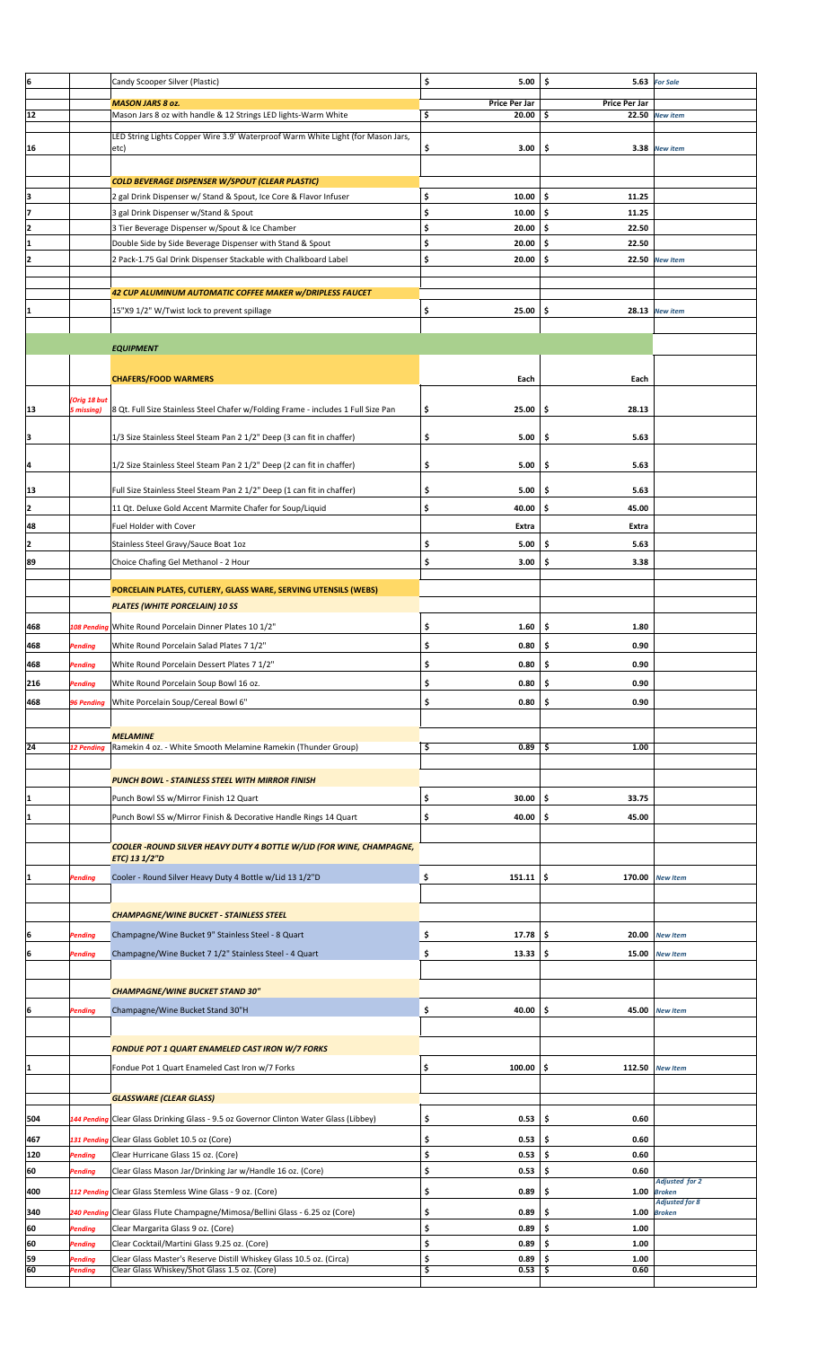| ļ6  |                     | Candy Scooper Silver (Plastic)                                                    | \$<br>5.00    | \$<br>5.63    | <b>For Sale</b>                 |  |
|-----|---------------------|-----------------------------------------------------------------------------------|---------------|---------------|---------------------------------|--|
|     |                     | <b>MASON JARS 8 oz.</b>                                                           | Price Per Jar | Price Per Jar |                                 |  |
| 12  |                     | Mason Jars 8 oz with handle & 12 Strings LED lights-Warm White                    | \$<br>20.00   | -\$           | 22.50 New item                  |  |
|     |                     |                                                                                   |               |               |                                 |  |
|     |                     | LED String Lights Copper Wire 3.9' Waterproof Warm White Light (for Mason Jars,   | 3.00          | \$            | 3.38 New item                   |  |
| 16  |                     | etc)                                                                              | \$            |               |                                 |  |
|     |                     |                                                                                   |               |               |                                 |  |
|     |                     | COLD BEVERAGE DISPENSER W/SPOUT (CLEAR PLASTIC)                                   |               |               |                                 |  |
| lз  |                     | 2 gal Drink Dispenser w/ Stand & Spout, Ice Core & Flavor Infuser                 | \$<br>10.00   | \$<br>11.25   |                                 |  |
| 7   |                     | 3 gal Drink Dispenser w/Stand & Spout                                             | \$<br>10.00   | \$<br>11.25   |                                 |  |
| 2   |                     | 3 Tier Beverage Dispenser w/Spout & Ice Chamber                                   | \$<br>20.00   | \$<br>22.50   |                                 |  |
|     |                     | Double Side by Side Beverage Dispenser with Stand & Spout                         | \$<br>20.00   | \$.<br>22.50  |                                 |  |
| 2   |                     | 2 Pack-1.75 Gal Drink Dispenser Stackable with Chalkboard Label                   | \$<br>20.00   | -\$<br>22.50  | <b>New Item</b>                 |  |
|     |                     |                                                                                   |               |               |                                 |  |
|     |                     |                                                                                   |               |               |                                 |  |
|     |                     | 42 CUP ALUMINUM AUTOMATIC COFFEE MAKER w/DRIPLESS FAUCET                          |               |               |                                 |  |
|     |                     | 15"X9 1/2" W/Twist lock to prevent spillage                                       | 25.00<br>\$   | \$            | 28.13 New item                  |  |
|     |                     |                                                                                   |               |               |                                 |  |
|     |                     |                                                                                   |               |               |                                 |  |
|     |                     | <b>EQUIPMENT</b>                                                                  |               |               |                                 |  |
|     |                     |                                                                                   |               |               |                                 |  |
|     |                     | <b>CHAFERS/FOOD WARMERS</b>                                                       | Each          | Each          |                                 |  |
|     | <b>Orig 18 but</b>  |                                                                                   |               |               |                                 |  |
| 13  | 5 missing)          | 8 Qt. Full Size Stainless Steel Chafer w/Folding Frame - includes 1 Full Size Pan | \$<br>25.00   | 28.13<br>\$   |                                 |  |
|     |                     |                                                                                   |               |               |                                 |  |
| 3   |                     | 1/3 Size Stainless Steel Steam Pan 2 1/2" Deep (3 can fit in chaffer)             | \$<br>5.00    | 5.63<br>\$    |                                 |  |
|     |                     |                                                                                   |               |               |                                 |  |
| 14  |                     | 1/2 Size Stainless Steel Steam Pan 2 1/2" Deep (2 can fit in chaffer)             | \$<br>5.00    | 5.63<br>\$    |                                 |  |
|     |                     |                                                                                   |               |               |                                 |  |
| 13  |                     | Full Size Stainless Steel Steam Pan 2 1/2" Deep (1 can fit in chaffer)            | \$<br>5.00    | 5.63<br>\$    |                                 |  |
| 2   |                     | 11 Qt. Deluxe Gold Accent Marmite Chafer for Soup/Liquid                          | \$<br>40.00   | \$<br>45.00   |                                 |  |
| 48  |                     | Fuel Holder with Cover                                                            | Extra         | Extra         |                                 |  |
| 2   |                     | Stainless Steel Gravy/Sauce Boat 1oz                                              | \$<br>5.00    | \$<br>5.63    |                                 |  |
|     |                     |                                                                                   |               |               |                                 |  |
| 89  |                     | Choice Chafing Gel Methanol - 2 Hour                                              | \$<br>3.00    | \$<br>3.38    |                                 |  |
|     |                     |                                                                                   |               |               |                                 |  |
|     |                     | PORCELAIN PLATES, CUTLERY, GLASS WARE, SERVING UTENSILS (WEBS)                    |               |               |                                 |  |
|     |                     | <b>PLATES (WHITE PORCELAIN) 10 SS</b>                                             |               |               |                                 |  |
| 468 |                     | 108 Pending White Round Porcelain Dinner Plates 10 1/2"                           | \$<br>1.60    | -\$<br>1.80   |                                 |  |
| 468 | Pending             | White Round Porcelain Salad Plates 7 1/2"                                         | \$<br>0.80    | \$<br>0.90    |                                 |  |
|     |                     |                                                                                   | Ś             | Ś<br>0.90     |                                 |  |
| 468 | o <sub>ending</sub> | White Round Porcelain Dessert Plates 7 1/2"                                       | 0.80          |               |                                 |  |
| 216 | Pending             | White Round Porcelain Soup Bowl 16 oz.                                            | \$<br>0.80    | 0.90<br>\$    |                                 |  |
| 468 | <b>96 Pending</b>   | White Porcelain Soup/Cereal Bowl 6"                                               | \$<br>0.80    | \$<br>0.90    |                                 |  |
|     |                     |                                                                                   |               |               |                                 |  |
|     |                     | <b>MELAMINE</b>                                                                   |               |               |                                 |  |
| 24  | <b>12 Pending</b>   | Ramekin 4 oz. - White Smooth Melamine Ramekin (Thunder Group)                     | \$<br>0.89    | 1.00<br>-\$   |                                 |  |
|     |                     |                                                                                   |               |               |                                 |  |
|     |                     | <b>PUNCH BOWL - STAINLESS STEEL WITH MIRROR FINISH</b>                            |               |               |                                 |  |
|     |                     |                                                                                   |               |               |                                 |  |
| 11  |                     | Punch Bowl SS w/Mirror Finish 12 Quart                                            | \$<br>30.00   | \$.<br>33.75  |                                 |  |
| 11  |                     | Punch Bowl SS w/Mirror Finish & Decorative Handle Rings 14 Quart                  | \$<br>40.00   | \$<br>45.00   |                                 |  |
|     |                     |                                                                                   |               |               |                                 |  |
|     |                     | <b>COOLER -ROUND SILVER HEAVY DUTY 4 BOTTLE W/LID (FOR WINE, CHAMPAGNE,</b>       |               |               |                                 |  |
|     |                     | ETC) 13 1/2"D                                                                     |               |               |                                 |  |
| 1   | Pending             | Cooler - Round Silver Heavy Duty 4 Bottle w/Lid 13 1/2"D                          | \$<br>151.11  | \$<br>170.00  | <b>New Item</b>                 |  |
|     |                     |                                                                                   |               |               |                                 |  |
|     |                     |                                                                                   |               |               |                                 |  |
|     |                     | <b>CHAMPAGNE/WINE BUCKET - STAINLESS STEEL</b>                                    |               |               |                                 |  |
| 6   | Pending             | Champagne/Wine Bucket 9" Stainless Steel - 8 Quart                                | \$<br>17.78   | -\$<br>20.00  | <b>New Item</b>                 |  |
|     |                     |                                                                                   |               |               |                                 |  |
| ļ6  | Pending             | Champagne/Wine Bucket 7 1/2" Stainless Steel - 4 Quart                            | \$<br>13.33   | -\$<br>15.00  | <b>New Item</b>                 |  |
|     |                     |                                                                                   |               |               |                                 |  |
|     |                     | <b>CHAMPAGNE/WINE BUCKET STAND 30"</b>                                            |               |               |                                 |  |
| Į6  | Pending             | Champagne/Wine Bucket Stand 30"H                                                  | \$<br>40.00   | \$<br>45.00   | <b>New Item</b>                 |  |
|     |                     |                                                                                   |               |               |                                 |  |
|     |                     |                                                                                   |               |               |                                 |  |
|     |                     | <b>FONDUE POT 1 QUART ENAMELED CAST IRON W/7 FORKS</b>                            |               |               |                                 |  |
| 1   |                     | Fondue Pot 1 Quart Enameled Cast Iron w/7 Forks                                   | \$<br>100.00  | \$<br>112.50  | <b>New Item</b>                 |  |
|     |                     |                                                                                   |               |               |                                 |  |
|     |                     | <b>GLASSWARE (CLEAR GLASS)</b>                                                    |               |               |                                 |  |
|     |                     |                                                                                   |               |               |                                 |  |
| 504 | 144 Pendin          | Clear Glass Drinking Glass - 9.5 oz Governor Clinton Water Glass (Libbey)         | \$<br>0.53    | \$<br>0.60    |                                 |  |
| 467 | 131 Pending         | Clear Glass Goblet 10.5 oz (Core)                                                 | \$<br>0.53    | 0.60<br>\$    |                                 |  |
| 120 | Pending             | Clear Hurricane Glass 15 oz. (Core)                                               | \$<br>0.53    | \$<br>0.60    |                                 |  |
| 60  | Pending             | Clear Glass Mason Jar/Drinking Jar w/Handle 16 oz. (Core)                         | \$<br>0.53    | \$<br>0.60    |                                 |  |
|     |                     |                                                                                   |               |               | <b>Adjusted for 2</b>           |  |
| 400 | 112 Pending         | Clear Glass Stemless Wine Glass - 9 oz. (Core)                                    | \$<br>0.89    | \$<br>1.00    | <b>Broken</b><br>Adjusted for 8 |  |
| 340 | 240 Pending         | Clear Glass Flute Champagne/Mimosa/Bellini Glass - 6.25 oz (Core)                 | \$<br>0.89    | \$<br>1.00    | <b>Broken</b>                   |  |
| 60  | Pending             | Clear Margarita Glass 9 oz. (Core)                                                | \$<br>0.89    | \$<br>1.00    |                                 |  |
| 60  | Pending             | Clear Cocktail/Martini Glass 9.25 oz. (Core)                                      | \$<br>0.89    | \$<br>1.00    |                                 |  |
| 59  | Pending             | Clear Glass Master's Reserve Distill Whiskey Glass 10.5 oz. (Circa)               | \$<br>0.89    | \$<br>1.00    |                                 |  |
| 160 | Pending             | Clear Glass Whiskey/Shot Glass 1.5 oz. (Core)                                     | Ş<br>0.53     | -Ş<br>0.60    |                                 |  |
|     |                     |                                                                                   |               |               |                                 |  |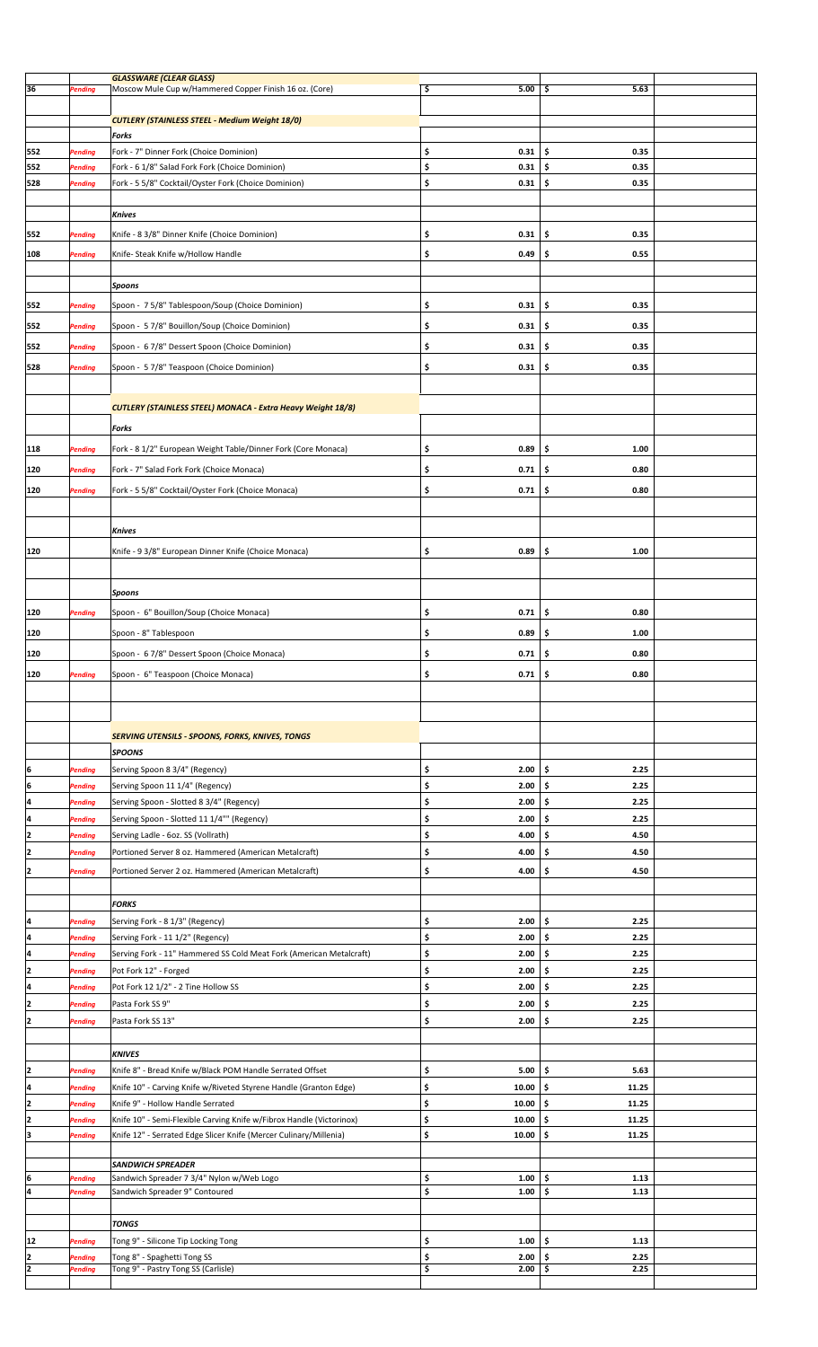| 36       | Pending            | <b>GLASSWARE (CLEAR GLASS)</b><br>Moscow Mule Cup w/Hammered Copper Finish 16 oz. (Core) | \$<br>5.00                   | 5.63<br>\$               |  |
|----------|--------------------|------------------------------------------------------------------------------------------|------------------------------|--------------------------|--|
|          |                    |                                                                                          |                              |                          |  |
|          |                    | <b>CUTLERY (STAINLESS STEEL - Medium Weight 18/0)</b>                                    |                              |                          |  |
|          |                    | Forks                                                                                    |                              |                          |  |
|          |                    |                                                                                          |                              |                          |  |
| 552      | Pending            | Fork - 7" Dinner Fork (Choice Dominion)                                                  | \$<br>0.31                   | \$<br>0.35               |  |
| 552      | Pending            | Fork - 6 1/8" Salad Fork Fork (Choice Dominion)                                          | \$<br>0.31                   | \$<br>0.35               |  |
| 528      | Pending            | Fork - 5 5/8" Cocktail/Oyster Fork (Choice Dominion)                                     | \$<br>0.31                   | \$<br>0.35               |  |
|          |                    |                                                                                          |                              |                          |  |
|          |                    | Knives                                                                                   |                              |                          |  |
| 552      | Pending            | Knife - 8 3/8" Dinner Knife (Choice Dominion)                                            | 0.31<br>\$                   | \$<br>0.35               |  |
|          |                    |                                                                                          |                              |                          |  |
| 108      | Pending            | Knife- Steak Knife w/Hollow Handle                                                       | \$<br>0.49                   | \$<br>0.55               |  |
|          |                    |                                                                                          |                              |                          |  |
|          |                    | Spoons                                                                                   |                              |                          |  |
| 552      | Pending            | Spoon - 75/8" Tablespoon/Soup (Choice Dominion)                                          | \$<br>0.31                   | \$<br>0.35               |  |
|          |                    |                                                                                          |                              |                          |  |
| 552      | Pending            | Spoon - 5 7/8" Bouillon/Soup (Choice Dominion)                                           | \$<br>0.31                   | 0.35<br>\$               |  |
| 552      | Pending            | Spoon - 6 7/8" Dessert Spoon (Choice Dominion)                                           | \$<br>0.31                   | 0.35<br>\$               |  |
| 528      | Pending            | Spoon - 5 7/8" Teaspoon (Choice Dominion)                                                | \$<br>0.31                   | \$<br>0.35               |  |
|          |                    |                                                                                          |                              |                          |  |
|          |                    |                                                                                          |                              |                          |  |
|          |                    | <b>CUTLERY (STAINLESS STEEL) MONACA - Extra Heavy Weight 18/8)</b>                       |                              |                          |  |
|          |                    |                                                                                          |                              |                          |  |
|          |                    | Forks                                                                                    |                              |                          |  |
| 118      | Pending            | Fork - 8 1/2" European Weight Table/Dinner Fork (Core Monaca)                            | \$<br>0.89                   | \$<br>1.00               |  |
| 120      | Pending            | Fork - 7" Salad Fork Fork (Choice Monaca)                                                | \$<br>0.71                   | 0.80<br>\$               |  |
|          |                    |                                                                                          |                              |                          |  |
| 120      | Pending            | Fork - 5 5/8" Cocktail/Oyster Fork (Choice Monaca)                                       | \$<br>0.71                   | \$<br>0.80               |  |
|          |                    |                                                                                          |                              |                          |  |
|          |                    |                                                                                          |                              |                          |  |
|          |                    | <b>Knives</b>                                                                            |                              |                          |  |
| 120      |                    | Knife - 9 3/8" European Dinner Knife (Choice Monaca)                                     | \$<br>0.89                   | \$<br>1.00               |  |
|          |                    |                                                                                          |                              |                          |  |
|          |                    |                                                                                          |                              |                          |  |
|          |                    | Spoons                                                                                   |                              |                          |  |
| 120      | Pending            | Spoon - 6" Bouillon/Soup (Choice Monaca)                                                 | \$<br>0.71                   | -\$<br>0.80              |  |
| 120      |                    | Spoon - 8" Tablespoon                                                                    | \$<br>0.89                   | \$<br>1.00               |  |
|          |                    |                                                                                          |                              |                          |  |
| 120      |                    | Spoon - 6 7/8" Dessert Spoon (Choice Monaca)                                             | \$<br>0.71                   | \$<br>0.80               |  |
| 120      | <b>Pending</b>     | Spoon - 6" Teaspoon (Choice Monaca)                                                      | \$<br>$0.71$ \$              | 0.80                     |  |
|          |                    |                                                                                          |                              |                          |  |
|          |                    |                                                                                          |                              |                          |  |
|          |                    |                                                                                          |                              |                          |  |
|          |                    |                                                                                          |                              |                          |  |
|          |                    |                                                                                          |                              |                          |  |
|          |                    | <b>SERVING UTENSILS - SPOONS, FORKS, KNIVES, TONGS</b>                                   |                              |                          |  |
|          |                    | <b>SPOONS</b>                                                                            |                              |                          |  |
| 6        | Pending            | Serving Spoon 8 3/4" (Regency)                                                           | \$<br>2.00                   | \$<br>2.25               |  |
| 6        | Pending            | Serving Spoon 11 1/4" (Regency)                                                          | \$<br>2.00                   | \$<br>2.25               |  |
| 4        | Pending            | Serving Spoon - Slotted 8 3/4" (Regency)                                                 | \$<br>2.00                   | 2.25<br>\$               |  |
| 4        | Pending            | Serving Spoon - Slotted 11 1/4"" (Regency)                                               | \$<br>2.00                   | 2.25<br>\$               |  |
| 12       | Pending            | Serving Ladle - 6oz. SS (Vollrath)                                                       | \$<br>4.00                   | \$<br>4.50               |  |
| 2        |                    |                                                                                          | 4.00                         | \$<br>4.50               |  |
|          | Pending            | Portioned Server 8 oz. Hammered (American Metalcraft)                                    | \$                           |                          |  |
| 12       | Pending            | Portioned Server 2 oz. Hammered (American Metalcraft)                                    | \$<br>4.00                   | \$<br>4.50               |  |
|          |                    |                                                                                          |                              |                          |  |
|          |                    | <b>FORKS</b>                                                                             |                              |                          |  |
| 4        | Pending            | Serving Fork - 8 1/3" (Regency)                                                          | \$<br>2.00                   | \$<br>2.25               |  |
| 4        | Pending            | Serving Fork - 11 1/2" (Regency)                                                         | \$<br>2.00                   | \$<br>2.25               |  |
| 4        | Pending            |                                                                                          | \$<br>2.00                   | \$<br>2.25               |  |
|          | Pending            | Serving Fork - 11" Hammered SS Cold Meat Fork (American Metalcraft)                      | \$<br>2.00                   | 2.25<br>\$               |  |
| 2        |                    | Pot Fork 12" - Forged                                                                    |                              |                          |  |
| 4        | Pending            | Pot Fork 12 1/2" - 2 Tine Hollow SS                                                      | \$<br>2.00                   | 2.25<br>\$               |  |
| 2        | Pending            | Pasta Fork SS 9"                                                                         | \$<br>2.00                   | \$<br>2.25               |  |
| 2        | Pending            | Pasta Fork SS 13"                                                                        | \$<br>2.00                   | \$<br>2.25               |  |
|          |                    |                                                                                          |                              |                          |  |
|          |                    | <b>KNIVES</b>                                                                            |                              |                          |  |
|          | Pending            | Knife 8" - Bread Knife w/Black POM Handle Serrated Offset                                | \$<br>5.00                   | \$<br>5.63               |  |
|          | Pending            | Knife 10" - Carving Knife w/Riveted Styrene Handle (Granton Edge)                        | \$<br>10.00                  | \$<br>11.25              |  |
|          | <b>Pending</b>     | Knife 9" - Hollow Handle Serrated                                                        | \$<br>10.00                  | \$ ا<br>11.25            |  |
|          |                    |                                                                                          |                              |                          |  |
|          | Pending            | Knife 10" - Semi-Flexible Carving Knife w/Fibrox Handle (Victorinox)                     | \$<br>10.00                  | \$<br>11.25              |  |
| з        | Pending            | Knife 12" - Serrated Edge Slicer Knife (Mercer Culinary/Millenia)                        | \$<br>10.00                  | \$<br>11.25              |  |
|          |                    |                                                                                          |                              |                          |  |
|          |                    | <b>SANDWICH SPREADER</b>                                                                 |                              |                          |  |
| 6<br>4   | Pending            | Sandwich Spreader 7 3/4" Nylon w/Web Logo                                                | \$<br>1.00<br>\$<br>1.00     | 1.13<br>\$<br>\$<br>1.13 |  |
|          | Pending            | Sandwich Spreader 9" Contoured                                                           |                              |                          |  |
|          |                    |                                                                                          |                              |                          |  |
|          |                    | <b>TONGS</b>                                                                             |                              |                          |  |
| 12       | Pending            | Tong 9" - Silicone Tip Locking Tong                                                      | \$<br>1.00                   | \$<br>1.13               |  |
| 12<br>12 | Pending<br>Pending | Tong 8" - Spaghetti Tong SS<br>Tong 9" - Pastry Tong SS (Carlisle)                       | \$<br>2.00<br>3<br>$2.00$ \$ | \$<br>2.25<br>2.25       |  |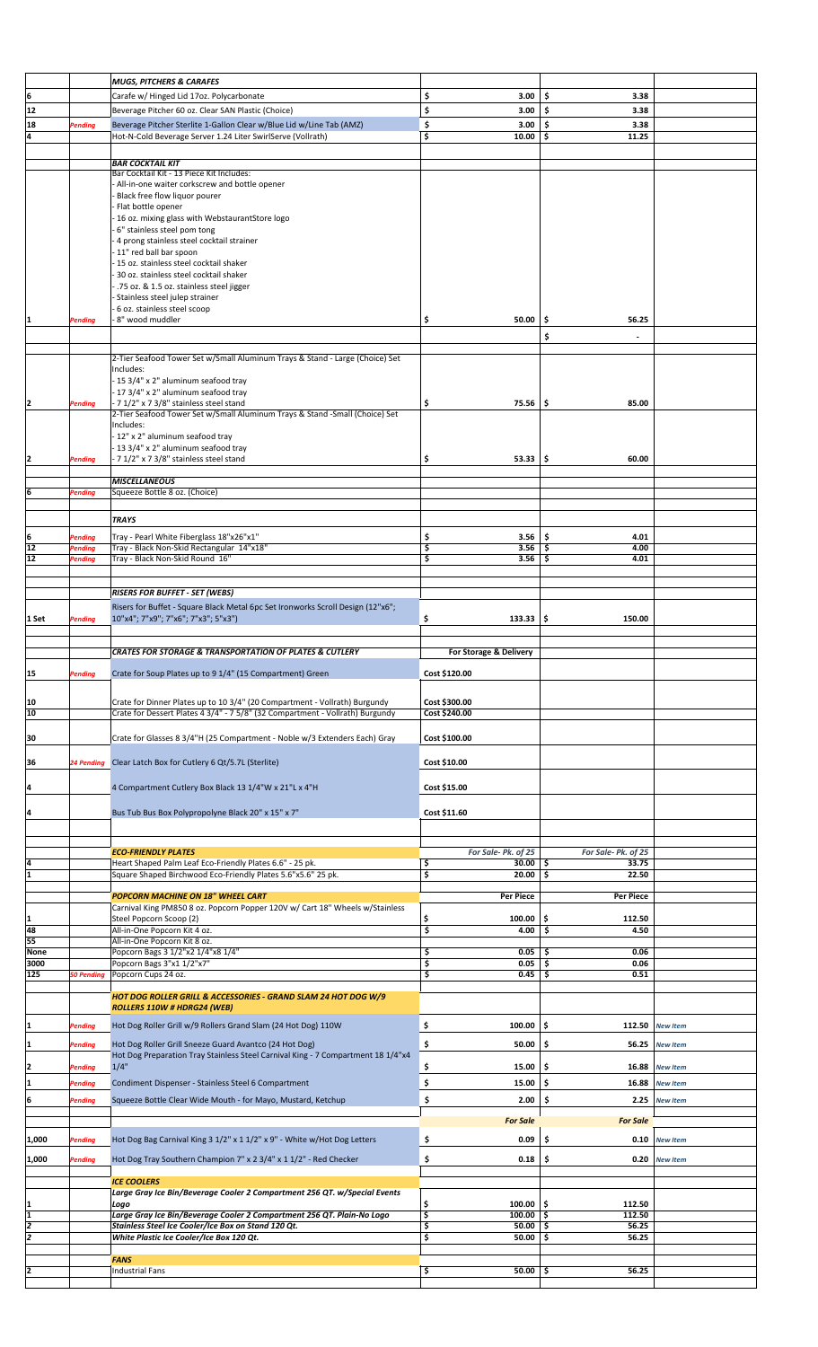|        |                   | <b>MUGS, PITCHERS &amp; CARAFES</b>                                                                                                        |                                 |                    |                 |  |
|--------|-------------------|--------------------------------------------------------------------------------------------------------------------------------------------|---------------------------------|--------------------|-----------------|--|
| 6      |                   | Carafe w/ Hinged Lid 17oz. Polycarbonate                                                                                                   | \$<br>3.00                      | \$<br>3.38         |                 |  |
| 12     |                   | Beverage Pitcher 60 oz. Clear SAN Plastic (Choice)                                                                                         | \$<br>3.00                      | \$<br>3.38         |                 |  |
| 18     | Pending           | Beverage Pitcher Sterlite 1-Gallon Clear w/Blue Lid w/Line Tab (AMZ)                                                                       | \$<br>3.00                      | 3.38<br>\$         |                 |  |
| l4     |                   | Hot-N-Cold Beverage Server 1.24 Liter SwirlServe (Vollrath)                                                                                | \$<br>10.00                     | \$<br>11.25        |                 |  |
|        |                   |                                                                                                                                            |                                 |                    |                 |  |
|        |                   |                                                                                                                                            |                                 |                    |                 |  |
|        |                   | <b>BAR COCKTAIL KIT</b><br>Bar Cocktail Kit - 13 Piece Kit Includes:                                                                       |                                 |                    |                 |  |
|        |                   | - All-in-one waiter corkscrew and bottle opener                                                                                            |                                 |                    |                 |  |
|        |                   | Black free flow liquor pourer                                                                                                              |                                 |                    |                 |  |
|        |                   | Flat bottle opener                                                                                                                         |                                 |                    |                 |  |
|        |                   | 16 oz. mixing glass with WebstaurantStore logo                                                                                             |                                 |                    |                 |  |
|        |                   | 6" stainless steel pom tong                                                                                                                |                                 |                    |                 |  |
|        |                   | 4 prong stainless steel cocktail strainer                                                                                                  |                                 |                    |                 |  |
|        |                   | 11" red ball bar spoon                                                                                                                     |                                 |                    |                 |  |
|        |                   | 15 oz. stainless steel cocktail shaker                                                                                                     |                                 |                    |                 |  |
|        |                   | 30 oz. stainless steel cocktail shaker                                                                                                     |                                 |                    |                 |  |
|        |                   | .75 oz. & 1.5 oz. stainless steel jigger                                                                                                   |                                 |                    |                 |  |
|        |                   | Stainless steel julep strainer                                                                                                             |                                 |                    |                 |  |
|        |                   | 6 oz. stainless steel scoop                                                                                                                |                                 |                    |                 |  |
| 1      | Pending           | 8" wood muddler                                                                                                                            | \$<br>50.00                     | \$<br>56.25        |                 |  |
|        |                   |                                                                                                                                            |                                 | \$                 |                 |  |
|        |                   |                                                                                                                                            |                                 |                    |                 |  |
|        |                   | 2-Tier Seafood Tower Set w/Small Aluminum Trays & Stand - Large (Choice) Set                                                               |                                 |                    |                 |  |
|        |                   | Includes:                                                                                                                                  |                                 |                    |                 |  |
|        |                   | - 15 3/4" x 2" aluminum seafood tray                                                                                                       |                                 |                    |                 |  |
|        |                   | - 17 3/4" x 2" aluminum seafood tray                                                                                                       |                                 |                    |                 |  |
| 12     | Pending           | - 7 1/2" x 7 3/8" stainless steel stand                                                                                                    | \$<br>$75.56$ $\frac{1}{5}$     | 85.00              |                 |  |
|        |                   | 2-Tier Seafood Tower Set w/Small Aluminum Trays & Stand -Small (Choice) Set                                                                |                                 |                    |                 |  |
|        |                   | Includes:                                                                                                                                  |                                 |                    |                 |  |
|        |                   | -12" x 2" aluminum seafood tray                                                                                                            |                                 |                    |                 |  |
|        |                   | 13 3/4" x 2" aluminum seafood tray                                                                                                         |                                 |                    |                 |  |
| 12     | Pending           | 7 1/2" x 7 3/8" stainless steel stand                                                                                                      | \$<br>$53.33$ $\frac{1}{5}$     | 60.00              |                 |  |
|        |                   |                                                                                                                                            |                                 |                    |                 |  |
|        |                   | <b>MISCELLANEOUS</b>                                                                                                                       |                                 |                    |                 |  |
| 6      | Pending           | Squeeze Bottle 8 oz. (Choice)                                                                                                              |                                 |                    |                 |  |
|        |                   |                                                                                                                                            |                                 |                    |                 |  |
|        |                   |                                                                                                                                            |                                 |                    |                 |  |
|        |                   | <b>TRAYS</b>                                                                                                                               |                                 |                    |                 |  |
| 6      | Pending           | Tray - Pearl White Fiberglass 18"x26"x1"                                                                                                   | \$<br>3.56                      | \$<br>4.01         |                 |  |
| 12     | Pending           | Tray - Black Non-Skid Rectangular 14"x18"                                                                                                  | \$<br>3.56                      | 4.00<br>\$         |                 |  |
| 12     | Pending           | Tray - Black Non-Skid Round 16"                                                                                                            | $\overline{\mathsf{s}}$<br>3.56 | \$<br>4.01         |                 |  |
|        |                   |                                                                                                                                            |                                 |                    |                 |  |
|        |                   |                                                                                                                                            |                                 |                    |                 |  |
|        |                   | <b>RISERS FOR BUFFET - SET (WEBS)</b>                                                                                                      |                                 |                    |                 |  |
|        |                   | Risers for Buffet - Square Black Metal 6pc Set Ironworks Scroll Design (12"x6";                                                            |                                 |                    |                 |  |
| 1 Set  | Pending           | 10"x4"; 7"x9"; 7"x6"; 7"x3"; 5"x3")                                                                                                        | \$<br>$133.33$ $\pm$            | 150.00             |                 |  |
|        |                   |                                                                                                                                            |                                 |                    |                 |  |
|        |                   |                                                                                                                                            |                                 |                    |                 |  |
|        |                   | <b>CRATES FOR STORAGE &amp; TRANSPORTATION OF PLATES &amp; CUTLERY</b>                                                                     | For Storage & Delivery          |                    |                 |  |
|        |                   |                                                                                                                                            |                                 |                    |                 |  |
| 15     | <b>Pending</b>    | Crate for Soup Plates up to 9 1/4" (15 Compartment) Green                                                                                  | Cost \$120.00                   |                    |                 |  |
|        |                   |                                                                                                                                            |                                 |                    |                 |  |
|        |                   |                                                                                                                                            |                                 |                    |                 |  |
| 10     |                   | Crate for Dinner Plates up to 10 3/4" (20 Compartment - Vollrath) Burgundy                                                                 | Cost \$300.00                   |                    |                 |  |
| 10     |                   | Crate for Dessert Plates 4 3/4" - 7 5/8" (32 Compartment - Vollrath) Burgundy                                                              | Cost \$240.00                   |                    |                 |  |
|        |                   |                                                                                                                                            |                                 |                    |                 |  |
| 30     |                   | Crate for Glasses 8 3/4"H (25 Compartment - Noble w/3 Extenders Each) Gray                                                                 | Cost \$100.00                   |                    |                 |  |
|        |                   |                                                                                                                                            |                                 |                    |                 |  |
| 36     |                   | 24 Pending Clear Latch Box for Cutlery 6 Qt/5.7L (Sterlite)                                                                                | Cost \$10.00                    |                    |                 |  |
|        |                   |                                                                                                                                            |                                 |                    |                 |  |
| 4      |                   | 4 Compartment Cutlery Box Black 13 1/4"W x 21"L x 4"H                                                                                      | Cost \$15.00                    |                    |                 |  |
|        |                   |                                                                                                                                            |                                 |                    |                 |  |
| 4      |                   | Bus Tub Bus Box Polypropolyne Black 20" x 15" x 7"                                                                                         | Cost \$11.60                    |                    |                 |  |
|        |                   |                                                                                                                                            |                                 |                    |                 |  |
|        |                   |                                                                                                                                            |                                 |                    |                 |  |
|        |                   |                                                                                                                                            |                                 |                    |                 |  |
|        |                   | <b>ECO-FRIENDLY PLATES</b>                                                                                                                 | For Sale-Pk. of 25              | For Sale-Pk. of 25 |                 |  |
| 4<br>ī |                   | Heart Shaped Palm Leaf Eco-Friendly Plates 6.6" - 25 pk.                                                                                   | \$<br>$30.00$   \$              | 33.75              |                 |  |
|        |                   | Square Shaped Birchwood Eco-Friendly Plates 5.6"x5.6" 25 pk.                                                                               | 3<br>$20.00$ \$                 | 22.50              |                 |  |
|        |                   |                                                                                                                                            |                                 |                    |                 |  |
|        |                   | POPCORN MACHINE ON 18" WHEEL CART                                                                                                          | Per Piece                       | Per Piece          |                 |  |
| 1      |                   | Carnival King PM850 8 oz. Popcorn Popper 120V w/ Cart 18" Wheels w/Stainless<br>Steel Popcorn Scoop (2)                                    | \$<br>100.00                    | \$ ا<br>112.50     |                 |  |
| 48     |                   | All-in-One Popcorn Kit 4 oz.                                                                                                               | \$<br>4.00                      | \$<br>4.50         |                 |  |
| 55     |                   | All-in-One Popcorn Kit 8 oz.                                                                                                               |                                 |                    |                 |  |
| None   |                   | Popcorn Bags 3 1/2"x2 1/4"x8 1/4"                                                                                                          | \$<br>0.05                      | 0.06<br>\$         |                 |  |
| 3000   |                   | Popcorn Bags 3"x1 1/2"x7"                                                                                                                  |                                 | 0.06<br>\$         |                 |  |
| 125    | <b>50 Pending</b> |                                                                                                                                            | \$<br>0.05                      |                    |                 |  |
|        |                   |                                                                                                                                            | \$<br>0.45                      | \$<br>0.51         |                 |  |
|        |                   | Popcorn Cups 24 oz.                                                                                                                        |                                 |                    |                 |  |
|        |                   | HOT DOG ROLLER GRILL & ACCESSORIES - GRAND SLAM 24 HOT DOG W/9                                                                             |                                 |                    |                 |  |
|        |                   | ROLLERS 110W # HDRG24 (WEB)                                                                                                                |                                 |                    |                 |  |
|        |                   |                                                                                                                                            |                                 |                    |                 |  |
| 1      | Pending           | Hot Dog Roller Grill w/9 Rollers Grand Slam (24 Hot Dog) 110W                                                                              | \$<br>100.00                    | \$<br>112.50       | <b>New Item</b> |  |
| 1      |                   |                                                                                                                                            |                                 |                    |                 |  |
|        | Pending           | Hot Dog Roller Grill Sneeze Guard Avantco (24 Hot Dog)<br>Hot Dog Preparation Tray Stainless Steel Carnival King - 7 Compartment 18 1/4"x4 | \$<br>50.00                     | \$<br>56.25        | <b>New Item</b> |  |
| 2      |                   | 1/4"                                                                                                                                       | 15.00                           | \$<br>16.88        | <b>New Item</b> |  |
|        | Pending           |                                                                                                                                            | \$                              |                    |                 |  |
| 1      | <b>Pending</b>    | Condiment Dispenser - Stainless Steel 6 Compartment                                                                                        | \$<br>15.00                     | ۱\$<br>16.88       | <b>New Item</b> |  |
| 6      | Pending           | Squeeze Bottle Clear Wide Mouth - for Mayo, Mustard, Ketchup                                                                               | \$<br>2.00                      | \$<br>2.25         | <b>New Item</b> |  |
|        |                   |                                                                                                                                            |                                 |                    |                 |  |
|        |                   |                                                                                                                                            | <b>For Sale</b>                 | <b>For Sale</b>    |                 |  |
|        |                   |                                                                                                                                            |                                 |                    |                 |  |
| 1,000  | Pending           | Hot Dog Bag Carnival King 3 1/2" x 1 1/2" x 9" - White w/Hot Dog Letters                                                                   | \$<br>0.09                      | \$<br>0.10         | <b>New Item</b> |  |
|        |                   |                                                                                                                                            | 0.18                            | \$ ا<br>0.20       | <b>New Item</b> |  |
| 1,000  | Pending           | Hot Dog Tray Southern Champion 7" x 2 3/4" x 1 1/2" - Red Checker                                                                          | \$                              |                    |                 |  |
|        |                   | <b>ICE COOLERS</b>                                                                                                                         |                                 |                    |                 |  |
|        |                   | Large Gray Ice Bin/Beverage Cooler 2 Compartment 256 QT. w/Special Events                                                                  |                                 |                    |                 |  |
| 1      |                   | Logo                                                                                                                                       | \$<br>100.00                    | \$ ا<br>112.50     |                 |  |
| 1      |                   | Large Gray Ice Bin/Beverage Cooler 2 Compartment 256 QT. Plain-No Logo                                                                     | 3<br>$100.00$   \$              | 112.50             |                 |  |
| l2     |                   | Stainless Steel Ice Cooler/Ice Box on Stand 120 Qt.                                                                                        | \$<br>50.00                     | 56.25<br>\$        |                 |  |
| 2      |                   | White Plastic Ice Cooler/Ice Box 120 Qt.                                                                                                   | \$<br>50.00                     | 56.25<br>\$        |                 |  |
|        |                   |                                                                                                                                            |                                 |                    |                 |  |
|        |                   | <b>FANS</b>                                                                                                                                |                                 |                    |                 |  |
|        |                   | Industrial Fans                                                                                                                            | 5<br>$50.00$ \$                 | 56.25              |                 |  |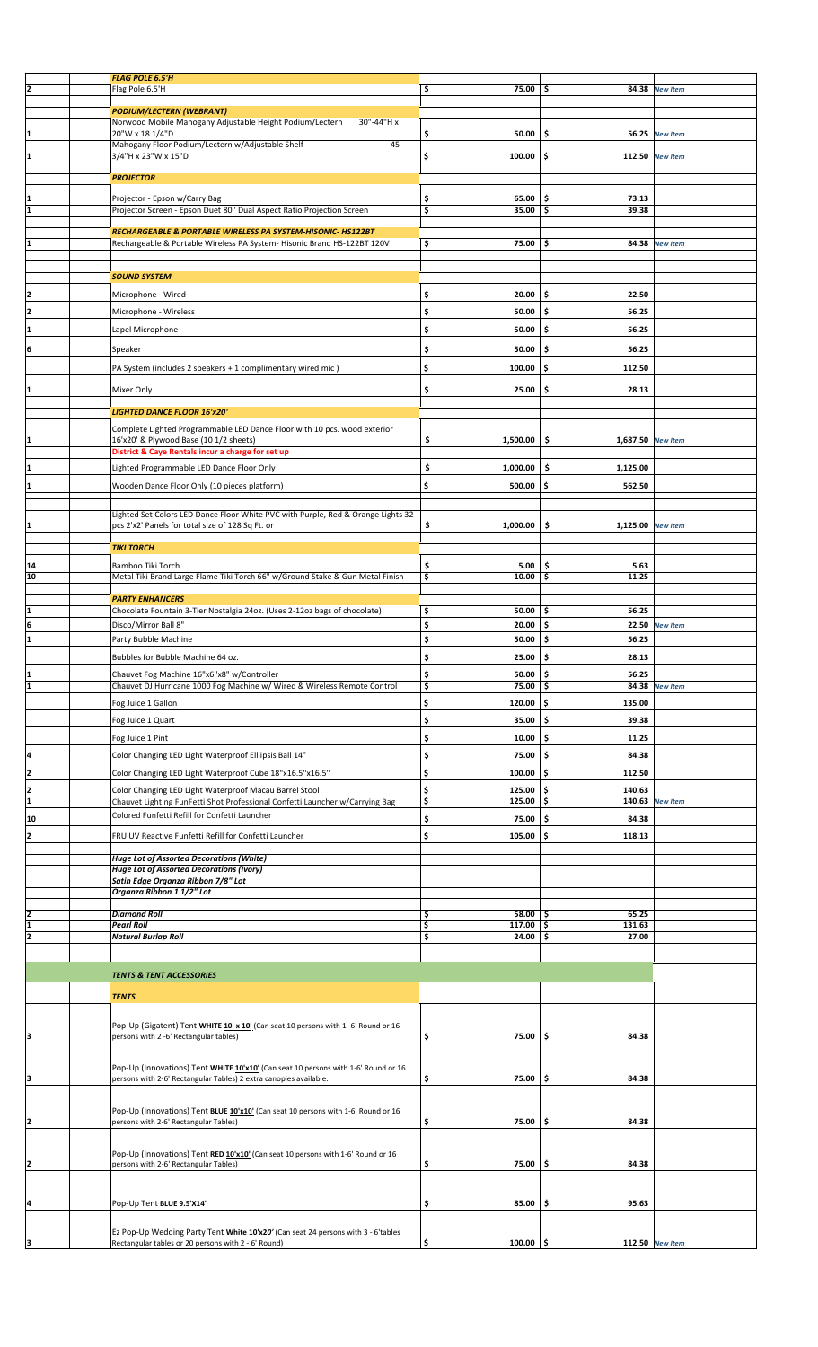|          | <b>FLAG POLE 6.5'H</b>                                                                                                 |                            |                          |                 |  |
|----------|------------------------------------------------------------------------------------------------------------------------|----------------------------|--------------------------|-----------------|--|
| I2       | Flag Pole 6.5'H                                                                                                        | \$<br>75.00                | -\$                      | 84.38 New Item  |  |
|          |                                                                                                                        |                            |                          |                 |  |
|          | <b>PODIUM/LECTERN (WEBRANT)</b><br>Norwood Mobile Mahogany Adjustable Height Podium/Lectern<br>30"-44"H x              |                            |                          |                 |  |
| I1       | 20"W x 18 1/4"D                                                                                                        | \$<br>50.00                | \$<br>56.25              | <b>New Item</b> |  |
|          | Mahogany Floor Podium/Lectern w/Adjustable Shelf<br>45                                                                 |                            |                          |                 |  |
|          | 3/4"H x 23"W x 15"D                                                                                                    | \$<br>100.00               | \$                       | 112.50 New Item |  |
|          | <b>PROJECTOR</b>                                                                                                       |                            |                          |                 |  |
|          |                                                                                                                        |                            |                          |                 |  |
|          | Projector - Epson w/Carry Bag                                                                                          | 65.00<br>\$                | \$.<br>73.13             |                 |  |
| I1       | Projector Screen - Epson Duet 80" Dual Aspect Ratio Projection Screen                                                  | 3<br>35.00                 | 39.38<br>\$              |                 |  |
|          | RECHARGEABLE & PORTABLE WIRELESS PA SYSTEM-HISONIC-HS122BT                                                             |                            |                          |                 |  |
|          | Rechargeable & Portable Wireless PA System-Hisonic Brand HS-122BT 120V                                                 | \$<br>$75.00$ \$           |                          | 84.38 New Item  |  |
|          |                                                                                                                        |                            |                          |                 |  |
|          | <b>SOUND SYSTEM</b>                                                                                                    |                            |                          |                 |  |
|          |                                                                                                                        |                            |                          |                 |  |
| 2        | Microphone - Wired                                                                                                     | \$<br>20.00                | \$.<br>22.50             |                 |  |
| I2       | Microphone - Wireless                                                                                                  | \$<br>50.00                | Ŝ.<br>56.25              |                 |  |
| I1       | Lapel Microphone                                                                                                       | \$<br>50.00                | \$.<br>56.25             |                 |  |
|          |                                                                                                                        |                            |                          |                 |  |
| 6        | Speaker                                                                                                                | \$<br>50.00                | \$.<br>56.25             |                 |  |
|          | PA System (includes 2 speakers + 1 complimentary wired mic)                                                            | \$<br>100.00               | \$.<br>112.50            |                 |  |
|          |                                                                                                                        |                            |                          |                 |  |
|          | Mixer Only                                                                                                             | \$<br>25.00                | \$<br>28.13              |                 |  |
|          | <b>LIGHTED DANCE FLOOR 16'x20'</b>                                                                                     |                            |                          |                 |  |
|          |                                                                                                                        |                            |                          |                 |  |
|          | Complete Lighted Programmable LED Dance Floor with 10 pcs. wood exterior<br>16'x20' & Plywood Base (10 1/2 sheets)     | \$<br>1,500.00             | \$<br>1,687.50 New Item  |                 |  |
|          | District & Caye Rentals incur a charge for set up                                                                      |                            |                          |                 |  |
|          |                                                                                                                        |                            |                          |                 |  |
|          | Lighted Programmable LED Dance Floor Only                                                                              | \$<br>1,000.00             | \$<br>1,125.00           |                 |  |
| I1       | Wooden Dance Floor Only (10 pieces platform)                                                                           | \$<br>500.00               | \$.<br>562.50            |                 |  |
|          |                                                                                                                        |                            |                          |                 |  |
|          | Lighted Set Colors LED Dance Floor White PVC with Purple, Red & Orange Lights 32                                       |                            |                          |                 |  |
| 11       | pcs 2'x2' Panels for total size of 128 Sq Ft. or                                                                       | \$<br>1,000.00             | \$.<br>1,125.00 New Item |                 |  |
|          | <b>TIKI TORCH</b>                                                                                                      |                            |                          |                 |  |
|          |                                                                                                                        |                            |                          |                 |  |
| 14       | Bamboo Tiki Torch                                                                                                      | \$<br>5.00                 | .\$<br>5.63              |                 |  |
| 10       | Metal Tiki Brand Large Flame Tiki Torch 66" w/Ground Stake & Gun Metal Finish                                          | \$<br>10.00                | 11.25<br>-\$             |                 |  |
|          | <b>PARTY ENHANCERS</b>                                                                                                 |                            |                          |                 |  |
| I1       | Chocolate Fountain 3-Tier Nostalgia 24oz. (Uses 2-12oz bags of chocolate)                                              | \$<br>$50.00$   \$         | 56.25                    |                 |  |
| 6        | Disco/Mirror Ball 8"                                                                                                   | \$<br>20.00                | \$<br>22.50              | <b>New Item</b> |  |
| I1       | Party Bubble Machine                                                                                                   | \$<br>50.00                | \$.<br>56.25             |                 |  |
|          | Bubbles for Bubble Machine 64 oz.                                                                                      | \$<br>25.00                | \$.<br>28.13             |                 |  |
|          |                                                                                                                        |                            |                          |                 |  |
| l1       | Chauvet Fog Machine 16"x6"x8" w/Controller<br>Chauvet DJ Hurricane 1000 Fog Machine w/ Wired & Wireless Remote Control | \$<br>50.00<br>\$<br>75.00 | \$<br>56.25<br>-\$       | 84.38 New Item  |  |
|          |                                                                                                                        |                            |                          |                 |  |
|          | Fog Juice 1 Gallon                                                                                                     | \$<br>120.00               | \$<br>135.00             |                 |  |
|          | Fog Juice 1 Quart                                                                                                      | \$<br>35.00                | \$<br>39.38              |                 |  |
|          | Fog Juice 1 Pint                                                                                                       | \$<br>10.00                | \$.<br>11.25             |                 |  |
| 14       |                                                                                                                        | \$<br>75.00                | \$.<br>84.38             |                 |  |
|          | Color Changing LED Light Waterproof Elllipsis Ball 14"                                                                 |                            |                          |                 |  |
| İ2       | Color Changing LED Light Waterproof Cube 18"x16.5"x16.5"                                                               | \$<br>100.00               | \$<br>112.50             |                 |  |
| 12       | Color Changing LED Light Waterproof Macau Barrel Stool                                                                 | \$<br>125.00               | \$<br>140.63             |                 |  |
| I1       | Chauvet Lighting FunFetti Shot Professional Confetti Launcher w/Carrying Bag                                           | \$<br>$125.00$ \$          | 140.63                   | <b>New Item</b> |  |
| 10       | Colored Funfetti Refill for Confetti Launcher                                                                          | \$<br>75.00                | \$.<br>84.38             |                 |  |
| l2       | FRU UV Reactive Funfetti Refill for Confetti Launcher                                                                  | \$<br>105.00               | \$<br>118.13             |                 |  |
|          |                                                                                                                        |                            |                          |                 |  |
|          | <b>Huge Lot of Assorted Decorations (White)</b>                                                                        |                            |                          |                 |  |
|          | <b>Huge Lot of Assorted Decorations (Ivory)</b><br>Satin Edge Organza Ribbon 7/8" Lot                                  |                            |                          |                 |  |
|          | Organza Ribbon 1 1/2" Lot                                                                                              |                            |                          |                 |  |
|          |                                                                                                                        |                            |                          |                 |  |
|          | <b>Diamond Roll</b>                                                                                                    | \$<br>$58.00$   \$         | 65.25                    |                 |  |
| I1<br>l2 | <b>Pearl Roll</b>                                                                                                      | \$<br>$117.00$ \$<br>24.00 | 131.63<br>27.00          |                 |  |
|          | <b>Natural Burlap Roll</b>                                                                                             | \$                         | -\$                      |                 |  |
|          |                                                                                                                        |                            |                          |                 |  |
|          | <b>TENTS &amp; TENT ACCESSORIES</b>                                                                                    |                            |                          |                 |  |
|          |                                                                                                                        |                            |                          |                 |  |
|          | <b>TENTS</b>                                                                                                           |                            |                          |                 |  |
|          |                                                                                                                        |                            |                          |                 |  |
|          | Pop-Up (Gigatent) Tent WHITE 10' x 10' (Can seat 10 persons with 1 -6' Round or 16                                     |                            |                          |                 |  |
| lз       | persons with 2 -6' Rectangular tables)                                                                                 | \$<br>75.00                | \$<br>84.38              |                 |  |
|          |                                                                                                                        |                            |                          |                 |  |
|          | Pop-Up (Innovations) Tent WHITE 10'x10' (Can seat 10 persons with 1-6' Round or 16                                     |                            |                          |                 |  |
| ļЗ       | persons with 2-6' Rectangular Tables) 2 extra canopies available.                                                      | \$<br>75.00                | \$.<br>84.38             |                 |  |
|          |                                                                                                                        |                            |                          |                 |  |
|          | Pop-Up (Innovations) Tent BLUE 10'x10' (Can seat 10 persons with 1-6' Round or 16                                      |                            |                          |                 |  |
| 12       | persons with 2-6' Rectangular Tables)                                                                                  | \$<br>75.00                | \$<br>84.38              |                 |  |
|          |                                                                                                                        |                            |                          |                 |  |
|          | Pop-Up (Innovations) Tent RED 10'x10' (Can seat 10 persons with 1-6' Round or 16                                       |                            |                          |                 |  |
| I2       | persons with 2-6' Rectangular Tables)                                                                                  | \$<br>75.00                | \$<br>84.38              |                 |  |
|          |                                                                                                                        |                            |                          |                 |  |
|          |                                                                                                                        |                            |                          |                 |  |
| 14       | Pop-Up Tent BLUE 9.5'X14'                                                                                              | \$<br>85.00                | \$<br>95.63              |                 |  |
|          |                                                                                                                        |                            |                          |                 |  |
|          | Ez Pop-Up Wedding Party Tent White 10'x20' (Can seat 24 persons with 3 - 6'tables                                      |                            |                          |                 |  |
|          | Rectangular tables or 20 persons with 2 - 6' Round)                                                                    | \$<br>$100.00$   \$        |                          | 112.50 New Item |  |